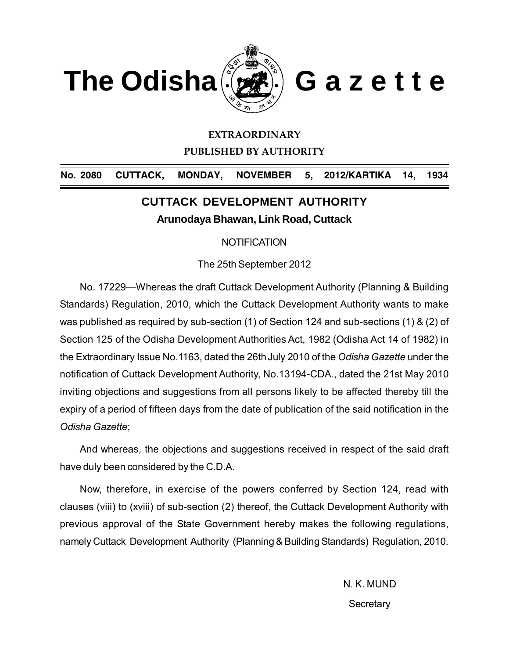

#### **EXTRAORDINARY**

**PUBLISHED BY AUTHORITY**

No. 2080 CUTTACK, MONDAY, NOVEMBER 5, 2012/KARTIKA 14, 1934

## **CUTTACK DEVELOPMENT AUTHORITY Arunodaya Bhawan, Link Road, Cuttack**

**NOTIFICATION** 

The 25th September 2012

No. 17229—Whereas the draft Cuttack Development Authority (Planning & Building Standards) Regulation, 2010, which the Cuttack Development Authority wants to make was published as required by sub-section (1) of Section 124 and sub-sections (1) & (2) of Section 125 of the Odisha Development Authorities Act, 1982 (Odisha Act 14 of 1982) in the Extraordinary Issue No.1163, dated the 26thJuly 2010 of the *Odisha Gazette* under the notification of Cuttack Development Authority, No.13194-CDA., dated the 21st May 2010 inviting objections and suggestions from all persons likely to be affected thereby till the expiry of a period of fifteen days from the date of publication of the said notification in the *Odisha Gazette*;

And whereas, the objections and suggestions received in respect of the said draft have duly been considered by the C.D.A.

Now, therefore, in exercise of the powers conferred by Section 124, read with clauses (viii) to (xviii) of sub-section (2) thereof, the Cuttack Development Authority with previous approval of the State Government hereby makes the following regulations, namely Cuttack Development Authority (Planning & Building Standards) Regulation, 2010.

> N. K. MUND **Secretary**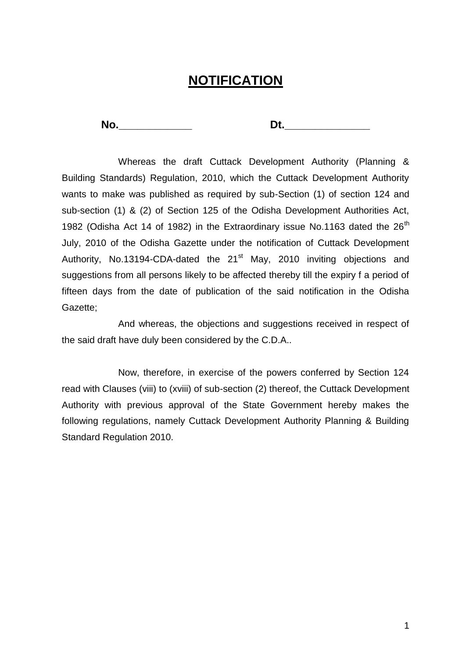# **NOTIFICATION**

**No.\_\_\_\_\_\_\_\_\_\_\_\_ Dt.\_\_\_\_\_\_\_\_\_\_\_\_\_\_**

Whereas the draft Cuttack Development Authority (Planning & Building Standards) Regulation, 2010, which the Cuttack Development Authority wants to make was published as required by sub-Section (1) of section 124 and sub-section (1) & (2) of Section 125 of the Odisha Development Authorities Act, 1982 (Odisha Act 14 of 1982) in the Extraordinary issue No.1163 dated the  $26<sup>th</sup>$ July, 2010 of the Odisha Gazette under the notification of Cuttack Development Authority, No.13194-CDA-dated the  $21<sup>st</sup>$  May, 2010 inviting objections and suggestions from all persons likely to be affected thereby till the expiry f a period of fifteen days from the date of publication of the said notification in the Odisha Gazette;

And whereas, the objections and suggestions received in respect of the said draft have duly been considered by the C.D.A..

Now, therefore, in exercise of the powers conferred by Section 124 read with Clauses (viii) to (xviii) of sub-section (2) thereof, the Cuttack Development Authority with previous approval of the State Government hereby makes the following regulations, namely Cuttack Development Authority Planning & Building Standard Regulation 2010.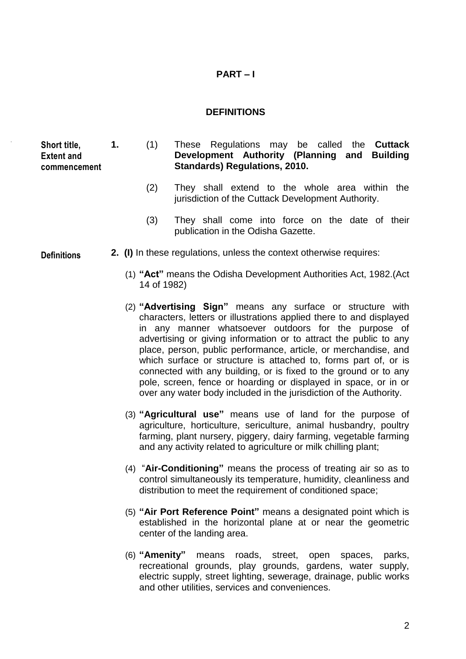## **PART – I**

#### **DEFINITIONS**

**Short title, Extent and commencement**

- **1.** (1) These Regulations may be called the **Cuttack Development Authority (Planning and Building Standards) Regulations, 2010.**
	- (2) They shall extend to the whole area within the jurisdiction of the Cuttack Development Authority.
	- (3) They shall come into force on the date of their publication in the Odisha Gazette.
- **2. (I)** In these regulations, unless the context otherwise requires:
	- (1) **"Act"** means the Odisha Development Authorities Act, 1982.(Act 14 of 1982)
	- (2) **"Advertising Sign"** means any surface or structure with characters, letters or illustrations applied there to and displayed in any manner whatsoever outdoors for the purpose of advertising or giving information or to attract the public to any place, person, public performance, article, or merchandise, and which surface or structure is attached to, forms part of, or is connected with any building, or is fixed to the ground or to any pole, screen, fence or hoarding or displayed in space, or in or over any water body included in the jurisdiction of the Authority.
	- (3) **"Agricultural use"** means use of land for the purpose of agriculture, horticulture, sericulture, animal husbandry, poultry farming, plant nursery, piggery, dairy farming, vegetable farming and any activity related to agriculture or milk chilling plant;
	- (4) "**Air-Conditioning"** means the process of treating air so as to control simultaneously its temperature, humidity, cleanliness and distribution to meet the requirement of conditioned space;
	- (5) **"Air Port Reference Point"** means a designated point which is established in the horizontal plane at or near the geometric center of the landing area.
	- (6) **"Amenity"** means roads, street, open spaces, parks, recreational grounds, play grounds, gardens, water supply, electric supply, street lighting, sewerage, drainage, public works and other utilities, services and conveniences.

**Definitions**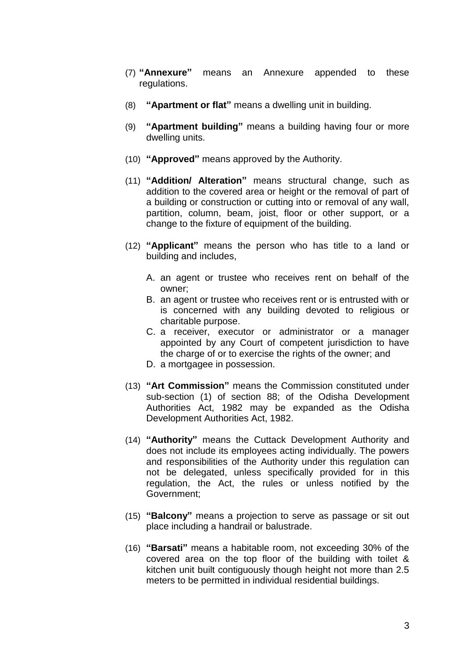- (7) **"Annexure"** means an Annexure appended to these regulations.
- (8) **"Apartment or flat"** means a dwelling unit in building.
- (9) **"Apartment building"** means a building having four or more dwelling units.
- (10) **"Approved"** means approved by the Authority.
- (11) **"Addition/ Alteration"** means structural change, such as addition to the covered area or height or the removal of part of a building or construction or cutting into or removal of any wall, partition, column, beam, joist, floor or other support, or a change to the fixture of equipment of the building.
- (12) **"Applicant"** means the person who has title to a land or building and includes,
	- A. an agent or trustee who receives rent on behalf of the owner;
	- B. an agent or trustee who receives rent or is entrusted with or is concerned with any building devoted to religious or charitable purpose.
	- C. a receiver, executor or administrator or a manager appointed by any Court of competent jurisdiction to have the charge of or to exercise the rights of the owner; and
	- D. a mortgagee in possession.
- (13) **"Art Commission"** means the Commission constituted under sub-section (1) of section 88; of the Odisha Development Authorities Act, 1982 may be expanded as the Odisha Development Authorities Act, 1982.
- (14) **"Authority"** means the Cuttack Development Authority and does not include its employees acting individually. The powers and responsibilities of the Authority under this regulation can not be delegated, unless specifically provided for in this regulation, the Act, the rules or unless notified by the Government;
- (15) **"Balcony"** means a projection to serve as passage or sit out place including a handrail or balustrade.
- (16) **"Barsati"** means a habitable room, not exceeding 30% of the covered area on the top floor of the building with toilet & kitchen unit built contiguously though height not more than 2.5 meters to be permitted in individual residential buildings.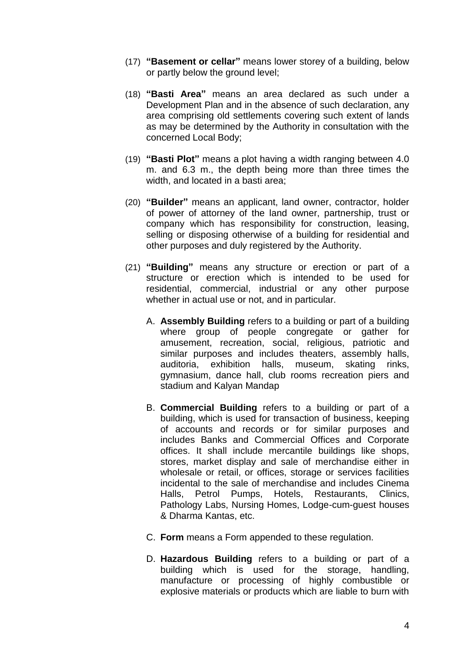- (17) **"Basement or cellar"** means lower storey of a building, below or partly below the ground level;
- (18) **"Basti Area"** means an area declared as such under a Development Plan and in the absence of such declaration, any area comprising old settlements covering such extent of lands as may be determined by the Authority in consultation with the concerned Local Body;
- (19) **"Basti Plot"** means a plot having a width ranging between 4.0 m. and 6.3 m., the depth being more than three times the width, and located in a basti area;
- (20) **"Builder"** means an applicant, land owner, contractor, holder of power of attorney of the land owner, partnership, trust or company which has responsibility for construction, leasing, selling or disposing otherwise of a building for residential and other purposes and duly registered by the Authority.
- (21) **"Building"** means any structure or erection or part of a structure or erection which is intended to be used for residential, commercial, industrial or any other purpose whether in actual use or not, and in particular.
	- A. **Assembly Building** refers to a building or part of a building where group of people congregate or gather for amusement, recreation, social, religious, patriotic and similar purposes and includes theaters, assembly halls, auditoria, exhibition halls, museum, skating rinks, gymnasium, dance hall, club rooms recreation piers and stadium and Kalyan Mandap
	- B. **Commercial Building** refers to a building or part of a building, which is used for transaction of business, keeping of accounts and records or for similar purposes and includes Banks and Commercial Offices and Corporate offices. It shall include mercantile buildings like shops, stores, market display and sale of merchandise either in wholesale or retail, or offices, storage or services facilities incidental to the sale of merchandise and includes Cinema Halls, Petrol Pumps, Hotels, Restaurants, Clinics, Pathology Labs, Nursing Homes, Lodge-cum-guest houses & Dharma Kantas, etc.
	- C. **Form** means a Form appended to these regulation.
	- D. **Hazardous Building** refers to a building or part of a building which is used for the storage, handling, manufacture or processing of highly combustible or explosive materials or products which are liable to burn with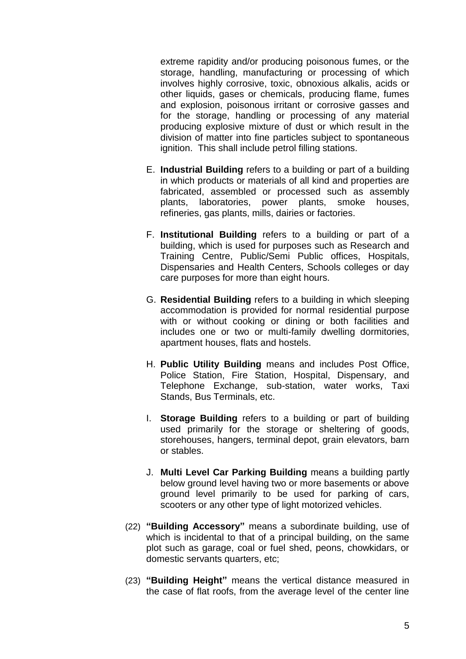extreme rapidity and/or producing poisonous fumes, or the storage, handling, manufacturing or processing of which involves highly corrosive, toxic, obnoxious alkalis, acids or other liquids, gases or chemicals, producing flame, fumes and explosion, poisonous irritant or corrosive gasses and for the storage, handling or processing of any material producing explosive mixture of dust or which result in the division of matter into fine particles subject to spontaneous ignition. This shall include petrol filling stations.

- E. **Industrial Building** refers to a building or part of a building in which products or materials of all kind and properties are fabricated, assembled or processed such as assembly plants, laboratories, power plants, smoke houses, refineries, gas plants, mills, dairies or factories.
- F. **Institutional Building** refers to a building or part of a building, which is used for purposes such as Research and Training Centre, Public/Semi Public offices, Hospitals, Dispensaries and Health Centers, Schools colleges or day care purposes for more than eight hours.
- G. **Residential Building** refers to a building in which sleeping accommodation is provided for normal residential purpose with or without cooking or dining or both facilities and includes one or two or multi-family dwelling dormitories, apartment houses, flats and hostels.
- H. **Public Utility Building** means and includes Post Office, Police Station, Fire Station, Hospital, Dispensary, and Telephone Exchange, sub-station, water works, Taxi Stands, Bus Terminals, etc.
- I. **Storage Building** refers to a building or part of building used primarily for the storage or sheltering of goods, storehouses, hangers, terminal depot, grain elevators, barn or stables.
- J. **Multi Level Car Parking Building** means a building partly below ground level having two or more basements or above ground level primarily to be used for parking of cars, scooters or any other type of light motorized vehicles.
- (22) **"Building Accessory"** means a subordinate building, use of which is incidental to that of a principal building, on the same plot such as garage, coal or fuel shed, peons, chowkidars, or domestic servants quarters, etc;
- (23) **"Building Height"** means the vertical distance measured in the case of flat roofs, from the average level of the center line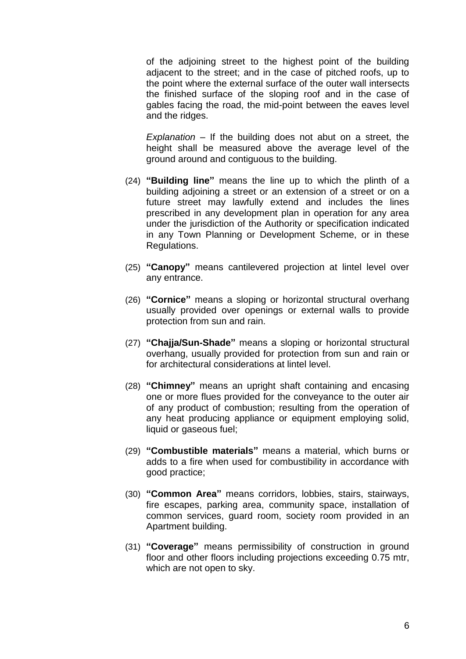of the adjoining street to the highest point of the building adjacent to the street; and in the case of pitched roofs, up to the point where the external surface of the outer wall intersects the finished surface of the sloping roof and in the case of gables facing the road, the mid-point between the eaves level and the ridges.

*Explanation* – If the building does not abut on a street, the height shall be measured above the average level of the ground around and contiguous to the building.

- (24) **"Building line"** means the line up to which the plinth of a building adjoining a street or an extension of a street or on a future street may lawfully extend and includes the lines prescribed in any development plan in operation for any area under the jurisdiction of the Authority or specification indicated in any Town Planning or Development Scheme, or in these Regulations.
- (25) **"Canopy"** means cantilevered projection at lintel level over any entrance.
- (26) **"Cornice"** means a sloping or horizontal structural overhang usually provided over openings or external walls to provide protection from sun and rain.
- (27) **"Chajja/Sun-Shade"** means a sloping or horizontal structural overhang, usually provided for protection from sun and rain or for architectural considerations at lintel level.
- (28) **"Chimney"** means an upright shaft containing and encasing one or more flues provided for the conveyance to the outer air of any product of combustion; resulting from the operation of any heat producing appliance or equipment employing solid, liquid or gaseous fuel;
- (29) **"Combustible materials"** means a material, which burns or adds to a fire when used for combustibility in accordance with good practice;
- (30) **"Common Area"** means corridors, lobbies, stairs, stairways, fire escapes, parking area, community space, installation of common services, guard room, society room provided in an Apartment building.
- (31) **"Coverage"** means permissibility of construction in ground floor and other floors including projections exceeding 0.75 mtr, which are not open to sky.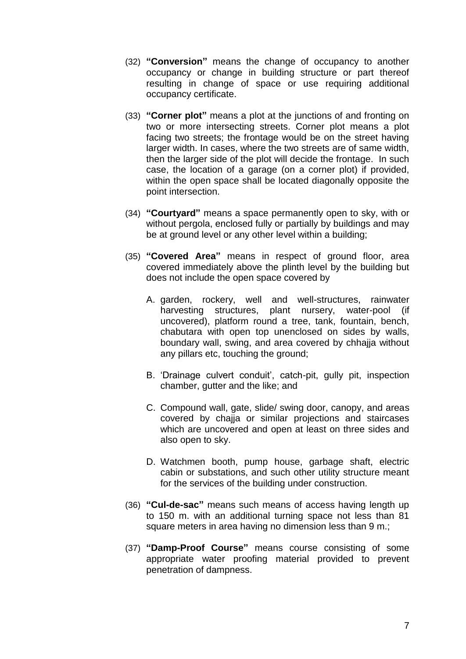- (32) **"Conversion"** means the change of occupancy to another occupancy or change in building structure or part thereof resulting in change of space or use requiring additional occupancy certificate.
- (33) **"Corner plot"** means a plot at the junctions of and fronting on two or more intersecting streets. Corner plot means a plot facing two streets; the frontage would be on the street having larger width. In cases, where the two streets are of same width, then the larger side of the plot will decide the frontage. In such case, the location of a garage (on a corner plot) if provided, within the open space shall be located diagonally opposite the point intersection.
- (34) **"Courtyard"** means a space permanently open to sky, with or without pergola, enclosed fully or partially by buildings and may be at ground level or any other level within a building;
- (35) **"Covered Area"** means in respect of ground floor, area covered immediately above the plinth level by the building but does not include the open space covered by
	- A. garden, rockery, well and well-structures, rainwater harvesting structures, plant nursery, water-pool (if uncovered), platform round a tree, tank, fountain, bench, chabutara with open top unenclosed on sides by walls, boundary wall, swing, and area covered by chhajja without any pillars etc, touching the ground;
	- B. 'Drainage culvert conduit', catch-pit, gully pit, inspection chamber, gutter and the like; and
	- C. Compound wall, gate, slide/ swing door, canopy, and areas covered by chajja or similar projections and staircases which are uncovered and open at least on three sides and also open to sky.
	- D. Watchmen booth, pump house, garbage shaft, electric cabin or substations, and such other utility structure meant for the services of the building under construction.
- (36) **"Cul-de-sac"** means such means of access having length up to 150 m. with an additional turning space not less than 81 square meters in area having no dimension less than 9 m.;
- (37) **"Damp-Proof Course"** means course consisting of some appropriate water proofing material provided to prevent penetration of dampness.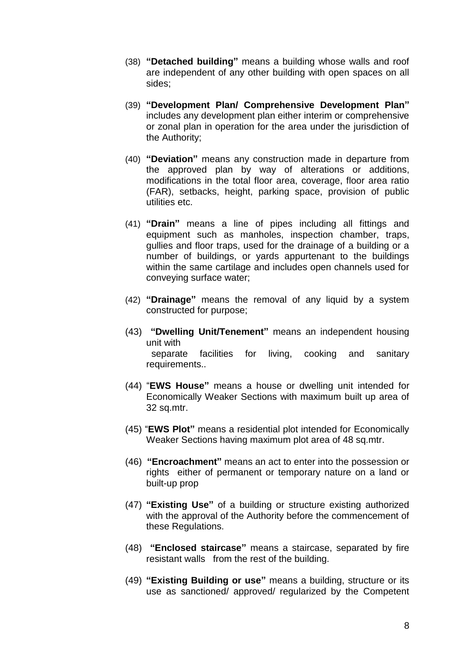- (38) **"Detached building"** means a building whose walls and roof are independent of any other building with open spaces on all sides;
- (39) **"Development Plan/ Comprehensive Development Plan"** includes any development plan either interim or comprehensive or zonal plan in operation for the area under the jurisdiction of the Authority;
- (40) **"Deviation"** means any construction made in departure from the approved plan by way of alterations or additions, modifications in the total floor area, coverage, floor area ratio (FAR), setbacks, height, parking space, provision of public utilities etc.
- (41) **"Drain"** means a line of pipes including all fittings and equipment such as manholes, inspection chamber, traps, gullies and floor traps, used for the drainage of a building or a number of buildings, or yards appurtenant to the buildings within the same cartilage and includes open channels used for conveying surface water;
- (42) **"Drainage"** means the removal of any liquid by a system constructed for purpose;
- (43) **"Dwelling Unit/Tenement"** means an independent housing unit with separate facilities for living, cooking and sanitary requirements..
- (44) "**EWS House"** means a house or dwelling unit intended for Economically Weaker Sections with maximum built up area of 32 sq.mtr.
- (45) "**EWS Plot"** means a residential plot intended for Economically Weaker Sections having maximum plot area of 48 sq.mtr.
- (46) **"Encroachment"** means an act to enter into the possession or rights either of permanent or temporary nature on a land or built-up prop
- (47) **"Existing Use"** of a building or structure existing authorized with the approval of the Authority before the commencement of these Regulations.
- (48) **"Enclosed staircase"** means a staircase, separated by fire resistant walls from the rest of the building.
- (49) **"Existing Building or use"** means a building, structure or its use as sanctioned/ approved/ regularized by the Competent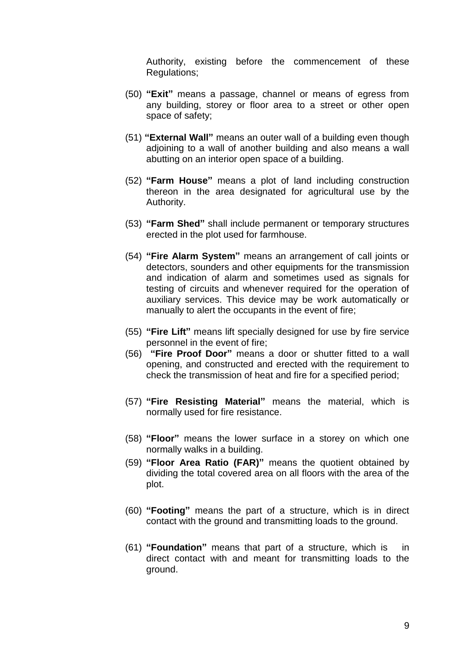Authority, existing before the commencement of these Regulations;

- (50) **"Exit"** means a passage, channel or means of egress from any building, storey or floor area to a street or other open space of safety;
- (51) **"External Wall"** means an outer wall of a building even though adjoining to a wall of another building and also means a wall abutting on an interior open space of a building.
- (52) **"Farm House"** means a plot of land including construction thereon in the area designated for agricultural use by the Authority.
- (53) **"Farm Shed"** shall include permanent or temporary structures erected in the plot used for farmhouse.
- (54) **"Fire Alarm System"** means an arrangement of call joints or detectors, sounders and other equipments for the transmission and indication of alarm and sometimes used as signals for testing of circuits and whenever required for the operation of auxiliary services. This device may be work automatically or manually to alert the occupants in the event of fire;
- (55) **"Fire Lift"** means lift specially designed for use by fire service personnel in the event of fire;
- (56) **"Fire Proof Door"** means a door or shutter fitted to a wall opening, and constructed and erected with the requirement to check the transmission of heat and fire for a specified period;
- (57) **"Fire Resisting Material"** means the material, which is normally used for fire resistance.
- (58) **"Floor"** means the lower surface in a storey on which one normally walks in a building.
- (59) **"Floor Area Ratio (FAR)"** means the quotient obtained by dividing the total covered area on all floors with the area of the plot.
- (60) **"Footing"** means the part of a structure, which is in direct contact with the ground and transmitting loads to the ground.
- (61) **"Foundation"** means that part of a structure, which is in direct contact with and meant for transmitting loads to the ground.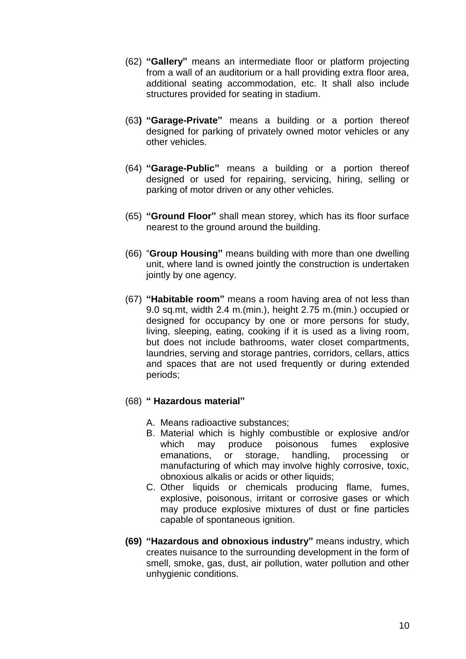- (62) **"Gallery"** means an intermediate floor or platform projecting from a wall of an auditorium or a hall providing extra floor area, additional seating accommodation, etc. It shall also include structures provided for seating in stadium.
- (63**) "Garage-Private"** means a building or a portion thereof designed for parking of privately owned motor vehicles or any other vehicles.
- (64) **"Garage-Public"** means a building or a portion thereof designed or used for repairing, servicing, hiring, selling or parking of motor driven or any other vehicles.
- (65) **"Ground Floor"** shall mean storey, which has its floor surface nearest to the ground around the building.
- (66) "**Group Housing"** means building with more than one dwelling unit, where land is owned jointly the construction is undertaken jointly by one agency.
- (67) **"Habitable room"** means a room having area of not less than 9.0 sq.mt, width 2.4 m.(min.), height 2.75 m.(min.) occupied or designed for occupancy by one or more persons for study, living, sleeping, eating, cooking if it is used as a living room, but does not include bathrooms, water closet compartments, laundries, serving and storage pantries, corridors, cellars, attics and spaces that are not used frequently or during extended periods;

## (68) **" Hazardous material"**

- A. Means radioactive substances;
- B. Material which is highly combustible or explosive and/or which may produce poisonous fumes explosive emanations, or storage, handling, processing or manufacturing of which may involve highly corrosive, toxic, obnoxious alkalis or acids or other liquids;
- C. Other liquids or chemicals producing flame, fumes, explosive, poisonous, irritant or corrosive gases or which may produce explosive mixtures of dust or fine particles capable of spontaneous ignition.
- **(69) "Hazardous and obnoxious industry"** means industry, which creates nuisance to the surrounding development in the form of smell, smoke, gas, dust, air pollution, water pollution and other unhygienic conditions.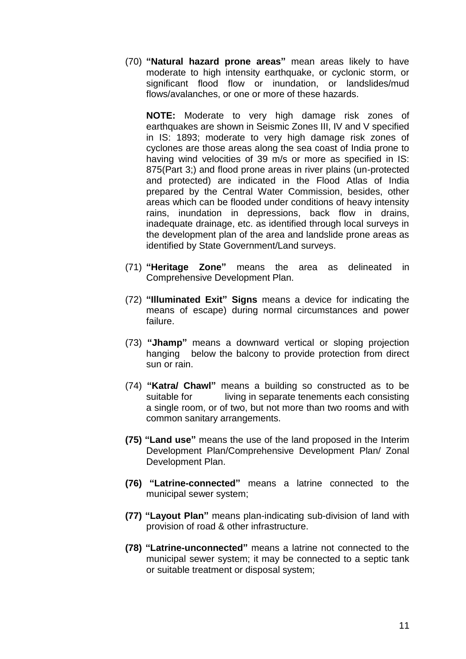(70) **"Natural hazard prone areas"** mean areas likely to have moderate to high intensity earthquake, or cyclonic storm, or significant flood flow or inundation, or landslides/mud flows/avalanches, or one or more of these hazards.

**NOTE:** Moderate to very high damage risk zones of earthquakes are shown in Seismic Zones III, IV and V specified in IS: 1893; moderate to very high damage risk zones of cyclones are those areas along the sea coast of India prone to having wind velocities of 39 m/s or more as specified in IS: 875(Part 3;) and flood prone areas in river plains (un-protected and protected) are indicated in the Flood Atlas of India prepared by the Central Water Commission, besides, other areas which can be flooded under conditions of heavy intensity rains, inundation in depressions, back flow in drains, inadequate drainage, etc. as identified through local surveys in the development plan of the area and landslide prone areas as identified by State Government/Land surveys.

- (71) **"Heritage Zone"** means the area as delineated in Comprehensive Development Plan.
- (72) **"Illuminated Exit" Signs** means a device for indicating the means of escape) during normal circumstances and power failure.
- (73) **"Jhamp"** means a downward vertical or sloping projection hanging below the balcony to provide protection from direct sun or rain.
- (74) **"Katra/ Chawl"** means a building so constructed as to be suitable for living in separate tenements each consisting a single room, or of two, but not more than two rooms and with common sanitary arrangements.
- **(75) "Land use"** means the use of the land proposed in the Interim Development Plan/Comprehensive Development Plan/ Zonal Development Plan.
- **(76) "Latrine-connected"** means a latrine connected to the municipal sewer system;
- **(77) "Layout Plan"** means plan-indicating sub-division of land with provision of road & other infrastructure.
- **(78) "Latrine-unconnected"** means a latrine not connected to the municipal sewer system; it may be connected to a septic tank or suitable treatment or disposal system;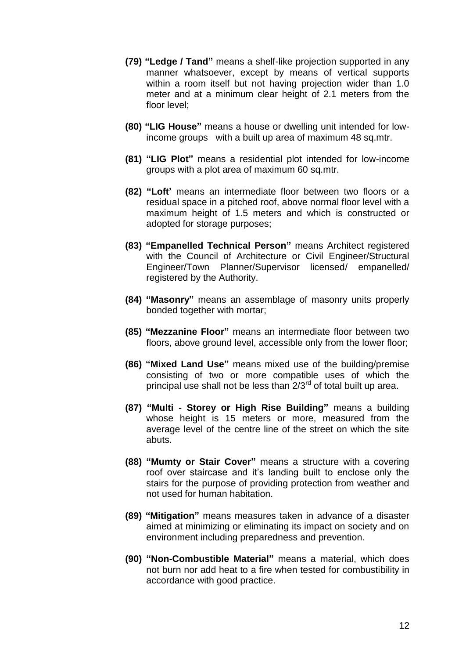- **(79) "Ledge / Tand"** means a shelf-like projection supported in any manner whatsoever, except by means of vertical supports within a room itself but not having projection wider than 1.0 meter and at a minimum clear height of 2.1 meters from the floor level;
- **(80) "LIG House"** means a house or dwelling unit intended for lowincome groups with a built up area of maximum 48 sq.mtr.
- **(81) "LIG Plot"** means a residential plot intended for low-income groups with a plot area of maximum 60 sq.mtr.
- **(82) "Loft'** means an intermediate floor between two floors or a residual space in a pitched roof, above normal floor level with a maximum height of 1.5 meters and which is constructed or adopted for storage purposes;
- **(83) "Empanelled Technical Person"** means Architect registered with the Council of Architecture or Civil Engineer/Structural Engineer/Town Planner/Supervisor licensed/ empanelled/ registered by the Authority.
- **(84) "Masonry"** means an assemblage of masonry units properly bonded together with mortar;
- **(85) "Mezzanine Floor"** means an intermediate floor between two floors, above ground level, accessible only from the lower floor;
- **(86) "Mixed Land Use"** means mixed use of the building/premise consisting of two or more compatible uses of which the principal use shall not be less than  $2/3^{rd}$  of total built up area.
- **(87) "Multi - Storey or High Rise Building"** means a building whose height is 15 meters or more, measured from the average level of the centre line of the street on which the site abuts.
- **(88) "Mumty or Stair Cover"** means a structure with a covering roof over staircase and it"s landing built to enclose only the stairs for the purpose of providing protection from weather and not used for human habitation.
- **(89) "Mitigation"** means measures taken in advance of a disaster aimed at minimizing or eliminating its impact on society and on environment including preparedness and prevention.
- **(90) "Non-Combustible Material"** means a material, which does not burn nor add heat to a fire when tested for combustibility in accordance with good practice.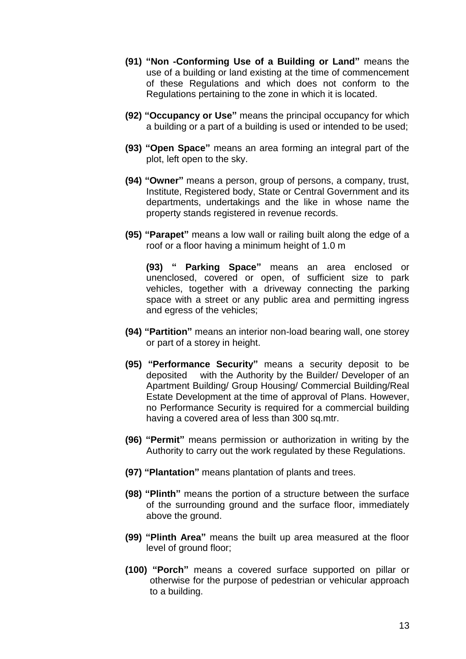- **(91) "Non -Conforming Use of a Building or Land"** means the use of a building or land existing at the time of commencement of these Regulations and which does not conform to the Regulations pertaining to the zone in which it is located.
- **(92) "Occupancy or Use"** means the principal occupancy for which a building or a part of a building is used or intended to be used;
- **(93) "Open Space"** means an area forming an integral part of the plot, left open to the sky.
- **(94) "Owner"** means a person, group of persons, a company, trust, Institute, Registered body, State or Central Government and its departments, undertakings and the like in whose name the property stands registered in revenue records.
- **(95) "Parapet"** means a low wall or railing built along the edge of a roof or a floor having a minimum height of 1.0 m

 **(93) " Parking Space"** means an area enclosed or unenclosed, covered or open, of sufficient size to park vehicles, together with a driveway connecting the parking space with a street or any public area and permitting ingress and egress of the vehicles;

- **(94) "Partition"** means an interior non-load bearing wall, one storey or part of a storey in height.
- **(95) "Performance Security"** means a security deposit to be deposited with the Authority by the Builder/ Developer of an Apartment Building/ Group Housing/ Commercial Building/Real Estate Development at the time of approval of Plans. However, no Performance Security is required for a commercial building having a covered area of less than 300 sq.mtr.
- **(96) "Permit"** means permission or authorization in writing by the Authority to carry out the work regulated by these Regulations.
- **(97) "Plantation"** means plantation of plants and trees.
- **(98) "Plinth"** means the portion of a structure between the surface of the surrounding ground and the surface floor, immediately above the ground.
- **(99) "Plinth Area"** means the built up area measured at the floor level of ground floor;
- **(100) "Porch"** means a covered surface supported on pillar or otherwise for the purpose of pedestrian or vehicular approach to a building.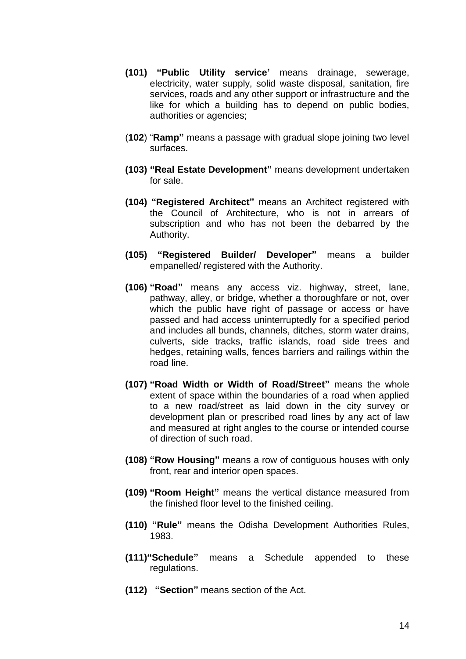- **(101) "Public Utility service'** means drainage, sewerage, electricity, water supply, solid waste disposal, sanitation, fire services, roads and any other support or infrastructure and the like for which a building has to depend on public bodies, authorities or agencies;
- (**102**) "**Ramp"** means a passage with gradual slope joining two level surfaces.
- **(103) "Real Estate Development"** means development undertaken for sale.
- **(104) "Registered Architect"** means an Architect registered with the Council of Architecture, who is not in arrears of subscription and who has not been the debarred by the Authority.
- **(105) "Registered Builder/ Developer"** means a builder empanelled/ registered with the Authority.
- **(106) "Road"** means any access viz. highway, street, lane, pathway, alley, or bridge, whether a thoroughfare or not, over which the public have right of passage or access or have passed and had access uninterruptedly for a specified period and includes all bunds, channels, ditches, storm water drains, culverts, side tracks, traffic islands, road side trees and hedges, retaining walls, fences barriers and railings within the road line.
- **(107) "Road Width or Width of Road/Street"** means the whole extent of space within the boundaries of a road when applied to a new road/street as laid down in the city survey or development plan or prescribed road lines by any act of law and measured at right angles to the course or intended course of direction of such road.
- **(108) "Row Housing"** means a row of contiguous houses with only front, rear and interior open spaces.
- **(109) "Room Height"** means the vertical distance measured from the finished floor level to the finished ceiling.
- **(110) "Rule"** means the Odisha Development Authorities Rules, 1983.
- **(111)"Schedule"** means a Schedule appended to these regulations.
- **(112) "Section"** means section of the Act.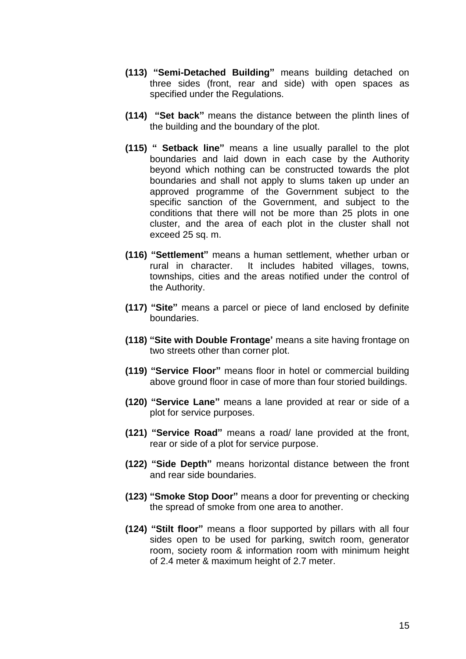- **(113) "Semi-Detached Building"** means building detached on three sides (front, rear and side) with open spaces as specified under the Regulations.
- **(114) "Set back"** means the distance between the plinth lines of the building and the boundary of the plot.
- **(115) " Setback line"** means a line usually parallel to the plot boundaries and laid down in each case by the Authority beyond which nothing can be constructed towards the plot boundaries and shall not apply to slums taken up under an approved programme of the Government subject to the specific sanction of the Government, and subject to the conditions that there will not be more than 25 plots in one cluster, and the area of each plot in the cluster shall not exceed 25 sq. m.
- **(116) "Settlement"** means a human settlement, whether urban or rural in character. It includes habited villages, towns, townships, cities and the areas notified under the control of the Authority.
- **(117) "Site"** means a parcel or piece of land enclosed by definite boundaries.
- **(118) "Site with Double Frontage'** means a site having frontage on two streets other than corner plot.
- **(119) "Service Floor"** means floor in hotel or commercial building above ground floor in case of more than four storied buildings.
- **(120) "Service Lane"** means a lane provided at rear or side of a plot for service purposes.
- **(121) "Service Road"** means a road/ lane provided at the front, rear or side of a plot for service purpose.
- **(122) "Side Depth"** means horizontal distance between the front and rear side boundaries.
- **(123) "Smoke Stop Door"** means a door for preventing or checking the spread of smoke from one area to another.
- **(124) "Stilt floor"** means a floor supported by pillars with all four sides open to be used for parking, switch room, generator room, society room & information room with minimum height of 2.4 meter & maximum height of 2.7 meter.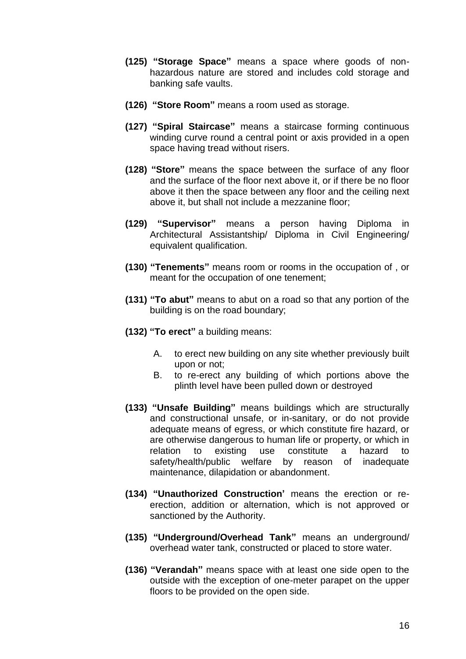- **(125) "Storage Space"** means a space where goods of nonhazardous nature are stored and includes cold storage and banking safe vaults.
- **(126) "Store Room"** means a room used as storage.
- **(127) "Spiral Staircase"** means a staircase forming continuous winding curve round a central point or axis provided in a open space having tread without risers.
- **(128) "Store"** means the space between the surface of any floor and the surface of the floor next above it, or if there be no floor above it then the space between any floor and the ceiling next above it, but shall not include a mezzanine floor;
- **(129) "Supervisor"** means a person having Diploma in Architectural Assistantship/ Diploma in Civil Engineering/ equivalent qualification.
- **(130) "Tenements"** means room or rooms in the occupation of , or meant for the occupation of one tenement;
- **(131) "To abut"** means to abut on a road so that any portion of the building is on the road boundary;
- **(132) "To erect"** a building means:
	- A. to erect new building on any site whether previously built upon or not;
	- B. to re-erect any building of which portions above the plinth level have been pulled down or destroyed
- **(133) "Unsafe Building"** means buildings which are structurally and constructional unsafe, or in-sanitary, or do not provide adequate means of egress, or which constitute fire hazard, or are otherwise dangerous to human life or property, or which in relation to existing use constitute a hazard to safety/health/public welfare by reason of inadequate maintenance, dilapidation or abandonment.
- **(134) "Unauthorized Construction'** means the erection or reerection, addition or alternation, which is not approved or sanctioned by the Authority.
- **(135) "Underground/Overhead Tank"** means an underground/ overhead water tank, constructed or placed to store water.
- **(136) "Verandah"** means space with at least one side open to the outside with the exception of one-meter parapet on the upper floors to be provided on the open side.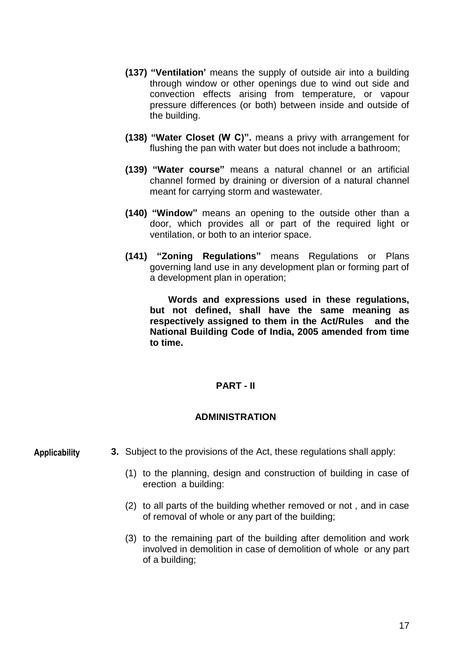- **(137) "Ventilation'** means the supply of outside air into a building through window or other openings due to wind out side and convection effects arising from temperature, or vapour pressure differences (or both) between inside and outside of the building.
- **(138) "Water Closet (W C)".** means a privy with arrangement for flushing the pan with water but does not include a bathroom;
- **(139) "Water course"** means a natural channel or an artificial channel formed by draining or diversion of a natural channel meant for carrying storm and wastewater.
- **(140) "Window"** means an opening to the outside other than a door, which provides all or part of the required light or ventilation, or both to an interior space.
- **(141) "Zoning Regulations"** means Regulations or Plans governing land use in any development plan or forming part of a development plan in operation;

 **Words and expressions used in these regulations, but not defined, shall have the same meaning as respectively assigned to them in the Act/Rules and the National Building Code of India, 2005 amended from time to time.**

## **PART - II**

## **ADMINISTRATION**

**Applicability**

- **3.** Subject to the provisions of the Act, these regulations shall apply:
	- (1) to the planning, design and construction of building in case of erection a building:
	- (2) to all parts of the building whether removed or not , and in case of removal of whole or any part of the building;
	- (3) to the remaining part of the building after demolition and work involved in demolition in case of demolition of whole or any part of a building;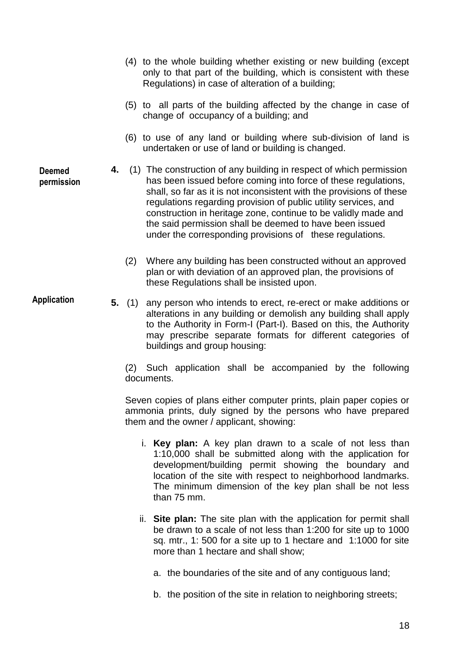(4) to the whole building whether existing or new building (except only to that part of the building, which is consistent with these Regulations) in case of alteration of a building; (5) to all parts of the building affected by the change in case of change of occupancy of a building; and

- (6) to use of any land or building where sub-division of land is undertaken or use of land or building is changed.
- **4.** (1) The construction of any building in respect of which permission has been issued before coming into force of these regulations, shall, so far as it is not inconsistent with the provisions of these regulations regarding provision of public utility services, and construction in heritage zone, continue to be validly made and the said permission shall be deemed to have been issued under the corresponding provisions of these regulations.
	- (2) Where any building has been constructed without an approved plan or with deviation of an approved plan, the provisions of these Regulations shall be insisted upon.

**Application**

**Deemed permission**

> **5.** (1) any person who intends to erect, re-erect or make additions or alterations in any building or demolish any building shall apply to the Authority in Form-I (Part-I). Based on this, the Authority may prescribe separate formats for different categories of buildings and group housing:

(2) Such application shall be accompanied by the following documents.

Seven copies of plans either computer prints, plain paper copies or ammonia prints, duly signed by the persons who have prepared them and the owner / applicant, showing:

- i. **Key plan:** A key plan drawn to a scale of not less than 1:10,000 shall be submitted along with the application for development/building permit showing the boundary and location of the site with respect to neighborhood landmarks. The minimum dimension of the key plan shall be not less than 75 mm.
- ii. **Site plan:** The site plan with the application for permit shall be drawn to a scale of not less than 1:200 for site up to 1000 sq. mtr., 1: 500 for a site up to 1 hectare and 1:1000 for site more than 1 hectare and shall show;
	- a. the boundaries of the site and of any contiguous land;
	- b. the position of the site in relation to neighboring streets;

18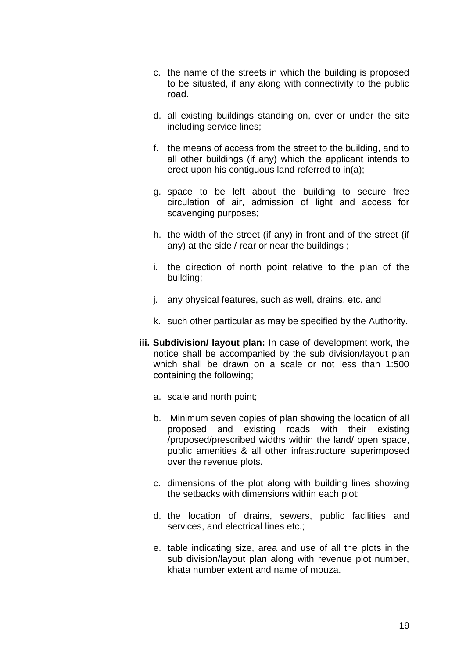- c. the name of the streets in which the building is proposed to be situated, if any along with connectivity to the public road.
- d. all existing buildings standing on, over or under the site including service lines;
- f. the means of access from the street to the building, and to all other buildings (if any) which the applicant intends to erect upon his contiguous land referred to in(a);
- g. space to be left about the building to secure free circulation of air, admission of light and access for scavenging purposes;
- h. the width of the street (if any) in front and of the street (if any) at the side / rear or near the buildings ;
- i. the direction of north point relative to the plan of the building;
- j. any physical features, such as well, drains, etc. and
- k. such other particular as may be specified by the Authority.
- **iii. Subdivision/ layout plan:** In case of development work, the notice shall be accompanied by the sub division/layout plan which shall be drawn on a scale or not less than 1:500 containing the following;
	- a. scale and north point;
	- b. Minimum seven copies of plan showing the location of all proposed and existing roads with their existing /proposed/prescribed widths within the land/ open space, public amenities & all other infrastructure superimposed over the revenue plots.
	- c. dimensions of the plot along with building lines showing the setbacks with dimensions within each plot;
	- d. the location of drains, sewers, public facilities and services, and electrical lines etc.;
	- e. table indicating size, area and use of all the plots in the sub division/layout plan along with revenue plot number, khata number extent and name of mouza.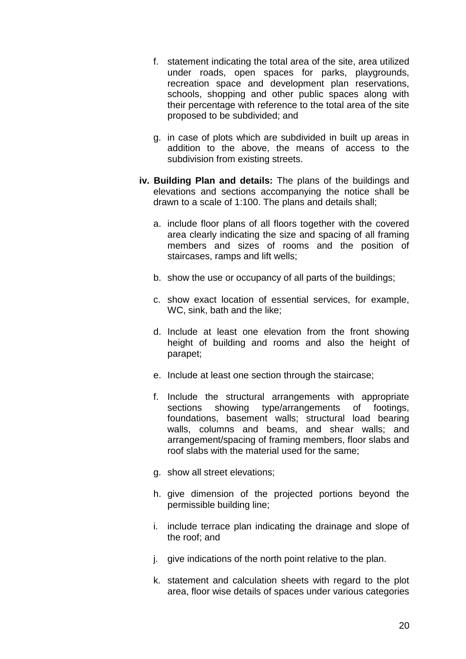- f. statement indicating the total area of the site, area utilized under roads, open spaces for parks, playgrounds, recreation space and development plan reservations, schools, shopping and other public spaces along with their percentage with reference to the total area of the site proposed to be subdivided; and
- g. in case of plots which are subdivided in built up areas in addition to the above, the means of access to the subdivision from existing streets.
- **iv. Building Plan and details:** The plans of the buildings and elevations and sections accompanying the notice shall be drawn to a scale of 1:100. The plans and details shall;
	- a. include floor plans of all floors together with the covered area clearly indicating the size and spacing of all framing members and sizes of rooms and the position of staircases, ramps and lift wells;
	- b. show the use or occupancy of all parts of the buildings;
	- c. show exact location of essential services, for example, WC, sink, bath and the like;
	- d. Include at least one elevation from the front showing height of building and rooms and also the height of parapet;
	- e. Include at least one section through the staircase;
	- f. Include the structural arrangements with appropriate sections showing type/arrangements of footings, foundations, basement walls; structural load bearing walls, columns and beams, and shear walls; and arrangement/spacing of framing members, floor slabs and roof slabs with the material used for the same;
	- g. show all street elevations;
	- h. give dimension of the projected portions beyond the permissible building line;
	- i. include terrace plan indicating the drainage and slope of the roof; and
	- j. give indications of the north point relative to the plan.
	- k. statement and calculation sheets with regard to the plot area, floor wise details of spaces under various categories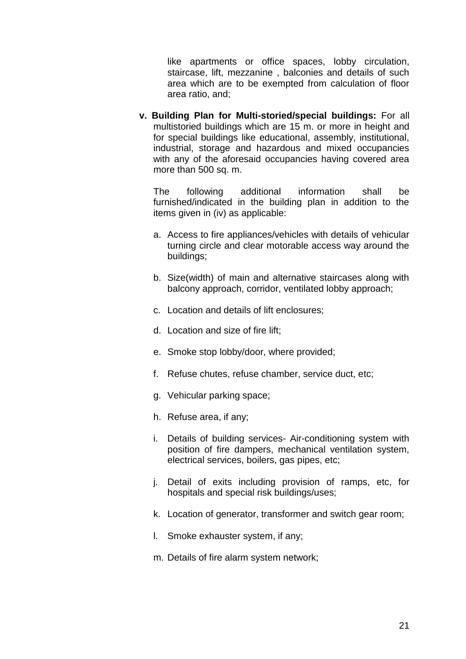like apartments or office spaces, lobby circulation, staircase, lift, mezzanine , balconies and details of such area which are to be exempted from calculation of floor area ratio, and;

**v. Building Plan for Multi-storied/special buildings:** For all multistoried buildings which are 15 m. or more in height and for special buildings like educational, assembly, institutional, industrial, storage and hazardous and mixed occupancies with any of the aforesaid occupancies having covered area more than 500 sq. m.

The following additional information shall be furnished/indicated in the building plan in addition to the items given in (iv) as applicable:

- a. Access to fire appliances/vehicles with details of vehicular turning circle and clear motorable access way around the buildings;
- b. Size(width) of main and alternative staircases along with balcony approach, corridor, ventilated lobby approach;
- c. Location and details of lift enclosures;
- d. Location and size of fire lift;
- e. Smoke stop lobby/door, where provided;
- f. Refuse chutes, refuse chamber, service duct, etc;
- g. Vehicular parking space;
- h. Refuse area, if any;
- i. Details of building services- Air-conditioning system with position of fire dampers, mechanical ventilation system, electrical services, boilers, gas pipes, etc;
- j. Detail of exits including provision of ramps, etc, for hospitals and special risk buildings/uses;
- k. Location of generator, transformer and switch gear room;
- l. Smoke exhauster system, if any;
- m. Details of fire alarm system network;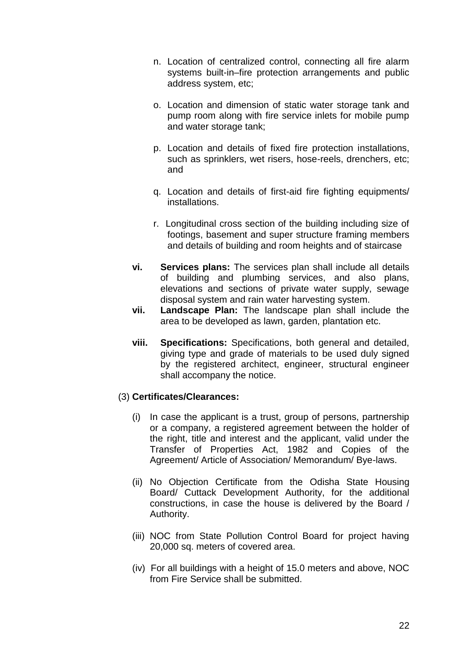- n. Location of centralized control, connecting all fire alarm systems built-in–fire protection arrangements and public address system, etc;
- o. Location and dimension of static water storage tank and pump room along with fire service inlets for mobile pump and water storage tank;
- p. Location and details of fixed fire protection installations, such as sprinklers, wet risers, hose-reels, drenchers, etc; and
- q. Location and details of first-aid fire fighting equipments/ installations.
- r. Longitudinal cross section of the building including size of footings, basement and super structure framing members and details of building and room heights and of staircase
- **vi. Services plans:** The services plan shall include all details of building and plumbing services, and also plans, elevations and sections of private water supply, sewage disposal system and rain water harvesting system.
- **vii. Landscape Plan:** The landscape plan shall include the area to be developed as lawn, garden, plantation etc.
- **viii. Specifications:** Specifications, both general and detailed, giving type and grade of materials to be used duly signed by the registered architect, engineer, structural engineer shall accompany the notice.

#### (3) **Certificates/Clearances:**

- (i) In case the applicant is a trust, group of persons, partnership or a company, a registered agreement between the holder of the right, title and interest and the applicant, valid under the Transfer of Properties Act, 1982 and Copies of the Agreement/ Article of Association/ Memorandum/ Bye-laws.
- (ii) No Objection Certificate from the Odisha State Housing Board/ Cuttack Development Authority, for the additional constructions, in case the house is delivered by the Board / Authority.
- (iii) NOC from State Pollution Control Board for project having 20,000 sq. meters of covered area.
- (iv) For all buildings with a height of 15.0 meters and above, NOC from Fire Service shall be submitted.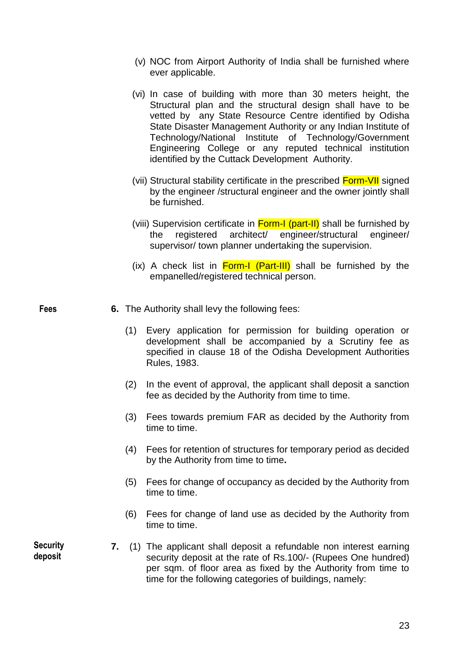- (v) NOC from Airport Authority of India shall be furnished where ever applicable.
- (vi) In case of building with more than 30 meters height, the Structural plan and the structural design shall have to be vetted by any State Resource Centre identified by Odisha State Disaster Management Authority or any Indian Institute of Technology/National Institute of Technology/Government Engineering College or any reputed technical institution identified by the Cuttack Development Authority.
- (vii) Structural stability certificate in the prescribed Form-VII signed by the engineer /structural engineer and the owner jointly shall be furnished.
- (viii) Supervision certificate in **Form-I (part-II)** shall be furnished by the registered architect/ engineer/structural engineer/ supervisor/ town planner undertaking the supervision.
- (ix) A check list in  $Form-I$  (Part-III) shall be furnished by the empanelled/registered technical person.

**Fees**

- **6.** The Authority shall levy the following fees:
	- (1) Every application for permission for building operation or development shall be accompanied by a Scrutiny fee as specified in clause 18 of the Odisha Development Authorities Rules, 1983.
	- (2) In the event of approval, the applicant shall deposit a sanction fee as decided by the Authority from time to time.
	- (3) Fees towards premium FAR as decided by the Authority from time to time.
	- (4) Fees for retention of structures for temporary period as decided by the Authority from time to time**.**
	- (5) Fees for change of occupancy as decided by the Authority from time to time.
	- (6) Fees for change of land use as decided by the Authority from time to time.
	- **7.** (1) The applicant shall deposit a refundable non interest earning security deposit at the rate of Rs.100/- (Rupees One hundred) per sqm. of floor area as fixed by the Authority from time to time for the following categories of buildings, namely:

**Security deposit**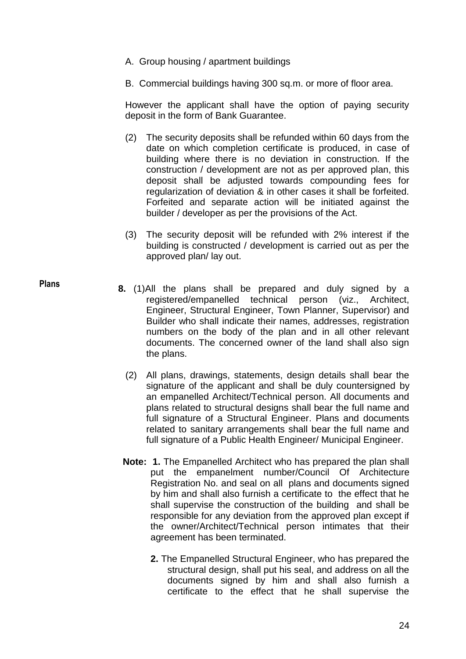A. Group housing / apartment buildings

**Plans**

B. Commercial buildings having 300 sq.m. or more of floor area.

However the applicant shall have the option of paying security deposit in the form of Bank Guarantee.

- (2) The security deposits shall be refunded within 60 days from the date on which completion certificate is produced, in case of building where there is no deviation in construction. If the construction / development are not as per approved plan, this deposit shall be adjusted towards compounding fees for regularization of deviation & in other cases it shall be forfeited. Forfeited and separate action will be initiated against the builder / developer as per the provisions of the Act.
- (3) The security deposit will be refunded with 2% interest if the building is constructed / development is carried out as per the approved plan/ lay out.
- **8.** (1)All the plans shall be prepared and duly signed by a registered/empanelled technical person (viz., Architect, Engineer, Structural Engineer, Town Planner, Supervisor) and Builder who shall indicate their names, addresses, registration numbers on the body of the plan and in all other relevant documents. The concerned owner of the land shall also sign the plans.
	- (2) All plans, drawings, statements, design details shall bear the signature of the applicant and shall be duly countersigned by an empanelled Architect/Technical person. All documents and plans related to structural designs shall bear the full name and full signature of a Structural Engineer. Plans and documents related to sanitary arrangements shall bear the full name and full signature of a Public Health Engineer/ Municipal Engineer.
	- **Note: 1.** The Empanelled Architect who has prepared the plan shall put the empanelment number/Council Of Architecture Registration No. and seal on all plans and documents signed by him and shall also furnish a certificate to the effect that he shall supervise the construction of the building and shall be responsible for any deviation from the approved plan except if the owner/Architect/Technical person intimates that their agreement has been terminated.
		- **2.** The Empanelled Structural Engineer, who has prepared the structural design, shall put his seal, and address on all the documents signed by him and shall also furnish a certificate to the effect that he shall supervise the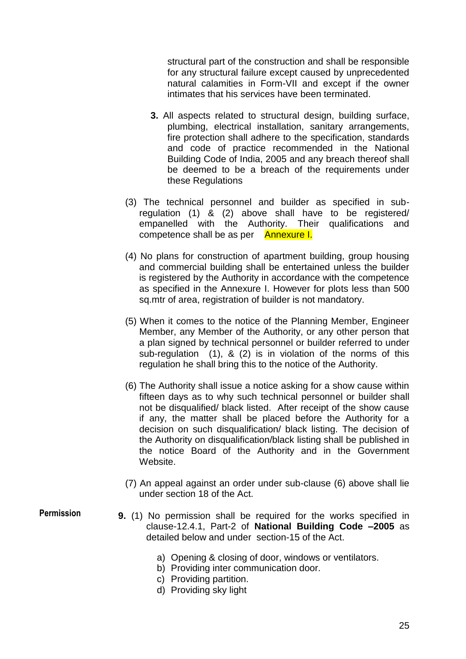structural part of the construction and shall be responsible for any structural failure except caused by unprecedented natural calamities in Form-VII and except if the owner intimates that his services have been terminated.

- **3.** All aspects related to structural design, building surface, plumbing, electrical installation, sanitary arrangements, fire protection shall adhere to the specification, standards and code of practice recommended in the National Building Code of India, 2005 and any breach thereof shall be deemed to be a breach of the requirements under these Regulations
- (3) The technical personnel and builder as specified in subregulation (1) & (2) above shall have to be registered/ empanelled with the Authority. Their qualifications and competence shall be as per Annexure I.
- (4) No plans for construction of apartment building, group housing and commercial building shall be entertained unless the builder is registered by the Authority in accordance with the competence as specified in the Annexure I. However for plots less than 500 sq.mtr of area, registration of builder is not mandatory.
- (5) When it comes to the notice of the Planning Member, Engineer Member, any Member of the Authority, or any other person that a plan signed by technical personnel or builder referred to under sub-regulation (1), & (2) is in violation of the norms of this regulation he shall bring this to the notice of the Authority.
- (6) The Authority shall issue a notice asking for a show cause within fifteen days as to why such technical personnel or builder shall not be disqualified/ black listed. After receipt of the show cause if any, the matter shall be placed before the Authority for a decision on such disqualification/ black listing. The decision of the Authority on disqualification/black listing shall be published in the notice Board of the Authority and in the Government Website.
- (7) An appeal against an order under sub-clause (6) above shall lie under section 18 of the Act.
- **9.** (1) No permission shall be required for the works specified in clause-12.4.1, Part-2 of **National Building Code –2005** as detailed below and under section-15 of the Act.
	- a) Opening & closing of door, windows or ventilators.
	- b) Providing inter communication door.
	- c) Providing partition.
	- d) Providing sky light

## **Permission**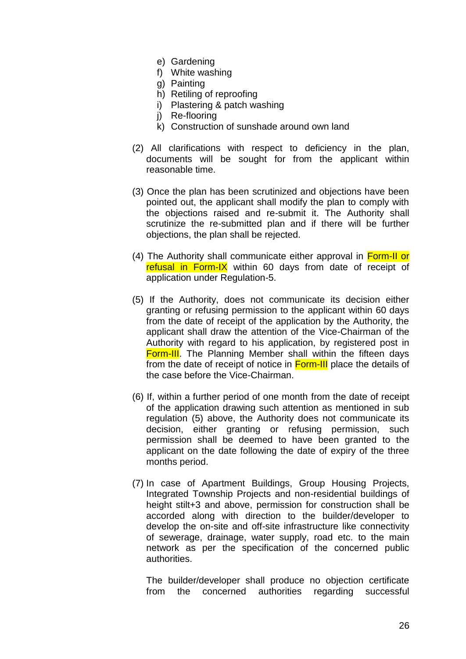- e) Gardening
- f) White washing
- g) Painting
- h) Retiling of reproofing
- i) Plastering & patch washing
- j) Re-flooring
- k) Construction of sunshade around own land
- (2) All clarifications with respect to deficiency in the plan, documents will be sought for from the applicant within reasonable time.
- (3) Once the plan has been scrutinized and objections have been pointed out, the applicant shall modify the plan to comply with the objections raised and re-submit it. The Authority shall scrutinize the re-submitted plan and if there will be further objections, the plan shall be rejected.
- (4) The Authority shall communicate either approval in Form-II or refusal in Form-IX within 60 days from date of receipt of application under Regulation-5.
- (5) If the Authority, does not communicate its decision either granting or refusing permission to the applicant within 60 days from the date of receipt of the application by the Authority, the applicant shall draw the attention of the Vice-Chairman of the Authority with regard to his application, by registered post in **Form-III**. The Planning Member shall within the fifteen days from the date of receipt of notice in Form-III place the details of the case before the Vice-Chairman.
- (6) If, within a further period of one month from the date of receipt of the application drawing such attention as mentioned in sub regulation (5) above, the Authority does not communicate its decision, either granting or refusing permission, such permission shall be deemed to have been granted to the applicant on the date following the date of expiry of the three months period.
- (7) In case of Apartment Buildings, Group Housing Projects, Integrated Township Projects and non-residential buildings of height stilt+3 and above, permission for construction shall be accorded along with direction to the builder/developer to develop the on-site and off-site infrastructure like connectivity of sewerage, drainage, water supply, road etc. to the main network as per the specification of the concerned public authorities.

The builder/developer shall produce no objection certificate from the concerned authorities regarding successful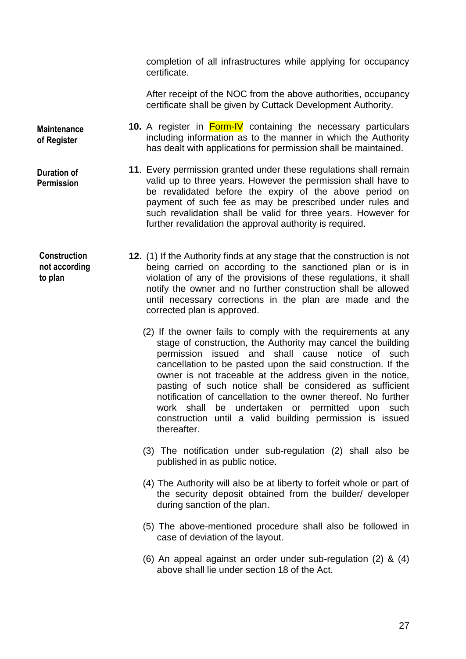completion of all infrastructures while applying for occupancy certificate.

After receipt of the NOC from the above authorities, occupancy certificate shall be given by Cuttack Development Authority.

 **10.** A register in Form-IV containing the necessary particulars including information as to the manner in which the Authority has dealt with applications for permission shall be maintained.

- **11**. Every permission granted under these regulations shall remain valid up to three years. However the permission shall have to be revalidated before the expiry of the above period on payment of such fee as may be prescribed under rules and such revalidation shall be valid for three years. However for further revalidation the approval authority is required.
- **12.** (1) If the Authority finds at any stage that the construction is not being carried on according to the sanctioned plan or is in violation of any of the provisions of these regulations, it shall notify the owner and no further construction shall be allowed until necessary corrections in the plan are made and the corrected plan is approved. **Construction** 
	- (2) If the owner fails to comply with the requirements at any stage of construction, the Authority may cancel the building permission issued and shall cause notice of such cancellation to be pasted upon the said construction. If the owner is not traceable at the address given in the notice, pasting of such notice shall be considered as sufficient notification of cancellation to the owner thereof. No further work shall be undertaken or permitted upon such construction until a valid building permission is issued thereafter.
	- (3) The notification under sub-regulation (2) shall also be published in as public notice.
	- (4) The Authority will also be at liberty to forfeit whole or part of the security deposit obtained from the builder/ developer during sanction of the plan.
	- (5) The above-mentioned procedure shall also be followed in case of deviation of the layout.
	- (6) An appeal against an order under sub-regulation (2) & (4) above shall lie under section 18 of the Act.

**not according to plan**

**Maintenance of Register** 

**Duration of Permission**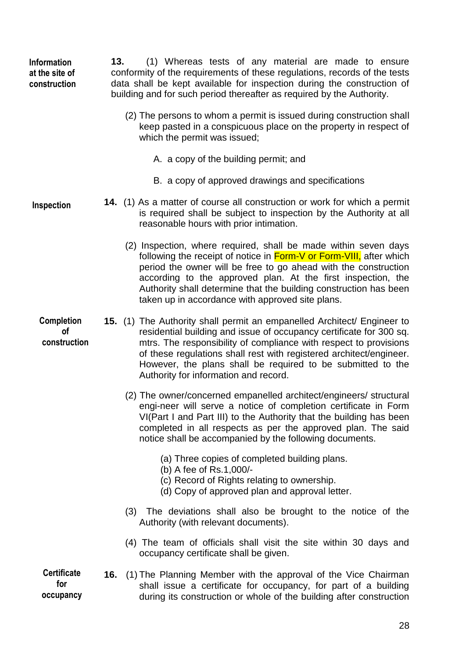**13.** (1) Whereas tests of any material are made to ensure conformity of the requirements of these regulations, records of the tests data shall be kept available for inspection during the construction of building and for such period thereafter as required by the Authority. **Information at the site of construction**

- (2) The persons to whom a permit is issued during construction shall keep pasted in a conspicuous place on the property in respect of which the permit was issued;
	- A. a copy of the building permit; and
	- B. a copy of approved drawings and specifications

**14.** (1) As a matter of course all construction or work for which a permit is required shall be subject to inspection by the Authority at all reasonable hours with prior intimation. **Inspection**

- (2) Inspection, where required, shall be made within seven days following the receipt of notice in Form-V or Form-VIII, after which period the owner will be free to go ahead with the construction according to the approved plan. At the first inspection, the Authority shall determine that the building construction has been taken up in accordance with approved site plans.
- **15.** (1) The Authority shall permit an empanelled Architect/ Engineer to residential building and issue of occupancy certificate for 300 sq. mtrs. The responsibility of compliance with respect to provisions of these regulations shall rest with registered architect/engineer. However, the plans shall be required to be submitted to the Authority for information and record. **Completion of construction**
	- (2) The owner/concerned empanelled architect/engineers/ structural engi-neer will serve a notice of completion certificate in Form VI(Part I and Part III) to the Authority that the building has been completed in all respects as per the approved plan. The said notice shall be accompanied by the following documents.
		- (a) Three copies of completed building plans.
		- (b) A fee of Rs.1,000/-
		- (c) Record of Rights relating to ownership.
		- (d) Copy of approved plan and approval letter.
	- (3) The deviations shall also be brought to the notice of the Authority (with relevant documents).
	- (4) The team of officials shall visit the site within 30 days and occupancy certificate shall be given.

**Certificate for occupancy**

**16.** (1) The Planning Member with the approval of the Vice Chairman shall issue a certificate for occupancy, for part of a building during its construction or whole of the building after construction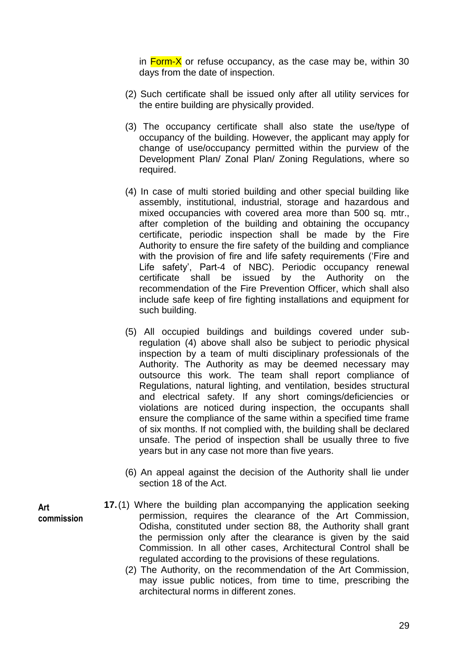in  $\frac{\text{Form-X}}{\text{Norm-X}}$  or refuse occupancy, as the case may be, within 30 days from the date of inspection.

- (2) Such certificate shall be issued only after all utility services for the entire building are physically provided.
- (3) The occupancy certificate shall also state the use/type of occupancy of the building. However, the applicant may apply for change of use/occupancy permitted within the purview of the Development Plan/ Zonal Plan/ Zoning Regulations, where so required.
- (4) In case of multi storied building and other special building like assembly, institutional, industrial, storage and hazardous and mixed occupancies with covered area more than 500 sq. mtr., after completion of the building and obtaining the occupancy certificate, periodic inspection shall be made by the Fire Authority to ensure the fire safety of the building and compliance with the provision of fire and life safety requirements ('Fire and Life safety', Part-4 of NBC). Periodic occupancy renewal certificate shall be issued by the Authority on the recommendation of the Fire Prevention Officer, which shall also include safe keep of fire fighting installations and equipment for such building.
- (5) All occupied buildings and buildings covered under subregulation (4) above shall also be subject to periodic physical inspection by a team of multi disciplinary professionals of the Authority. The Authority as may be deemed necessary may outsource this work. The team shall report compliance of Regulations, natural lighting, and ventilation, besides structural and electrical safety. If any short comings/deficiencies or violations are noticed during inspection, the occupants shall ensure the compliance of the same within a specified time frame of six months. If not complied with, the building shall be declared unsafe. The period of inspection shall be usually three to five years but in any case not more than five years.
- (6) An appeal against the decision of the Authority shall lie under section 18 of the Act.
- **17.**(1) Where the building plan accompanying the application seeking permission, requires the clearance of the Art Commission, Odisha, constituted under section 88, the Authority shall grant the permission only after the clearance is given by the said Commission. In all other cases, Architectural Control shall be regulated according to the provisions of these regulations.
	- (2) The Authority, on the recommendation of the Art Commission, may issue public notices, from time to time, prescribing the architectural norms in different zones.

**Art commission**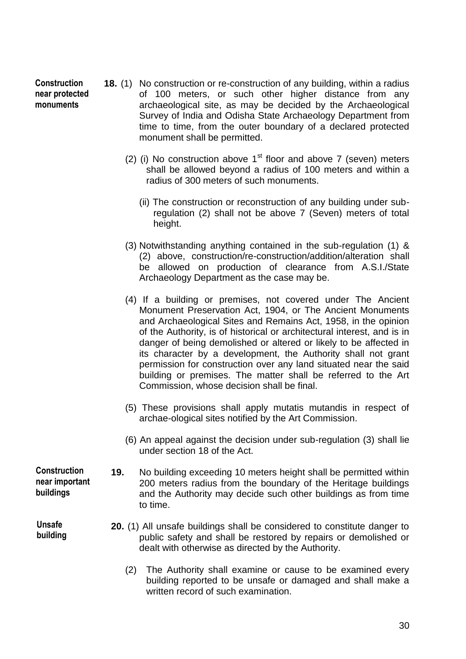| <b>Construction</b><br>near protected<br>monuments | <b>18.</b> (1) No construction or re-construction of any building, within a radius<br>of 100 meters, or such other higher distance from any<br>archaeological site, as may be decided by the Archaeological<br>Survey of India and Odisha State Archaeology Department from<br>time to time, from the outer boundary of a declared protected<br>monument shall be permitted.                                                                                                                                                                                                                    |
|----------------------------------------------------|-------------------------------------------------------------------------------------------------------------------------------------------------------------------------------------------------------------------------------------------------------------------------------------------------------------------------------------------------------------------------------------------------------------------------------------------------------------------------------------------------------------------------------------------------------------------------------------------------|
|                                                    | (2) (i) No construction above $1st$ floor and above 7 (seven) meters<br>shall be allowed beyond a radius of 100 meters and within a<br>radius of 300 meters of such monuments.                                                                                                                                                                                                                                                                                                                                                                                                                  |
|                                                    | (ii) The construction or reconstruction of any building under sub-<br>regulation (2) shall not be above 7 (Seven) meters of total<br>height.                                                                                                                                                                                                                                                                                                                                                                                                                                                    |
|                                                    | (3) Notwithstanding anything contained in the sub-regulation $(1)$ &<br>(2) above, construction/re-construction/addition/alteration shall<br>be allowed on production of clearance from A.S.I./State<br>Archaeology Department as the case may be.                                                                                                                                                                                                                                                                                                                                              |
|                                                    | (4) If a building or premises, not covered under The Ancient<br>Monument Preservation Act, 1904, or The Ancient Monuments<br>and Archaeological Sites and Remains Act, 1958, in the opinion<br>of the Authority, is of historical or architectural interest, and is in<br>danger of being demolished or altered or likely to be affected in<br>its character by a development, the Authority shall not grant<br>permission for construction over any land situated near the said<br>building or premises. The matter shall be referred to the Art<br>Commission, whose decision shall be final. |
|                                                    | (5) These provisions shall apply mutatis mutandis in respect of<br>archae-ological sites notified by the Art Commission.                                                                                                                                                                                                                                                                                                                                                                                                                                                                        |
|                                                    | (6) An appeal against the decision under sub-regulation (3) shall lie<br>under section 18 of the Act.                                                                                                                                                                                                                                                                                                                                                                                                                                                                                           |
| <b>Construction</b><br>near important<br>buildings | 19.<br>No building exceeding 10 meters height shall be permitted within<br>200 meters radius from the boundary of the Heritage buildings<br>and the Authority may decide such other buildings as from time<br>to time.                                                                                                                                                                                                                                                                                                                                                                          |
| <b>Unsafe</b><br>building                          | 20. (1) All unsafe buildings shall be considered to constitute danger to<br>public safety and shall be restored by repairs or demolished or<br>dealt with otherwise as directed by the Authority.                                                                                                                                                                                                                                                                                                                                                                                               |
|                                                    | The Authority shall examine or cause to be examined every<br>(2)<br>building reported to be unsafe or damaged and shall make a<br>written record of such examination.                                                                                                                                                                                                                                                                                                                                                                                                                           |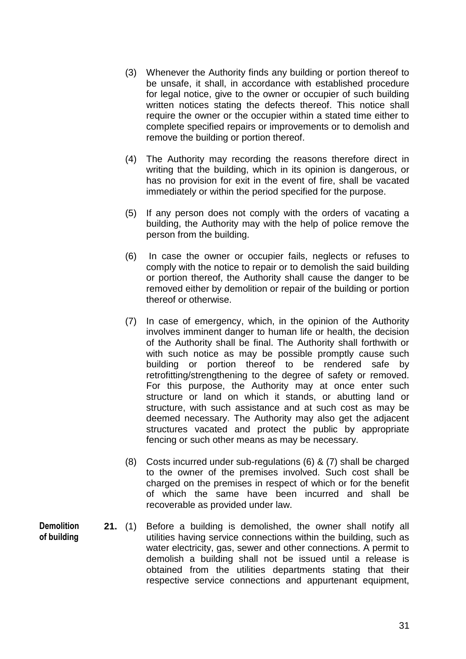- (3) Whenever the Authority finds any building or portion thereof to be unsafe, it shall, in accordance with established procedure for legal notice, give to the owner or occupier of such building written notices stating the defects thereof. This notice shall require the owner or the occupier within a stated time either to complete specified repairs or improvements or to demolish and remove the building or portion thereof.
- (4) The Authority may recording the reasons therefore direct in writing that the building, which in its opinion is dangerous, or has no provision for exit in the event of fire, shall be vacated immediately or within the period specified for the purpose.
- (5) If any person does not comply with the orders of vacating a building, the Authority may with the help of police remove the person from the building.
- (6) In case the owner or occupier fails, neglects or refuses to comply with the notice to repair or to demolish the said building or portion thereof, the Authority shall cause the danger to be removed either by demolition or repair of the building or portion thereof or otherwise.
- (7) In case of emergency, which, in the opinion of the Authority involves imminent danger to human life or health, the decision of the Authority shall be final. The Authority shall forthwith or with such notice as may be possible promptly cause such building or portion thereof to be rendered safe by retrofitting/strengthening to the degree of safety or removed. For this purpose, the Authority may at once enter such structure or land on which it stands, or abutting land or structure, with such assistance and at such cost as may be deemed necessary. The Authority may also get the adjacent structures vacated and protect the public by appropriate fencing or such other means as may be necessary.
- (8) Costs incurred under sub-regulations (6) & (7) shall be charged to the owner of the premises involved. Such cost shall be charged on the premises in respect of which or for the benefit of which the same have been incurred and shall be recoverable as provided under law.
- **21.** (1) Before a building is demolished, the owner shall notify all utilities having service connections within the building, such as water electricity, gas, sewer and other connections. A permit to demolish a building shall not be issued until a release is obtained from the utilities departments stating that their respective service connections and appurtenant equipment,

**Demolition of building**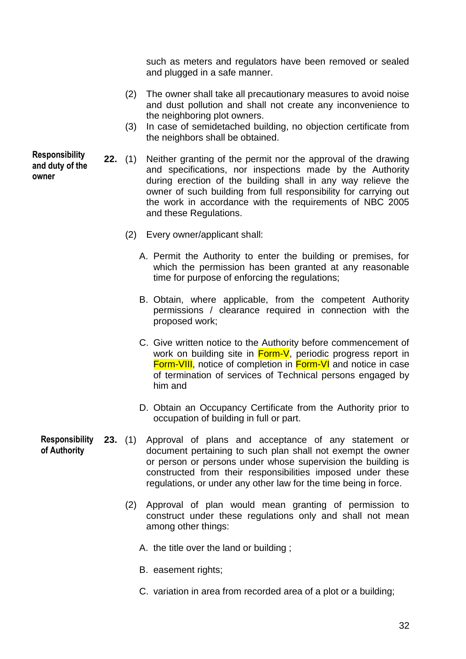such as meters and regulators have been removed or sealed and plugged in a safe manner.

- (2) The owner shall take all precautionary measures to avoid noise and dust pollution and shall not create any inconvenience to the neighboring plot owners.
- (3) In case of semidetached building, no objection certificate from the neighbors shall be obtained.
- **22.** (1) Neither granting of the permit nor the approval of the drawing and specifications, nor inspections made by the Authority during erection of the building shall in any way relieve the owner of such building from full responsibility for carrying out the work in accordance with the requirements of NBC 2005 and these Regulations.
	- (2) Every owner/applicant shall:
		- A. Permit the Authority to enter the building or premises, for which the permission has been granted at any reasonable time for purpose of enforcing the regulations;
		- B. Obtain, where applicable, from the competent Authority permissions / clearance required in connection with the proposed work;
		- C. Give written notice to the Authority before commencement of work on building site in **Form-V**, periodic progress report in Form-VIII, notice of completion in Form-VI and notice in case of termination of services of Technical persons engaged by him and
		- D. Obtain an Occupancy Certificate from the Authority prior to occupation of building in full or part.
- **23.** (1) Approval of plans and acceptance of any statement or document pertaining to such plan shall not exempt the owner or person or persons under whose supervision the building is constructed from their responsibilities imposed under these regulations, or under any other law for the time being in force. **Responsibility of Authority**
	- (2) Approval of plan would mean granting of permission to construct under these regulations only and shall not mean among other things:
		- A. the title over the land or building ;
		- B. easement rights;
		- C. variation in area from recorded area of a plot or a building;

**Responsibility and duty of the owner**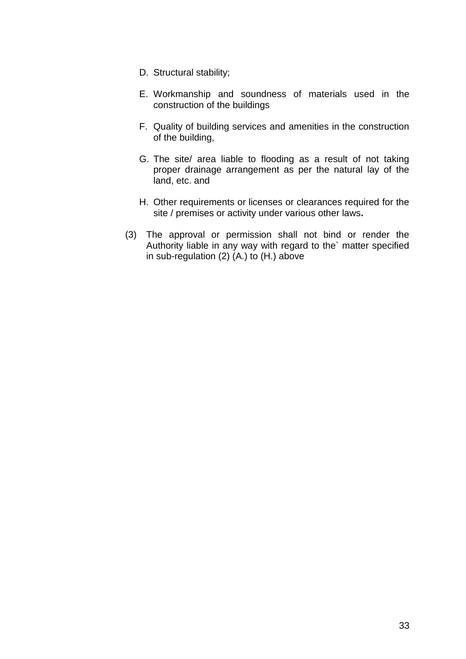- D. Structural stability;
- E. Workmanship and soundness of materials used in the construction of the buildings
- F. Quality of building services and amenities in the construction of the building,
- G. The site/ area liable to flooding as a result of not taking proper drainage arrangement as per the natural lay of the land, etc. and
- H. Other requirements or licenses or clearances required for the site / premises or activity under various other laws**.**
- (3) The approval or permission shall not bind or render the Authority liable in any way with regard to the` matter specified in sub-regulation (2) (A.) to (H.) above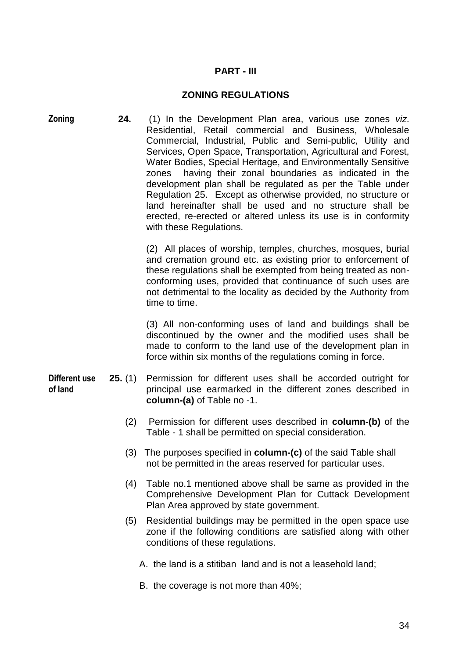## **PART - III**

#### **ZONING REGULATIONS**

**24.** (1) In the Development Plan area, various use zones *viz*. Residential, Retail commercial and Business, Wholesale Commercial, Industrial, Public and Semi-public, Utility and Services, Open Space, Transportation, Agricultural and Forest, Water Bodies, Special Heritage, and Environmentally Sensitive zones having their zonal boundaries as indicated in the development plan shall be regulated as per the Table under Regulation 25. Except as otherwise provided, no structure or land hereinafter shall be used and no structure shall be erected, re-erected or altered unless its use is in conformity with these Regulations. **Zoning**

> (2) All places of worship, temples, churches, mosques, burial and cremation ground etc. as existing prior to enforcement of these regulations shall be exempted from being treated as nonconforming uses, provided that continuance of such uses are not detrimental to the locality as decided by the Authority from time to time.

> (3) All non-conforming uses of land and buildings shall be discontinued by the owner and the modified uses shall be made to conform to the land use of the development plan in force within six months of the regulations coming in force.

- **25.** (1) Permission for different uses shall be accorded outright for principal use earmarked in the different zones described in **column-(a)** of Table no -1. **Different use of land**
	- (2) Permission for different uses described in **column-(b)** of the Table - 1 shall be permitted on special consideration.
	- (3) The purposes specified in **column-(c)** of the said Table shall not be permitted in the areas reserved for particular uses.
	- (4) Table no.1 mentioned above shall be same as provided in the Comprehensive Development Plan for Cuttack Development Plan Area approved by state government.
	- (5) Residential buildings may be permitted in the open space use zone if the following conditions are satisfied along with other conditions of these regulations.
		- A. the land is a stitiban land and is not a leasehold land;
		- B. the coverage is not more than 40%;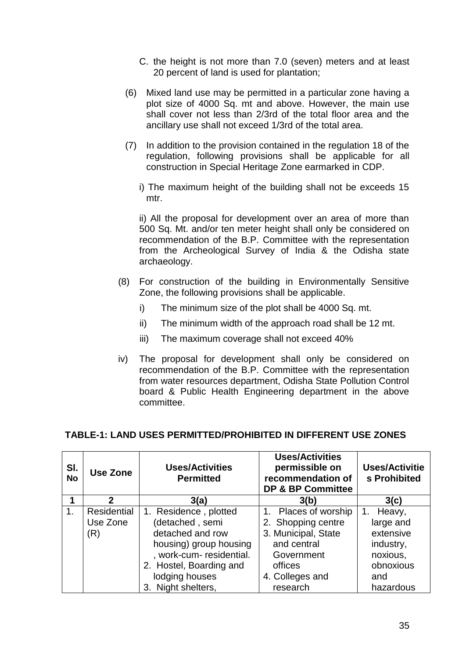- C. the height is not more than 7.0 (seven) meters and at least 20 percent of land is used for plantation;
- (6) Mixed land use may be permitted in a particular zone having a plot size of 4000 Sq. mt and above. However, the main use shall cover not less than 2/3rd of the total floor area and the ancillary use shall not exceed 1/3rd of the total area.
- (7) In addition to the provision contained in the regulation 18 of the regulation, following provisions shall be applicable for all construction in Special Heritage Zone earmarked in CDP.
	- i) The maximum height of the building shall not be exceeds 15 mtr.

ii) All the proposal for development over an area of more than 500 Sq. Mt. and/or ten meter height shall only be considered on recommendation of the B.P. Committee with the representation from the Archeological Survey of India & the Odisha state archaeology.

- (8) For construction of the building in Environmentally Sensitive Zone, the following provisions shall be applicable.
	- i) The minimum size of the plot shall be 4000 Sq. mt.
	- ii) The minimum width of the approach road shall be 12 mt.
	- iii) The maximum coverage shall not exceed 40%
- iv) The proposal for development shall only be considered on recommendation of the B.P. Committee with the representation from water resources department, Odisha State Pollution Control board & Public Health Engineering department in the above committee.

## **TABLE-1: LAND USES PERMITTED/PROHIBITED IN DIFFERENT USE ZONES**

| SI.<br><b>No</b> | Use Zone     | <b>Uses/Activities</b><br><b>Permitted</b> | <b>Uses/Activities</b><br>permissible on<br>recommendation of<br><b>DP &amp; BP Committee</b> | <b>Uses/Activitie</b><br>s Prohibited |
|------------------|--------------|--------------------------------------------|-----------------------------------------------------------------------------------------------|---------------------------------------|
|                  | $\mathbf{2}$ | 3(a)                                       | 3(b)                                                                                          | 3(c)                                  |
| 1.               | Residential  | 1. Residence, plotted                      | Places of worship<br>1.                                                                       | Heavy,<br>1.                          |
|                  | Use Zone     | (detached, semi                            | 2. Shopping centre                                                                            | large and                             |
|                  | (R)          | detached and row                           | 3. Municipal, State                                                                           | extensive                             |
|                  |              | housing) group housing                     | and central                                                                                   | industry,                             |
|                  |              | , work-cum- residential.                   | Government                                                                                    | noxious,                              |
|                  |              | 2. Hostel, Boarding and                    | offices                                                                                       | obnoxious                             |
|                  |              | lodging houses                             | 4. Colleges and                                                                               | and                                   |
|                  |              | 3. Night shelters,                         | research                                                                                      | hazardous                             |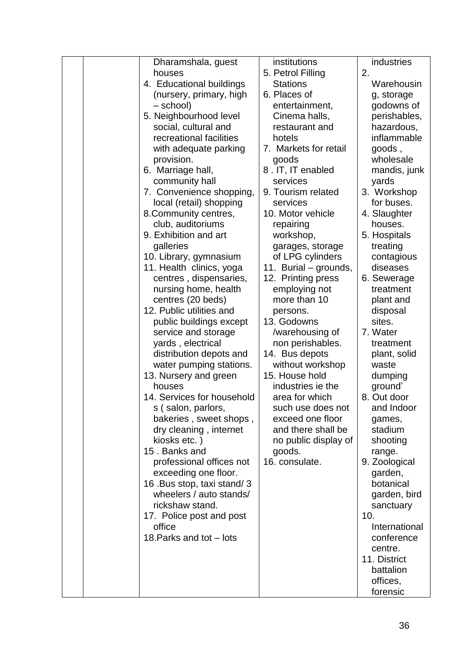|  | Dharamshala, guest         | institutions          | industries    |
|--|----------------------------|-----------------------|---------------|
|  | houses                     | 5. Petrol Filling     | 2.            |
|  | 4. Educational buildings   | <b>Stations</b>       | Warehousin    |
|  | (nursery, primary, high    | 6. Places of          | g, storage    |
|  | - school)                  | entertainment,        | godowns of    |
|  | 5. Neighbourhood level     | Cinema halls,         | perishables,  |
|  | social, cultural and       | restaurant and        | hazardous,    |
|  | recreational facilities    | hotels                | inflammable   |
|  | with adequate parking      | 7. Markets for retail | goods,        |
|  | provision.                 | goods                 | wholesale     |
|  | 6. Marriage hall,          | 8.IT, IT enabled      | mandis, junk  |
|  | community hall             | services              | yards         |
|  | 7. Convenience shopping,   | 9. Tourism related    | 3. Workshop   |
|  | local (retail) shopping    | services              | for buses.    |
|  | 8. Community centres,      | 10. Motor vehicle     | 4. Slaughter  |
|  | club, auditoriums          | repairing             | houses.       |
|  | 9. Exhibition and art      | workshop,             | 5. Hospitals  |
|  | galleries                  | garages, storage      | treating      |
|  | 10. Library, gymnasium     | of LPG cylinders      | contagious    |
|  | 11. Health clinics, yoga   | 11. Burial – grounds, | diseases      |
|  | centres, dispensaries,     | 12. Printing press    | 6. Sewerage   |
|  | nursing home, health       | employing not         | treatment     |
|  | centres (20 beds)          | more than 10          | plant and     |
|  | 12. Public utilities and   | persons.              | disposal      |
|  | public buildings except    | 13. Godowns           | sites.        |
|  | service and storage        | /warehousing of       | 7. Water      |
|  | yards, electrical          | non perishables.      | treatment     |
|  | distribution depots and    | 14. Bus depots        | plant, solid  |
|  | water pumping stations.    | without workshop      | waste         |
|  | 13. Nursery and green      | 15. House hold        | dumping       |
|  | houses                     | industries ie the     | ground'       |
|  | 14. Services for household | area for which        | 8. Out door   |
|  | s (salon, parlors,         | such use does not     | and Indoor    |
|  | bakeries, sweet shops,     | exceed one floor      | games,        |
|  | dry cleaning, internet     | and there shall be    | stadium       |
|  | kiosks etc.)               | no public display of  | shooting      |
|  | 15. Banks and              | goods.                | range.        |
|  | professional offices not   | 16. consulate.        | 9. Zoological |
|  | exceeding one floor.       |                       | garden,       |
|  | 16. Bus stop, taxi stand/3 |                       | botanical     |
|  | wheelers / auto stands/    |                       | garden, bird  |
|  | rickshaw stand.            |                       | sanctuary     |
|  | 17. Police post and post   |                       | 10.           |
|  | office                     |                       | International |
|  | 18. Parks and tot - lots   |                       | conference    |
|  |                            |                       | centre.       |
|  |                            |                       | 11. District  |
|  |                            |                       | battalion     |
|  |                            |                       | offices,      |
|  |                            |                       | forensic      |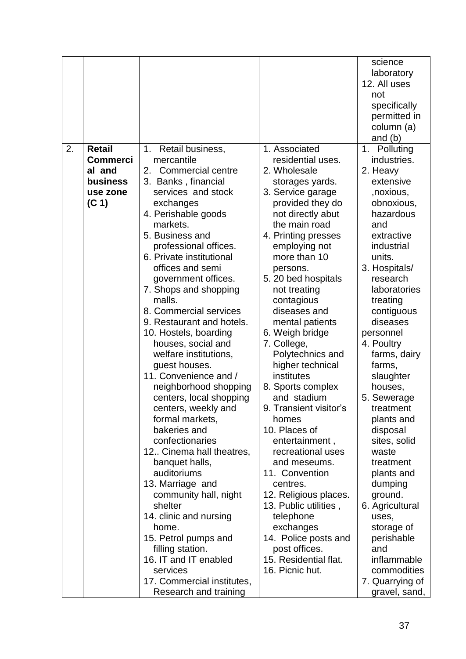|    |                   |                                 |                                      | science                  |
|----|-------------------|---------------------------------|--------------------------------------|--------------------------|
|    |                   |                                 |                                      | laboratory               |
|    |                   |                                 |                                      | 12. All uses             |
|    |                   |                                 |                                      | not                      |
|    |                   |                                 |                                      | specifically             |
|    |                   |                                 |                                      | permitted in             |
|    |                   |                                 |                                      | column (a)               |
|    |                   |                                 |                                      | and $(b)$                |
| 2. | <b>Retail</b>     | 1. Retail business,             | 1. Associated                        | 1. Polluting             |
|    | <b>Commerci</b>   | mercantile                      | residential uses.                    | industries.              |
|    | al and            | Commercial centre<br>2.         | 2. Wholesale                         | 2. Heavy                 |
|    | business          | 3. Banks, financial             | storages yards.                      | extensive                |
|    | use zone          | services and stock              | 3. Service garage                    | , noxious,               |
|    | (C <sub>1</sub> ) | exchanges                       | provided they do                     | obnoxious,               |
|    |                   | 4. Perishable goods<br>markets. | not directly abut<br>the main road   | hazardous                |
|    |                   | 5. Business and                 |                                      | and                      |
|    |                   | professional offices.           | 4. Printing presses<br>employing not | extractive<br>industrial |
|    |                   | 6. Private institutional        | more than 10                         | units.                   |
|    |                   | offices and semi                | persons.                             | 3. Hospitals/            |
|    |                   | government offices.             | 5. 20 bed hospitals                  | research                 |
|    |                   | 7. Shops and shopping           | not treating                         | laboratories             |
|    |                   | malls.                          | contagious                           | treating                 |
|    |                   | 8. Commercial services          | diseases and                         | contiguous               |
|    |                   | 9. Restaurant and hotels.       | mental patients                      | diseases                 |
|    |                   | 10. Hostels, boarding           | 6. Weigh bridge                      | personnel                |
|    |                   | houses, social and              | 7. College,                          | 4. Poultry               |
|    |                   | welfare institutions,           | Polytechnics and                     | farms, dairy             |
|    |                   | guest houses.                   | higher technical                     | farms,                   |
|    |                   | 11. Convenience and /           | institutes                           | slaughter                |
|    |                   | neighborhood shopping           | 8. Sports complex                    | houses,                  |
|    |                   | centers, local shopping         | and stadium                          | 5. Sewerage              |
|    |                   | centers, weekly and             | 9. Transient visitor's               | treatment                |
|    |                   | formal markets,                 | homes                                | plants and               |
|    |                   | bakeries and                    | 10. Places of                        | disposal                 |
|    |                   | confectionaries                 | entertainment,                       | sites, solid             |
|    |                   | 12 Cinema hall theatres,        | recreational uses                    | waste                    |
|    |                   | banquet halls,                  | and meseums.                         | treatment                |
|    |                   | auditoriums                     | 11. Convention                       | plants and               |
|    |                   | 13. Marriage and                | centres.                             | dumping                  |
|    |                   | community hall, night           | 12. Religious places.                | ground.                  |
|    |                   | shelter                         | 13. Public utilities,                | 6. Agricultural          |
|    |                   | 14. clinic and nursing          | telephone                            | uses,                    |
|    |                   | home.                           | exchanges                            | storage of               |
|    |                   | 15. Petrol pumps and            | 14. Police posts and                 | perishable               |
|    |                   | filling station.                | post offices.                        | and                      |
|    |                   | 16. IT and IT enabled           | 15. Residential flat.                | inflammable              |
|    |                   | services                        | 16. Picnic hut.                      | commodities              |
|    |                   | 17. Commercial institutes,      |                                      | 7. Quarrying of          |
|    |                   | Research and training           |                                      | gravel, sand,            |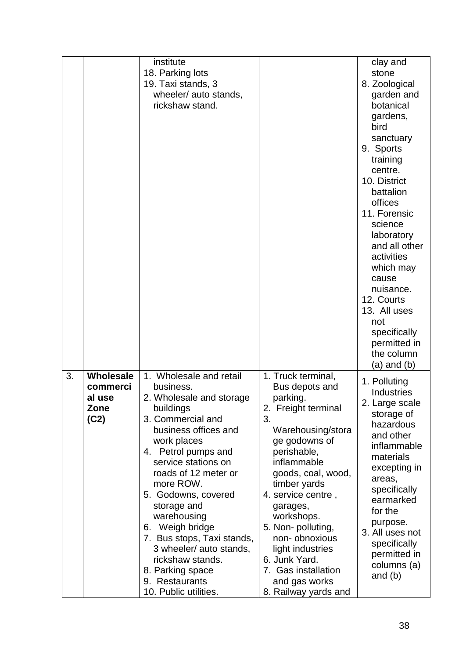|    |                                                 | institute<br>18. Parking lots<br>19. Taxi stands, 3<br>wheeler/ auto stands,<br>rickshaw stand.                                                                                                                                                                                                                                                                                                                                                  |                                                                                                                                                                                                                                                                                                                                                                                     | clay and<br>stone<br>8. Zoological<br>garden and<br>botanical<br>gardens,<br>bird<br>sanctuary<br>9. Sports<br>training<br>centre.<br>10. District<br>battalion<br>offices<br>11. Forensic<br>science<br>laboratory<br>and all other<br>activities<br>which may<br>cause<br>nuisance.<br>12. Courts<br>13. All uses<br>not<br>specifically<br>permitted in<br>the column<br>(a) and (b) |
|----|-------------------------------------------------|--------------------------------------------------------------------------------------------------------------------------------------------------------------------------------------------------------------------------------------------------------------------------------------------------------------------------------------------------------------------------------------------------------------------------------------------------|-------------------------------------------------------------------------------------------------------------------------------------------------------------------------------------------------------------------------------------------------------------------------------------------------------------------------------------------------------------------------------------|-----------------------------------------------------------------------------------------------------------------------------------------------------------------------------------------------------------------------------------------------------------------------------------------------------------------------------------------------------------------------------------------|
| 3. | Wholesale<br>commerci<br>al use<br>Zone<br>(C2) | 1. Wholesale and retail<br>business.<br>2. Wholesale and storage<br>buildings<br>3. Commercial and<br>business offices and<br>work places<br>4. Petrol pumps and<br>service stations on<br>roads of 12 meter or<br>more ROW.<br>5. Godowns, covered<br>storage and<br>warehousing<br>6. Weigh bridge<br>7. Bus stops, Taxi stands,<br>3 wheeler/ auto stands,<br>rickshaw stands.<br>8. Parking space<br>9. Restaurants<br>10. Public utilities. | 1. Truck terminal,<br>Bus depots and<br>parking.<br>2. Freight terminal<br>3.<br>Warehousing/stora<br>ge godowns of<br>perishable,<br>inflammable<br>goods, coal, wood,<br>timber yards<br>4. service centre,<br>garages,<br>workshops.<br>5. Non- polluting,<br>non-obnoxious<br>light industries<br>6. Junk Yard.<br>7. Gas installation<br>and gas works<br>8. Railway yards and | 1. Polluting<br>Industries<br>2. Large scale<br>storage of<br>hazardous<br>and other<br>inflammable<br>materials<br>excepting in<br>areas,<br>specifically<br>earmarked<br>for the<br>purpose.<br>3. All uses not<br>specifically<br>permitted in<br>columns (a)<br>and $(b)$                                                                                                           |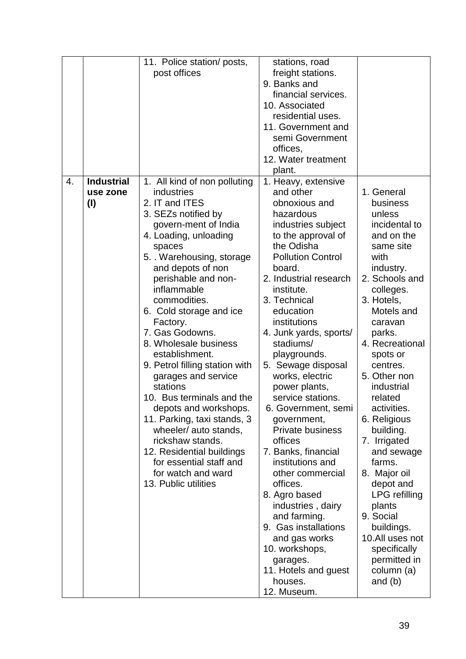|                  |                                        | 11. Police station/ posts,<br>post offices                                                                                                                                                                                                                                                                                                                                                                                                                                                                                                                                                                                                                               | stations, road<br>freight stations.<br>9. Banks and<br>financial services.<br>10. Associated<br>residential uses.<br>11. Government and<br>semi Government<br>offices,<br>12. Water treatment<br>plant.                                                                                                                                                                                                                                                                                                                                                                                                                                                                                                                         |                                                                                                                                                                                                                                                                                                                                                                                                                                                                                                                            |
|------------------|----------------------------------------|--------------------------------------------------------------------------------------------------------------------------------------------------------------------------------------------------------------------------------------------------------------------------------------------------------------------------------------------------------------------------------------------------------------------------------------------------------------------------------------------------------------------------------------------------------------------------------------------------------------------------------------------------------------------------|---------------------------------------------------------------------------------------------------------------------------------------------------------------------------------------------------------------------------------------------------------------------------------------------------------------------------------------------------------------------------------------------------------------------------------------------------------------------------------------------------------------------------------------------------------------------------------------------------------------------------------------------------------------------------------------------------------------------------------|----------------------------------------------------------------------------------------------------------------------------------------------------------------------------------------------------------------------------------------------------------------------------------------------------------------------------------------------------------------------------------------------------------------------------------------------------------------------------------------------------------------------------|
| $\overline{4}$ . | <b>Industrial</b><br>use zone<br>$($ l | 1. All kind of non polluting<br>industries<br>2. IT and ITES<br>3. SEZs notified by<br>govern-ment of India<br>4. Loading, unloading<br>spaces<br>5. . Warehousing, storage<br>and depots of non<br>perishable and non-<br>inflammable<br>commodities.<br>6. Cold storage and ice<br>Factory.<br>7. Gas Godowns.<br>8. Wholesale business<br>establishment.<br>9. Petrol filling station with<br>garages and service<br>stations<br>10. Bus terminals and the<br>depots and workshops.<br>11. Parking, taxi stands, 3<br>wheeler/ auto stands,<br>rickshaw stands.<br>12. Residential buildings<br>for essential staff and<br>for watch and ward<br>13. Public utilities | 1. Heavy, extensive<br>and other<br>obnoxious and<br>hazardous<br>industries subject<br>to the approval of<br>the Odisha<br><b>Pollution Control</b><br>board.<br>2. Industrial research<br>institute.<br>3. Technical<br>education<br>institutions<br>4. Junk yards, sports/<br>stadiums/<br>playgrounds.<br>5. Sewage disposal<br>works, electric<br>power plants,<br>service stations.<br>6. Government, semi<br>government,<br><b>Private business</b><br>offices<br>7. Banks, financial<br>institutions and<br>other commercial<br>offices.<br>8. Agro based<br>industries, dairy<br>and farming.<br>9. Gas installations<br>and gas works<br>10. workshops,<br>garages.<br>11. Hotels and guest<br>houses.<br>12. Museum. | 1. General<br>business<br>unless<br>incidental to<br>and on the<br>same site<br>with<br>industry.<br>2. Schools and<br>colleges.<br>3. Hotels,<br>Motels and<br>caravan<br>parks.<br>4. Recreational<br>spots or<br>centres.<br>5. Other non<br>industrial<br>related<br>activities.<br>6. Religious<br>building.<br>7. Irrigated<br>and sewage<br>farms.<br>8. Major oil<br>depot and<br>LPG refilling<br>plants<br>9. Social<br>buildings.<br>10.All uses not<br>specifically<br>permitted in<br>column (a)<br>and $(b)$ |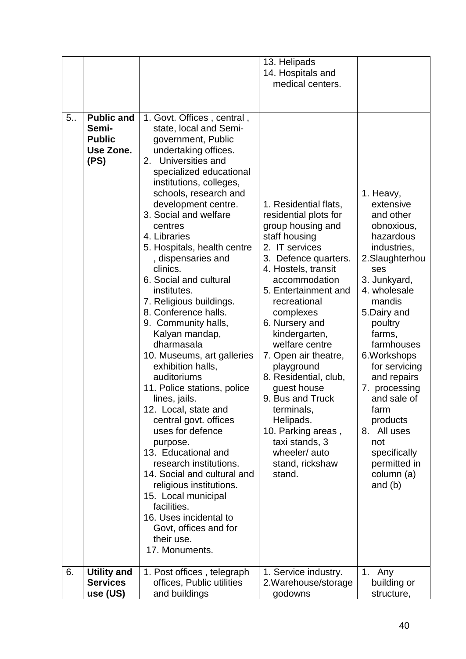|    |                                                                  |                                                                                                                                                                                                                                                                                                                                                                                                                                                                                                                                                                                                                                                                                                                                                                                                                                                                                                                                                | 13. Helipads<br>14. Hospitals and<br>medical centers.                                                                                                                                                                                                                                                                                                                                                                                                                                              |                                                                                                                                                                                                                                                                                                                                                                                         |
|----|------------------------------------------------------------------|------------------------------------------------------------------------------------------------------------------------------------------------------------------------------------------------------------------------------------------------------------------------------------------------------------------------------------------------------------------------------------------------------------------------------------------------------------------------------------------------------------------------------------------------------------------------------------------------------------------------------------------------------------------------------------------------------------------------------------------------------------------------------------------------------------------------------------------------------------------------------------------------------------------------------------------------|----------------------------------------------------------------------------------------------------------------------------------------------------------------------------------------------------------------------------------------------------------------------------------------------------------------------------------------------------------------------------------------------------------------------------------------------------------------------------------------------------|-----------------------------------------------------------------------------------------------------------------------------------------------------------------------------------------------------------------------------------------------------------------------------------------------------------------------------------------------------------------------------------------|
| 5. | <b>Public and</b><br>Semi-<br><b>Public</b><br>Use Zone.<br>(PS) | 1. Govt. Offices, central,<br>state, local and Semi-<br>government, Public<br>undertaking offices.<br>2. Universities and<br>specialized educational<br>institutions, colleges,<br>schools, research and<br>development centre.<br>3. Social and welfare<br>centres<br>4. Libraries<br>5. Hospitals, health centre<br>, dispensaries and<br>clinics.<br>6. Social and cultural<br>institutes.<br>7. Religious buildings.<br>8. Conference halls.<br>9. Community halls,<br>Kalyan mandap,<br>dharmasala<br>10. Museums, art galleries<br>exhibition halls,<br>auditoriums<br>11. Police stations, police<br>lines, jails.<br>12. Local, state and<br>central govt. offices<br>uses for defence<br>purpose.<br>13. Educational and<br>research institutions.<br>14. Social and cultural and<br>religious institutions.<br>15. Local municipal<br>facilities.<br>16. Uses incidental to<br>Govt, offices and for<br>their use.<br>17. Monuments. | 1. Residential flats,<br>residential plots for<br>group housing and<br>staff housing<br>2. IT services<br>3. Defence quarters.<br>4. Hostels, transit<br>accommodation<br>5. Entertainment and<br>recreational<br>complexes<br>6. Nursery and<br>kindergarten,<br>welfare centre<br>7. Open air theatre,<br>playground<br>8. Residential, club,<br>guest house<br>9. Bus and Truck<br>terminals,<br>Helipads.<br>10. Parking areas,<br>taxi stands, 3<br>wheeler/auto<br>stand, rickshaw<br>stand. | 1. Heavy,<br>extensive<br>and other<br>obnoxious,<br>hazardous<br>industries,<br>2.Slaughterhou<br>ses<br>3. Junkyard,<br>4. wholesale<br>mandis<br>5.Dairy and<br>poultry<br>farms,<br>farmhouses<br>6. Workshops<br>for servicing<br>and repairs<br>7. processing<br>and sale of<br>farm<br>products<br>8. All uses<br>not<br>specifically<br>permitted in<br>column (a)<br>and $(b)$ |
| 6. | <b>Utility and</b><br><b>Services</b><br>use (US)                | 1. Post offices, telegraph<br>offices, Public utilities<br>and buildings                                                                                                                                                                                                                                                                                                                                                                                                                                                                                                                                                                                                                                                                                                                                                                                                                                                                       | 1. Service industry.<br>2. Warehouse/storage<br>godowns                                                                                                                                                                                                                                                                                                                                                                                                                                            | 1. Any<br>building or<br>structure,                                                                                                                                                                                                                                                                                                                                                     |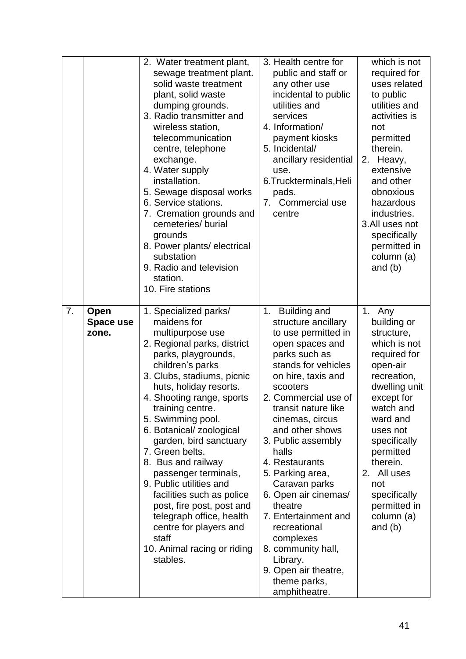|    |                            | 2. Water treatment plant,<br>sewage treatment plant.<br>solid waste treatment<br>plant, solid waste<br>dumping grounds.<br>3. Radio transmitter and<br>wireless station,<br>telecommunication<br>centre, telephone<br>exchange.<br>4. Water supply<br>installation.<br>5. Sewage disposal works<br>6. Service stations.<br>7. Cremation grounds and<br>cemeteries/burial<br>grounds<br>8. Power plants/electrical<br>substation<br>9. Radio and television<br>station.<br>10. Fire stations                                                                                            | 3. Health centre for<br>public and staff or<br>any other use<br>incidental to public<br>utilities and<br>services<br>4. Information/<br>payment kiosks<br>5. Incidental/<br>ancillary residential<br>use.<br>6. Truckterminals, Heli<br>pads.<br>7. Commercial use<br>centre                                                                                                                                                                                                                                                       | which is not<br>required for<br>uses related<br>to public<br>utilities and<br>activities is<br>not<br>permitted<br>therein.<br>Heavy,<br>2.<br>extensive<br>and other<br>obnoxious<br>hazardous<br>industries.<br>3.All uses not<br>specifically<br>permitted in<br>column (a)<br>and $(b)$  |
|----|----------------------------|----------------------------------------------------------------------------------------------------------------------------------------------------------------------------------------------------------------------------------------------------------------------------------------------------------------------------------------------------------------------------------------------------------------------------------------------------------------------------------------------------------------------------------------------------------------------------------------|------------------------------------------------------------------------------------------------------------------------------------------------------------------------------------------------------------------------------------------------------------------------------------------------------------------------------------------------------------------------------------------------------------------------------------------------------------------------------------------------------------------------------------|----------------------------------------------------------------------------------------------------------------------------------------------------------------------------------------------------------------------------------------------------------------------------------------------|
| 7. | Open<br>Space use<br>zone. | 1. Specialized parks/<br>maidens for<br>multipurpose use<br>2. Regional parks, district<br>parks, playgrounds,<br>children's parks<br>3. Clubs, stadiums, picnic<br>huts, holiday resorts.<br>4. Shooting range, sports<br>training centre.<br>5. Swimming pool.<br>6. Botanical/ zoological<br>garden, bird sanctuary<br>7. Green belts.<br>8. Bus and railway<br>passenger terminals,<br>9. Public utilities and<br>facilities such as police<br>post, fire post, post and<br>telegraph office, health<br>centre for players and<br>staff<br>10. Animal racing or riding<br>stables. | <b>Building and</b><br>1.<br>structure ancillary<br>to use permitted in<br>open spaces and<br>parks such as<br>stands for vehicles<br>on hire, taxis and<br>scooters<br>2. Commercial use of<br>transit nature like<br>cinemas, circus<br>and other shows<br>3. Public assembly<br>halls<br>4. Restaurants<br>5. Parking area,<br>Caravan parks<br>6. Open air cinemas/<br>theatre<br>7. Entertainment and<br>recreational<br>complexes<br>8. community hall,<br>Library.<br>9. Open air theatre,<br>theme parks,<br>amphitheatre. | 1. Any<br>building or<br>structure,<br>which is not<br>required for<br>open-air<br>recreation,<br>dwelling unit<br>except for<br>watch and<br>ward and<br>uses not<br>specifically<br>permitted<br>therein.<br>2. All uses<br>not<br>specifically<br>permitted in<br>column (a)<br>and $(b)$ |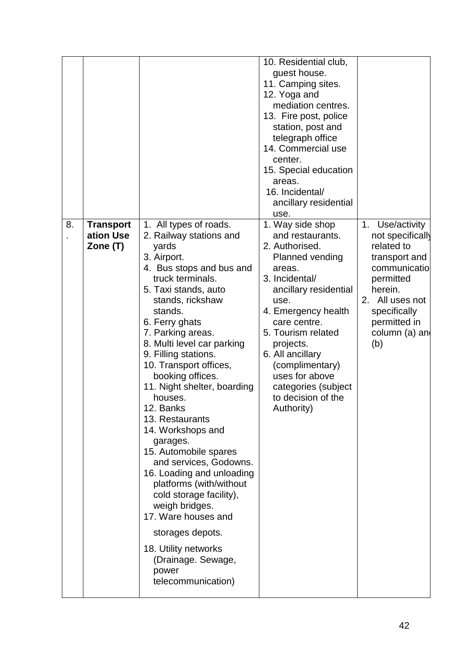|    |                                           |                                                                                                                                                                                                                                                                                                                                                                                                                                                                                                                                                                                                                                                                                                                        | 10. Residential club,<br>guest house.<br>11. Camping sites.<br>12. Yoga and<br>mediation centres.<br>13. Fire post, police<br>station, post and<br>telegraph office<br>14. Commercial use<br>center.<br>15. Special education<br>areas.                                                                                                             |                                                                                                                                                                                                          |
|----|-------------------------------------------|------------------------------------------------------------------------------------------------------------------------------------------------------------------------------------------------------------------------------------------------------------------------------------------------------------------------------------------------------------------------------------------------------------------------------------------------------------------------------------------------------------------------------------------------------------------------------------------------------------------------------------------------------------------------------------------------------------------------|-----------------------------------------------------------------------------------------------------------------------------------------------------------------------------------------------------------------------------------------------------------------------------------------------------------------------------------------------------|----------------------------------------------------------------------------------------------------------------------------------------------------------------------------------------------------------|
|    |                                           |                                                                                                                                                                                                                                                                                                                                                                                                                                                                                                                                                                                                                                                                                                                        | 16. Incidental/<br>ancillary residential                                                                                                                                                                                                                                                                                                            |                                                                                                                                                                                                          |
| 8. | <b>Transport</b><br>ation Use<br>Zone (T) | 1. All types of roads.<br>2. Railway stations and<br>yards<br>3. Airport.<br>4. Bus stops and bus and<br>truck terminals.<br>5. Taxi stands, auto<br>stands, rickshaw<br>stands.<br>6. Ferry ghats<br>7. Parking areas.<br>8. Multi level car parking<br>9. Filling stations.<br>10. Transport offices,<br>booking offices.<br>11. Night shelter, boarding<br>houses.<br>12. Banks<br>13. Restaurants<br>14. Workshops and<br>garages.<br>15. Automobile spares<br>and services, Godowns.<br>16. Loading and unloading<br>platforms (with/without<br>cold storage facility),<br>weigh bridges.<br>17. Ware houses and<br>storages depots.<br>18. Utility networks<br>(Drainage. Sewage,<br>power<br>telecommunication) | use.<br>1. Way side shop<br>and restaurants.<br>2. Authorised.<br><b>Planned vending</b><br>areas.<br>3. Incidental/<br>ancillary residential<br>use.<br>4. Emergency health<br>care centre.<br>5. Tourism related<br>projects.<br>6. All ancillary<br>(complimentary)<br>uses for above<br>categories (subject<br>to decision of the<br>Authority) | Use/activity<br>1 <sub>1</sub><br>not specifically<br>related to<br>transport and<br>communicatio<br>permitted<br>herein.<br>All uses not<br>2.<br>specifically<br>permitted in<br>column (a) and<br>(b) |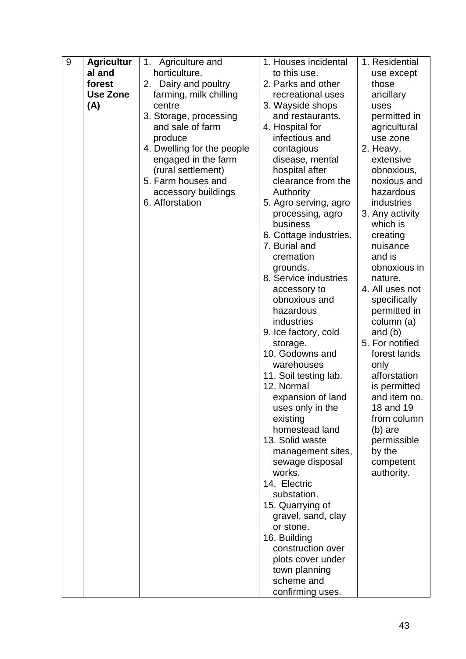| 9 | <b>Agricultur</b> | Agriculture and<br>1.      | 1. Houses incidental             | 1. Residential          |  |
|---|-------------------|----------------------------|----------------------------------|-------------------------|--|
|   | al and            | horticulture.              | to this use.                     | use except              |  |
|   | forest            | Dairy and poultry<br>2.    | 2. Parks and other               | those                   |  |
|   | <b>Use Zone</b>   | farming, milk chilling     | recreational uses                | ancillary               |  |
|   | (A)               | centre                     | 3. Wayside shops                 | uses                    |  |
|   |                   | 3. Storage, processing     | and restaurants.                 | permitted in            |  |
|   |                   | and sale of farm           | 4. Hospital for                  | agricultural            |  |
|   |                   | produce                    | infectious and                   | use zone                |  |
|   |                   | 4. Dwelling for the people | contagious                       | 2. Heavy,               |  |
|   |                   | engaged in the farm        | disease, mental                  | extensive               |  |
|   |                   | (rural settlement)         | hospital after                   | obnoxious,              |  |
|   |                   | 5. Farm houses and         | clearance from the               | noxious and             |  |
|   |                   | accessory buildings        | Authority                        | hazardous               |  |
|   |                   | 6. Afforstation            | 5. Agro serving, agro            | industries              |  |
|   |                   |                            | processing, agro                 | 3. Any activity         |  |
|   |                   |                            | business                         | which is                |  |
|   |                   |                            | 6. Cottage industries.           | creating                |  |
|   |                   |                            | 7. Burial and                    | nuisance                |  |
|   |                   |                            | cremation                        | and is                  |  |
|   |                   |                            | grounds.                         | obnoxious in            |  |
|   |                   |                            | 8. Service industries            | nature.                 |  |
|   |                   |                            | accessory to                     | 4. All uses not         |  |
|   |                   |                            | obnoxious and                    | specifically            |  |
|   |                   |                            | hazardous<br>industries          | permitted in            |  |
|   |                   |                            |                                  | column (a)<br>and $(b)$ |  |
|   |                   |                            | 9. Ice factory, cold<br>storage. | 5. For notified         |  |
|   |                   |                            | 10. Godowns and                  | forest lands            |  |
|   |                   |                            | warehouses                       | only                    |  |
|   |                   |                            | 11. Soil testing lab.            | afforstation            |  |
|   |                   |                            | 12. Normal                       | is permitted            |  |
|   |                   |                            | expansion of land                | and item no.            |  |
|   |                   |                            | uses only in the                 | 18 and 19               |  |
|   |                   |                            | existing                         | from column             |  |
|   |                   |                            | homestead land                   | $(b)$ are               |  |
|   |                   |                            | 13. Solid waste                  | permissible             |  |
|   |                   |                            | management sites,                | by the                  |  |
|   |                   |                            | sewage disposal                  | competent               |  |
|   |                   |                            | works.                           | authority.              |  |
|   |                   |                            | 14. Electric                     |                         |  |
|   |                   |                            | substation.                      |                         |  |
|   |                   |                            | 15. Quarrying of                 |                         |  |
|   |                   |                            | gravel, sand, clay               |                         |  |
|   |                   |                            | or stone.                        |                         |  |
|   |                   |                            | 16. Building                     |                         |  |
|   |                   |                            | construction over                |                         |  |
|   |                   |                            | plots cover under                |                         |  |
|   |                   |                            | town planning                    |                         |  |
|   |                   |                            | scheme and                       |                         |  |
|   |                   |                            | confirming uses.                 |                         |  |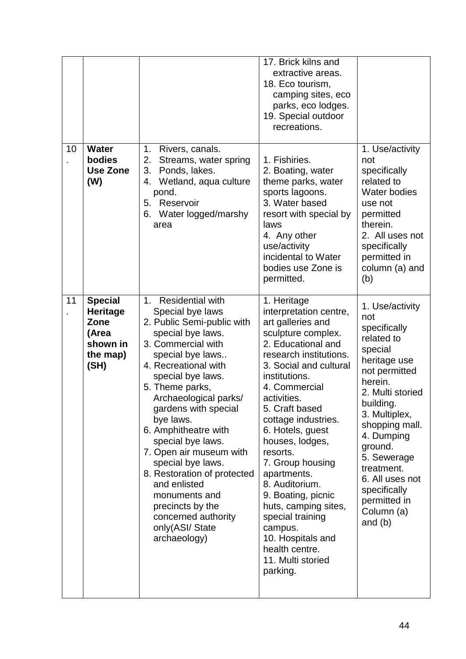|    |                                                                                    |                                                                                                                                                                                                                                                                                                                                                                                                                                                                                                               | 17. Brick kilns and<br>extractive areas.<br>18. Eco tourism,<br>camping sites, eco<br>parks, eco lodges.<br>19. Special outdoor<br>recreations.                                                                                                                                                                                                                                                                                                                                                                   |                                                                                                                                                                                                                                                                                                                     |
|----|------------------------------------------------------------------------------------|---------------------------------------------------------------------------------------------------------------------------------------------------------------------------------------------------------------------------------------------------------------------------------------------------------------------------------------------------------------------------------------------------------------------------------------------------------------------------------------------------------------|-------------------------------------------------------------------------------------------------------------------------------------------------------------------------------------------------------------------------------------------------------------------------------------------------------------------------------------------------------------------------------------------------------------------------------------------------------------------------------------------------------------------|---------------------------------------------------------------------------------------------------------------------------------------------------------------------------------------------------------------------------------------------------------------------------------------------------------------------|
| 10 | <b>Water</b><br>bodies<br><b>Use Zone</b><br>(W)                                   | 1 <sub>1</sub><br>Rivers, canals.<br>2.<br>Streams, water spring<br>3.<br>Ponds, lakes.<br>Wetland, aqua culture<br>4.<br>pond.<br>5. Reservoir<br>Water logged/marshy<br>6.<br>area                                                                                                                                                                                                                                                                                                                          | 1. Fishiries.<br>2. Boating, water<br>theme parks, water<br>sports lagoons.<br>3. Water based<br>resort with special by<br>laws<br>4. Any other<br>use/activity<br>incidental to Water<br>bodies use Zone is<br>permitted.                                                                                                                                                                                                                                                                                        | 1. Use/activity<br>not<br>specifically<br>related to<br>Water bodies<br>use not<br>permitted<br>therein.<br>2. All uses not<br>specifically<br>permitted in<br>column (a) and<br>(b)                                                                                                                                |
| 11 | <b>Special</b><br><b>Heritage</b><br>Zone<br>(Area<br>shown in<br>the map)<br>(SH) | 1. Residential with<br>Special bye laws<br>2. Public Semi-public with<br>special bye laws.<br>3. Commercial with<br>special bye laws<br>4. Recreational with<br>special bye laws.<br>5. Theme parks,<br>Archaeological parks/<br>gardens with special<br>bye laws.<br>6. Amphitheatre with<br>special bye laws.<br>7. Open air museum with<br>special bye laws.<br>8. Restoration of protected<br>and enlisted<br>monuments and<br>precincts by the<br>concerned authority<br>only(ASI/ State<br>archaeology) | 1. Heritage<br>interpretation centre,<br>art galleries and<br>sculpture complex.<br>2. Educational and<br>research institutions.<br>3. Social and cultural<br>institutions.<br>4. Commercial<br>activities.<br>5. Craft based<br>cottage industries.<br>6. Hotels, guest<br>houses, lodges,<br>resorts.<br>7. Group housing<br>apartments.<br>8. Auditorium.<br>9. Boating, picnic<br>huts, camping sites,<br>special training<br>campus.<br>10. Hospitals and<br>health centre.<br>11. Multi storied<br>parking. | 1. Use/activity<br>not<br>specifically<br>related to<br>special<br>heritage use<br>not permitted<br>herein.<br>2. Multi storied<br>building.<br>3. Multiplex,<br>shopping mall.<br>4. Dumping<br>ground.<br>5. Sewerage<br>treatment.<br>6. All uses not<br>specifically<br>permitted in<br>Column (a)<br>and $(b)$ |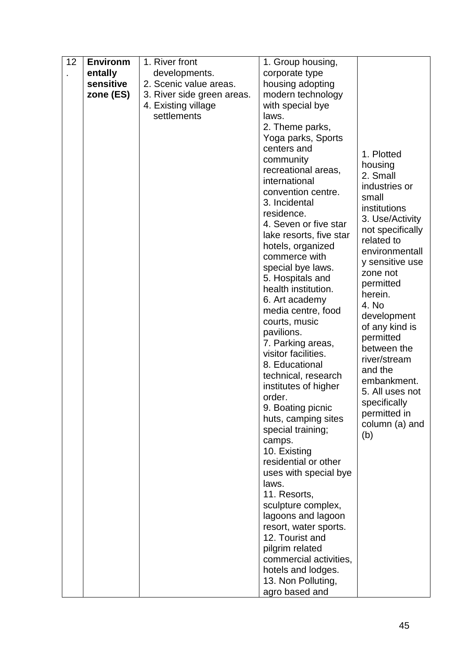| 12 | <b>Environm</b> | 1. River front             | 1. Group housing,                        |                     |
|----|-----------------|----------------------------|------------------------------------------|---------------------|
|    | entally         | developments.              | corporate type                           |                     |
|    | sensitive       | 2. Scenic value areas.     | housing adopting                         |                     |
|    | zone (ES)       | 3. River side green areas. | modern technology                        |                     |
|    |                 | 4. Existing village        | with special bye                         |                     |
|    |                 | settlements                | laws.                                    |                     |
|    |                 |                            | 2. Theme parks,                          |                     |
|    |                 |                            | Yoga parks, Sports                       |                     |
|    |                 |                            | centers and                              |                     |
|    |                 |                            | community                                | 1. Plotted          |
|    |                 |                            | recreational areas,                      | housing<br>2. Small |
|    |                 |                            | international                            | industries or       |
|    |                 |                            | convention centre.                       | small               |
|    |                 |                            | 3. Incidental                            | institutions        |
|    |                 |                            | residence.                               | 3. Use/Activity     |
|    |                 |                            | 4. Seven or five star                    | not specifically    |
|    |                 |                            | lake resorts, five star                  | related to          |
|    |                 |                            | hotels, organized                        | environmentall      |
|    |                 |                            | commerce with                            | y sensitive use     |
|    |                 |                            | special bye laws.                        | zone not            |
|    |                 |                            | 5. Hospitals and                         | permitted           |
|    |                 |                            | health institution.                      | herein.             |
|    |                 |                            | 6. Art academy                           | 4. No               |
|    |                 |                            | media centre, food                       | development         |
|    |                 |                            | courts, music                            | of any kind is      |
|    |                 |                            | pavilions.                               | permitted           |
|    |                 |                            | 7. Parking areas,                        | between the         |
|    |                 |                            | visitor facilities.                      | river/stream        |
|    |                 |                            | 8. Educational                           | and the             |
|    |                 |                            | technical, research                      | embankment.         |
|    |                 |                            | institutes of higher<br>order.           | 5. All uses not     |
|    |                 |                            |                                          | specifically        |
|    |                 |                            | 9. Boating picnic                        | permitted in        |
|    |                 |                            | huts, camping sites<br>special training; | column (a) and      |
|    |                 |                            | camps.                                   | (b)                 |
|    |                 |                            | 10. Existing                             |                     |
|    |                 |                            | residential or other                     |                     |
|    |                 |                            | uses with special bye                    |                     |
|    |                 |                            | laws.                                    |                     |
|    |                 |                            | 11. Resorts,                             |                     |
|    |                 |                            | sculpture complex,                       |                     |
|    |                 |                            | lagoons and lagoon                       |                     |
|    |                 |                            | resort, water sports.                    |                     |
|    |                 |                            | 12. Tourist and                          |                     |
|    |                 |                            | pilgrim related                          |                     |
|    |                 |                            | commercial activities,                   |                     |
|    |                 |                            | hotels and lodges.                       |                     |
|    |                 |                            | 13. Non Polluting,                       |                     |
|    |                 |                            | agro based and                           |                     |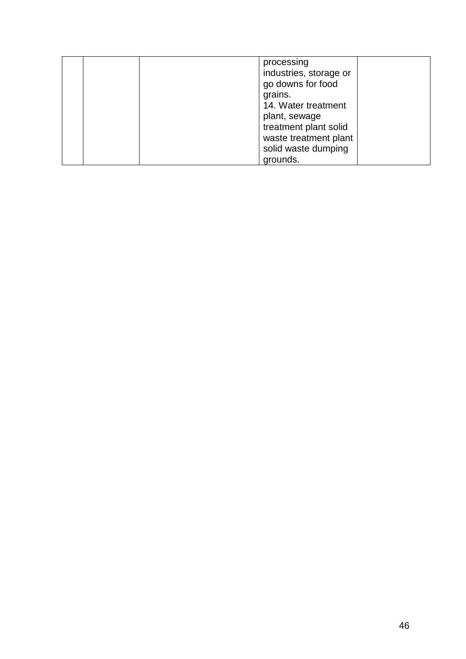| processing<br>industries, storage or<br>go downs for food<br>grains.<br>14. Water treatment<br>plant, sewage<br>treatment plant solid<br>waste treatment plant<br>solid waste dumping |
|---------------------------------------------------------------------------------------------------------------------------------------------------------------------------------------|
| grounds.                                                                                                                                                                              |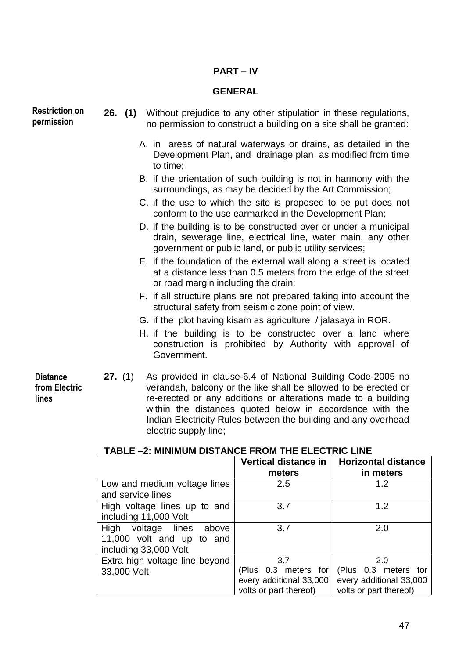# **PART – IV**

#### **GENERAL**

**Restriction on permission**

**Distance from Electric** 

**lines**

- **26. (1)** Without prejudice to any other stipulation in these regulations, no permission to construct a building on a site shall be granted:
	- A. in areas of natural waterways or drains, as detailed in the Development Plan, and drainage plan as modified from time to time;
	- B. if the orientation of such building is not in harmony with the surroundings, as may be decided by the Art Commission;
	- C. if the use to which the site is proposed to be put does not conform to the use earmarked in the Development Plan;
	- D. if the building is to be constructed over or under a municipal drain, sewerage line, electrical line, water main, any other government or public land, or public utility services;
	- E. if the foundation of the external wall along a street is located at a distance less than 0.5 meters from the edge of the street or road margin including the drain;
	- F. if all structure plans are not prepared taking into account the structural safety from seismic zone point of view.
	- G. if the plot having kisam as agriculture / jalasaya in ROR.
	- H. if the building is to be constructed over a land where construction is prohibited by Authority with approval of Government.
	- **27.** (1) As provided in clause-6.4 of National Building Code-2005 no verandah, balcony or the like shall be allowed to be erected or re-erected or any additions or alterations made to a building within the distances quoted below in accordance with the Indian Electricity Rules between the building and any overhead electric supply line;

|                                | Vertical distance in    | <b>Horizontal distance</b> |  |  |
|--------------------------------|-------------------------|----------------------------|--|--|
|                                | meters                  | in meters                  |  |  |
| Low and medium voltage lines   | 2.5                     | 1.2                        |  |  |
| and service lines              |                         |                            |  |  |
| High voltage lines up to and   | 3.7                     | 1.2                        |  |  |
| including 11,000 Volt          |                         |                            |  |  |
| High voltage lines above       | 3.7                     | 2.0                        |  |  |
| 11,000 volt and up to and      |                         |                            |  |  |
| including 33,000 Volt          |                         |                            |  |  |
| Extra high voltage line beyond | 3.7                     | 2.0                        |  |  |
| 33,000 Volt                    | (Plus 0.3 meters for    | (Plus 0.3 meters for       |  |  |
|                                | every additional 33,000 | every additional 33,000    |  |  |
|                                | volts or part thereof)  | volts or part thereof)     |  |  |

#### **TABLE –2: MINIMUM DISTANCE FROM THE ELECTRIC LINE**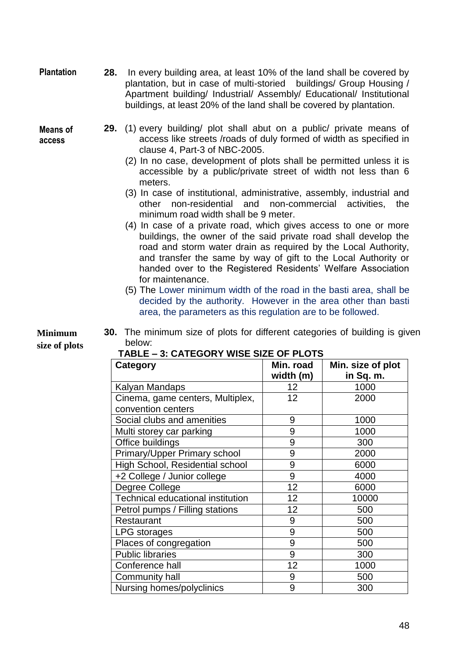**28.** In every building area, at least 10% of the land shall be covered by plantation, but in case of multi-storied buildings/ Group Housing / Apartment building/ Industrial/ Assembly/ Educational/ Institutional buildings, at least 20% of the land shall be covered by plantation. **Plantation**

**Means of access**

- **29.** (1) every building/ plot shall abut on a public/ private means of access like streets /roads of duly formed of width as specified in clause 4, Part-3 of NBC-2005.
	- (2) In no case, development of plots shall be permitted unless it is accessible by a public/private street of width not less than 6 meters.
	- (3) In case of institutional, administrative, assembly, industrial and other non-residential and non-commercial activities, the minimum road width shall be 9 meter.
	- (4) In case of a private road, which gives access to one or more buildings, the owner of the said private road shall develop the road and storm water drain as required by the Local Authority, and transfer the same by way of gift to the Local Authority or handed over to the Registered Residents' Welfare Association for maintenance.
	- (5) The Lower minimum width of the road in the basti area, shall be decided by the authority. However in the area other than basti area, the parameters as this regulation are to be followed.

**Minimum size of plots** **30.** The minimum size of plots for different categories of building is given below:

| <b>Category</b>                   | Min. road<br>width (m) | Min. size of plot<br>in Sq. m. |
|-----------------------------------|------------------------|--------------------------------|
| Kalyan Mandaps                    | 12                     | 1000                           |
| Cinema, game centers, Multiplex,  | 12                     | 2000                           |
| convention centers                |                        |                                |
| Social clubs and amenities        | 9                      | 1000                           |
| Multi storey car parking          | 9                      | 1000                           |
| Office buildings                  | 9                      | 300                            |
| Primary/Upper Primary school      | 9                      | 2000                           |
| High School, Residential school   | 9                      | 6000                           |
| +2 College / Junior college       | 9                      | 4000                           |
| Degree College                    | 12                     | 6000                           |
| Technical educational institution | 12                     | 10000                          |
| Petrol pumps / Filling stations   | 12                     | 500                            |
| Restaurant                        | 9                      | 500                            |
| LPG storages                      | 9                      | 500                            |
| Places of congregation            | 9                      | 500                            |
| <b>Public libraries</b>           | 9                      | 300                            |
| Conference hall                   | 12                     | 1000                           |
| Community hall                    | 9                      | 500                            |
| Nursing homes/polyclinics         | 9                      | 300                            |

# **TABLE – 3: CATEGORY WISE SIZE OF PLOTS**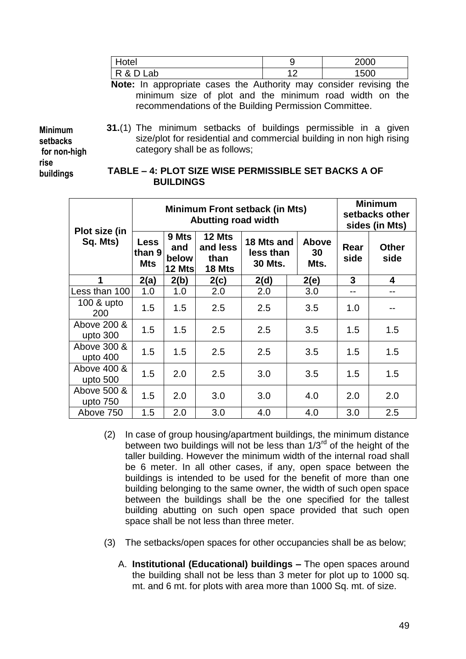| Iotel        |   | 2000 |
|--------------|---|------|
| R & D<br>Lab | ^ | 1500 |

**Note:** In appropriate cases the Authority may consider revising the minimum size of plot and the minimum road width on the recommendations of the Building Permission Committee.

**Minimum setbacks for non-high rise buildings**

**31.**(1) The minimum setbacks of buildings permissible in a given size/plot for residential and commercial building in non high rising category shall be as follows;

#### **TABLE – 4: PLOT SIZE WISE PERMISSIBLE SET BACKS A OF BUILDINGS**

|                           | Minimum Front setback (in Mts)<br><b>Abutting road width</b> |                                 |                                      |                                           |                            | <b>Minimum</b><br>setbacks other<br>sides (in Mts) |                      |
|---------------------------|--------------------------------------------------------------|---------------------------------|--------------------------------------|-------------------------------------------|----------------------------|----------------------------------------------------|----------------------|
| Plot size (in<br>Sq. Mts) | Less<br>than 9<br><b>Mts</b>                                 | 9 Mts<br>and<br>below<br>12 Mts | 12 Mts<br>and less<br>than<br>18 Mts | 18 Mts and<br>less than<br><b>30 Mts.</b> | <b>Above</b><br>30<br>Mts. | Rear<br>side                                       | <b>Other</b><br>side |
| 1                         | 2(a)                                                         | 2(b)                            | 2(c)                                 | 2(d)                                      | 2(e)                       | 3                                                  | 4                    |
| Less than 100             | 1.0                                                          | 1.0                             | 2.0                                  | 2.0                                       | 3.0                        | --                                                 | --                   |
| 100 & upto<br>200         | 1.5                                                          | 1.5                             | 2.5                                  | 2.5                                       | 3.5                        | 1.0                                                |                      |
| Above 200 &<br>upto 300   | 1.5                                                          | 1.5                             | 2.5                                  | 2.5                                       | 3.5                        | 1.5                                                | 1.5                  |
| Above 300 &<br>upto 400   | 1.5                                                          | 1.5                             | 2.5                                  | 2.5                                       | 3.5                        | 1.5                                                | 1.5                  |
| Above 400 &<br>upto 500   | 1.5                                                          | 2.0                             | 2.5                                  | 3.0                                       | 3.5                        | 1.5                                                | 1.5                  |
| Above 500 &<br>upto 750   | 1.5                                                          | 2.0                             | 3.0                                  | 3.0                                       | 4.0                        | 2.0                                                | 2.0                  |
| Above 750                 | 1.5                                                          | 2.0                             | 3.0                                  | 4.0                                       | 4.0                        | 3.0                                                | 2.5                  |

- (2) In case of group housing/apartment buildings, the minimum distance between two buildings will not be less than  $1/3^{rd}$  of the height of the taller building. However the minimum width of the internal road shall be 6 meter. In all other cases, if any, open space between the buildings is intended to be used for the benefit of more than one building belonging to the same owner, the width of such open space between the buildings shall be the one specified for the tallest building abutting on such open space provided that such open space shall be not less than three meter.
- (3) The setbacks/open spaces for other occupancies shall be as below;
	- A. **Institutional (Educational) buildings –** The open spaces around the building shall not be less than 3 meter for plot up to 1000 sq. mt. and 6 mt. for plots with area more than 1000 Sq. mt. of size.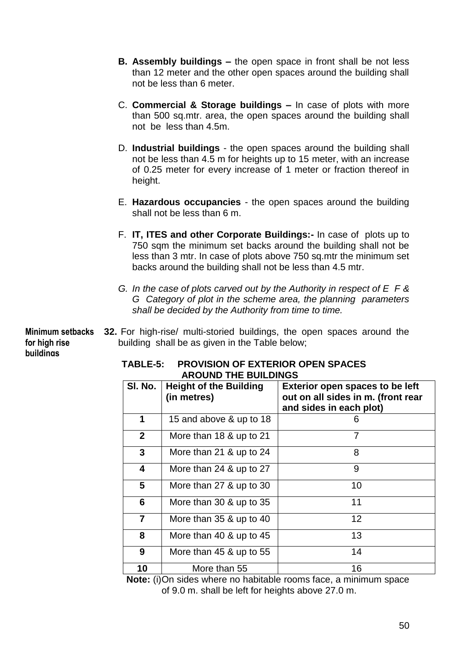- **B. Assembly buildings –** the open space in front shall be not less than 12 meter and the other open spaces around the building shall not be less than 6 meter.
- C. **Commercial & Storage buildings –** In case of plots with more than 500 sq.mtr. area, the open spaces around the building shall not be less than 4.5m.
- D. **Industrial buildings** the open spaces around the building shall not be less than 4.5 m for heights up to 15 meter, with an increase of 0.25 meter for every increase of 1 meter or fraction thereof in height.
- E. **Hazardous occupancies** the open spaces around the building shall not be less than 6 m.
- F. **IT, ITES and other Corporate Buildings:-** In case of plots up to 750 sam the minimum set backs around the building shall not be less than 3 mtr. In case of plots above 750 sq.mtr the minimum set backs around the building shall not be less than 4.5 mtr.
- *G. In the case of plots carved out by the Authority in respect of E F & G Category of plot in the scheme area, the planning parameters shall be decided by the Authority from time to time.*

**32.** For high-rise/ multi-storied buildings, the open spaces around the **Minimum setbacks**  building shall be as given in the Table below; **for high rise buildings**

| <b>AROUND THE BUILDINGS</b> |                                              |                                                                                                         |  |
|-----------------------------|----------------------------------------------|---------------------------------------------------------------------------------------------------------|--|
| SI. No.                     | <b>Height of the Building</b><br>(in metres) | <b>Exterior open spaces to be left</b><br>out on all sides in m. (front rear<br>and sides in each plot) |  |
| 1                           | 15 and above & up to 18                      | 6                                                                                                       |  |
| 2 <sup>1</sup>              | More than 18 & up to 21                      | 7                                                                                                       |  |
| 3                           | More than 21 & up to 24                      | 8                                                                                                       |  |
| 4                           | More than $24$ & up to $27$                  | 9                                                                                                       |  |
| 5                           | More than 27 & up to 30                      | 10                                                                                                      |  |
| 6                           | More than 30 & up to 35                      | 11                                                                                                      |  |
| $\overline{7}$              | More than 35 & up to 40                      | $12 \overline{ }$                                                                                       |  |
| 8                           | More than 40 & up to 45                      | 13                                                                                                      |  |
| 9                           | More than $45$ & up to $55$                  | 14                                                                                                      |  |
| 10                          | More than 55                                 | 16                                                                                                      |  |

# **TABLE-5: PROVISION OF EXTERIOR OPEN SPACES**

**Note:** (i)On sides where no habitable rooms face, a minimum space of 9.0 m. shall be left for heights above 27.0 m.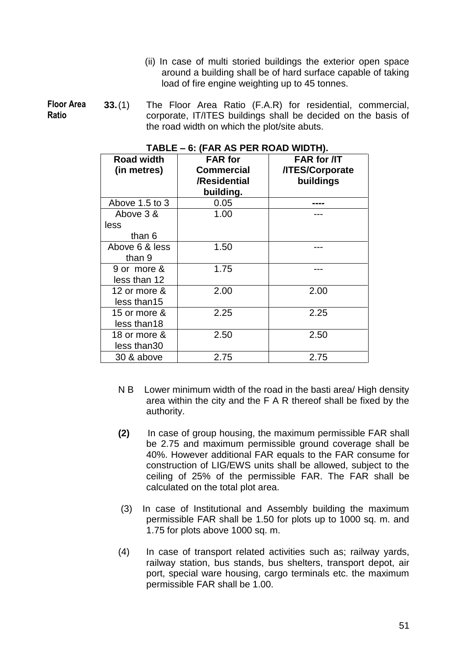(ii) In case of multi storied buildings the exterior open space around a building shall be of hard surface capable of taking load of fire engine weighting up to 45 tonnes.

**33.**(1) The Floor Area Ratio (F.A.R) for residential, commercial, corporate, IT/ITES buildings shall be decided on the basis of the road width on which the plot/site abuts. **Floor Area Ratio** 

| <b>Road width</b><br>(in metres) | <b>FAR</b> for<br><b>Commercial</b><br>/Residential<br>building. | <b>FAR for /IT</b><br>/ITES/Corporate<br>buildings |
|----------------------------------|------------------------------------------------------------------|----------------------------------------------------|
| Above 1.5 to 3                   | 0.05                                                             |                                                    |
| Above 3 &<br>less<br>than 6      | 1.00                                                             |                                                    |
| Above 6 & less<br>than 9         | 1.50                                                             |                                                    |
| 9 or more &<br>less than 12      | 1.75                                                             |                                                    |
| 12 or more &<br>less than15      | 2.00                                                             | 2.00                                               |
| 15 or more &<br>less than18      | 2.25                                                             | 2.25                                               |
| 18 or more &<br>less than 30     | 2.50                                                             | 2.50                                               |
| 30 & above                       | 2.75                                                             | 2.75                                               |

#### **TABLE – 6: (FAR AS PER ROAD WIDTH).**

- N B Lower minimum width of the road in the basti area/ High density area within the city and the F A R thereof shall be fixed by the authority.
- **(2)** In case of group housing, the maximum permissible FAR shall be 2.75 and maximum permissible ground coverage shall be 40%. However additional FAR equals to the FAR consume for construction of LIG/EWS units shall be allowed, subject to the ceiling of 25% of the permissible FAR. The FAR shall be calculated on the total plot area.
- (3) In case of Institutional and Assembly building the maximum permissible FAR shall be 1.50 for plots up to 1000 sq. m. and 1.75 for plots above 1000 sq. m.
- (4) In case of transport related activities such as; railway yards, railway station, bus stands, bus shelters, transport depot, air port, special ware housing, cargo terminals etc. the maximum permissible FAR shall be 1.00.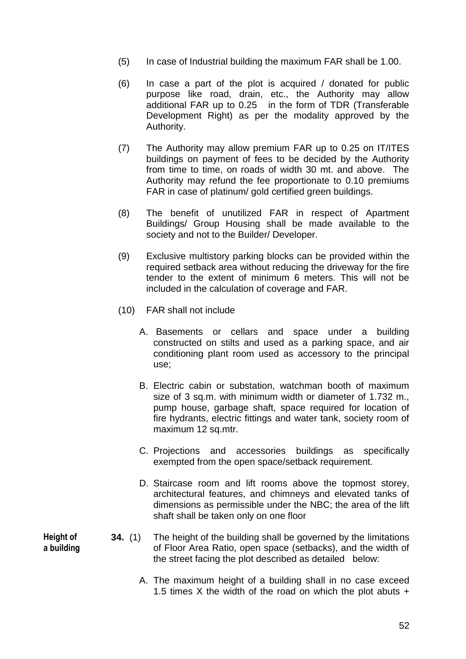- (5) In case of Industrial building the maximum FAR shall be 1.00.
- (6) In case a part of the plot is acquired / donated for public purpose like road, drain, etc., the Authority may allow additional FAR up to 0.25 in the form of TDR (Transferable Development Right) as per the modality approved by the Authority.
- (7) The Authority may allow premium FAR up to 0.25 on IT/ITES buildings on payment of fees to be decided by the Authority from time to time, on roads of width 30 mt. and above. The Authority may refund the fee proportionate to 0.10 premiums FAR in case of platinum/ gold certified green buildings.
- (8) The benefit of unutilized FAR in respect of Apartment Buildings/ Group Housing shall be made available to the society and not to the Builder/ Developer.
- (9) Exclusive multistory parking blocks can be provided within the required setback area without reducing the driveway for the fire tender to the extent of minimum 6 meters. This will not be included in the calculation of coverage and FAR.
- (10) FAR shall not include
	- A. Basements or cellars and space under a building constructed on stilts and used as a parking space, and air conditioning plant room used as accessory to the principal use;
	- B. Electric cabin or substation, watchman booth of maximum size of 3 sq.m. with minimum width or diameter of 1.732 m., pump house, garbage shaft, space required for location of fire hydrants, electric fittings and water tank, society room of maximum 12 sq.mtr.
	- C. Projections and accessories buildings as specifically exempted from the open space/setback requirement.
	- D. Staircase room and lift rooms above the topmost storey, architectural features, and chimneys and elevated tanks of dimensions as permissible under the NBC; the area of the lift shaft shall be taken only on one floor
- **34.** (1) The height of the building shall be governed by the limitations of Floor Area Ratio, open space (setbacks), and the width of the street facing the plot described as detailed below:
	- A. The maximum height of a building shall in no case exceed 1.5 times X the width of the road on which the plot abuts  $+$

**Height of a building**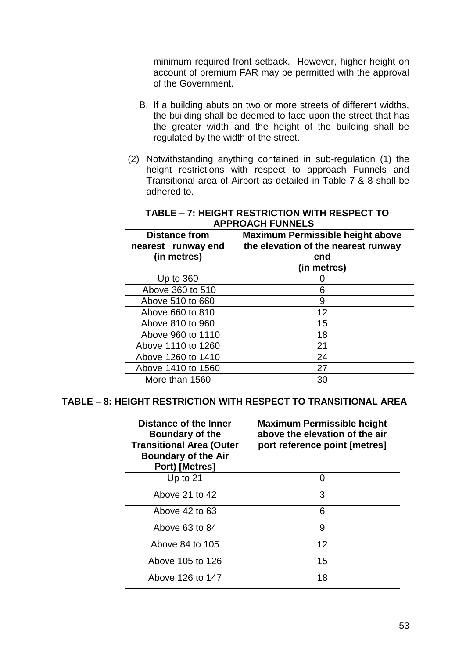minimum required front setback. However, higher height on account of premium FAR may be permitted with the approval of the Government.

- B. If a building abuts on two or more streets of different widths, the building shall be deemed to face upon the street that has the greater width and the height of the building shall be regulated by the width of the street.
- (2) Notwithstanding anything contained in sub-regulation (1) the height restrictions with respect to approach Funnels and Transitional area of Airport as detailed in Table 7 & 8 shall be adhered to.

| <b>Distance from</b><br>nearest runway end<br>(in metres) | <b>Maximum Permissible height above</b><br>the elevation of the nearest runway<br>end<br>(in metres) |
|-----------------------------------------------------------|------------------------------------------------------------------------------------------------------|
| Up to $360$                                               |                                                                                                      |
| Above 360 to 510                                          | 6                                                                                                    |
| Above 510 to 660                                          | 9                                                                                                    |
| Above 660 to 810                                          | 12                                                                                                   |
| Above 810 to 960                                          | 15                                                                                                   |
| Above 960 to 1110                                         | 18                                                                                                   |
| Above 1110 to 1260                                        | 21                                                                                                   |
| Above 1260 to 1410                                        | 24                                                                                                   |
| Above 1410 to 1560                                        | 27                                                                                                   |
| More than 1560                                            | 30                                                                                                   |

#### **TABLE – 7: HEIGHT RESTRICTION WITH RESPECT TO APPROACH FUNNELS**

## **TABLE – 8: HEIGHT RESTRICTION WITH RESPECT TO TRANSITIONAL AREA**

| Distance of the Inner<br>Boundary of the<br><b>Transitional Area (Outer</b><br><b>Boundary of the Air</b><br>Port) [Metres] | <b>Maximum Permissible height</b><br>above the elevation of the air<br>port reference point [metres] |
|-----------------------------------------------------------------------------------------------------------------------------|------------------------------------------------------------------------------------------------------|
| Up to $21$                                                                                                                  | O                                                                                                    |
| Above 21 to 42                                                                                                              | 3                                                                                                    |
| Above 42 to 63                                                                                                              | 6                                                                                                    |
| Above 63 to 84                                                                                                              | 9                                                                                                    |
| Above 84 to 105                                                                                                             | 12                                                                                                   |
| Above 105 to 126                                                                                                            | 15                                                                                                   |
| Above 126 to 147                                                                                                            | 18                                                                                                   |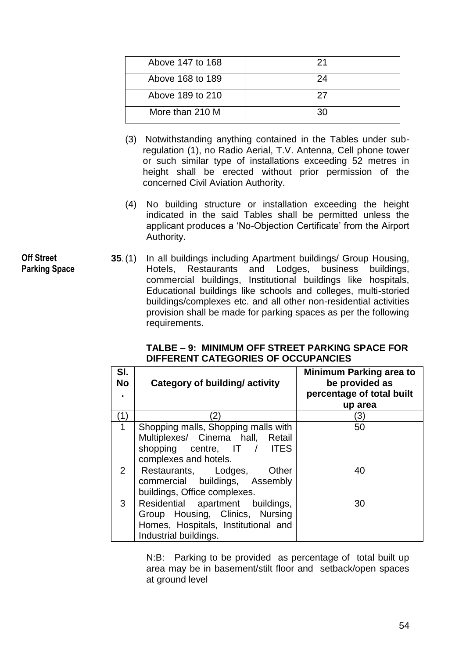| Above 147 to 168 |    |
|------------------|----|
| Above 168 to 189 | 24 |
| Above 189 to 210 | 27 |
| More than 210 M  | ۹Λ |

- (3) Notwithstanding anything contained in the Tables under subregulation (1), no Radio Aerial, T.V. Antenna, Cell phone tower or such similar type of installations exceeding 52 metres in height shall be erected without prior permission of the concerned Civil Aviation Authority.
- (4) No building structure or installation exceeding the height indicated in the said Tables shall be permitted unless the applicant produces a "No-Objection Certificate" from the Airport Authority.
- **35**.(1) In all buildings including Apartment buildings/ Group Housing, Hotels, Restaurants and Lodges, business buildings, commercial buildings, Institutional buildings like hospitals, Educational buildings like schools and colleges, multi-storied buildings/complexes etc. and all other non-residential activities provision shall be made for parking spaces as per the following requirements.

| SI.<br>No      | Category of building/activity                                                                                                       | <b>Minimum Parking area to</b><br>be provided as<br>percentage of total built<br>up area |
|----------------|-------------------------------------------------------------------------------------------------------------------------------------|------------------------------------------------------------------------------------------|
| (1)            | 2)                                                                                                                                  | 3)                                                                                       |
| $\mathbf{1}$   | Shopping malls, Shopping malls with<br>Multiplexes/ Cinema hall, Retail<br>shopping centre, IT / ITES<br>complexes and hotels.      | 50                                                                                       |
| $\overline{2}$ | Restaurants, Lodges,<br>Other<br>commercial buildings, Assembly<br>buildings, Office complexes.                                     | 40                                                                                       |
| 3              | Residential apartment buildings,<br>Group Housing, Clinics, Nursing<br>Homes, Hospitals, Institutional and<br>Industrial buildings. | 30                                                                                       |

# **TALBE – 9: MINIMUM OFF STREET PARKING SPACE FOR DIFFERENT CATEGORIES OF OCCUPANCIES**

N:B: Parking to be provided as percentage of total built up area may be in basement/stilt floor and setback/open spaces at ground level

**Off Street Parking Space**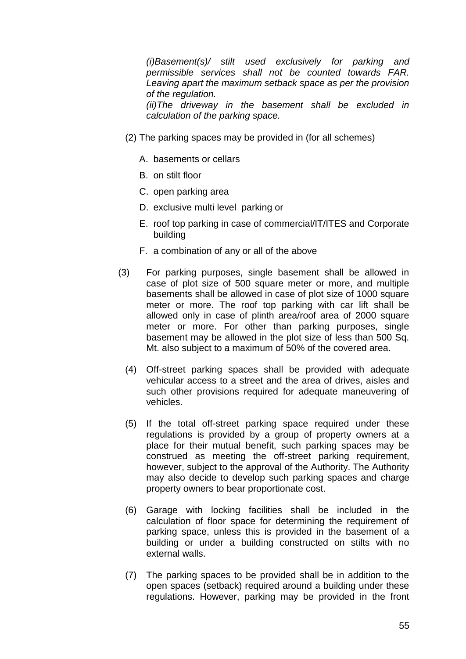*(i)Basement(s)/ stilt used exclusively for parking and permissible services shall not be counted towards FAR. Leaving apart the maximum setback space as per the provision of the regulation.* 

*(ii)The driveway in the basement shall be excluded in calculation of the parking space.* 

- (2) The parking spaces may be provided in (for all schemes)
	- A. basements or cellars
	- B. on stilt floor
	- C. open parking area
	- D. exclusive multi level parking or
	- E. roof top parking in case of commercial/IT/ITES and Corporate building
	- F. a combination of any or all of the above
- (3) For parking purposes, single basement shall be allowed in case of plot size of 500 square meter or more, and multiple basements shall be allowed in case of plot size of 1000 square meter or more. The roof top parking with car lift shall be allowed only in case of plinth area/roof area of 2000 square meter or more. For other than parking purposes, single basement may be allowed in the plot size of less than 500 Sq. Mt. also subject to a maximum of 50% of the covered area.
	- (4) Off-street parking spaces shall be provided with adequate vehicular access to a street and the area of drives, aisles and such other provisions required for adequate maneuvering of vehicles.
	- (5) If the total off-street parking space required under these regulations is provided by a group of property owners at a place for their mutual benefit, such parking spaces may be construed as meeting the off-street parking requirement, however, subject to the approval of the Authority. The Authority may also decide to develop such parking spaces and charge property owners to bear proportionate cost.
	- (6) Garage with locking facilities shall be included in the calculation of floor space for determining the requirement of parking space, unless this is provided in the basement of a building or under a building constructed on stilts with no external walls.
	- (7) The parking spaces to be provided shall be in addition to the open spaces (setback) required around a building under these regulations. However, parking may be provided in the front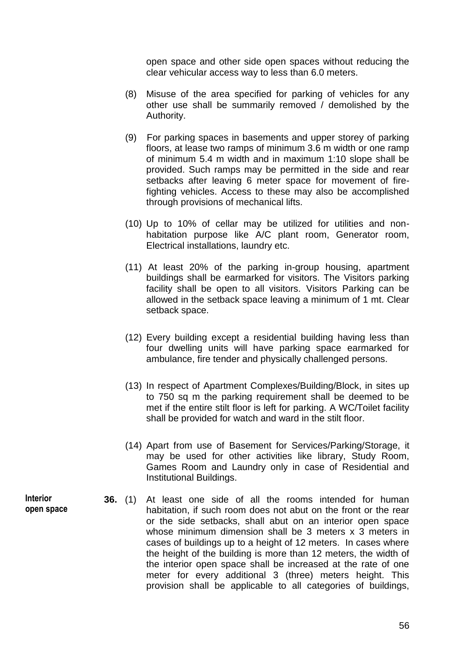open space and other side open spaces without reducing the clear vehicular access way to less than 6.0 meters.

- (8) Misuse of the area specified for parking of vehicles for any other use shall be summarily removed / demolished by the Authority.
- (9) For parking spaces in basements and upper storey of parking floors, at lease two ramps of minimum 3.6 m width or one ramp of minimum 5.4 m width and in maximum 1:10 slope shall be provided. Such ramps may be permitted in the side and rear setbacks after leaving 6 meter space for movement of firefighting vehicles. Access to these may also be accomplished through provisions of mechanical lifts.
- (10) Up to 10% of cellar may be utilized for utilities and nonhabitation purpose like A/C plant room, Generator room, Electrical installations, laundry etc.
- (11) At least 20% of the parking in-group housing, apartment buildings shall be earmarked for visitors. The Visitors parking facility shall be open to all visitors. Visitors Parking can be allowed in the setback space leaving a minimum of 1 mt. Clear setback space.
- (12) Every building except a residential building having less than four dwelling units will have parking space earmarked for ambulance, fire tender and physically challenged persons.
- (13) In respect of Apartment Complexes/Building/Block, in sites up to 750 sq m the parking requirement shall be deemed to be met if the entire stilt floor is left for parking. A WC/Toilet facility shall be provided for watch and ward in the stilt floor.
- (14) Apart from use of Basement for Services/Parking/Storage, it may be used for other activities like library, Study Room, Games Room and Laundry only in case of Residential and Institutional Buildings.
- **36.** (1) At least one side of all the rooms intended for human habitation, if such room does not abut on the front or the rear or the side setbacks, shall abut on an interior open space whose minimum dimension shall be 3 meters x 3 meters in cases of buildings up to a height of 12 meters. In cases where the height of the building is more than 12 meters, the width of the interior open space shall be increased at the rate of one meter for every additional 3 (three) meters height. This provision shall be applicable to all categories of buildings,

**Interior open space**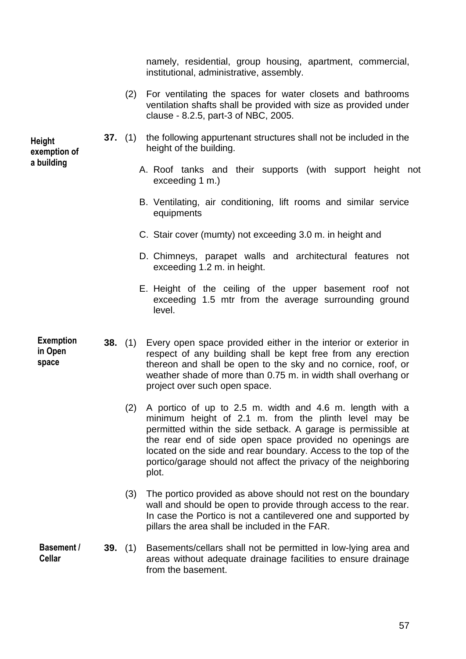namely, residential, group housing, apartment, commercial, institutional, administrative, assembly.

- (2) For ventilating the spaces for water closets and bathrooms ventilation shafts shall be provided with size as provided under clause - 8.2.5, part-3 of NBC, 2005.
- **37.** (1) the following appurtenant structures shall not be included in the height of the building.
	- A. Roof tanks and their supports (with support height not exceeding 1 m.)
	- B. Ventilating, air conditioning, lift rooms and similar service equipments
	- C. Stair cover (mumty) not exceeding 3.0 m. in height and
	- D. Chimneys, parapet walls and architectural features not exceeding 1.2 m. in height.
	- E. Height of the ceiling of the upper basement roof not exceeding 1.5 mtr from the average surrounding ground level.
- **38.** (1) Every open space provided either in the interior or exterior in respect of any building shall be kept free from any erection thereon and shall be open to the sky and no cornice, roof, or weather shade of more than 0.75 m. in width shall overhang or project over such open space. **Exemption** 
	- (2) A portico of up to 2.5 m. width and 4.6 m. length with a minimum height of 2.1 m. from the plinth level may be permitted within the side setback. A garage is permissible at the rear end of side open space provided no openings are located on the side and rear boundary. Access to the top of the portico/garage should not affect the privacy of the neighboring plot.
	- (3) The portico provided as above should not rest on the boundary wall and should be open to provide through access to the rear. In case the Portico is not a cantilevered one and supported by pillars the area shall be included in the FAR.
- **39.** (1) Basements/cellars shall not be permitted in low-lying area and areas without adequate drainage facilities to ensure drainage from the basement. **Basement / Cellar**

**Height exemption of a building**

> **in Open space**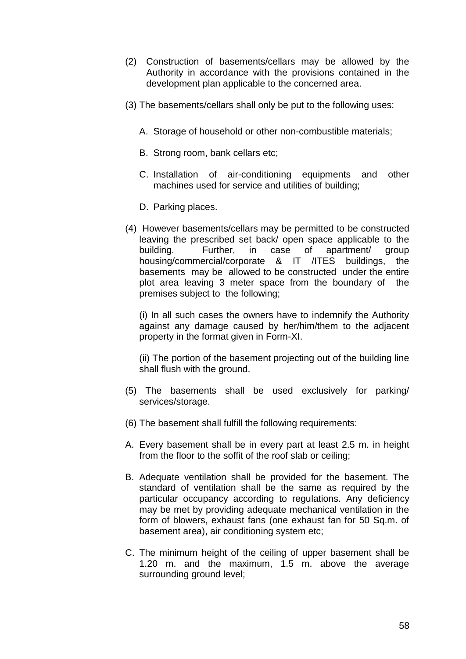- (2) Construction of basements/cellars may be allowed by the Authority in accordance with the provisions contained in the development plan applicable to the concerned area.
- (3) The basements/cellars shall only be put to the following uses:
	- A. Storage of household or other non-combustible materials;
	- B. Strong room, bank cellars etc;
	- C. Installation of air-conditioning equipments and other machines used for service and utilities of building;
	- D. Parking places.
- (4) However basements/cellars may be permitted to be constructed leaving the prescribed set back/ open space applicable to the building. Further, in case of apartment/ group housing/commercial/corporate & IT /ITES buildings, the basements may be allowed to be constructed under the entire plot area leaving 3 meter space from the boundary of the premises subject to the following;

(i) In all such cases the owners have to indemnify the Authority against any damage caused by her/him/them to the adjacent property in the format given in Form-XI.

(ii) The portion of the basement projecting out of the building line shall flush with the ground.

- (5) The basements shall be used exclusively for parking/ services/storage.
- (6) The basement shall fulfill the following requirements:
- A. Every basement shall be in every part at least 2.5 m. in height from the floor to the soffit of the roof slab or ceiling;
- B. Adequate ventilation shall be provided for the basement. The standard of ventilation shall be the same as required by the particular occupancy according to regulations. Any deficiency may be met by providing adequate mechanical ventilation in the form of blowers, exhaust fans (one exhaust fan for 50 Sq.m. of basement area), air conditioning system etc;
- C. The minimum height of the ceiling of upper basement shall be 1.20 m. and the maximum, 1.5 m. above the average surrounding ground level;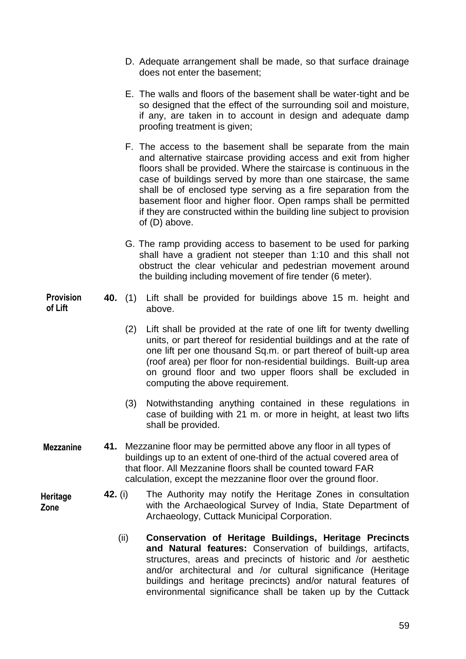- D. Adequate arrangement shall be made, so that surface drainage does not enter the basement;
- E. The walls and floors of the basement shall be water-tight and be so designed that the effect of the surrounding soil and moisture, if any, are taken in to account in design and adequate damp proofing treatment is given;
- F. The access to the basement shall be separate from the main and alternative staircase providing access and exit from higher floors shall be provided. Where the staircase is continuous in the case of buildings served by more than one staircase, the same shall be of enclosed type serving as a fire separation from the basement floor and higher floor. Open ramps shall be permitted if they are constructed within the building line subject to provision of (D) above.
- G. The ramp providing access to basement to be used for parking shall have a gradient not steeper than 1:10 and this shall not obstruct the clear vehicular and pedestrian movement around the building including movement of fire tender (6 meter).
- **40.** (1) Lift shall be provided for buildings above 15 m. height and above. **Provision** 
	- (2) Lift shall be provided at the rate of one lift for twenty dwelling units, or part thereof for residential buildings and at the rate of one lift per one thousand Sq.m. or part thereof of built-up area (roof area) per floor for non-residential buildings. Built-up area on ground floor and two upper floors shall be excluded in computing the above requirement.
	- (3) Notwithstanding anything contained in these regulations in case of building with 21 m. or more in height, at least two lifts shall be provided.
- **41.** Mezzanine floor may be permitted above any floor in all types of buildings up to an extent of one-third of the actual covered area of that floor. All Mezzanine floors shall be counted toward FAR calculation, except the mezzanine floor over the ground floor. **Mezzanine**
	- **42.** (i) The Authority may notify the Heritage Zones in consultation with the Archaeological Survey of India, State Department of Archaeology, Cuttack Municipal Corporation.
		- (ii) **Conservation of Heritage Buildings, Heritage Precincts and Natural features:** Conservation of buildings, artifacts, structures, areas and precincts of historic and /or aesthetic and/or architectural and /or cultural significance (Heritage buildings and heritage precincts) and/or natural features of environmental significance shall be taken up by the Cuttack

**of Lift**

**Heritage Zone**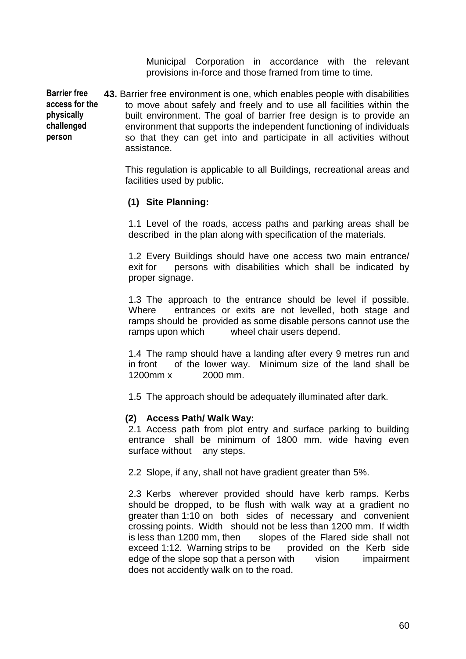Municipal Corporation in accordance with the relevant provisions in-force and those framed from time to time.

**43.** Barrier free environment is one, which enables people with disabilities to move about safely and freely and to use all facilities within the built environment. The goal of barrier free design is to provide an environment that supports the independent functioning of individuals so that they can get into and participate in all activities without assistance. **Barrier free access for the physically challenged person** 

> This regulation is applicable to all Buildings, recreational areas and facilities used by public.

# **(1) Site Planning:**

1.1 Level of the roads, access paths and parking areas shall be described in the plan along with specification of the materials.

1.2 Every Buildings should have one access two main entrance/ exit for persons with disabilities which shall be indicated by proper signage.

1.3 The approach to the entrance should be level if possible. Where entrances or exits are not levelled, both stage and ramps should be provided as some disable persons cannot use the ramps upon which wheel chair users depend.

1.4 The ramp should have a landing after every 9 metres run and in front of the lower way. Minimum size of the land shall be 1200mm x 2000 mm.

1.5 The approach should be adequately illuminated after dark.

#### **(2) Access Path/ Walk Way:**

2.1 Access path from plot entry and surface parking to building entrance shall be minimum of 1800 mm. wide having even surface without any steps.

2.2 Slope, if any, shall not have gradient greater than 5%.

2.3 Kerbs wherever provided should have kerb ramps. Kerbs should be dropped, to be flush with walk way at a gradient no greater than 1:10 on both sides of necessary and convenient crossing points. Width should not be less than 1200 mm. If width is less than 1200 mm, then slopes of the Flared side shall not exceed 1:12. Warning strips to be provided on the Kerb side edge of the slope sop that a person with vision impairment does not accidently walk on to the road.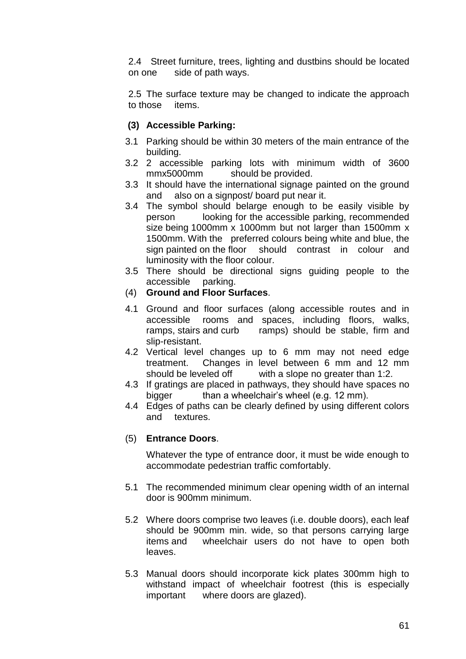2.4 Street furniture, trees, lighting and dustbins should be located on one side of path ways.

2.5 The surface texture may be changed to indicate the approach to those items.

# **(3) Accessible Parking:**

- 3.1 Parking should be within 30 meters of the main entrance of the building.
- 3.2 2 accessible parking lots with minimum width of 3600 mmx5000mm should be provided.
- 3.3 It should have the international signage painted on the ground and also on a signpost/ board put near it.
- 3.4 The symbol should belarge enough to be easily visible by person looking for the accessible parking, recommended size being 1000mm x 1000mm but not larger than 1500mm x 1500mm. With the preferred colours being white and blue, the sign painted on the floor should contrast in colour and luminosity with the floor colour.
- 3.5 There should be directional signs guiding people to the accessible parking.
- (4) **Ground and Floor Surfaces**.
- 4.1 Ground and floor surfaces (along accessible routes and in accessible rooms and spaces, including floors, walks, ramps, stairs and curb ramps) should be stable, firm and slip-resistant.
- 4.2 Vertical level changes up to 6 mm may not need edge treatment. Changes in level between 6 mm and 12 mm should be leveled off with a slope no greater than 1:2.
- 4.3 If gratings are placed in pathways, they should have spaces no bigger than a wheelchair's wheel (e.g. 12 mm).
- 4.4 Edges of paths can be clearly defined by using different colors and textures.

## (5) **Entrance Doors**.

Whatever the type of entrance door, it must be wide enough to accommodate pedestrian traffic comfortably.

- 5.1 The recommended minimum clear opening width of an internal door is 900mm minimum.
- 5.2 Where doors comprise two leaves (i.e. double doors), each leaf should be 900mm min. wide, so that persons carrying large items and wheelchair users do not have to open both leaves.
- 5.3 Manual doors should incorporate kick plates 300mm high to withstand impact of wheelchair footrest (this is especially important where doors are glazed).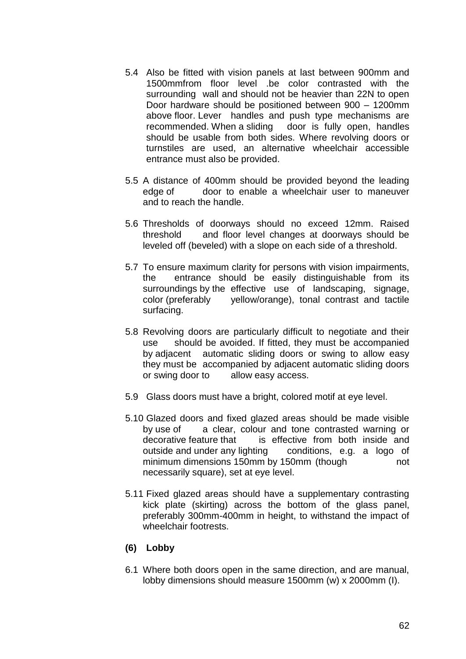- 5.4 Also be fitted with vision panels at last between 900mm and 1500mmfrom floor level .be color contrasted with the surrounding wall and should not be heavier than 22N to open Door hardware should be positioned between 900 – 1200mm above floor. Lever handles and push type mechanisms are recommended. When a sliding door is fully open, handles should be usable from both sides. Where revolving doors or turnstiles are used, an alternative wheelchair accessible entrance must also be provided.
- 5.5 A distance of 400mm should be provided beyond the leading edge of door to enable a wheelchair user to maneuver and to reach the handle.
- 5.6 Thresholds of doorways should no exceed 12mm. Raised threshold and floor level changes at doorways should be leveled off (beveled) with a slope on each side of a threshold.
- 5.7 To ensure maximum clarity for persons with vision impairments, the entrance should be easily distinguishable from its surroundings by the effective use of landscaping, signage, color (preferably yellow/orange), tonal contrast and tactile surfacing.
- 5.8 Revolving doors are particularly difficult to negotiate and their use should be avoided. If fitted, they must be accompanied by adjacent automatic sliding doors or swing to allow easy they must be accompanied by adjacent automatic sliding doors or swing door to allow easy access.
- 5.9 Glass doors must have a bright, colored motif at eye level.
- 5.10 Glazed doors and fixed glazed areas should be made visible by use of a clear, colour and tone contrasted warning or decorative feature that is effective from both inside and outside and under any lighting conditions, e.g. a logo of minimum dimensions 150mm by 150mm (though not necessarily square), set at eye level.
- 5.11 Fixed glazed areas should have a supplementary contrasting kick plate (skirting) across the bottom of the glass panel, preferably 300mm-400mm in height, to withstand the impact of wheelchair footrests.

## **(6) Lobby**

6.1 Where both doors open in the same direction, and are manual, lobby dimensions should measure 1500mm (w) x 2000mm (I).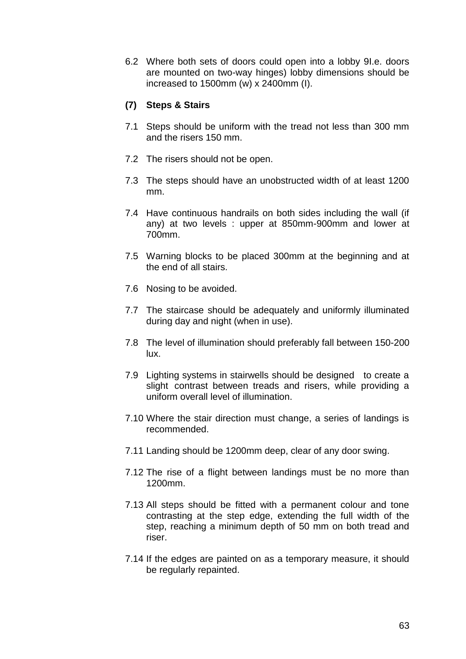6.2 Where both sets of doors could open into a lobby 9I.e. doors are mounted on two-way hinges) lobby dimensions should be increased to 1500mm (w) x 2400mm (I).

# **(7) Steps & Stairs**

- 7.1 Steps should be uniform with the tread not less than 300 mm and the risers 150 mm.
- 7.2 The risers should not be open.
- 7.3 The steps should have an unobstructed width of at least 1200 mm.
- 7.4 Have continuous handrails on both sides including the wall (if any) at two levels : upper at 850mm-900mm and lower at 700mm.
- 7.5 Warning blocks to be placed 300mm at the beginning and at the end of all stairs.
- 7.6 Nosing to be avoided.
- 7.7 The staircase should be adequately and uniformly illuminated during day and night (when in use).
- 7.8 The level of illumination should preferably fall between 150-200 lux.
- 7.9 Lighting systems in stairwells should be designed to create a slight contrast between treads and risers, while providing a uniform overall level of illumination.
- 7.10 Where the stair direction must change, a series of landings is recommended.
- 7.11 Landing should be 1200mm deep, clear of any door swing.
- 7.12 The rise of a flight between landings must be no more than 1200mm.
- 7.13 All steps should be fitted with a permanent colour and tone contrasting at the step edge, extending the full width of the step, reaching a minimum depth of 50 mm on both tread and riser.
- 7.14 If the edges are painted on as a temporary measure, it should be regularly repainted.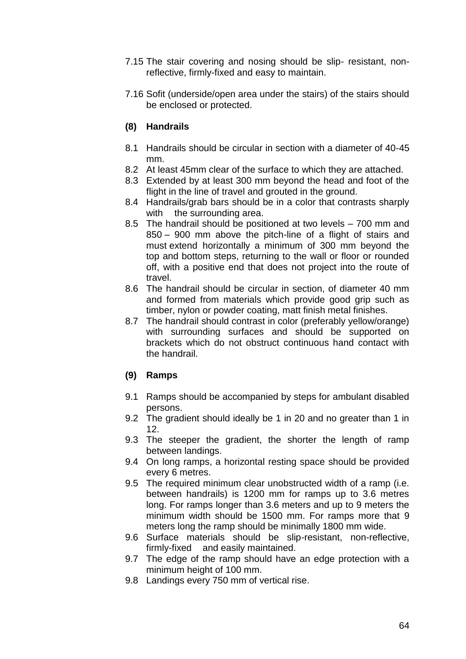- 7.15 The stair covering and nosing should be slip- resistant, nonreflective, firmly-fixed and easy to maintain.
- 7.16 Sofit (underside/open area under the stairs) of the stairs should be enclosed or protected.

# **(8) Handrails**

- 8.1 Handrails should be circular in section with a diameter of 40-45 mm.
- 8.2 At least 45mm clear of the surface to which they are attached.
- 8.3 Extended by at least 300 mm beyond the head and foot of the flight in the line of travel and grouted in the ground.
- 8.4 Handrails/grab bars should be in a color that contrasts sharply with the surrounding area.
- 8.5 The handrail should be positioned at two levels 700 mm and 850 – 900 mm above the pitch-line of a flight of stairs and must extend horizontally a minimum of 300 mm beyond the top and bottom steps, returning to the wall or floor or rounded off, with a positive end that does not project into the route of travel.
- 8.6 The handrail should be circular in section, of diameter 40 mm and formed from materials which provide good grip such as timber, nylon or powder coating, matt finish metal finishes.
- 8.7 The handrail should contrast in color (preferably yellow/orange) with surrounding surfaces and should be supported on brackets which do not obstruct continuous hand contact with the handrail.

## **(9) Ramps**

- 9.1 Ramps should be accompanied by steps for ambulant disabled persons.
- 9.2 The gradient should ideally be 1 in 20 and no greater than 1 in 12.
- 9.3 The steeper the gradient, the shorter the length of ramp between landings.
- 9.4 On long ramps, a horizontal resting space should be provided every 6 metres.
- 9.5 The required minimum clear unobstructed width of a ramp (i.e. between handrails) is 1200 mm for ramps up to 3.6 metres long. For ramps longer than 3.6 meters and up to 9 meters the minimum width should be 1500 mm. For ramps more that 9 meters long the ramp should be minimally 1800 mm wide.
- 9.6 Surface materials should be slip-resistant, non-reflective, firmly-fixed and easily maintained.
- 9.7 The edge of the ramp should have an edge protection with a minimum height of 100 mm.
- 9.8 Landings every 750 mm of vertical rise.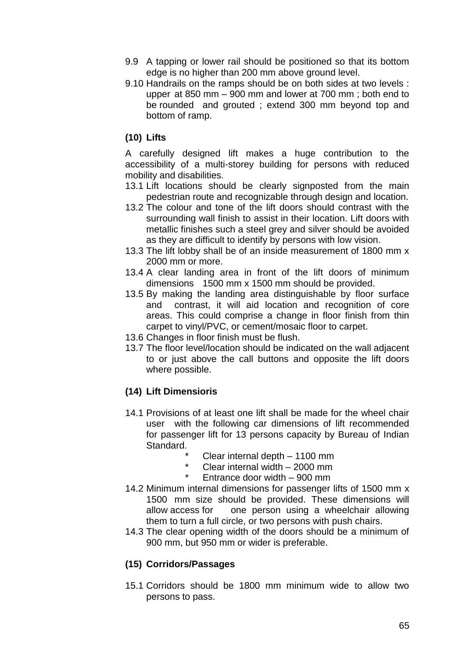- 9.9 A tapping or lower rail should be positioned so that its bottom edge is no higher than 200 mm above ground level.
- 9.10 Handrails on the ramps should be on both sides at two levels : upper at 850 mm – 900 mm and lower at 700 mm ; both end to be rounded and grouted ; extend 300 mm beyond top and bottom of ramp.

# **(10) Lifts**

A carefully designed lift makes a huge contribution to the accessibility of a multi-storey building for persons with reduced mobility and disabilities.

- 13.1 Lift locations should be clearly signposted from the main pedestrian route and recognizable through design and location.
- 13.2 The colour and tone of the lift doors should contrast with the surrounding wall finish to assist in their location. Lift doors with metallic finishes such a steel grey and silver should be avoided as they are difficult to identify by persons with low vision.
- 13.3 The lift lobby shall be of an inside measurement of 1800 mm x 2000 mm or more.
- 13.4 A clear landing area in front of the lift doors of minimum dimensions 1500 mm x 1500 mm should be provided.
- 13.5 By making the landing area distinguishable by floor surface and contrast, it will aid location and recognition of core areas. This could comprise a change in floor finish from thin carpet to vinyl/PVC, or cement/mosaic floor to carpet.
- 13.6 Changes in floor finish must be flush.
- 13.7 The floor level/location should be indicated on the wall adjacent to or just above the call buttons and opposite the lift doors where possible.

# **(14) Lift Dimensioris**

- 14.1 Provisions of at least one lift shall be made for the wheel chair user with the following car dimensions of lift recommended for passenger lift for 13 persons capacity by Bureau of Indian Standard.
	- \* Clear internal depth  $-1100$  mm<br> $*$  Clear internal width  $-2000$  mm
	- Clear internal width  $2000$  mm
	- Entrance door width  $-$  900 mm
- 14.2 Minimum internal dimensions for passenger lifts of 1500 mm x 1500 mm size should be provided. These dimensions will allow access for one person using a wheelchair allowing them to turn a full circle, or two persons with push chairs.
- 14.3 The clear opening width of the doors should be a minimum of 900 mm, but 950 mm or wider is preferable.

## **(15) Corridors/Passages**

15.1 Corridors should be 1800 mm minimum wide to allow two persons to pass.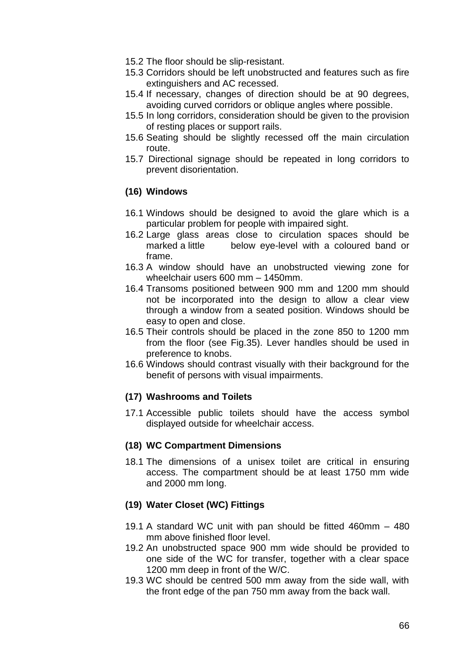- 15.2 The floor should be slip-resistant.
- 15.3 Corridors should be left unobstructed and features such as fire extinguishers and AC recessed.
- 15.4 If necessary, changes of direction should be at 90 degrees, avoiding curved corridors or oblique angles where possible.
- 15.5 In long corridors, consideration should be given to the provision of resting places or support rails.
- 15.6 Seating should be slightly recessed off the main circulation route.
- 15.7 Directional signage should be repeated in long corridors to prevent disorientation.

# **(16) Windows**

- 16.1 Windows should be designed to avoid the glare which is a particular problem for people with impaired sight.
- 16.2 Large glass areas close to circulation spaces should be marked a little below eye-level with a coloured band or frame.
- 16.3 A window should have an unobstructed viewing zone for wheelchair users 600 mm – 1450mm.
- 16.4 Transoms positioned between 900 mm and 1200 mm should not be incorporated into the design to allow a clear view through a window from a seated position. Windows should be easy to open and close.
- 16.5 Their controls should be placed in the zone 850 to 1200 mm from the floor (see Fig.35). Lever handles should be used in preference to knobs.
- 16.6 Windows should contrast visually with their background for the benefit of persons with visual impairments.

## **(17) Washrooms and Toilets**

17.1 Accessible public toilets should have the access symbol displayed outside for wheelchair access.

#### **(18) WC Compartment Dimensions**

18.1 The dimensions of a unisex toilet are critical in ensuring access. The compartment should be at least 1750 mm wide and 2000 mm long.

## **(19) Water Closet (WC) Fittings**

- 19.1 A standard WC unit with pan should be fitted 460mm 480 mm above finished floor level.
- 19.2 An unobstructed space 900 mm wide should be provided to one side of the WC for transfer, together with a clear space 1200 mm deep in front of the W/C.
- 19.3 WC should be centred 500 mm away from the side wall, with the front edge of the pan 750 mm away from the back wall.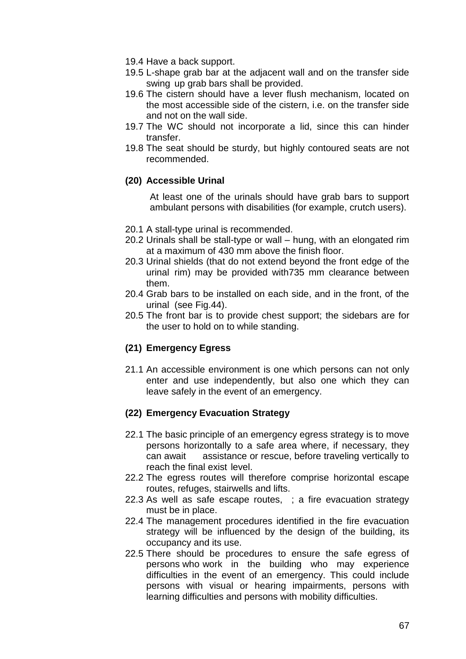- 19.4 Have a back support.
- 19.5 L-shape grab bar at the adjacent wall and on the transfer side swing up grab bars shall be provided.
- 19.6 The cistern should have a lever flush mechanism, located on the most accessible side of the cistern, i.e. on the transfer side and not on the wall side.
- 19.7 The WC should not incorporate a lid, since this can hinder transfer.
- 19.8 The seat should be sturdy, but highly contoured seats are not recommended.

# **(20) Accessible Urinal**

At least one of the urinals should have grab bars to support ambulant persons with disabilities (for example, crutch users).

- 20.1 A stall-type urinal is recommended.
- 20.2 Urinals shall be stall-type or wall hung, with an elongated rim at a maximum of 430 mm above the finish floor.
- 20.3 Urinal shields (that do not extend beyond the front edge of the urinal rim) may be provided with735 mm clearance between them.
- 20.4 Grab bars to be installed on each side, and in the front, of the urinal (see Fig.44).
- 20.5 The front bar is to provide chest support; the sidebars are for the user to hold on to while standing.

# **(21) Emergency Egress**

21.1 An accessible environment is one which persons can not only enter and use independently, but also one which they can leave safely in the event of an emergency.

## **(22) Emergency Evacuation Strategy**

- 22.1 The basic principle of an emergency egress strategy is to move persons horizontally to a safe area where, if necessary, they can await assistance or rescue, before traveling vertically to reach the final exist level.
- 22.2 The egress routes will therefore comprise horizontal escape routes, refuges, stairwells and lifts.
- 22.3 As well as safe escape routes, ; a fire evacuation strategy must be in place.
- 22.4 The management procedures identified in the fire evacuation strategy will be influenced by the design of the building, its occupancy and its use.
- 22.5 There should be procedures to ensure the safe egress of persons who work in the building who may experience difficulties in the event of an emergency. This could include persons with visual or hearing impairments, persons with learning difficulties and persons with mobility difficulties.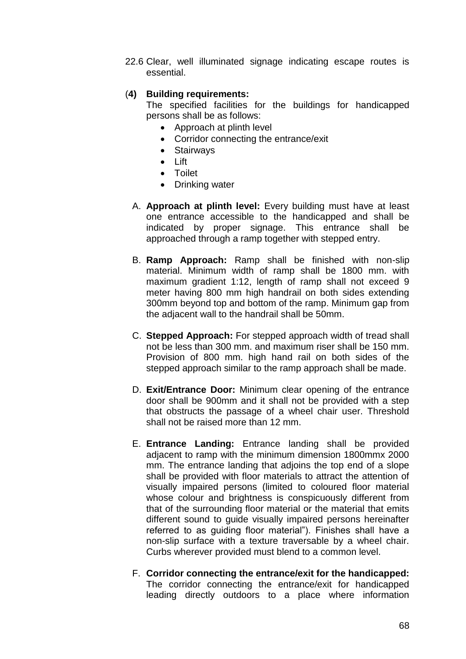22.6 Clear, well illuminated signage indicating escape routes is essential.

# (**4) Building requirements:**

The specified facilities for the buildings for handicapped persons shall be as follows:

- Approach at plinth level
- Corridor connecting the entrance/exit
- Stairways
- Lift
- Toilet
- Drinking water
- A. **Approach at plinth level:** Every building must have at least one entrance accessible to the handicapped and shall be indicated by proper signage. This entrance shall be approached through a ramp together with stepped entry.
- B. **Ramp Approach:** Ramp shall be finished with non-slip material. Minimum width of ramp shall be 1800 mm. with maximum gradient 1:12, length of ramp shall not exceed 9 meter having 800 mm high handrail on both sides extending 300mm beyond top and bottom of the ramp. Minimum gap from the adjacent wall to the handrail shall be 50mm.
- C. **Stepped Approach:** For stepped approach width of tread shall not be less than 300 mm. and maximum riser shall be 150 mm. Provision of 800 mm. high hand rail on both sides of the stepped approach similar to the ramp approach shall be made.
- D. **Exit/Entrance Door:** Minimum clear opening of the entrance door shall be 900mm and it shall not be provided with a step that obstructs the passage of a wheel chair user. Threshold shall not be raised more than 12 mm.
- E. **Entrance Landing:** Entrance landing shall be provided adjacent to ramp with the minimum dimension 1800mmx 2000 mm. The entrance landing that adjoins the top end of a slope shall be provided with floor materials to attract the attention of visually impaired persons (limited to coloured floor material whose colour and brightness is conspicuously different from that of the surrounding floor material or the material that emits different sound to guide visually impaired persons hereinafter referred to as guiding floor material"). Finishes shall have a non-slip surface with a texture traversable by a wheel chair. Curbs wherever provided must blend to a common level.
- F. **Corridor connecting the entrance/exit for the handicapped:** The corridor connecting the entrance/exit for handicapped leading directly outdoors to a place where information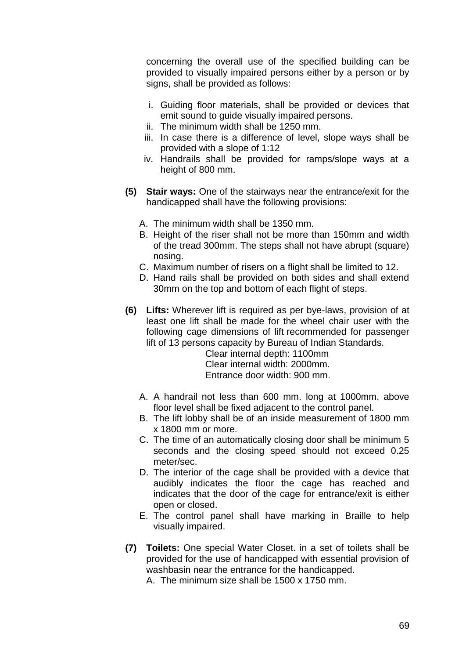concerning the overall use of the specified building can be provided to visually impaired persons either by a person or by signs, shall be provided as follows:

- i. Guiding floor materials, shall be provided or devices that emit sound to guide visually impaired persons.
- ii. The minimum width shall be 1250 mm.
- iii. In case there is a difference of level, slope ways shall be provided with a slope of 1:12
- iv. Handrails shall be provided for ramps/slope ways at a height of 800 mm.
- **(5) Stair ways:** One of the stairways near the entrance/exit for the handicapped shall have the following provisions:
	- A. The minimum width shall be 1350 mm.
	- B. Height of the riser shall not be more than 150mm and width of the tread 300mm. The steps shall not have abrupt (square) nosing.
	- C. Maximum number of risers on a flight shall be limited to 12.
	- D. Hand rails shall be provided on both sides and shall extend 30mm on the top and bottom of each flight of steps.
- **(6) Lifts:** Wherever lift is required as per bye-laws, provision of at least one lift shall be made for the wheel chair user with the following cage dimensions of lift recommended for passenger lift of 13 persons capacity by Bureau of Indian Standards.

 Clear internal depth: 1100mm Clear internal width: 2000mm. Entrance door width: 900 mm.

- A. A handrail not less than 600 mm. long at 1000mm. above floor level shall be fixed adjacent to the control panel.
- B. The lift lobby shall be of an inside measurement of 1800 mm x 1800 mm or more.
- C. The time of an automatically closing door shall be minimum 5 seconds and the closing speed should not exceed 0.25 meter/sec.
- D. The interior of the cage shall be provided with a device that audibly indicates the floor the cage has reached and indicates that the door of the cage for entrance/exit is either open or closed.
- E. The control panel shall have marking in Braille to help visually impaired.
- **(7) Toilets:** One special Water Closet. in a set of toilets shall be provided for the use of handicapped with essential provision of washbasin near the entrance for the handicapped.

A. The minimum size shall be 1500 x 1750 mm.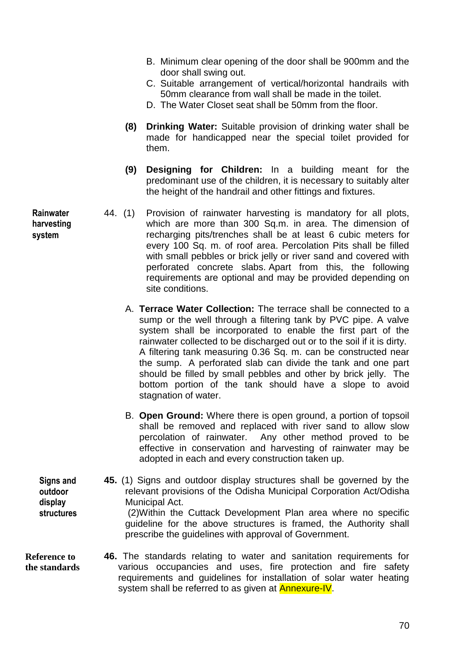- B. Minimum clear opening of the door shall be 900mm and the door shall swing out.
- C. Suitable arrangement of vertical/horizontal handrails with 50mm clearance from wall shall be made in the toilet.
- D. The Water Closet seat shall be 50mm from the floor.
- **(8) Drinking Water:** Suitable provision of drinking water shall be made for handicapped near the special toilet provided for them.
- **(9) Designing for Children:** In a building meant for the predominant use of the children, it is necessary to suitably alter the height of the handrail and other fittings and fixtures.
- 44. (1) Provision of rainwater harvesting is mandatory for all plots, which are more than 300 Sq.m. in area. The dimension of recharging pits/trenches shall be at least 6 cubic meters for every 100 Sq. m. of roof area. Percolation Pits shall be filled with small pebbles or brick jelly or river sand and covered with perforated concrete slabs. Apart from this, the following requirements are optional and may be provided depending on site conditions.
	- A. **Terrace Water Collection:** The terrace shall be connected to a sump or the well through a filtering tank by PVC pipe. A valve system shall be incorporated to enable the first part of the rainwater collected to be discharged out or to the soil if it is dirty. A filtering tank measuring 0.36 Sq. m. can be constructed near the sump. A perforated slab can divide the tank and one part should be filled by small pebbles and other by brick jelly. The bottom portion of the tank should have a slope to avoid stagnation of water.
	- B. **Open Ground:** Where there is open ground, a portion of topsoil shall be removed and replaced with river sand to allow slow percolation of rainwater. Any other method proved to be effective in conservation and harvesting of rainwater may be adopted in each and every construction taken up.

**45.** (1) Signs and outdoor display structures shall be governed by the relevant provisions of the Odisha Municipal Corporation Act/Odisha Municipal Act. (2)Within the Cuttack Development Plan area where no specific **Signs and outdoor display structures**

guideline for the above structures is framed, the Authority shall prescribe the guidelines with approval of Government.

**46.** The standards relating to water and sanitation requirements for various occupancies and uses, fire protection and fire safety requirements and guidelines for installation of solar water heating system shall be referred to as given at **Annexure-IV**. **Reference to the standards Reference to** 

**Rainwater harvesting system**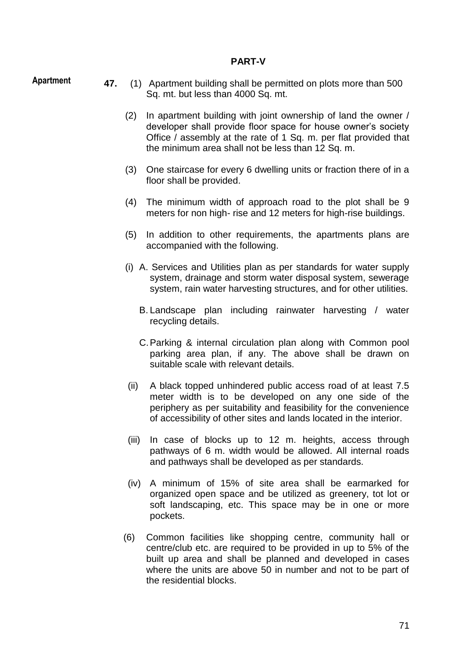#### **PART-V**

**Apartment**

- **47.** (1) Apartment building shall be permitted on plots more than 500 Sq. mt. but less than 4000 Sq. mt.
	- (2) In apartment building with joint ownership of land the owner / developer shall provide floor space for house owner"s society Office / assembly at the rate of 1 Sq. m. per flat provided that the minimum area shall not be less than 12 Sq. m.
	- (3) One staircase for every 6 dwelling units or fraction there of in a floor shall be provided.
	- (4) The minimum width of approach road to the plot shall be 9 meters for non high- rise and 12 meters for high-rise buildings.
	- (5) In addition to other requirements, the apartments plans are accompanied with the following.
	- (i) A. Services and Utilities plan as per standards for water supply system, drainage and storm water disposal system, sewerage system, rain water harvesting structures, and for other utilities.
		- B. Landscape plan including rainwater harvesting / water recycling details.
		- C.Parking & internal circulation plan along with Common pool parking area plan, if any. The above shall be drawn on suitable scale with relevant details.
	- (ii) A black topped unhindered public access road of at least 7.5 meter width is to be developed on any one side of the periphery as per suitability and feasibility for the convenience of accessibility of other sites and lands located in the interior.
	- (iii) In case of blocks up to 12 m. heights, access through pathways of 6 m. width would be allowed. All internal roads and pathways shall be developed as per standards.
	- (iv) A minimum of 15% of site area shall be earmarked for organized open space and be utilized as greenery, tot lot or soft landscaping, etc. This space may be in one or more pockets.
	- (6) Common facilities like shopping centre, community hall or centre/club etc. are required to be provided in up to 5% of the built up area and shall be planned and developed in cases where the units are above 50 in number and not to be part of the residential blocks.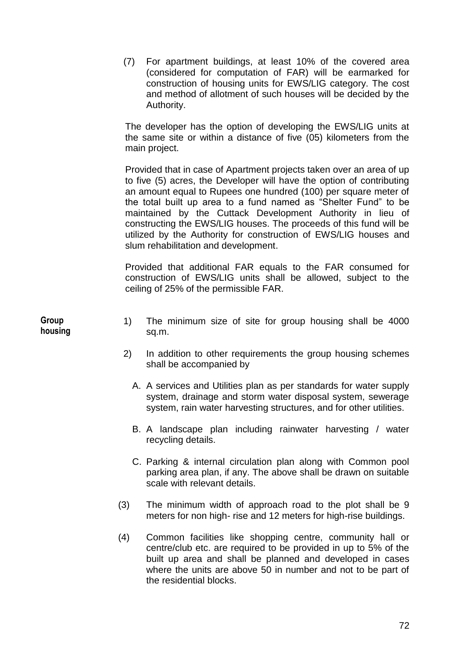(7) For apartment buildings, at least 10% of the covered area (considered for computation of FAR) will be earmarked for construction of housing units for EWS/LIG category. The cost and method of allotment of such houses will be decided by the Authority.

The developer has the option of developing the EWS/LIG units at the same site or within a distance of five (05) kilometers from the main project.

Provided that in case of Apartment projects taken over an area of up to five (5) acres, the Developer will have the option of contributing an amount equal to Rupees one hundred (100) per square meter of the total built up area to a fund named as "Shelter Fund" to be maintained by the Cuttack Development Authority in lieu of constructing the EWS/LIG houses. The proceeds of this fund will be utilized by the Authority for construction of EWS/LIG houses and slum rehabilitation and development.

Provided that additional FAR equals to the FAR consumed for construction of EWS/LIG units shall be allowed, subject to the ceiling of 25% of the permissible FAR.

**Group housing**

- 1) The minimum size of site for group housing shall be 4000 sq.m.
- 2) In addition to other requirements the group housing schemes shall be accompanied by
	- A. A services and Utilities plan as per standards for water supply system, drainage and storm water disposal system, sewerage system, rain water harvesting structures, and for other utilities.
	- B. A landscape plan including rainwater harvesting / water recycling details.
	- C. Parking & internal circulation plan along with Common pool parking area plan, if any. The above shall be drawn on suitable scale with relevant details.
- (3) The minimum width of approach road to the plot shall be 9 meters for non high- rise and 12 meters for high-rise buildings.
- (4) Common facilities like shopping centre, community hall or centre/club etc. are required to be provided in up to 5% of the built up area and shall be planned and developed in cases where the units are above 50 in number and not to be part of the residential blocks.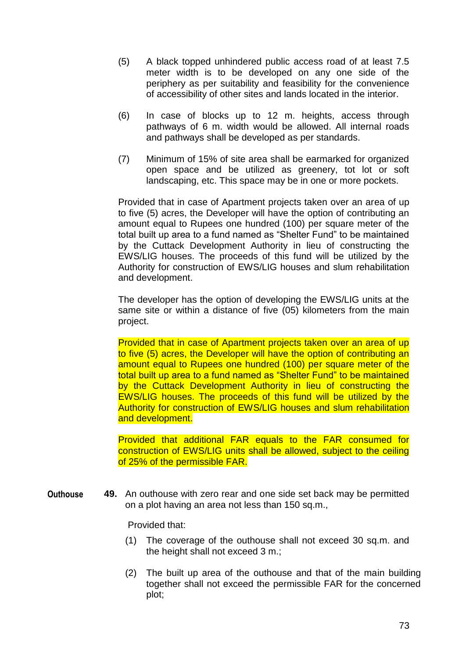- (5) A black topped unhindered public access road of at least 7.5 meter width is to be developed on any one side of the periphery as per suitability and feasibility for the convenience of accessibility of other sites and lands located in the interior.
- (6) In case of blocks up to 12 m. heights, access through pathways of 6 m. width would be allowed. All internal roads and pathways shall be developed as per standards.
- (7) Minimum of 15% of site area shall be earmarked for organized open space and be utilized as greenery, tot lot or soft landscaping, etc. This space may be in one or more pockets.

Provided that in case of Apartment projects taken over an area of up to five (5) acres, the Developer will have the option of contributing an amount equal to Rupees one hundred (100) per square meter of the total built up area to a fund named as "Shelter Fund" to be maintained by the Cuttack Development Authority in lieu of constructing the EWS/LIG houses. The proceeds of this fund will be utilized by the Authority for construction of EWS/LIG houses and slum rehabilitation and development.

The developer has the option of developing the EWS/LIG units at the same site or within a distance of five (05) kilometers from the main project.

Provided that in case of Apartment projects taken over an area of up to five (5) acres, the Developer will have the option of contributing an amount equal to Rupees one hundred (100) per square meter of the total built up area to a fund named as "Shelter Fund" to be maintained by the Cuttack Development Authority in lieu of constructing the EWS/LIG houses. The proceeds of this fund will be utilized by the Authority for construction of EWS/LIG houses and slum rehabilitation and development.

Provided that additional FAR equals to the FAR consumed for construction of EWS/LIG units shall be allowed, subject to the ceiling of 25% of the permissible FAR.

**49.** An outhouse with zero rear and one side set back may be permitted on a plot having an area not less than 150 sq.m., **Outhouse**

Provided that:

- (1) The coverage of the outhouse shall not exceed 30 sq.m. and the height shall not exceed 3 m.;
- (2) The built up area of the outhouse and that of the main building together shall not exceed the permissible FAR for the concerned plot;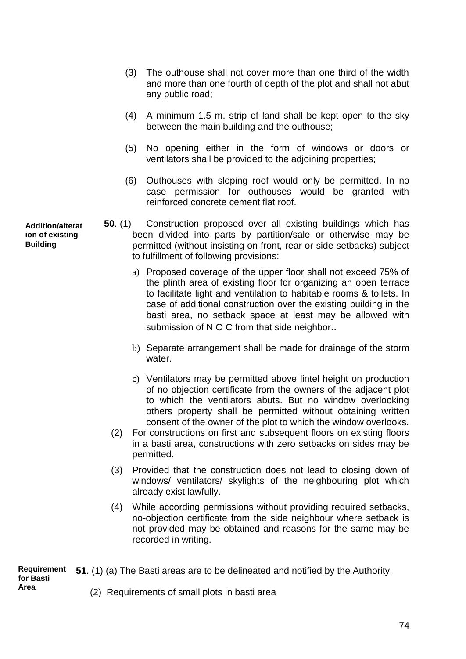- (3) The outhouse shall not cover more than one third of the width and more than one fourth of depth of the plot and shall not abut any public road;
- (4) A minimum 1.5 m. strip of land shall be kept open to the sky between the main building and the outhouse;
- (5) No opening either in the form of windows or doors or ventilators shall be provided to the adjoining properties;
- (6) Outhouses with sloping roof would only be permitted. In no case permission for outhouses would be granted with reinforced concrete cement flat roof.
- **50**. (1) Construction proposed over all existing buildings which has been divided into parts by partition/sale or otherwise may be permitted (without insisting on front, rear or side setbacks) subject to fulfillment of following provisions:
	- a) Proposed coverage of the upper floor shall not exceed 75% of the plinth area of existing floor for organizing an open terrace to facilitate light and ventilation to habitable rooms & toilets. In case of additional construction over the existing building in the basti area, no setback space at least may be allowed with submission of N O C from that side neighbor..
	- b) Separate arrangement shall be made for drainage of the storm water.
	- c) Ventilators may be permitted above lintel height on production of no objection certificate from the owners of the adjacent plot to which the ventilators abuts. But no window overlooking others property shall be permitted without obtaining written consent of the owner of the plot to which the window overlooks.
	- (2) For constructions on first and subsequent floors on existing floors in a basti area, constructions with zero setbacks on sides may be permitted.
	- (3) Provided that the construction does not lead to closing down of windows/ ventilators/ skylights of the neighbouring plot which already exist lawfully.
	- (4) While according permissions without providing required setbacks, no-objection certificate from the side neighbour where setback is not provided may be obtained and reasons for the same may be recorded in writing.

**51**. (1) (a) The Basti areas are to be delineated and notified by the Authority. (2) Requirements of small plots in basti area **Requirement for Basti Area**

**Addition/alterat ion of existing Building**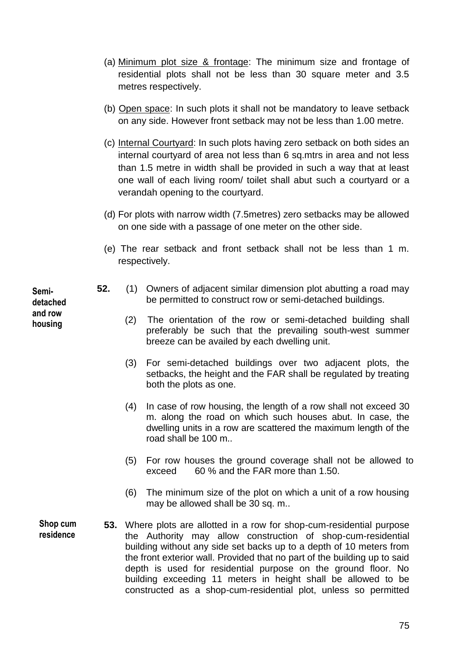- (a) Minimum plot size & frontage: The minimum size and frontage of residential plots shall not be less than 30 square meter and 3.5 metres respectively.
- (b) Open space: In such plots it shall not be mandatory to leave setback on any side. However front setback may not be less than 1.00 metre.
- (c) Internal Courtyard: In such plots having zero setback on both sides an internal courtyard of area not less than 6 sq.mtrs in area and not less than 1.5 metre in width shall be provided in such a way that at least one wall of each living room/ toilet shall abut such a courtyard or a verandah opening to the courtyard.
- (d) For plots with narrow width (7.5metres) zero setbacks may be allowed on one side with a passage of one meter on the other side.
- (e) The rear setback and front setback shall not be less than 1 m. respectively.
- **52.** (1) Owners of adjacent similar dimension plot abutting a road may be permitted to construct row or semi-detached buildings.
	- (2) The orientation of the row or semi-detached building shall preferably be such that the prevailing south-west summer breeze can be availed by each dwelling unit.
	- (3) For semi-detached buildings over two adjacent plots, the setbacks, the height and the FAR shall be regulated by treating both the plots as one.
	- (4) In case of row housing, the length of a row shall not exceed 30 m. along the road on which such houses abut. In case, the dwelling units in a row are scattered the maximum length of the road shall be 100 m..
	- (5) For row houses the ground coverage shall not be allowed to exceed 60 % and the FAR more than 1.50.
	- (6) The minimum size of the plot on which a unit of a row housing may be allowed shall be 30 sq. m..
- **53.** Where plots are allotted in a row for shop-cum-residential purpose the Authority may allow construction of shop-cum-residential building without any side set backs up to a depth of 10 meters from the front exterior wall. Provided that no part of the building up to said depth is used for residential purpose on the ground floor. No building exceeding 11 meters in height shall be allowed to be constructed as a shop-cum-residential plot, unless so permitted **Shop cum residence**

**Semidetached and row housing**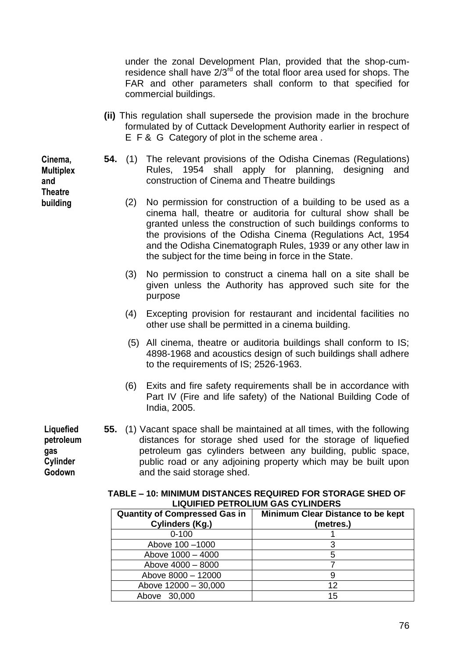under the zonal Development Plan, provided that the shop-cumresidence shall have 2/3<sup>rd</sup> of the total floor area used for shops. The FAR and other parameters shall conform to that specified for commercial buildings.

- **(ii)** This regulation shall supersede the provision made in the brochure formulated by of Cuttack Development Authority earlier in respect of E F & G Category of plot in the scheme area .
- **54.** (1) The relevant provisions of the Odisha Cinemas (Regulations) Rules, 1954 shall apply for planning, designing and construction of Cinema and Theatre buildings
	- (2) No permission for construction of a building to be used as a cinema hall, theatre or auditoria for cultural show shall be granted unless the construction of such buildings conforms to the provisions of the Odisha Cinema (Regulations Act, 1954 and the Odisha Cinematograph Rules, 1939 or any other law in the subject for the time being in force in the State.
	- (3) No permission to construct a cinema hall on a site shall be given unless the Authority has approved such site for the purpose
	- (4) Excepting provision for restaurant and incidental facilities no other use shall be permitted in a cinema building.
	- (5) All cinema, theatre or auditoria buildings shall conform to IS; 4898-1968 and acoustics design of such buildings shall adhere to the requirements of IS; 2526-1963.
	- (6) Exits and fire safety requirements shall be in accordance with Part IV (Fire and life safety) of the National Building Code of India, 2005.
- **55.** (1) Vacant space shall be maintained at all times, with the following distances for storage shed used for the storage of liquefied petroleum gas cylinders between any building, public space, public road or any adjoining property which may be built upon and the said storage shed.

| LIGON ILD I LINOLIONI OAO OT LINDLINO |                                   |  |  |  |
|---------------------------------------|-----------------------------------|--|--|--|
| <b>Quantity of Compressed Gas in</b>  | Minimum Clear Distance to be kept |  |  |  |
| Cylinders (Kg.)                       | (metres.)                         |  |  |  |
| $0 - 100$                             |                                   |  |  |  |
| Above 100 - 1000                      |                                   |  |  |  |
| Above 1000 - 4000                     |                                   |  |  |  |
| Above 4000 - 8000                     |                                   |  |  |  |
| Above 8000 - 12000                    |                                   |  |  |  |
| Above 12000 - 30,000                  | 12                                |  |  |  |
| Above 30,000                          | 15                                |  |  |  |

**TABLE – 10: MINIMUM DISTANCES REQUIRED FOR STORAGE SHED OF LIQUIFIED PETROLIUM GAS CYLINDERS**

**Cinema, Multiplex and Theatre building**

**Liquefied petroleum** 

**gas Cylinder Godown** 

76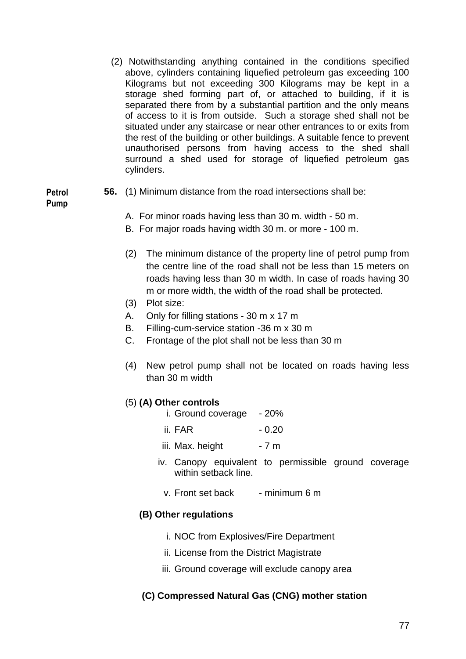(2) Notwithstanding anything contained in the conditions specified above, cylinders containing liquefied petroleum gas exceeding 100 Kilograms but not exceeding 300 Kilograms may be kept in a storage shed forming part of, or attached to building, if it is separated there from by a substantial partition and the only means of access to it is from outside. Such a storage shed shall not be situated under any staircase or near other entrances to or exits from the rest of the building or other buildings. A suitable fence to prevent unauthorised persons from having access to the shed shall surround a shed used for storage of liquefied petroleum gas cylinders.

**Petrol Pump**

- **56.** (1) Minimum distance from the road intersections shall be:
	- A. For minor roads having less than 30 m. width 50 m.
	- B. For major roads having width 30 m. or more 100 m.
	- (2) The minimum distance of the property line of petrol pump from the centre line of the road shall not be less than 15 meters on roads having less than 30 m width. In case of roads having 30 m or more width, the width of the road shall be protected.
	- (3) Plot size:
	- A. Only for filling stations 30 m x 17 m
	- B. Filling-cum-service station -36 m x 30 m
	- C. Frontage of the plot shall not be less than 30 m
	- (4) New petrol pump shall not be located on roads having less than 30 m width

### (5) **(A) Other controls**

- i. Ground coverage 20%
- ii. FAR 0.20
- iii. Max. height  $-7 m$
- iv. Canopy equivalent to permissible ground coverage within setback line.
	- v. Front set back  $\blacksquare$  minimum 6 m

### **(B) Other regulations**

- i. NOC from Explosives/Fire Department
- ii. License from the District Magistrate
- iii. Ground coverage will exclude canopy area

### **(C) Compressed Natural Gas (CNG) mother station**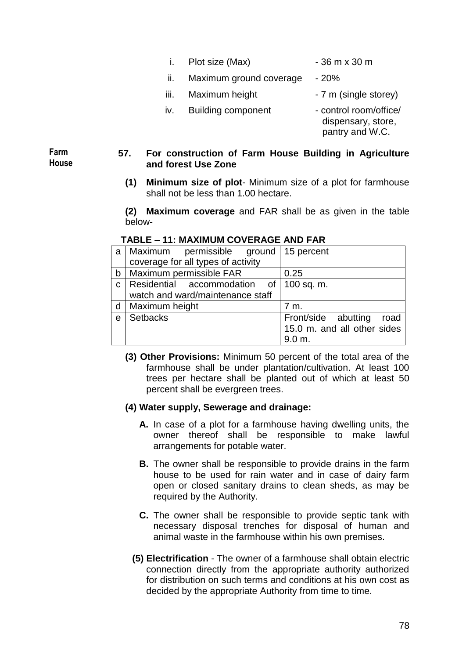- i. Plot size  $(Max)$  36 m x 30 m
	-
- ii. Maximum ground coverage 20%
- $iii.$  Maximum height  $-7$  m (single storey)
- iv. Building component control room/office/
	- dispensary, store, pantry and W.C.

**Farm House**

### **57. For construction of Farm House Building in Agriculture and forest Use Zone**

**(1) Minimum size of plot**- Minimum size of a plot for farmhouse shall not be less than 1.00 hectare.

**(2) Maximum coverage** and FAR shall be as given in the table below-

| a            | Maximum<br>permissible ground   15 percent |                             |
|--------------|--------------------------------------------|-----------------------------|
|              | coverage for all types of activity         |                             |
| $\mathsf{b}$ | Maximum permissible FAR                    | 0.25                        |
| $\mathbf{C}$ | Residential accommodation of               | 100 sq. m.                  |
|              | watch and ward/maintenance staff           |                             |
| d            | Maximum height                             | 7 m.                        |
| $\mathbf e$  | <b>Setbacks</b>                            | Front/side abutting<br>road |
|              |                                            | 15.0 m. and all other sides |
|              |                                            | 9.0 m                       |

## **TABLE – 11: MAXIMUM COVERAGE AND FAR**

**(3) Other Provisions:** Minimum 50 percent of the total area of the farmhouse shall be under plantation/cultivation. At least 100 trees per hectare shall be planted out of which at least 50 percent shall be evergreen trees.

### **(4) Water supply, Sewerage and drainage:**

- **A.** In case of a plot for a farmhouse having dwelling units, the owner thereof shall be responsible to make lawful arrangements for potable water.
- **B.** The owner shall be responsible to provide drains in the farm house to be used for rain water and in case of dairy farm open or closed sanitary drains to clean sheds, as may be required by the Authority.
- **C.** The owner shall be responsible to provide septic tank with necessary disposal trenches for disposal of human and animal waste in the farmhouse within his own premises.
- **(5) Electrification** The owner of a farmhouse shall obtain electric connection directly from the appropriate authority authorized for distribution on such terms and conditions at his own cost as decided by the appropriate Authority from time to time.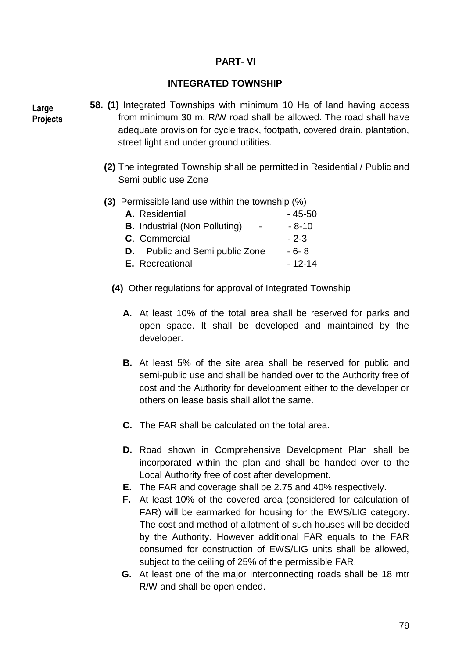## **PART- VI**

### **INTEGRATED TOWNSHIP**

**Large Projects**

- **58. (1)** Integrated Townships with minimum 10 Ha of land having access from minimum 30 m. R/W road shall be allowed. The road shall have adequate provision for cycle track, footpath, covered drain, plantation, street light and under ground utilities.
	- **(2)** The integrated Township shall be permitted in Residential / Public and Semi public use Zone

### **(3)** Permissible land use within the township (%)

| A. Residential                                                   | - 45-50    |
|------------------------------------------------------------------|------------|
| <b>B.</b> Industrial (Non Polluting)<br>$\overline{\phantom{0}}$ | - 8-10     |
| C. Commercial                                                    | $-2-3$     |
| <b>D.</b> Public and Semi public Zone                            | - 6- 8     |
| <b>E.</b> Recreational                                           | $-12 - 14$ |

- **(4)** Other regulations for approval of Integrated Township
	- **A.** At least 10% of the total area shall be reserved for parks and open space. It shall be developed and maintained by the developer.
	- **B.** At least 5% of the site area shall be reserved for public and semi-public use and shall be handed over to the Authority free of cost and the Authority for development either to the developer or others on lease basis shall allot the same.
	- **C.** The FAR shall be calculated on the total area.
	- **D.** Road shown in Comprehensive Development Plan shall be incorporated within the plan and shall be handed over to the Local Authority free of cost after development.
	- **E.** The FAR and coverage shall be 2.75 and 40% respectively.
	- **F.** At least 10% of the covered area (considered for calculation of FAR) will be earmarked for housing for the EWS/LIG category. The cost and method of allotment of such houses will be decided by the Authority. However additional FAR equals to the FAR consumed for construction of EWS/LIG units shall be allowed, subject to the ceiling of 25% of the permissible FAR.
	- **G.** At least one of the major interconnecting roads shall be 18 mtr R/W and shall be open ended.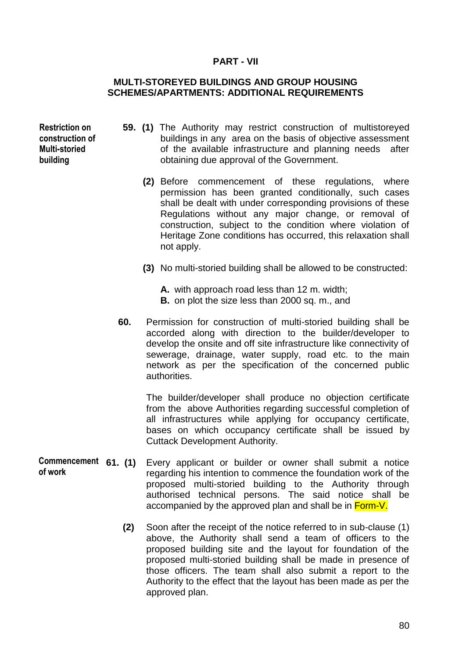### **PART - VII**

### **MULTI-STOREYED BUILDINGS AND GROUP HOUSING SCHEMES/APARTMENTS: ADDITIONAL REQUIREMENTS**

**Restriction on construction of Multi-storied building**

- **59. (1)** The Authority may restrict construction of multistoreyed buildings in any area on the basis of objective assessment of the available infrastructure and planning needs after obtaining due approval of the Government.
	- **(2)** Before commencement of these regulations, where permission has been granted conditionally, such cases shall be dealt with under corresponding provisions of these Regulations without any major change, or removal of construction, subject to the condition where violation of Heritage Zone conditions has occurred, this relaxation shall not apply.
	- **(3)** No multi-storied building shall be allowed to be constructed:
		- **A.** with approach road less than 12 m. width;
		- **B.** on plot the size less than 2000 sq. m., and
- **60.** Permission for construction of multi-storied building shall be accorded along with direction to the builder/developer to develop the onsite and off site infrastructure like connectivity of sewerage, drainage, water supply, road etc. to the main network as per the specification of the concerned public authorities.

The builder/developer shall produce no objection certificate from the above Authorities regarding successful completion of all infrastructures while applying for occupancy certificate, bases on which occupancy certificate shall be issued by Cuttack Development Authority.

- Every applicant or builder or owner shall submit a notice regarding his intention to commence the foundation work of the proposed multi-storied building to the Authority through authorised technical persons. The said notice shall be accompanied by the approved plan and shall be in Form-V. Commencement 61. (1) **of work**
	- **(2)** Soon after the receipt of the notice referred to in sub-clause (1) above, the Authority shall send a team of officers to the proposed building site and the layout for foundation of the proposed multi-storied building shall be made in presence of those officers. The team shall also submit a report to the Authority to the effect that the layout has been made as per the approved plan.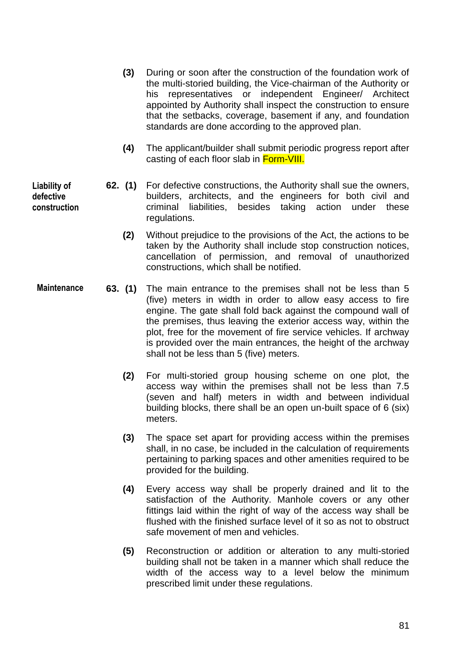- **(3)** During or soon after the construction of the foundation work of the multi-storied building, the Vice-chairman of the Authority or his representatives or independent Engineer/ Architect appointed by Authority shall inspect the construction to ensure that the setbacks, coverage, basement if any, and foundation standards are done according to the approved plan.
- **(4)** The applicant/builder shall submit periodic progress report after casting of each floor slab in Form-VIII.
- **62. (1)** For defective constructions, the Authority shall sue the owners, builders, architects, and the engineers for both civil and criminal liabilities, besides taking action under these regulations.
	- **(2)** Without prejudice to the provisions of the Act, the actions to be taken by the Authority shall include stop construction notices, cancellation of permission, and removal of unauthorized constructions, which shall be notified.
- **63. (1)** The main entrance to the premises shall not be less than 5 (five) meters in width in order to allow easy access to fire engine. The gate shall fold back against the compound wall of the premises, thus leaving the exterior access way, within the plot, free for the movement of fire service vehicles. If archway is provided over the main entrances, the height of the archway shall not be less than 5 (five) meters. **Maintenance**
	- **(2)** For multi-storied group housing scheme on one plot, the access way within the premises shall not be less than 7.5 (seven and half) meters in width and between individual building blocks, there shall be an open un-built space of 6 (six) meters.
	- **(3)** The space set apart for providing access within the premises shall, in no case, be included in the calculation of requirements pertaining to parking spaces and other amenities required to be provided for the building.
	- **(4)** Every access way shall be properly drained and lit to the satisfaction of the Authority. Manhole covers or any other fittings laid within the right of way of the access way shall be flushed with the finished surface level of it so as not to obstruct safe movement of men and vehicles.
	- **(5)** Reconstruction or addition or alteration to any multi-storied building shall not be taken in a manner which shall reduce the width of the access way to a level below the minimum prescribed limit under these regulations.

**Liability of defective construction**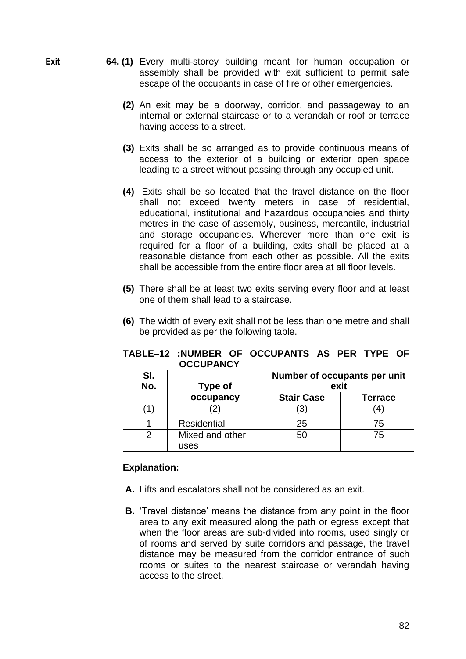- **64. (1)** Every multi-storey building meant for human occupation or assembly shall be provided with exit sufficient to permit safe escape of the occupants in case of fire or other emergencies.
	- **(2)** An exit may be a doorway, corridor, and passageway to an internal or external staircase or to a verandah or roof or terrace having access to a street.
	- **(3)** Exits shall be so arranged as to provide continuous means of access to the exterior of a building or exterior open space leading to a street without passing through any occupied unit.
	- **(4)** Exits shall be so located that the travel distance on the floor shall not exceed twenty meters in case of residential, educational, institutional and hazardous occupancies and thirty metres in the case of assembly, business, mercantile, industrial and storage occupancies. Wherever more than one exit is required for a floor of a building, exits shall be placed at a reasonable distance from each other as possible. All the exits shall be accessible from the entire floor area at all floor levels.
	- **(5)** There shall be at least two exits serving every floor and at least one of them shall lead to a staircase.
	- **(6)** The width of every exit shall not be less than one metre and shall be provided as per the following table.

|                  |  |  | TABLE-12 :NUMBER OF OCCUPANTS AS PER TYPE OF |  |  |
|------------------|--|--|----------------------------------------------|--|--|
| <b>OCCUPANCY</b> |  |  |                                              |  |  |

| SI.<br>No. | <b>Type of</b>     | Number of occupants per unit<br>exit |         |  |
|------------|--------------------|--------------------------------------|---------|--|
|            | occupancy          | <b>Stair Case</b>                    | Terrace |  |
|            | 2)                 | (3)                                  |         |  |
|            | <b>Residential</b> | 25                                   | 75      |  |
| ⌒          | Mixed and other    | 50                                   | 75      |  |
|            | uses               |                                      |         |  |

#### **Explanation:**

- **A.** Lifts and escalators shall not be considered as an exit.
- **B.** 'Travel distance' means the distance from any point in the floor area to any exit measured along the path or egress except that when the floor areas are sub-divided into rooms, used singly or of rooms and served by suite corridors and passage, the travel distance may be measured from the corridor entrance of such rooms or suites to the nearest staircase or verandah having access to the street.

**Exit**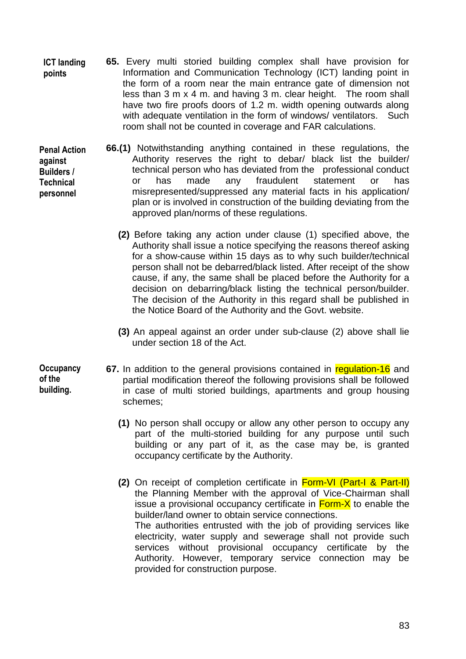- **65.** Every multi storied building complex shall have provision for Information and Communication Technology (ICT) landing point in the form of a room near the main entrance gate of dimension not less than 3 m x 4 m. and having 3 m. clear height. The room shall have two fire proofs doors of 1.2 m. width opening outwards along with adequate ventilation in the form of windows/ ventilators. Such room shall not be counted in coverage and FAR calculations. **ICT landing points**
- **66.(1)** Notwithstanding anything contained in these regulations, the Authority reserves the right to debar/ black list the builder/ technical person who has deviated from the professional conduct or has made any fraudulent statement or has misrepresented/suppressed any material facts in his application/ plan or is involved in construction of the building deviating from the approved plan/norms of these regulations. **Penal Action against Builders / Technical personnel**
	- **(2)** Before taking any action under clause (1) specified above, the Authority shall issue a notice specifying the reasons thereof asking for a show-cause within 15 days as to why such builder/technical person shall not be debarred/black listed. After receipt of the show cause, if any, the same shall be placed before the Authority for a decision on debarring/black listing the technical person/builder. The decision of the Authority in this regard shall be published in the Notice Board of the Authority and the Govt. website.
	- **(3)** An appeal against an order under sub-clause (2) above shall lie under section 18 of the Act.
- **Occupancy of the building.**
- **67.** In addition to the general provisions contained in regulation-16 and partial modification thereof the following provisions shall be followed in case of multi storied buildings, apartments and group housing schemes;
	- **(1)** No person shall occupy or allow any other person to occupy any part of the multi-storied building for any purpose until such building or any part of it, as the case may be, is granted occupancy certificate by the Authority.
	- **(2)** On receipt of completion certificate in Form-VI (Part-I & Part-II) the Planning Member with the approval of Vice-Chairman shall issue a provisional occupancy certificate in **Form-X** to enable the builder/land owner to obtain service connections. The authorities entrusted with the job of providing services like electricity, water supply and sewerage shall not provide such services without provisional occupancy certificate by the Authority. However, temporary service connection may be provided for construction purpose.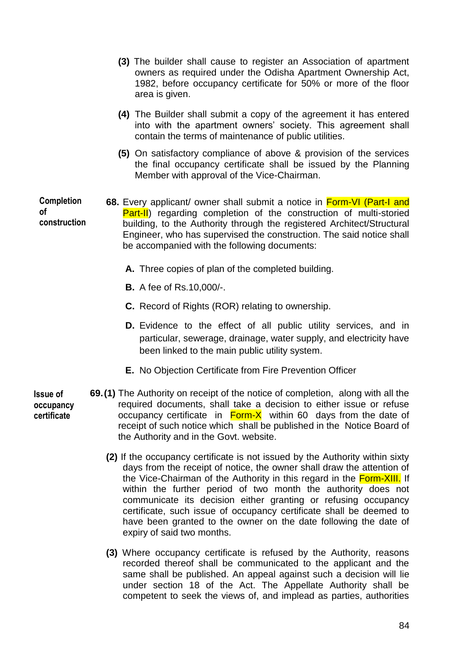|                                         | (3) The builder shall cause to register an Association of apartment<br>owners as required under the Odisha Apartment Ownership Act,<br>1982, before occupancy certificate for 50% or more of the floor<br>area is given.                                                                                                                                |
|-----------------------------------------|---------------------------------------------------------------------------------------------------------------------------------------------------------------------------------------------------------------------------------------------------------------------------------------------------------------------------------------------------------|
|                                         | (4) The Builder shall submit a copy of the agreement it has entered<br>into with the apartment owners' society. This agreement shall<br>contain the terms of maintenance of public utilities.                                                                                                                                                           |
|                                         | (5) On satisfactory compliance of above & provision of the services<br>the final occupancy certificate shall be issued by the Planning<br>Member with approval of the Vice-Chairman.                                                                                                                                                                    |
| <b>Completion</b><br>οf<br>construction | 68. Every applicant/ owner shall submit a notice in Form-VI (Part-I and<br><b>Part-II</b> ) regarding completion of the construction of multi-storied<br>building, to the Authority through the registered Architect/Structural<br>Engineer, who has supervised the construction. The said notice shall<br>be accompanied with the following documents: |
|                                         | A. Three copies of plan of the completed building.                                                                                                                                                                                                                                                                                                      |
|                                         | <b>B.</b> A fee of Rs.10,000/-.                                                                                                                                                                                                                                                                                                                         |
|                                         | <b>C.</b> Record of Rights (ROR) relating to ownership.                                                                                                                                                                                                                                                                                                 |
|                                         |                                                                                                                                                                                                                                                                                                                                                         |

- **D.** Evidence to the effect of all public utility services, and in particular, sewerage, drainage, water supply, and electricity have been linked to the main public utility system.
- **E.** No Objection Certificate from Fire Prevention Officer

**69.(1)** The Authority on receipt of the notice of completion, along with all the required documents, shall take a decision to either issue or refuse occupancy certificate in  $Form - X$  within 60 days from the date of receipt of such notice which shall be published in the Notice Board of the Authority and in the Govt. website. **Issue of occupancy certificate**

- **(2)** If the occupancy certificate is not issued by the Authority within sixty days from the receipt of notice, the owner shall draw the attention of the Vice-Chairman of the Authority in this regard in the Form-XIII. If within the further period of two month the authority does not communicate its decision either granting or refusing occupancy certificate, such issue of occupancy certificate shall be deemed to have been granted to the owner on the date following the date of expiry of said two months.
- **(3)** Where occupancy certificate is refused by the Authority, reasons recorded thereof shall be communicated to the applicant and the same shall be published. An appeal against such a decision will lie under section 18 of the Act. The Appellate Authority shall be competent to seek the views of, and implead as parties, authorities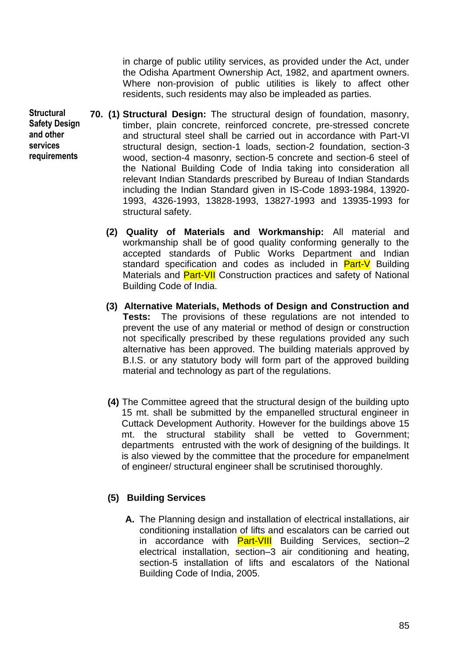in charge of public utility services, as provided under the Act, under the Odisha Apartment Ownership Act, 1982, and apartment owners. Where non-provision of public utilities is likely to affect other residents, such residents may also be impleaded as parties.

- **70. (1) Structural Design:** The structural design of foundation, masonry, timber, plain concrete, reinforced concrete, pre-stressed concrete and structural steel shall be carried out in accordance with Part-VI structural design, section-1 loads, section-2 foundation, section-3 wood, section-4 masonry, section-5 concrete and section-6 steel of the National Building Code of India taking into consideration all relevant Indian Standards prescribed by Bureau of Indian Standards including the Indian Standard given in IS-Code 1893-1984, 13920- 1993, 4326-1993, 13828-1993, 13827-1993 and 13935-1993 for structural safety.
	- **(2) Quality of Materials and Workmanship:** All material and workmanship shall be of good quality conforming generally to the accepted standards of Public Works Department and Indian standard specification and codes as included in **Part-V** Building Materials and **Part-VII** Construction practices and safety of National Building Code of India.
	- **(3) Alternative Materials, Methods of Design and Construction and Tests:** The provisions of these regulations are not intended to prevent the use of any material or method of design or construction not specifically prescribed by these regulations provided any such alternative has been approved. The building materials approved by B.I.S. or any statutory body will form part of the approved building material and technology as part of the regulations.
	- **(4)** The Committee agreed that the structural design of the building upto 15 mt. shall be submitted by the empanelled structural engineer in Cuttack Development Authority. However for the buildings above 15 mt. the structural stability shall be vetted to Government; departments entrusted with the work of designing of the buildings. It is also viewed by the committee that the procedure for empanelment of engineer/ structural engineer shall be scrutinised thoroughly.

# **(5) Building Services**

**A.** The Planning design and installation of electrical installations, air conditioning installation of lifts and escalators can be carried out in accordance with **Part-VIII** Building Services, section–2 electrical installation, section–3 air conditioning and heating, section-5 installation of lifts and escalators of the National Building Code of India, 2005.

**Structural Safety Design and other services requirements**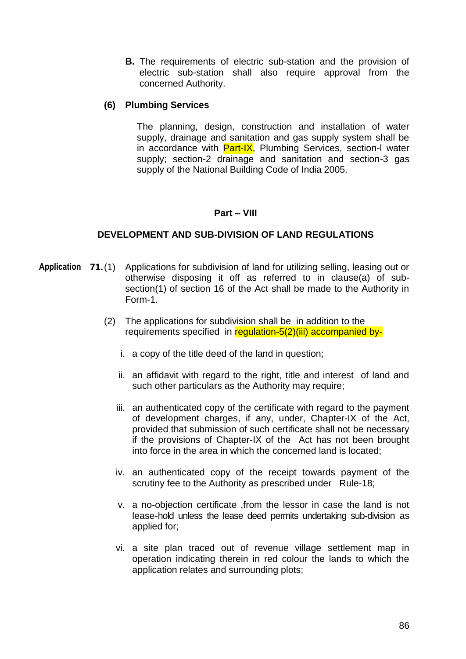**B.** The requirements of electric sub-station and the provision of electric sub-station shall also require approval from the concerned Authority.

### **(6) Plumbing Services**

The planning, design, construction and installation of water supply, drainage and sanitation and gas supply system shall be in accordance with **Part-IX**, Plumbing Services, section-I water supply; section-2 drainage and sanitation and section-3 gas supply of the National Building Code of India 2005.

### **Part – VIII**

### **DEVELOPMENT AND SUB-DIVISION OF LAND REGULATIONS**

- Application 71.(1) Applications for subdivision of land for utilizing selling, leasing out or otherwise disposing it off as referred to in clause(a) of subsection(1) of section 16 of the Act shall be made to the Authority in Form-1.
	- (2) The applications for subdivision shall be in addition to the requirements specified in regulation-5(2)(iii) accompanied by
		- i. a copy of the title deed of the land in question;
		- ii. an affidavit with regard to the right, title and interest of land and such other particulars as the Authority may require;
		- iii. an authenticated copy of the certificate with regard to the payment of development charges, if any, under, Chapter-IX of the Act, provided that submission of such certificate shall not be necessary if the provisions of Chapter-IX of the Act has not been brought into force in the area in which the concerned land is located;
		- iv. an authenticated copy of the receipt towards payment of the scrutiny fee to the Authority as prescribed under Rule-18;
		- v. a no-objection certificate ,from the lessor in case the land is not lease-hold unless the lease deed permits undertaking sub-division as applied for;
		- vi. a site plan traced out of revenue village settlement map in operation indicating therein in red colour the lands to which the application relates and surrounding plots;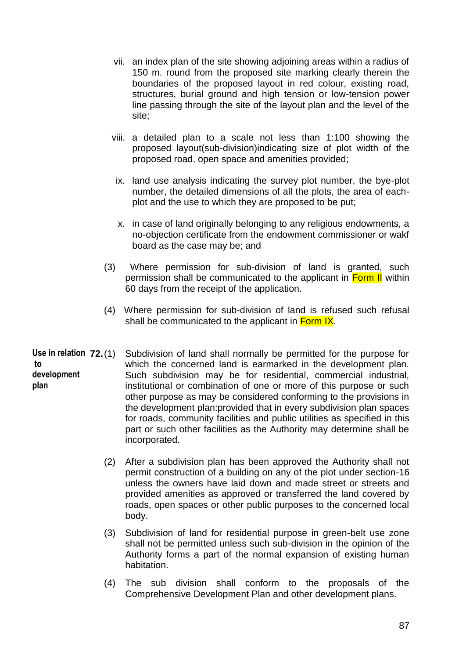- vii. an index plan of the site showing adjoining areas within a radius of 150 m. round from the proposed site marking clearly therein the boundaries of the proposed layout in red colour, existing road, structures, burial ground and high tension or low-tension power line passing through the site of the layout plan and the level of the site;
- viii. a detailed plan to a scale not less than 1:100 showing the proposed layout(sub-division)indicating size of plot width of the proposed road, open space and amenities provided;
- ix. land use analysis indicating the survey plot number, the bye-plot number, the detailed dimensions of all the plots, the area of eachplot and the use to which they are proposed to be put;
- x. in case of land originally belonging to any religious endowments, a no-objection certificate from the endowment commissioner or wakf board as the case may be; and
- (3) Where permission for sub-division of land is granted, such permission shall be communicated to the applicant in **Form II** within 60 days from the receipt of the application.
- (4) Where permission for sub-division of land is refused such refusal shall be communicated to the applicant in Form IX.
- **72.**(1) Subdivision of land shall normally be permitted for the purpose for which the concerned land is earmarked in the development plan. Such subdivision may be for residential, commercial industrial, institutional or combination of one or more of this purpose or such other purpose as may be considered conforming to the provisions in the development plan:provided that in every subdivision plan spaces for roads, community facilities and public utilities as specified in this part or such other facilities as the Authority may determine shall be incorporated. Use in relation 72.(1) **to development plan**
	- (2) After a subdivision plan has been approved the Authority shall not permit construction of a building on any of the plot under section-16 unless the owners have laid down and made street or streets and provided amenities as approved or transferred the land covered by roads, open spaces or other public purposes to the concerned local body.
	- (3) Subdivision of land for residential purpose in green-belt use zone shall not be permitted unless such sub-division in the opinion of the Authority forms a part of the normal expansion of existing human habitation.
	- (4) The sub division shall conform to the proposals of the Comprehensive Development Plan and other development plans.

87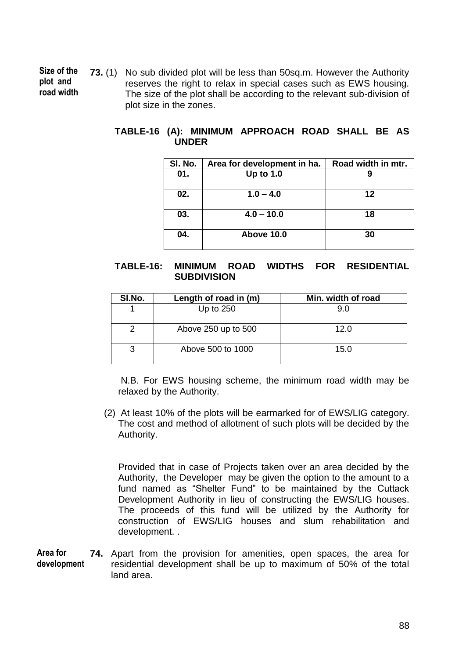**73.** (1) No sub divided plot will be less than 50sq.m. However the Authority reserves the right to relax in special cases such as EWS housing. The size of the plot shall be according to the relevant sub-division of plot size in the zones. **Size of the plot and road width**

## **TABLE-16 (A): MINIMUM APPROACH ROAD SHALL BE AS UNDER**

| SI. No. | Area for development in ha. | Road width in mtr. |
|---------|-----------------------------|--------------------|
| 01.     | Up to $1.0$                 |                    |
| 02.     | $1.0 - 4.0$                 | 12                 |
| 03.     | $4.0 - 10.0$                | 18                 |
| 04.     | Above 10.0                  | 30                 |

## **TABLE-16: MINIMUM ROAD WIDTHS FOR RESIDENTIAL SUBDIVISION**

| SI.No. | Length of road in (m) | Min. width of road |
|--------|-----------------------|--------------------|
|        | Up to 250             | 9.0                |
|        | Above 250 up to 500   | 12.0               |
| 3      | Above 500 to 1000     | 15.0               |

N.B. For EWS housing scheme, the minimum road width may be relaxed by the Authority.

(2) At least 10% of the plots will be earmarked for of EWS/LIG category. The cost and method of allotment of such plots will be decided by the Authority.

Provided that in case of Projects taken over an area decided by the Authority, the Developer may be given the option to the amount to a fund named as "Shelter Fund" to be maintained by the Cuttack Development Authority in lieu of constructing the EWS/LIG houses. The proceeds of this fund will be utilized by the Authority for construction of EWS/LIG houses and slum rehabilitation and development. .

**74.** Apart from the provision for amenities, open spaces, the area for residential development shall be up to maximum of 50% of the total land area. **Area for development**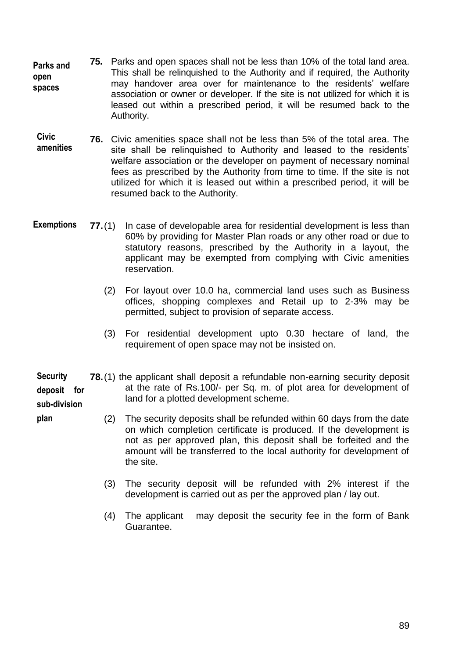- **75.** Parks and open spaces shall not be less than 10% of the total land area. This shall be relinquished to the Authority and if required, the Authority may handover area over for maintenance to the residents" welfare association or owner or developer. If the site is not utilized for which it is leased out within a prescribed period, it will be resumed back to the Authority. **Parks and open spaces**
- **76.** Civic amenities space shall not be less than 5% of the total area. The site shall be relinguished to Authority and leased to the residents' welfare association or the developer on payment of necessary nominal fees as prescribed by the Authority from time to time. If the site is not utilized for which it is leased out within a prescribed period, it will be resumed back to the Authority. **Civic amenities**
- **77.**(1) In case of developable area for residential development is less than 60% by providing for Master Plan roads or any other road or due to statutory reasons, prescribed by the Authority in a layout, the applicant may be exempted from complying with Civic amenities reservation. **Exemptions**
	- (2) For layout over 10.0 ha, commercial land uses such as Business offices, shopping complexes and Retail up to 2-3% may be permitted, subject to provision of separate access.
	- (3) For residential development upto 0.30 hectare of land, the requirement of open space may not be insisted on.
- **78.**(1) the applicant shall deposit a refundable non-earning security deposit at the rate of Rs.100/- per Sq. m. of plot area for development of land for a plotted development scheme. **Security deposit for sub-division**

**plan**

- (2) The security deposits shall be refunded within 60 days from the date on which completion certificate is produced. If the development is not as per approved plan, this deposit shall be forfeited and the amount will be transferred to the local authority for development of the site.
	- (3) The security deposit will be refunded with 2% interest if the development is carried out as per the approved plan / lay out.
	- (4) The applicant may deposit the security fee in the form of Bank Guarantee.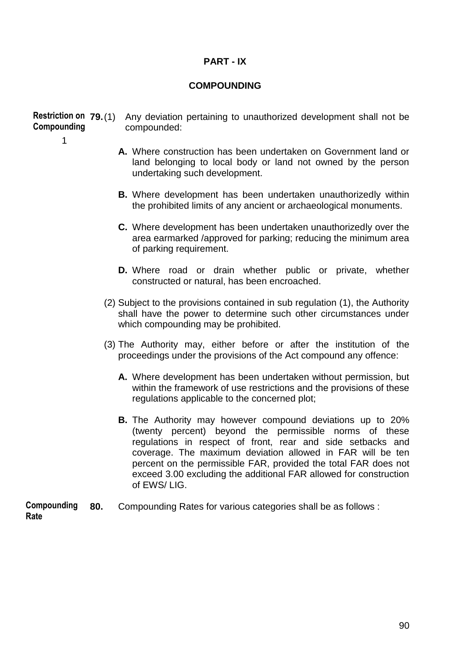## **PART - IX**

### **COMPOUNDING**

**79.**(1) Any deviation pertaining to unauthorized development shall not be compounded: **Restriction on Compounding**

1

- **A.** Where construction has been undertaken on Government land or land belonging to local body or land not owned by the person undertaking such development.
- **B.** Where development has been undertaken unauthorizedly within the prohibited limits of any ancient or archaeological monuments.
- **C.** Where development has been undertaken unauthorizedly over the area earmarked /approved for parking; reducing the minimum area of parking requirement.
- **D.** Where road or drain whether public or private, whether constructed or natural, has been encroached.
- (2) Subject to the provisions contained in sub regulation (1), the Authority shall have the power to determine such other circumstances under which compounding may be prohibited.
- (3) The Authority may, either before or after the institution of the proceedings under the provisions of the Act compound any offence:
	- **A.** Where development has been undertaken without permission, but within the framework of use restrictions and the provisions of these regulations applicable to the concerned plot;
	- **B.** The Authority may however compound deviations up to 20% (twenty percent) beyond the permissible norms of these regulations in respect of front, rear and side setbacks and coverage. The maximum deviation allowed in FAR will be ten percent on the permissible FAR, provided the total FAR does not exceed 3.00 excluding the additional FAR allowed for construction of EWS/ LIG.

 **80.** Compounding Rates for various categories shall be as follows : **Compounding Rate**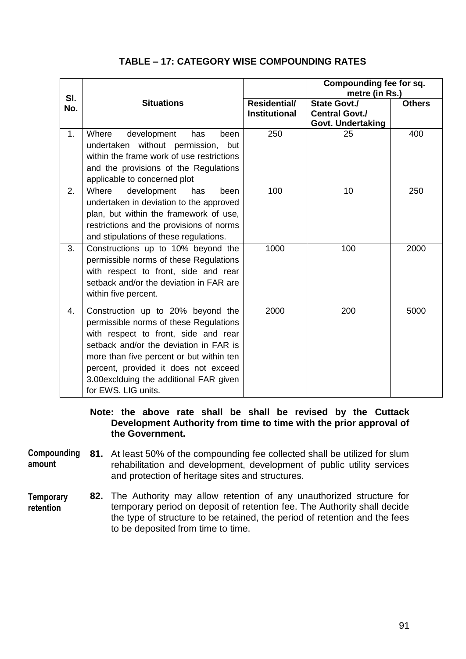|            |                                                                                                                                                                                                                                                                                                                     |                                             | Compounding fee for sq.<br>metre (in Rs.)                         |               |  |
|------------|---------------------------------------------------------------------------------------------------------------------------------------------------------------------------------------------------------------------------------------------------------------------------------------------------------------------|---------------------------------------------|-------------------------------------------------------------------|---------------|--|
| SI.<br>No. | <b>Situations</b>                                                                                                                                                                                                                                                                                                   | <b>Residential/</b><br><b>Institutional</b> | <b>State Govt./</b><br><b>Central Govt./</b><br>Govt. Undertaking | <b>Others</b> |  |
| 1.         | Where<br>development<br>has<br>been<br>undertaken without permission,<br>but<br>within the frame work of use restrictions<br>and the provisions of the Regulations<br>applicable to concerned plot                                                                                                                  | 250                                         | 25                                                                | 400           |  |
| 2.         | Where<br>development<br>been<br>has<br>undertaken in deviation to the approved<br>plan, but within the framework of use,<br>restrictions and the provisions of norms<br>and stipulations of these regulations.                                                                                                      | 100                                         | 10                                                                | 250           |  |
| 3.         | Constructions up to 10% beyond the<br>permissible norms of these Regulations<br>with respect to front, side and rear<br>setback and/or the deviation in FAR are<br>within five percent.                                                                                                                             | 1000                                        | 100                                                               | 2000          |  |
| 4.         | Construction up to 20% beyond the<br>permissible norms of these Regulations<br>with respect to front, side and rear<br>setback and/or the deviation in FAR is<br>more than five percent or but within ten<br>percent, provided it does not exceed<br>3.00 exclduing the additional FAR given<br>for EWS. LIG units. | 2000                                        | 200                                                               | 5000          |  |

# **TABLE – 17: CATEGORY WISE COMPOUNDING RATES**

### **Note: the above rate shall be shall be revised by the Cuttack Development Authority from time to time with the prior approval of the Government.**

**81.** At least 50% of the compounding fee collected shall be utilized for slum rehabilitation and development, development of public utility services and protection of heritage sites and structures. **Compounding amount**

**82.** The Authority may allow retention of any unauthorized structure for temporary period on deposit of retention fee. The Authority shall decide the type of structure to be retained, the period of retention and the fees to be deposited from time to time. **Temporary retention**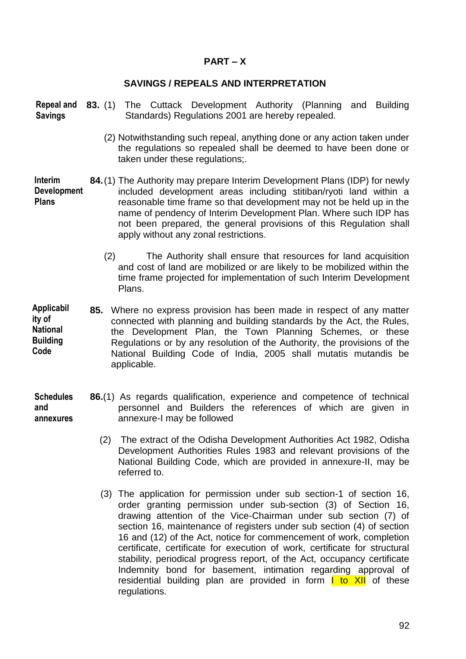## **PART – X**

### **SAVINGS / REPEALS AND INTERPRETATION**

**83.** (1) The Cuttack Development Authority (Planning and Building **Repeal and**  Standards) Regulations 2001 are hereby repealed. **Savings**

- (2) Notwithstanding such repeal, anything done or any action taken under the regulations so repealed shall be deemed to have been done or taken under these regulations;.
- **84.**(1) The Authority may prepare Interim Development Plans (IDP) for newly included development areas including stitiban/ryoti land within a reasonable time frame so that development may not be held up in the name of pendency of Interim Development Plan. Where such IDP has not been prepared, the general provisions of this Regulation shall apply without any zonal restrictions. **Interim Development Plans**
	- (2) The Authority shall ensure that resources for land acquisition and cost of land are mobilized or are likely to be mobilized within the time frame projected for implementation of such Interim Development Plans.
- **85.** Where no express provision has been made in respect of any matter connected with planning and building standards by the Act, the Rules, the Development Plan, the Town Planning Schemes, or these Regulations or by any resolution of the Authority, the provisions of the National Building Code of India, 2005 shall mutatis mutandis be applicable. **Applicabil ity of National Building Code**
- **86.**(1) As regards qualification, experience and competence of technical personnel and Builders the references of which are given in annexure-I may be followed **Schedules and annexures**
	- (2) The extract of the Odisha Development Authorities Act 1982, Odisha Development Authorities Rules 1983 and relevant provisions of the National Building Code, which are provided in annexure-II, may be referred to.
	- (3) The application for permission under sub section-1 of section 16, order granting permission under sub-section (3) of Section 16, drawing attention of the Vice-Chairman under sub section (7) of section 16, maintenance of registers under sub section (4) of section 16 and (12) of the Act, notice for commencement of work, completion certificate, certificate for execution of work, certificate for structural stability, periodical progress report, of the Act, occupancy certificate Indemnity bond for basement, intimation regarding approval of residential building plan are provided in form  $\mathsf{I}$  to XII of these regulations.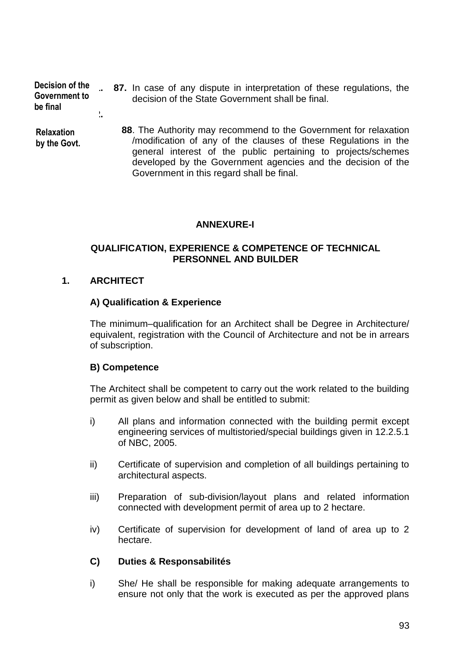**91. 87.** In case of any dispute in interpretation of these regulations, the decision of the State Government shall be final. **92. 88**. The Authority may recommend to the Government for relaxation /modification of any of the clauses of these Regulations in the general interest of the public pertaining to projects/schemes developed by the Government agencies and the decision of the **Decision of the Government to be final Relaxation by the Govt.**

Government in this regard shall be final.

# **ANNEXURE-I**

## **QUALIFICATION, EXPERIENCE & COMPETENCE OF TECHNICAL PERSONNEL AND BUILDER**

## **1. ARCHITECT**

### **A) Qualification & Experience**

The minimum–qualification for an Architect shall be Degree in Architecture/ equivalent, registration with the Council of Architecture and not be in arrears of subscription.

### **B) Competence**

The Architect shall be competent to carry out the work related to the building permit as given below and shall be entitled to submit:

- i) All plans and information connected with the building permit except engineering services of multistoried/special buildings given in 12.2.5.1 of NBC, 2005.
- ii) Certificate of supervision and completion of all buildings pertaining to architectural aspects.
- iii) Preparation of sub-division/layout plans and related information connected with development permit of area up to 2 hectare.
- iv) Certificate of supervision for development of land of area up to 2 hectare.

### **C) Duties & Responsabilités**

i) She/ He shall be responsible for making adequate arrangements to ensure not only that the work is executed as per the approved plans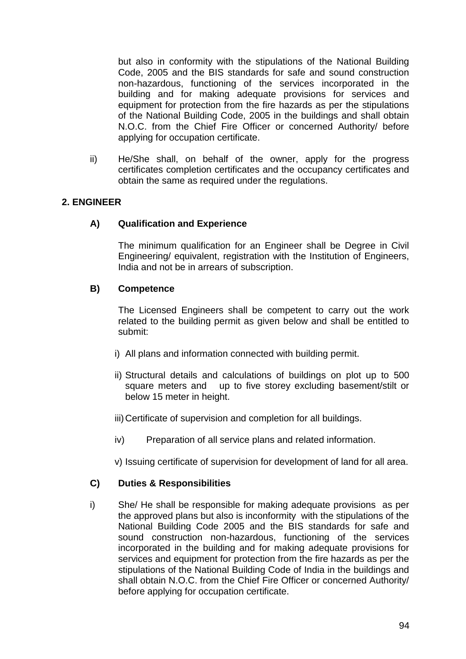but also in conformity with the stipulations of the National Building Code, 2005 and the BIS standards for safe and sound construction non-hazardous, functioning of the services incorporated in the building and for making adequate provisions for services and equipment for protection from the fire hazards as per the stipulations of the National Building Code, 2005 in the buildings and shall obtain N.O.C. from the Chief Fire Officer or concerned Authority/ before applying for occupation certificate.

ii) He/She shall, on behalf of the owner, apply for the progress certificates completion certificates and the occupancy certificates and obtain the same as required under the regulations.

# **2. ENGINEER**

### **A) Qualification and Experience**

The minimum qualification for an Engineer shall be Degree in Civil Engineering/ equivalent, registration with the Institution of Engineers, India and not be in arrears of subscription.

### **B) Competence**

The Licensed Engineers shall be competent to carry out the work related to the building permit as given below and shall be entitled to submit:

- i) All plans and information connected with building permit.
- ii) Structural details and calculations of buildings on plot up to 500 square meters and up to five storey excluding basement/stilt or below 15 meter in height.
- iii)Certificate of supervision and completion for all buildings.
- iv) Preparation of all service plans and related information.
- v) Issuing certificate of supervision for development of land for all area.

# **C) Duties & Responsibilities**

i) She/ He shall be responsible for making adequate provisions as per the approved plans but also is inconformity with the stipulations of the National Building Code 2005 and the BIS standards for safe and sound construction non-hazardous, functioning of the services incorporated in the building and for making adequate provisions for services and equipment for protection from the fire hazards as per the stipulations of the National Building Code of India in the buildings and shall obtain N.O.C. from the Chief Fire Officer or concerned Authority/ before applying for occupation certificate.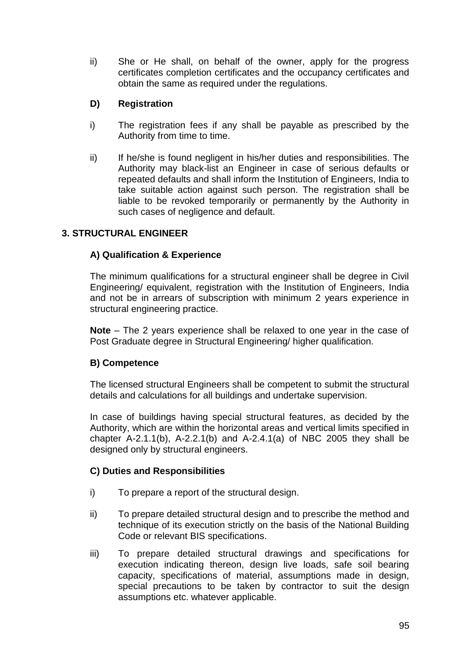ii) She or He shall, on behalf of the owner, apply for the progress certificates completion certificates and the occupancy certificates and obtain the same as required under the regulations.

# **D) Registration**

- i) The registration fees if any shall be payable as prescribed by the Authority from time to time.
- ii) If he/she is found negligent in his/her duties and responsibilities. The Authority may black-list an Engineer in case of serious defaults or repeated defaults and shall inform the Institution of Engineers, India to take suitable action against such person. The registration shall be liable to be revoked temporarily or permanently by the Authority in such cases of negligence and default.

# **3. STRUCTURAL ENGINEER**

# **A) Qualification & Experience**

The minimum qualifications for a structural engineer shall be degree in Civil Engineering/ equivalent, registration with the Institution of Engineers, India and not be in arrears of subscription with minimum 2 years experience in structural engineering practice.

**Note** – The 2 years experience shall be relaxed to one year in the case of Post Graduate degree in Structural Engineering/ higher qualification.

# **B) Competence**

The licensed structural Engineers shall be competent to submit the structural details and calculations for all buildings and undertake supervision.

In case of buildings having special structural features, as decided by the Authority, which are within the horizontal areas and vertical limits specified in chapter A-2.1.1(b), A-2.2.1(b) and A-2.4.1(a) of NBC 2005 they shall be designed only by structural engineers.

### **C) Duties and Responsibilities**

- i) To prepare a report of the structural design.
- ii) To prepare detailed structural design and to prescribe the method and technique of its execution strictly on the basis of the National Building Code or relevant BIS specifications.
- iii) To prepare detailed structural drawings and specifications for execution indicating thereon, design live loads, safe soil bearing capacity, specifications of material, assumptions made in design, special precautions to be taken by contractor to suit the design assumptions etc. whatever applicable.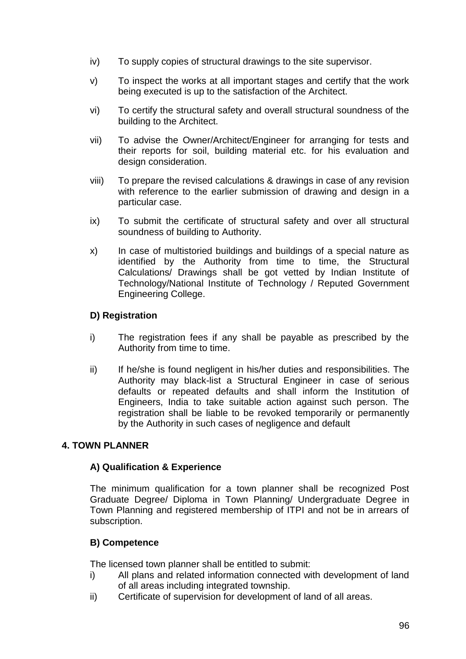- iv) To supply copies of structural drawings to the site supervisor.
- v) To inspect the works at all important stages and certify that the work being executed is up to the satisfaction of the Architect.
- vi) To certify the structural safety and overall structural soundness of the building to the Architect.
- vii) To advise the Owner/Architect/Engineer for arranging for tests and their reports for soil, building material etc. for his evaluation and design consideration.
- viii) To prepare the revised calculations & drawings in case of any revision with reference to the earlier submission of drawing and design in a particular case.
- ix) To submit the certificate of structural safety and over all structural soundness of building to Authority.
- x) In case of multistoried buildings and buildings of a special nature as identified by the Authority from time to time, the Structural Calculations/ Drawings shall be got vetted by Indian Institute of Technology/National Institute of Technology / Reputed Government Engineering College.

# **D) Registration**

- i) The registration fees if any shall be payable as prescribed by the Authority from time to time.
- ii) If he/she is found negligent in his/her duties and responsibilities. The Authority may black-list a Structural Engineer in case of serious defaults or repeated defaults and shall inform the Institution of Engineers, India to take suitable action against such person. The registration shall be liable to be revoked temporarily or permanently by the Authority in such cases of negligence and default

# **4. TOWN PLANNER**

### **A) Qualification & Experience**

The minimum qualification for a town planner shall be recognized Post Graduate Degree/ Diploma in Town Planning/ Undergraduate Degree in Town Planning and registered membership of ITPI and not be in arrears of subscription.

# **B) Competence**

The licensed town planner shall be entitled to submit:

- i) All plans and related information connected with development of land of all areas including integrated township.
- ii) Certificate of supervision for development of land of all areas.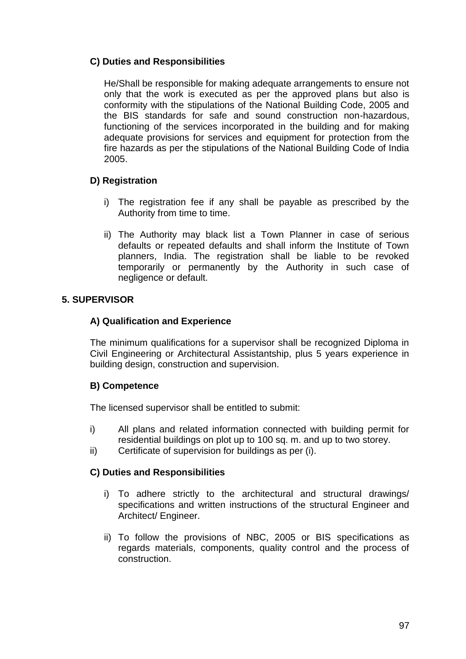# **C) Duties and Responsibilities**

He/Shall be responsible for making adequate arrangements to ensure not only that the work is executed as per the approved plans but also is conformity with the stipulations of the National Building Code, 2005 and the BIS standards for safe and sound construction non-hazardous, functioning of the services incorporated in the building and for making adequate provisions for services and equipment for protection from the fire hazards as per the stipulations of the National Building Code of India 2005.

## **D) Registration**

- i) The registration fee if any shall be payable as prescribed by the Authority from time to time.
- ii) The Authority may black list a Town Planner in case of serious defaults or repeated defaults and shall inform the Institute of Town planners, India. The registration shall be liable to be revoked temporarily or permanently by the Authority in such case of negligence or default.

### **5. SUPERVISOR**

### **A) Qualification and Experience**

The minimum qualifications for a supervisor shall be recognized Diploma in Civil Engineering or Architectural Assistantship, plus 5 years experience in building design, construction and supervision.

### **B) Competence**

The licensed supervisor shall be entitled to submit:

- i) All plans and related information connected with building permit for residential buildings on plot up to 100 sq. m. and up to two storey.
- ii) Certificate of supervision for buildings as per (i).

### **C) Duties and Responsibilities**

- i) To adhere strictly to the architectural and structural drawings/ specifications and written instructions of the structural Engineer and Architect/ Engineer.
- ii) To follow the provisions of NBC, 2005 or BIS specifications as regards materials, components, quality control and the process of construction.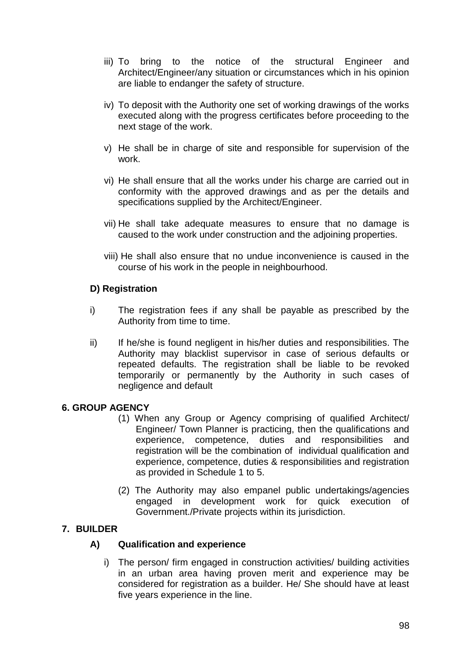- iii) To bring to the notice of the structural Engineer and Architect/Engineer/any situation or circumstances which in his opinion are liable to endanger the safety of structure.
- iv) To deposit with the Authority one set of working drawings of the works executed along with the progress certificates before proceeding to the next stage of the work.
- v) He shall be in charge of site and responsible for supervision of the work.
- vi) He shall ensure that all the works under his charge are carried out in conformity with the approved drawings and as per the details and specifications supplied by the Architect/Engineer.
- vii) He shall take adequate measures to ensure that no damage is caused to the work under construction and the adjoining properties.
- viii) He shall also ensure that no undue inconvenience is caused in the course of his work in the people in neighbourhood.

# **D) Registration**

- i) The registration fees if any shall be payable as prescribed by the Authority from time to time.
- ii) If he/she is found negligent in his/her duties and responsibilities. The Authority may blacklist supervisor in case of serious defaults or repeated defaults. The registration shall be liable to be revoked temporarily or permanently by the Authority in such cases of negligence and default

# **6. GROUP AGENCY**

- (1) When any Group or Agency comprising of qualified Architect/ Engineer/ Town Planner is practicing, then the qualifications and experience, competence, duties and responsibilities and registration will be the combination of individual qualification and experience, competence, duties & responsibilities and registration as provided in Schedule 1 to 5.
- (2) The Authority may also empanel public undertakings/agencies engaged in development work for quick execution of Government./Private projects within its jurisdiction.

# **7. BUILDER**

# **A) Qualification and experience**

i) The person/ firm engaged in construction activities/ building activities in an urban area having proven merit and experience may be considered for registration as a builder. He/ She should have at least five years experience in the line.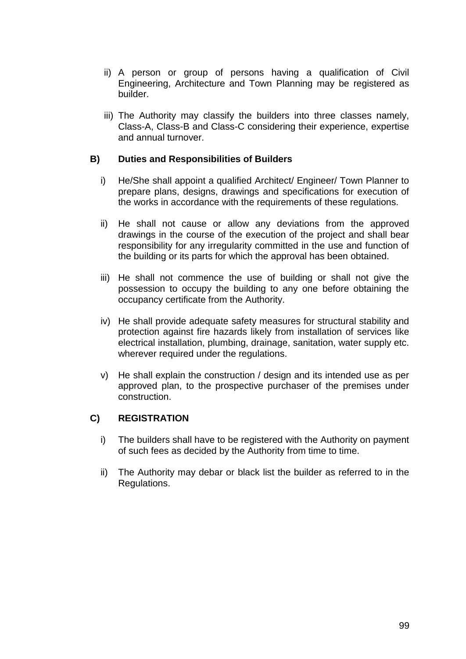- ii) A person or group of persons having a qualification of Civil Engineering, Architecture and Town Planning may be registered as builder.
- iii) The Authority may classify the builders into three classes namely, Class-A, Class-B and Class-C considering their experience, expertise and annual turnover.

## **B) Duties and Responsibilities of Builders**

- i) He/She shall appoint a qualified Architect/ Engineer/ Town Planner to prepare plans, designs, drawings and specifications for execution of the works in accordance with the requirements of these regulations.
- ii) He shall not cause or allow any deviations from the approved drawings in the course of the execution of the project and shall bear responsibility for any irregularity committed in the use and function of the building or its parts for which the approval has been obtained.
- iii) He shall not commence the use of building or shall not give the possession to occupy the building to any one before obtaining the occupancy certificate from the Authority.
- iv) He shall provide adequate safety measures for structural stability and protection against fire hazards likely from installation of services like electrical installation, plumbing, drainage, sanitation, water supply etc. wherever required under the regulations.
- v) He shall explain the construction / design and its intended use as per approved plan, to the prospective purchaser of the premises under construction.

# **C) REGISTRATION**

- i) The builders shall have to be registered with the Authority on payment of such fees as decided by the Authority from time to time.
- ii) The Authority may debar or black list the builder as referred to in the Regulations.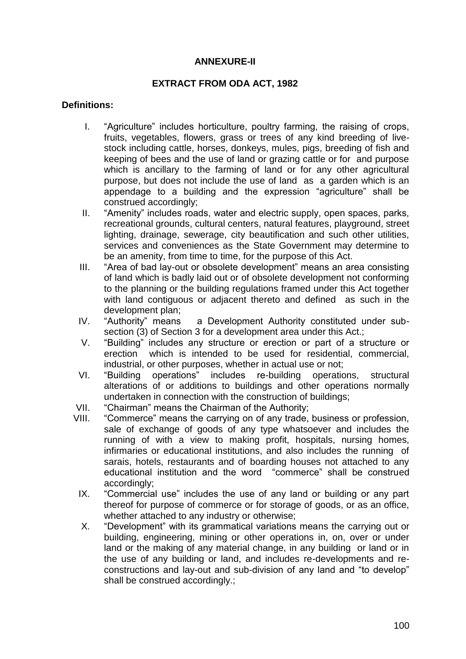## **ANNEXURE-II**

### **EXTRACT FROM ODA ACT, 1982**

### **Definitions:**

- I. "Agriculture" includes horticulture, poultry farming, the raising of crops, fruits, vegetables, flowers, grass or trees of any kind breeding of livestock including cattle, horses, donkeys, mules, pigs, breeding of fish and keeping of bees and the use of land or grazing cattle or for and purpose which is ancillary to the farming of land or for any other agricultural purpose, but does not include the use of land as a garden which is an appendage to a building and the expression "agriculture" shall be construed accordingly;
- II. "Amenity" includes roads, water and electric supply, open spaces, parks, recreational grounds, cultural centers, natural features, playground, street lighting, drainage, sewerage, city beautification and such other utilities, services and conveniences as the State Government may determine to be an amenity, from time to time, for the purpose of this Act.
- III. "Area of bad lay-out or obsolete development" means an area consisting of land which is badly laid out or of obsolete development not conforming to the planning or the building regulations framed under this Act together with land contiguous or adjacent thereto and defined as such in the development plan;
- IV. "Authority" means a Development Authority constituted under subsection (3) of Section 3 for a development area under this Act.;
- V. "Building" includes any structure or erection or part of a structure or erection which is intended to be used for residential, commercial, industrial, or other purposes, whether in actual use or not;
- VI. "Building operations" includes re-building operations, structural alterations of or additions to buildings and other operations normally undertaken in connection with the construction of buildings;
- VII. "Chairman" means the Chairman of the Authority;
- VIII. "Commerce" means the carrying on of any trade, business or profession, sale of exchange of goods of any type whatsoever and includes the running of with a view to making profit, hospitals, nursing homes, infirmaries or educational institutions, and also includes the running of sarais, hotels, restaurants and of boarding houses not attached to any educational institution and the word "commerce" shall be construed accordingly;
	- IX. "Commercial use" includes the use of any land or building or any part thereof for purpose of commerce or for storage of goods, or as an office, whether attached to any industry or otherwise;
	- X. "Development" with its grammatical variations means the carrying out or building, engineering, mining or other operations in, on, over or under land or the making of any material change, in any building or land or in the use of any building or land, and includes re-developments and reconstructions and lay-out and sub-division of any land and "to develop" shall be construed accordingly.;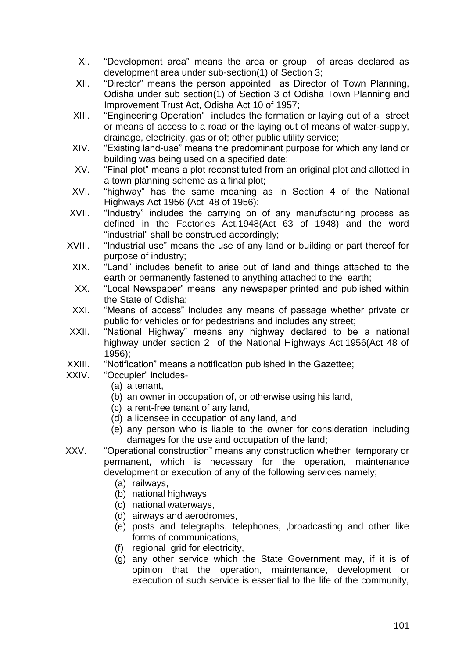- XI. "Development area" means the area or group of areas declared as development area under sub-section(1) of Section 3;
- XII. "Director" means the person appointed as Director of Town Planning, Odisha under sub section(1) of Section 3 of Odisha Town Planning and Improvement Trust Act, Odisha Act 10 of 1957;
- XIII. "Engineering Operation" includes the formation or laying out of a street or means of access to a road or the laying out of means of water-supply, drainage, electricity, gas or of; other public utility service;
- XIV. "Existing land-use" means the predominant purpose for which any land or building was being used on a specified date;
- XV. "Final plot" means a plot reconstituted from an original plot and allotted in a town planning scheme as a final plot;
- XVI. "highway" has the same meaning as in Section 4 of the National Highways Act 1956 (Act 48 of 1956);
- XVII. "Industry" includes the carrying on of any manufacturing process as defined in the Factories Act,1948(Act 63 of 1948) and the word "industrial" shall be construed accordingly;
- XVIII. "Industrial use" means the use of any land or building or part thereof for purpose of industry;
- XIX. "Land" includes benefit to arise out of land and things attached to the earth or permanently fastened to anything attached to the earth;
- XX. "Local Newspaper" means any newspaper printed and published within the State of Odisha;
- XXI. "Means of access" includes any means of passage whether private or public for vehicles or for pedestrians and includes any street;
- XXII. "National Highway" means any highway declared to be a national highway under section 2 of the National Highways Act,1956(Act 48 of 1956);
- XXIII. "Notification" means a notification published in the Gazettee;
- XXIV. "Occupier" includes-
	- (a) a tenant,
	- (b) an owner in occupation of, or otherwise using his land,
	- (c) a rent-free tenant of any land,
	- (d) a licensee in occupation of any land, and
	- (e) any person who is liable to the owner for consideration including damages for the use and occupation of the land;
- XXV. "Operational construction" means any construction whether temporary or permanent, which is necessary for the operation, maintenance development or execution of any of the following services namely;
	- (a) railways,
	- (b) national highways
	- (c) national waterways,
	- (d) airways and aerodromes,
	- (e) posts and telegraphs, telephones, ,broadcasting and other like forms of communications,
	- (f) regional grid for electricity,
	- (g) any other service which the State Government may, if it is of opinion that the operation, maintenance, development or execution of such service is essential to the life of the community,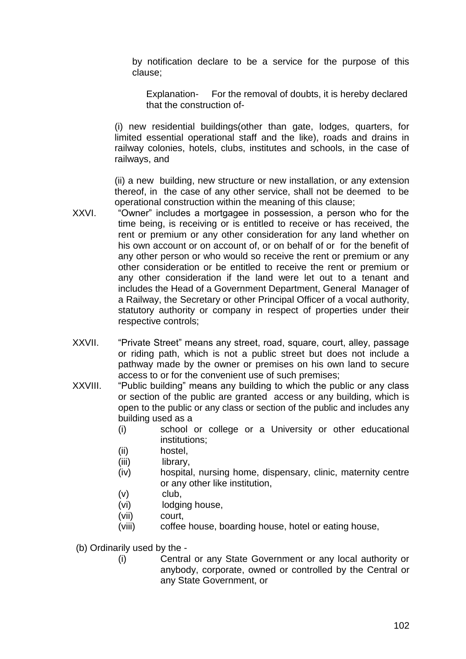by notification declare to be a service for the purpose of this clause;

Explanation- For the removal of doubts, it is hereby declared that the construction of-

(i) new residential buildings(other than gate, lodges, quarters, for limited essential operational staff and the like), roads and drains in railway colonies, hotels, clubs, institutes and schools, in the case of railways, and

(ii) a new building, new structure or new installation, or any extension thereof, in the case of any other service, shall not be deemed to be operational construction within the meaning of this clause;

- XXVI. "Owner" includes a mortgagee in possession, a person who for the time being, is receiving or is entitled to receive or has received, the rent or premium or any other consideration for any land whether on his own account or on account of, or on behalf of or for the benefit of any other person or who would so receive the rent or premium or any other consideration or be entitled to receive the rent or premium or any other consideration if the land were let out to a tenant and includes the Head of a Government Department, General Manager of a Railway, the Secretary or other Principal Officer of a vocal authority, statutory authority or company in respect of properties under their respective controls;
- XXVII. "Private Street" means any street, road, square, court, alley, passage or riding path, which is not a public street but does not include a pathway made by the owner or premises on his own land to secure access to or for the convenient use of such premises;
- XXVIII. "Public building" means any building to which the public or any class or section of the public are granted access or any building, which is open to the public or any class or section of the public and includes any building used as a
	- (i) school or college or a University or other educational institutions;
	- (ii) hostel,
	- (iii) library,
	- (iv) hospital, nursing home, dispensary, clinic, maternity centre or any other like institution,
	- (v) club,
	- (vi) lodging house,
	- (vii) court,
	- (viii) coffee house, boarding house, hotel or eating house,
	- (b) Ordinarily used by the
		- (i) Central or any State Government or any local authority or anybody, corporate, owned or controlled by the Central or any State Government, or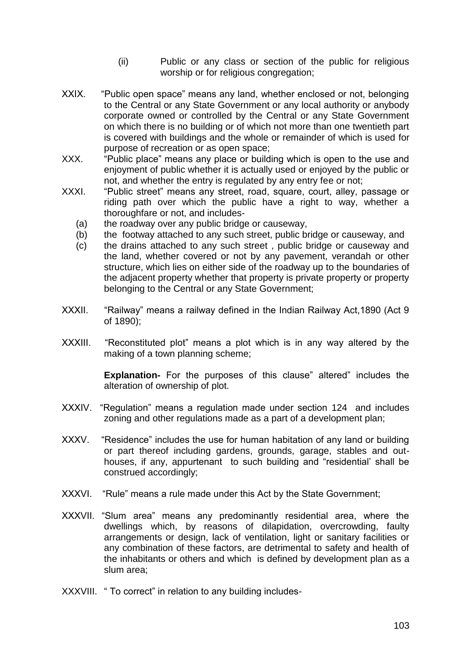- (ii) Public or any class or section of the public for religious worship or for religious congregation;
- XXIX. "Public open space" means any land, whether enclosed or not, belonging to the Central or any State Government or any local authority or anybody corporate owned or controlled by the Central or any State Government on which there is no building or of which not more than one twentieth part is covered with buildings and the whole or remainder of which is used for purpose of recreation or as open space;
- XXX. "Public place" means any place or building which is open to the use and enjoyment of public whether it is actually used or enjoyed by the public or not, and whether the entry is regulated by any entry fee or not;
- XXXI. "Public street" means any street, road, square, court, alley, passage or riding path over which the public have a right to way, whether a thoroughfare or not, and includes-
	- (a) the roadway over any public bridge or causeway,
	- (b) the footway attached to any such street, public bridge or causeway, and
	- (c) the drains attached to any such street , public bridge or causeway and the land, whether covered or not by any pavement, verandah or other structure, which lies on either side of the roadway up to the boundaries of the adjacent property whether that property is private property or property belonging to the Central or any State Government;
- XXXII. "Railway" means a railway defined in the Indian Railway Act,1890 (Act 9 of 1890);
- XXXIII. "Reconstituted plot" means a plot which is in any way altered by the making of a town planning scheme;

**Explanation-** For the purposes of this clause" altered" includes the alteration of ownership of plot.

- XXXIV. "Regulation" means a regulation made under section 124 and includes zoning and other regulations made as a part of a development plan;
- XXXV. "Residence" includes the use for human habitation of any land or building or part thereof including gardens, grounds, garage, stables and outhouses, if any, appurtenant to such building and "residential" shall be construed accordingly;
- XXXVI. "Rule" means a rule made under this Act by the State Government;
- XXXVII. "Slum area" means any predominantly residential area, where the dwellings which, by reasons of dilapidation, overcrowding, faulty arrangements or design, lack of ventilation, light or sanitary facilities or any combination of these factors, are detrimental to safety and health of the inhabitants or others and which is defined by development plan as a slum area;
- XXXVIII. " To correct" in relation to any building includes-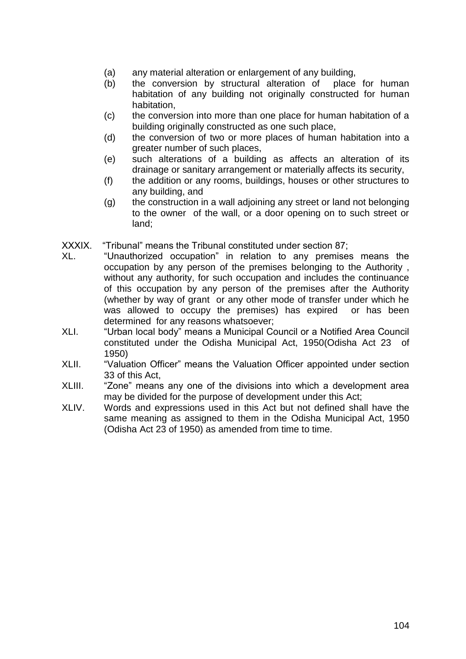- (a) any material alteration or enlargement of any building,
- (b) the conversion by structural alteration of place for human habitation of any building not originally constructed for human habitation,
- (c) the conversion into more than one place for human habitation of a building originally constructed as one such place,
- (d) the conversion of two or more places of human habitation into a greater number of such places,
- (e) such alterations of a building as affects an alteration of its drainage or sanitary arrangement or materially affects its security,
- (f) the addition or any rooms, buildings, houses or other structures to any building, and
- (g) the construction in a wall adjoining any street or land not belonging to the owner of the wall, or a door opening on to such street or land;

XXXIX. "Tribunal" means the Tribunal constituted under section 87;

- XL. "Unauthorized occupation" in relation to any premises means the occupation by any person of the premises belonging to the Authority , without any authority, for such occupation and includes the continuance of this occupation by any person of the premises after the Authority (whether by way of grant or any other mode of transfer under which he was allowed to occupy the premises) has expired or has been determined for any reasons whatsoever;
- XLI. "Urban local body" means a Municipal Council or a Notified Area Council constituted under the Odisha Municipal Act, 1950(Odisha Act 23 of 1950)
- XLII. "Valuation Officer" means the Valuation Officer appointed under section 33 of this Act,
- XLIII. "Zone" means any one of the divisions into which a development area may be divided for the purpose of development under this Act;
- XLIV. Words and expressions used in this Act but not defined shall have the same meaning as assigned to them in the Odisha Municipal Act, 1950 (Odisha Act 23 of 1950) as amended from time to time.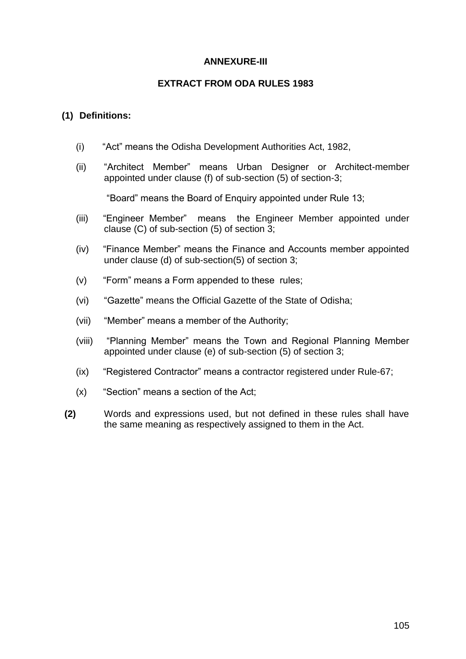## **ANNEXURE-III**

### **EXTRACT FROM ODA RULES 1983**

## **(1) Definitions:**

- (i) "Act" means the Odisha Development Authorities Act, 1982,
- (ii) "Architect Member" means Urban Designer or Architect-member appointed under clause (f) of sub-section (5) of section-3;

"Board" means the Board of Enquiry appointed under Rule 13;

- (iii) "Engineer Member" means the Engineer Member appointed under clause (C) of sub-section (5) of section 3;
- (iv) "Finance Member" means the Finance and Accounts member appointed under clause (d) of sub-section(5) of section 3;
- (v) "Form" means a Form appended to these rules;
- (vi) "Gazette" means the Official Gazette of the State of Odisha;
- (vii) "Member" means a member of the Authority;
- (viii) "Planning Member" means the Town and Regional Planning Member appointed under clause (e) of sub-section (5) of section 3;
- (ix) "Registered Contractor" means a contractor registered under Rule-67;
- (x) "Section" means a section of the Act;
- **(2)** Words and expressions used, but not defined in these rules shall have the same meaning as respectively assigned to them in the Act.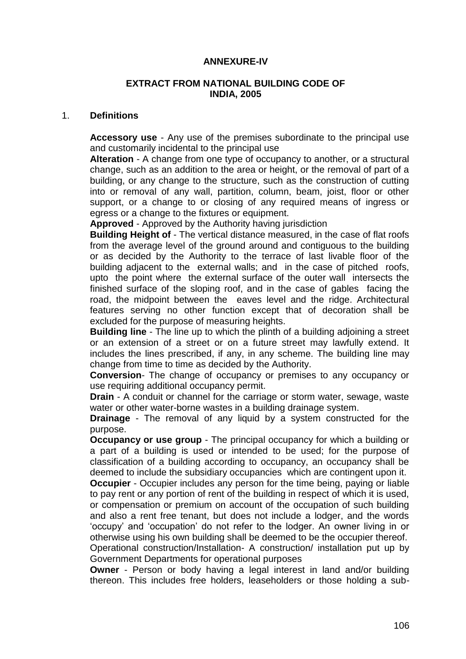### **ANNEXURE-IV**

#### **EXTRACT FROM NATIONAL BUILDING CODE OF INDIA, 2005**

#### 1. **Definitions**

**Accessory use** - Any use of the premises subordinate to the principal use and customarily incidental to the principal use

**Alteration** - A change from one type of occupancy to another, or a structural change, such as an addition to the area or height, or the removal of part of a building, or any change to the structure, such as the construction of cutting into or removal of any wall, partition, column, beam, joist, floor or other support, or a change to or closing of any required means of ingress or egress or a change to the fixtures or equipment.

**Approved** - Approved by the Authority having jurisdiction

**Building Height of** - The vertical distance measured, in the case of flat roofs from the average level of the ground around and contiguous to the building or as decided by the Authority to the terrace of last livable floor of the building adjacent to the external walls; and in the case of pitched roofs, upto the point where the external surface of the outer wall intersects the finished surface of the sloping roof, and in the case of gables facing the road, the midpoint between the eaves level and the ridge. Architectural features serving no other function except that of decoration shall be excluded for the purpose of measuring heights.

**Building line** - The line up to which the plinth of a building adjoining a street or an extension of a street or on a future street may lawfully extend. It includes the lines prescribed, if any, in any scheme. The building line may change from time to time as decided by the Authority.

**Conversion**- The change of occupancy or premises to any occupancy or use requiring additional occupancy permit.

**Drain** - A conduit or channel for the carriage or storm water, sewage, waste water or other water-borne wastes in a building drainage system.

**Drainage** - The removal of any liquid by a system constructed for the purpose.

**Occupancy or use group** - The principal occupancy for which a building or a part of a building is used or intended to be used; for the purpose of classification of a building according to occupancy, an occupancy shall be deemed to include the subsidiary occupancies which are contingent upon it.

**Occupier** - Occupier includes any person for the time being, paying or liable to pay rent or any portion of rent of the building in respect of which it is used, or compensation or premium on account of the occupation of such building and also a rent free tenant, but does not include a lodger, and the words "occupy" and "occupation" do not refer to the lodger. An owner living in or otherwise using his own building shall be deemed to be the occupier thereof.

Operational construction/Installation- A construction/ installation put up by Government Departments for operational purposes

**Owner** - Person or body having a legal interest in land and/or building thereon. This includes free holders, leaseholders or those holding a sub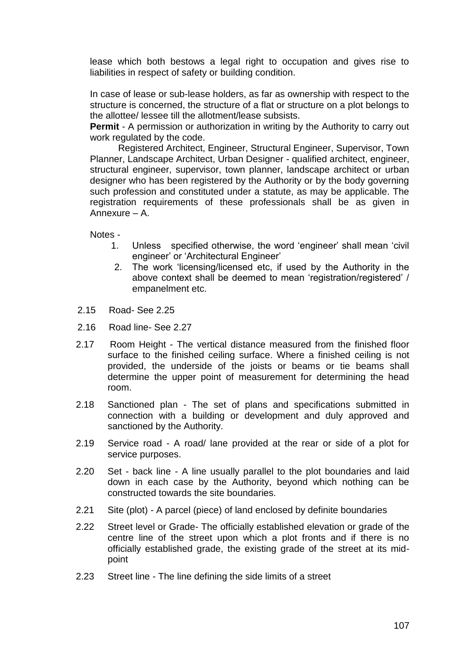lease which both bestows a legal right to occupation and gives rise to liabilities in respect of safety or building condition.

In case of lease or sub-lease holders, as far as ownership with respect to the structure is concerned, the structure of a flat or structure on a plot belongs to the allottee/ lessee till the allotment/lease subsists.

**Permit** - A permission or authorization in writing by the Authority to carry out work regulated by the code.

Registered Architect, Engineer, Structural Engineer, Supervisor, Town Planner, Landscape Architect, Urban Designer - qualified architect, engineer, structural engineer, supervisor, town planner, landscape architect or urban designer who has been registered by the Authority or by the body governing such profession and constituted under a statute, as may be applicable. The registration requirements of these professionals shall be as given in Annexure – A.

Notes -

- 1. Unless specified otherwise, the word "engineer" shall mean "civil engineer' or 'Architectural Engineer'
- 2. The work "licensing/licensed etc, if used by the Authority in the above context shall be deemed to mean "registration/registered" / empanelment etc.
- 2.15 Road- See 2.25
- 2.16 Road line- See 2.27
- 2.17 Room Height The vertical distance measured from the finished floor surface to the finished ceiling surface. Where a finished ceiling is not provided, the underside of the joists or beams or tie beams shall determine the upper point of measurement for determining the head room.
- 2.18 Sanctioned plan The set of plans and specifications submitted in connection with a building or development and duly approved and sanctioned by the Authority.
- 2.19 Service road A road/ lane provided at the rear or side of a plot for service purposes.
- 2.20 Set back line A line usually parallel to the plot boundaries and laid down in each case by the Authority, beyond which nothing can be constructed towards the site boundaries.
- 2.21 Site (plot) A parcel (piece) of land enclosed by definite boundaries
- 2.22 Street level or Grade- The officially established elevation or grade of the centre line of the street upon which a plot fronts and if there is no officially established grade, the existing grade of the street at its midpoint
- 2.23 Street line The line defining the side limits of a street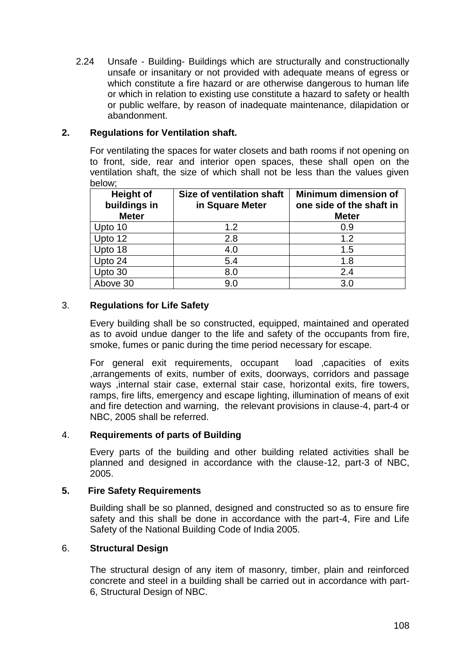2.24 Unsafe - Building- Buildings which are structurally and constructionally unsafe or insanitary or not provided with adequate means of egress or which constitute a fire hazard or are otherwise dangerous to human life or which in relation to existing use constitute a hazard to safety or health or public welfare, by reason of inadequate maintenance, dilapidation or abandonment.

### **2. Regulations for Ventilation shaft.**

For ventilating the spaces for water closets and bath rooms if not opening on to front, side, rear and interior open spaces, these shall open on the ventilation shaft, the size of which shall not be less than the values given below;

| <b>Height of</b><br>buildings in<br><b>Meter</b> | Size of ventilation shaft<br>in Square Meter | <b>Minimum dimension of</b><br>one side of the shaft in<br><b>Meter</b> |
|--------------------------------------------------|----------------------------------------------|-------------------------------------------------------------------------|
| Upto 10                                          | 1.2                                          | 0.9                                                                     |
| Upto 12                                          | 2.8                                          | 1.2                                                                     |
| Upto 18                                          | 4.0                                          | 1.5                                                                     |
| Upto 24                                          | 5.4                                          | 1.8                                                                     |
| Upto 30                                          | 8.0                                          | 2.4                                                                     |
| Above 30                                         | 9.0                                          | 3.0                                                                     |

# 3. **Regulations for Life Safety**

Every building shall be so constructed, equipped, maintained and operated as to avoid undue danger to the life and safety of the occupants from fire, smoke, fumes or panic during the time period necessary for escape.

For general exit requirements, occupant load ,capacities of exits ,arrangements of exits, number of exits, doorways, corridors and passage ways ,internal stair case, external stair case, horizontal exits, fire towers, ramps, fire lifts, emergency and escape lighting, illumination of means of exit and fire detection and warning, the relevant provisions in clause-4, part-4 or NBC, 2005 shall be referred.

### 4. **Requirements of parts of Building**

Every parts of the building and other building related activities shall be planned and designed in accordance with the clause-12, part-3 of NBC, 2005.

### **5. Fire Safety Requirements**

Building shall be so planned, designed and constructed so as to ensure fire safety and this shall be done in accordance with the part-4, Fire and Life Safety of the National Building Code of India 2005.

### 6. **Structural Design**

The structural design of any item of masonry, timber, plain and reinforced concrete and steel in a building shall be carried out in accordance with part-6, Structural Design of NBC.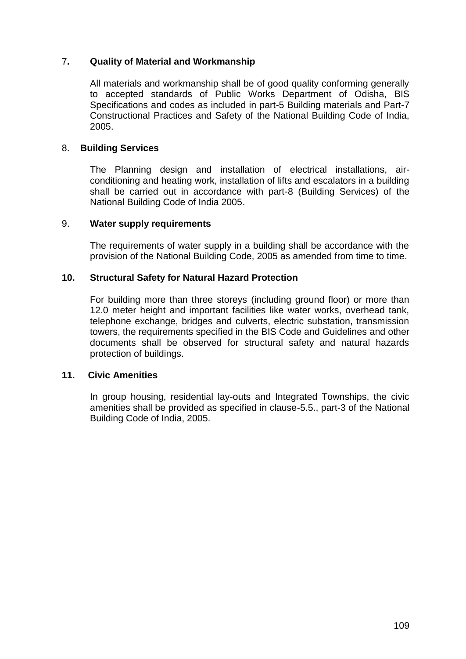### 7**. Quality of Material and Workmanship**

All materials and workmanship shall be of good quality conforming generally to accepted standards of Public Works Department of Odisha, BIS Specifications and codes as included in part-5 Building materials and Part-7 Constructional Practices and Safety of the National Building Code of India, 2005.

#### 8. **Building Services**

The Planning design and installation of electrical installations, airconditioning and heating work, installation of lifts and escalators in a building shall be carried out in accordance with part-8 (Building Services) of the National Building Code of India 2005.

#### 9. **Water supply requirements**

The requirements of water supply in a building shall be accordance with the provision of the National Building Code, 2005 as amended from time to time.

#### **10. Structural Safety for Natural Hazard Protection**

For building more than three storeys (including ground floor) or more than 12.0 meter height and important facilities like water works, overhead tank, telephone exchange, bridges and culverts, electric substation, transmission towers, the requirements specified in the BIS Code and Guidelines and other documents shall be observed for structural safety and natural hazards protection of buildings.

#### **11. Civic Amenities**

In group housing, residential lay-outs and Integrated Townships, the civic amenities shall be provided as specified in clause-5.5., part-3 of the National Building Code of India, 2005.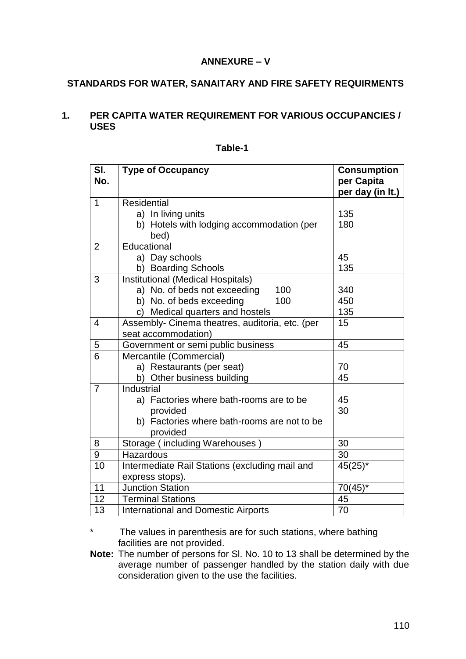### **ANNEXURE – V**

# **STANDARDS FOR WATER, SANAITARY AND FIRE SAFETY REQUIRMENTS**

#### **1. PER CAPITA WATER REQUIREMENT FOR VARIOUS OCCUPANCIES / USES**

| SI.<br>No.     | <b>Type of Occupancy</b>                                     | <b>Consumption</b><br>per Capita |  |  |
|----------------|--------------------------------------------------------------|----------------------------------|--|--|
|                |                                                              | per day (in It.)                 |  |  |
| $\mathbf{1}$   | <b>Residential</b>                                           |                                  |  |  |
|                | a) In living units                                           | 135                              |  |  |
|                | b) Hotels with lodging accommodation (per                    | 180                              |  |  |
|                | bed)                                                         |                                  |  |  |
| $\overline{2}$ | Educational                                                  |                                  |  |  |
|                | a) Day schools                                               | 45                               |  |  |
|                | b) Boarding Schools                                          | 135                              |  |  |
| 3              | Institutional (Medical Hospitals)                            |                                  |  |  |
|                | a) No. of beds not exceeding<br>100                          | 340                              |  |  |
|                | b) No. of beds exceeding<br>100                              | 450                              |  |  |
|                | Medical quarters and hostels<br>C)                           | 135                              |  |  |
| $\overline{4}$ | Assembly- Cinema theatres, auditoria, etc. (per              | 15                               |  |  |
|                | seat accommodation)                                          |                                  |  |  |
| 5              | Government or semi public business<br>45                     |                                  |  |  |
| 6              | Mercantile (Commercial)                                      |                                  |  |  |
|                | a) Restaurants (per seat)                                    | 70                               |  |  |
|                | b) Other business building                                   | 45                               |  |  |
| $\overline{7}$ | Industrial                                                   |                                  |  |  |
|                | a) Factories where bath-rooms are to be                      | 45                               |  |  |
|                | provided                                                     | 30                               |  |  |
|                | b) Factories where bath-rooms are not to be                  |                                  |  |  |
|                | provided                                                     |                                  |  |  |
| 8              | Storage (including Warehouses)                               | 30                               |  |  |
| 9              | 30<br>Hazardous                                              |                                  |  |  |
| 10             | Intermediate Rail Stations (excluding mail and<br>$45(25)^*$ |                                  |  |  |
|                | express stops).                                              |                                  |  |  |
| 11             | <b>Junction Station</b>                                      | $70(45)^*$                       |  |  |
| 12             | <b>Terminal Stations</b><br>45                               |                                  |  |  |
| 13             | <b>International and Domestic Airports</b><br>70             |                                  |  |  |

| able |  |
|------|--|
|------|--|

The values in parenthesis are for such stations, where bathing facilities are not provided.

**Note:** The number of persons for Sl. No. 10 to 13 shall be determined by the average number of passenger handled by the station daily with due consideration given to the use the facilities.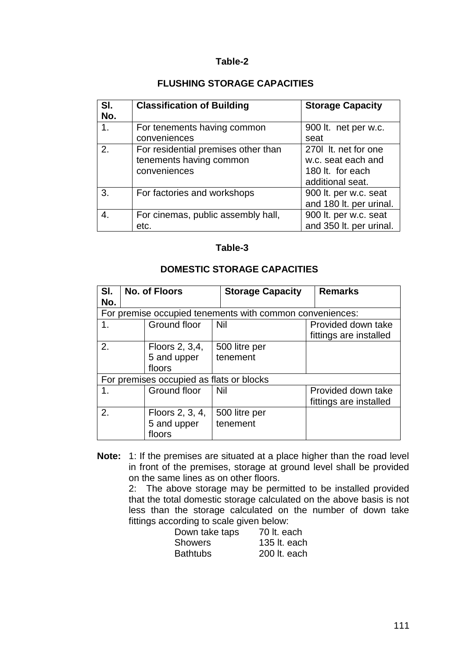### **FLUSHING STORAGE CAPACITIES**

| SI.<br>No.     | <b>Classification of Building</b>                                              | <b>Storage Capacity</b>                                                           |
|----------------|--------------------------------------------------------------------------------|-----------------------------------------------------------------------------------|
| 1 <sub>1</sub> | For tenements having common<br>conveniences                                    | 900 lt. net per w.c.<br>seat                                                      |
| 2.             | For residential premises other than<br>tenements having common<br>conveniences | 270 It. net for one<br>w.c. seat each and<br>180 lt. for each<br>additional seat. |
| 3.             | For factories and workshops                                                    | 900 lt. per w.c. seat<br>and 180 lt. per urinal.                                  |
| 4.             | For cinemas, public assembly hall,<br>etc.                                     | 900 lt. per w.c. seat<br>and 350 lt. per urinal.                                  |

#### **Table-3**

#### **DOMESTIC STORAGE CAPACITIES**

| SI.<br>No.         | <b>No. of Floors</b>                     | <b>Storage Capacity</b>                                  | <b>Remarks</b>                               |
|--------------------|------------------------------------------|----------------------------------------------------------|----------------------------------------------|
|                    |                                          | For premise occupied tenements with common conveniences: |                                              |
| Ground floor<br>1. |                                          | Nil                                                      | Provided down take<br>fittings are installed |
| 2.                 | Floors 2, 3,4,<br>5 and upper<br>floors  | 500 litre per<br>tenement                                |                                              |
|                    | For premises occupied as flats or blocks |                                                          |                                              |
| 1.                 | Ground floor                             | <b>Nil</b>                                               | Provided down take<br>fittings are installed |
| 2.                 | Floors 2, 3, 4,<br>5 and upper<br>floors | 500 litre per<br>tenement                                |                                              |

**Note:** 1: If the premises are situated at a place higher than the road level in front of the premises, storage at ground level shall be provided on the same lines as on other floors.

 2: The above storage may be permitted to be installed provided that the total domestic storage calculated on the above basis is not less than the storage calculated on the number of down take fittings according to scale given below:

| Down take taps  | 70 lt. each  |
|-----------------|--------------|
| <b>Showers</b>  | 135 lt. each |
| <b>Bathtubs</b> | 200 lt. each |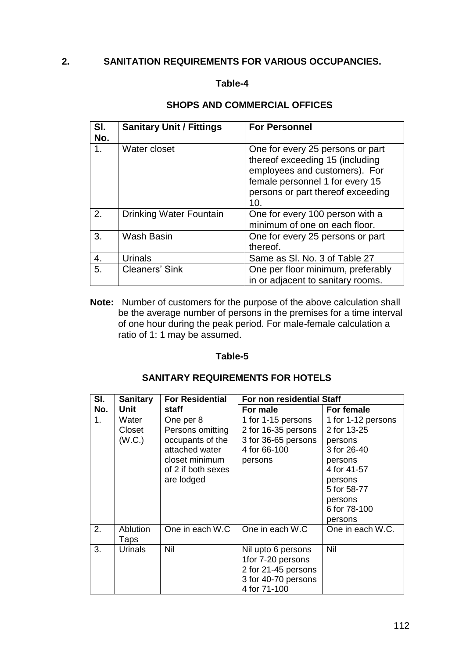### **2. SANITATION REQUIREMENTS FOR VARIOUS OCCUPANCIES.**

### **Table-4**

#### **SHOPS AND COMMERCIAL OFFICES**

| SI.<br>No. | <b>Sanitary Unit / Fittings</b> | <b>For Personnel</b>                                                                                                                                                                |
|------------|---------------------------------|-------------------------------------------------------------------------------------------------------------------------------------------------------------------------------------|
| 1.         | Water closet                    | One for every 25 persons or part<br>thereof exceeding 15 (including<br>employees and customers). For<br>female personnel 1 for every 15<br>persons or part thereof exceeding<br>10. |
| 2.         | <b>Drinking Water Fountain</b>  | One for every 100 person with a<br>minimum of one on each floor.                                                                                                                    |
| 3.         | Wash Basin                      | One for every 25 persons or part<br>thereof.                                                                                                                                        |
| 4.         | <b>Urinals</b>                  | Same as SI. No. 3 of Table 27                                                                                                                                                       |
| 5.         | <b>Cleaners' Sink</b>           | One per floor minimum, preferably<br>in or adjacent to sanitary rooms.                                                                                                              |

**Note:** Number of customers for the purpose of the above calculation shall be the average number of persons in the premises for a time interval of one hour during the peak period. For male-female calculation a ratio of 1: 1 may be assumed.

#### **Table-5**

#### **SANITARY REQUIREMENTS FOR HOTELS**

| SI.            | <b>Sanitary</b>         | <b>For Residential</b><br>For non residential Staff |                     |                    |
|----------------|-------------------------|-----------------------------------------------------|---------------------|--------------------|
| No.            | <b>Unit</b>             | staff                                               | For male            | For female         |
| 1 <sub>1</sub> | Water                   | One per 8                                           | 1 for 1-15 persons  | 1 for 1-12 persons |
|                | Closet                  | Persons omitting                                    | 2 for 16-35 persons | 2 for 13-25        |
|                | (W.C.)                  | occupants of the                                    | 3 for 36-65 persons | persons            |
|                |                         | attached water                                      | 4 for 66-100        | 3 for 26-40        |
|                |                         | closet minimum                                      | persons             | persons            |
|                |                         | of 2 if both sexes                                  |                     | 4 for 41-57        |
|                |                         | are lodged                                          |                     | persons            |
|                |                         |                                                     |                     | 5 for 58-77        |
|                |                         |                                                     |                     | persons            |
|                |                         |                                                     |                     | 6 for 78-100       |
|                |                         |                                                     |                     | persons            |
| 2.             | <b>Ablution</b><br>Taps | One in each W.C                                     | One in each W.C     | One in each W.C.   |
| 3.             | Urinals                 | Nil                                                 | Nil upto 6 persons  | Nil                |
|                |                         |                                                     | 1for 7-20 persons   |                    |
|                |                         |                                                     | 2 for 21-45 persons |                    |
|                |                         |                                                     | 3 for 40-70 persons |                    |
|                |                         |                                                     | 4 for 71-100        |                    |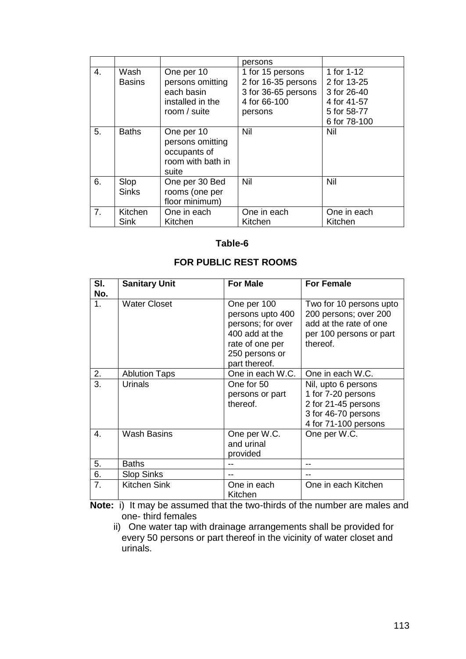|    |                       |                                                                                  | persons                                                                                   |                                                                                        |
|----|-----------------------|----------------------------------------------------------------------------------|-------------------------------------------------------------------------------------------|----------------------------------------------------------------------------------------|
| 4. | Wash<br><b>Basins</b> | One per 10<br>persons omitting<br>each basin<br>installed in the<br>room / suite | 1 for 15 persons<br>2 for 16-35 persons<br>3 for 36-65 persons<br>4 for 66-100<br>persons | 1 for 1-12<br>2 for 13-25<br>3 for 26-40<br>4 for 41-57<br>5 for 58-77<br>6 for 78-100 |
| 5. | <b>Baths</b>          | One per 10<br>persons omitting<br>occupants of<br>room with bath in<br>suite     | Nil                                                                                       | Nil                                                                                    |
| 6. | Slop<br><b>Sinks</b>  | One per 30 Bed<br>rooms (one per<br>floor minimum)                               | Nil                                                                                       | Nil                                                                                    |
| 7. | Kitchen<br>Sink       | One in each<br>Kitchen                                                           | One in each<br>Kitchen                                                                    | One in each<br>Kitchen                                                                 |

#### **FOR PUBLIC REST ROOMS**

| SI.<br>No. | <b>Sanitary Unit</b> | <b>For Male</b>                                                                                                              | <b>For Female</b>                                                                                                 |
|------------|----------------------|------------------------------------------------------------------------------------------------------------------------------|-------------------------------------------------------------------------------------------------------------------|
| 1.         | <b>Water Closet</b>  | One per 100<br>persons upto 400<br>persons; for over<br>400 add at the<br>rate of one per<br>250 persons or<br>part thereof. | Two for 10 persons upto<br>200 persons; over 200<br>add at the rate of one<br>per 100 persons or part<br>thereof. |
| 2.         | <b>Ablution Taps</b> | One in each W.C.                                                                                                             | One in each W.C.                                                                                                  |
| 3.         | <b>Urinals</b>       | One for 50<br>persons or part<br>thereof.                                                                                    | Nil, upto 6 persons<br>1 for 7-20 persons<br>2 for 21-45 persons<br>3 for 46-70 persons<br>4 for 71-100 persons   |
| 4.         | <b>Wash Basins</b>   | One per W.C.<br>and urinal<br>provided                                                                                       | One per W.C.                                                                                                      |
| 5.         | <b>Baths</b>         |                                                                                                                              |                                                                                                                   |
| 6.         | <b>Slop Sinks</b>    |                                                                                                                              |                                                                                                                   |
| 7.         | Kitchen Sink         | One in each<br>Kitchen                                                                                                       | One in each Kitchen                                                                                               |

**Note:** i) It may be assumed that the two-thirds of the number are males and one- third females

 ii) One water tap with drainage arrangements shall be provided for every 50 persons or part thereof in the vicinity of water closet and urinals.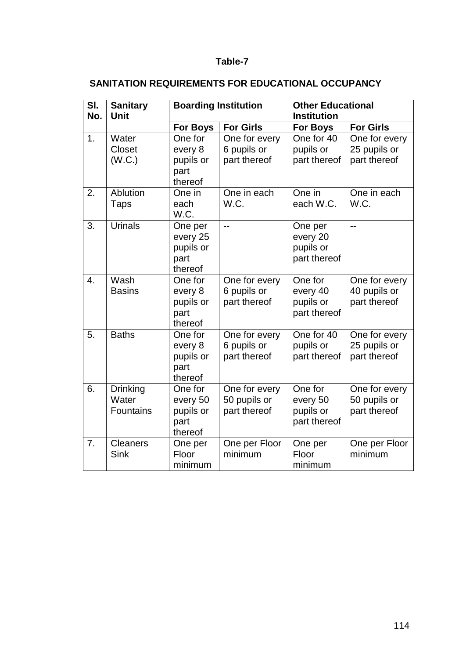# **SANITATION REQUIREMENTS FOR EDUCATIONAL OCCUPANCY**

| SI.<br>No. | <b>Boarding Institution</b><br><b>Sanitary</b><br>Unit |                                                     |                                               | <b>Other Educational</b><br><b>Institution</b>   |                                               |
|------------|--------------------------------------------------------|-----------------------------------------------------|-----------------------------------------------|--------------------------------------------------|-----------------------------------------------|
|            |                                                        | For Boys                                            | <b>For Girls</b>                              | <b>For Boys</b>                                  | <b>For Girls</b>                              |
| 1.         | Water<br><b>Closet</b><br>(W.C.)                       | One for<br>every 8<br>pupils or<br>part<br>thereof  | One for every<br>6 pupils or<br>part thereof  | One for 40<br>pupils or<br>part thereof          | One for every<br>25 pupils or<br>part thereof |
| 2.         | Ablution<br><b>Taps</b>                                | One in<br>each<br>W.C.                              | One in each<br>W.C.                           | One in<br>each W.C.                              | One in each<br>W.C.                           |
| 3.         | <b>Urinals</b>                                         | One per<br>every 25<br>pupils or<br>part<br>thereof | --                                            | One per<br>every 20<br>pupils or<br>part thereof | $\overline{a}$                                |
| 4.         | Wash<br><b>Basins</b>                                  | One for<br>every 8<br>pupils or<br>part<br>thereof  | One for every<br>6 pupils or<br>part thereof  | One for<br>every 40<br>pupils or<br>part thereof | One for every<br>40 pupils or<br>part thereof |
| 5.         | <b>Baths</b>                                           | One for<br>every 8<br>pupils or<br>part<br>thereof  | One for every<br>6 pupils or<br>part thereof  | One for 40<br>pupils or<br>part thereof          | One for every<br>25 pupils or<br>part thereof |
| 6.         | <b>Drinking</b><br>Water<br><b>Fountains</b>           | One for<br>every 50<br>pupils or<br>part<br>thereof | One for every<br>50 pupils or<br>part thereof | One for<br>every 50<br>pupils or<br>part thereof | One for every<br>50 pupils or<br>part thereof |
| 7.         | <b>Cleaners</b><br><b>Sink</b>                         | One per<br>Floor<br>minimum                         | One per Floor<br>minimum                      | One per<br>Floor<br>minimum                      | One per Floor<br>minimum                      |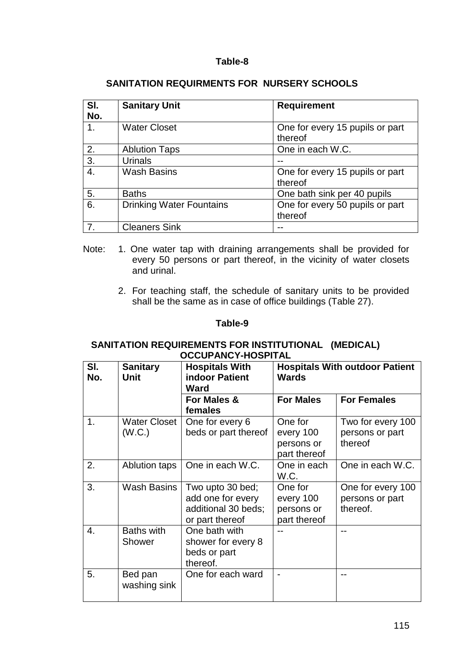| SI.<br>No. | <b>Sanitary Unit</b>            | <b>Requirement</b>                         |
|------------|---------------------------------|--------------------------------------------|
|            | <b>Water Closet</b>             | One for every 15 pupils or part<br>thereof |
| 2.         | <b>Ablution Taps</b>            | One in each W.C.                           |
| 3.         | Urinals                         |                                            |
| 4.         | <b>Wash Basins</b>              | One for every 15 pupils or part<br>thereof |
| 5.         | <b>Baths</b>                    | One bath sink per 40 pupils                |
| 6.         | <b>Drinking Water Fountains</b> | One for every 50 pupils or part<br>thereof |
| 7.         | <b>Cleaners Sink</b>            |                                            |

### **SANITATION REQUIRMENTS FOR NURSERY SCHOOLS**

- Note: 1. One water tap with draining arrangements shall be provided for every 50 persons or part thereof, in the vicinity of water closets and urinal.
	- 2. For teaching staff, the schedule of sanitary units to be provided shall be the same as in case of office buildings (Table 27).

### **Table-9**

### **SANITATION REQUIREMENTS FOR INSTITUTIONAL (MEDICAL) OCCUPANCY-HOSPITAL**

| SI.<br>No. | <b>Sanitary</b><br><b>Unit</b> | <b>Hospitals With</b><br><b>indoor Patient</b><br><b>Ward</b>                   | <b>Hospitals With outdoor Patient</b><br><b>Wards</b> |                                                  |
|------------|--------------------------------|---------------------------------------------------------------------------------|-------------------------------------------------------|--------------------------------------------------|
|            |                                | For Males &<br>females                                                          | <b>For Males</b>                                      | <b>For Females</b>                               |
| 1.         | Water Closet<br>(W.C.)         | One for every 6<br>beds or part thereof                                         | One for<br>every 100<br>persons or<br>part thereof    | Two for every 100<br>persons or part<br>thereof  |
| 2.         | Ablution taps                  | One in each W.C.                                                                | One in each<br>W.C.                                   | One in each W.C.                                 |
| 3.         | <b>Wash Basins</b>             | Two upto 30 bed;<br>add one for every<br>additional 30 beds;<br>or part thereof | One for<br>every 100<br>persons or<br>part thereof    | One for every 100<br>persons or part<br>thereof. |
| 4.         | <b>Baths with</b><br>Shower    | One bath with<br>shower for every 8<br>beds or part<br>thereof.                 |                                                       |                                                  |
| 5.         | Bed pan<br>washing sink        | One for each ward                                                               |                                                       |                                                  |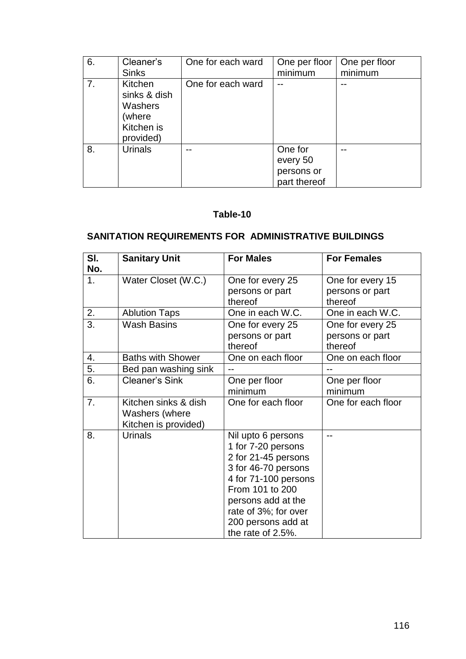| 6. | Cleaner's                                                               | One for each ward | One per floor                                     | One per floor |
|----|-------------------------------------------------------------------------|-------------------|---------------------------------------------------|---------------|
|    | <b>Sinks</b>                                                            |                   | minimum                                           | minimum       |
| 7. | Kitchen<br>sinks & dish<br>Washers<br>(where<br>Kitchen is<br>provided) | One for each ward | --                                                |               |
| 8. | <b>Urinals</b>                                                          |                   | One for<br>every 50<br>persons or<br>part thereof |               |

### **SANITATION REQUIREMENTS FOR ADMINISTRATIVE BUILDINGS**

| SI.<br>No. | <b>Sanitary Unit</b>                                           | <b>For Males</b>                                                                                                                                                                                                           | <b>For Females</b>                             |
|------------|----------------------------------------------------------------|----------------------------------------------------------------------------------------------------------------------------------------------------------------------------------------------------------------------------|------------------------------------------------|
| 1.         | Water Closet (W.C.)                                            | One for every 25<br>persons or part<br>thereof                                                                                                                                                                             | One for every 15<br>persons or part<br>thereof |
| 2.         | <b>Ablution Taps</b>                                           | One in each W.C.                                                                                                                                                                                                           | One in each W.C.                               |
| 3.         | <b>Wash Basins</b>                                             | One for every 25<br>persons or part<br>thereof                                                                                                                                                                             | One for every 25<br>persons or part<br>thereof |
| 4.         | <b>Baths with Shower</b>                                       | One on each floor                                                                                                                                                                                                          | One on each floor                              |
| 5.         | Bed pan washing sink                                           |                                                                                                                                                                                                                            |                                                |
| 6.         | <b>Cleaner's Sink</b>                                          | One per floor<br>minimum                                                                                                                                                                                                   | One per floor<br>minimum                       |
| 7.         | Kitchen sinks & dish<br>Washers (where<br>Kitchen is provided) | One for each floor                                                                                                                                                                                                         | One for each floor                             |
| 8.         | <b>Urinals</b>                                                 | Nil upto 6 persons<br>1 for 7-20 persons<br>2 for 21-45 persons<br>3 for 46-70 persons<br>4 for 71-100 persons<br>From 101 to 200<br>persons add at the<br>rate of 3%; for over<br>200 persons add at<br>the rate of 2.5%. |                                                |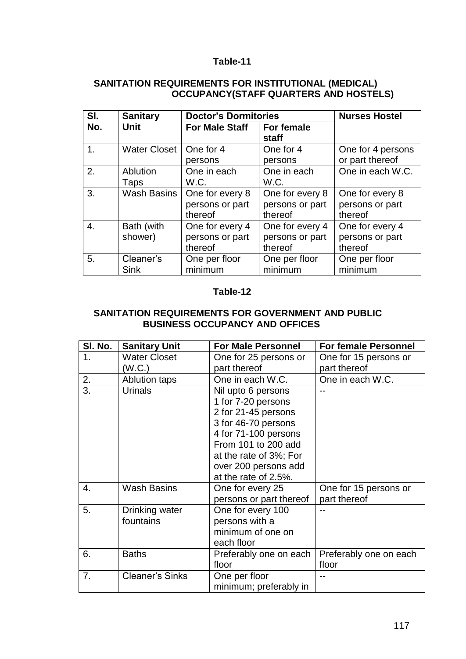#### **SANITATION REQUIREMENTS FOR INSTITUTIONAL (MEDICAL) OCCUPANCY(STAFF QUARTERS AND HOSTELS)**

| SI. | <b>Sanitary</b>     | <b>Doctor's Dormitories</b> |                 | <b>Nurses Hostel</b> |
|-----|---------------------|-----------------------------|-----------------|----------------------|
| No. | Unit                | <b>For Male Staff</b>       | For female      |                      |
|     |                     |                             | staff           |                      |
| 1.  | <b>Water Closet</b> | One for 4                   | One for 4       | One for 4 persons    |
|     |                     | persons                     | persons         | or part thereof      |
| 2.  | Ablution            | One in each                 | One in each     | One in each W.C.     |
|     | Taps                | W.C.                        | W.C.            |                      |
| 3.  | Wash Basins         | One for every 8             | One for every 8 | One for every 8      |
|     |                     | persons or part             | persons or part | persons or part      |
|     |                     | thereof                     | thereof         | thereof              |
| 4.  | Bath (with          | One for every 4             | One for every 4 | One for every 4      |
|     | shower)             | persons or part             | persons or part | persons or part      |
|     |                     | thereof                     | thereof         | thereof              |
| 5.  | Cleaner's           | One per floor               | One per floor   | One per floor        |
|     | <b>Sink</b>         | minimum                     | minimum         | minimum              |

### **Table-12**

#### **SANITATION REQUIREMENTS FOR GOVERNMENT AND PUBLIC BUSINESS OCCUPANCY AND OFFICES**

| SI. No.        | <b>Sanitary Unit</b>   | <b>For Male Personnel</b> | <b>For female Personnel</b> |
|----------------|------------------------|---------------------------|-----------------------------|
| 1 <sub>1</sub> | <b>Water Closet</b>    | One for 25 persons or     | One for 15 persons or       |
|                | (W.C.)                 | part thereof              | part thereof                |
| 2.             | <b>Ablution taps</b>   | One in each W.C.          | One in each W.C.            |
| 3.             | <b>Urinals</b>         | Nil upto 6 persons        |                             |
|                |                        | 1 for 7-20 persons        |                             |
|                |                        | 2 for 21-45 persons       |                             |
|                |                        | 3 for 46-70 persons       |                             |
|                |                        | 4 for 71-100 persons      |                             |
|                |                        | From 101 to 200 add       |                             |
|                |                        | at the rate of 3%; For    |                             |
|                |                        | over 200 persons add      |                             |
|                |                        | at the rate of 2.5%.      |                             |
| 4.             | <b>Wash Basins</b>     | One for every 25          | One for 15 persons or       |
|                |                        | persons or part thereof   | part thereof                |
| 5.             | Drinking water         | One for every 100         |                             |
|                | fountains              | persons with a            |                             |
|                |                        | minimum of one on         |                             |
|                |                        | each floor                |                             |
| 6.             | <b>Baths</b>           | Preferably one on each    | Preferably one on each      |
|                |                        | floor                     | floor                       |
| 7.             | <b>Cleaner's Sinks</b> | One per floor             |                             |
|                |                        | minimum; preferably in    |                             |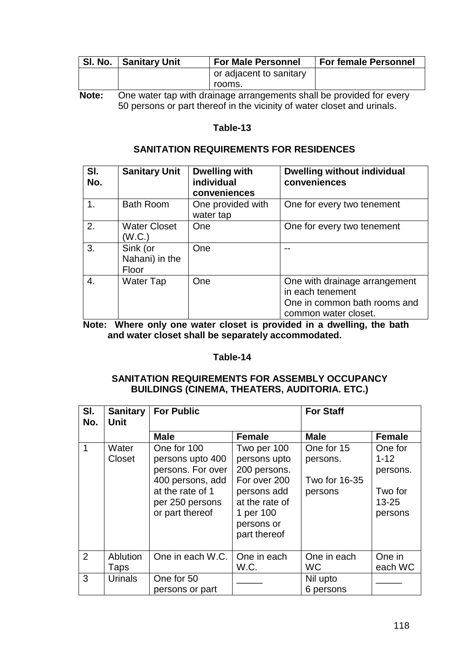| SI. No. | Sanitary Unit                                                        | <b>For Male Personnel</b> | <b>For female Personnel</b> |
|---------|----------------------------------------------------------------------|---------------------------|-----------------------------|
|         |                                                                      | or adjacent to sanitary   |                             |
|         |                                                                      | rooms.                    |                             |
| Note:   | One water tap with drainage arrangements shall be provided for every |                           |                             |

50 persons or part thereof in the vicinity of water closet and urinals.

### **Table-13**

#### **SANITATION REQUIREMENTS FOR RESIDENCES**

| SI.<br>No. | <b>Sanitary Unit</b>                | <b>Dwelling with</b><br>individual<br>conveniences | <b>Dwelling without individual</b><br>conveniences                                                        |
|------------|-------------------------------------|----------------------------------------------------|-----------------------------------------------------------------------------------------------------------|
| 1.         | <b>Bath Room</b>                    | One provided with<br>water tap                     | One for every two tenement                                                                                |
| 2.         | <b>Water Closet</b><br>(W.C.)       | One                                                | One for every two tenement                                                                                |
| 3.         | Sink (or<br>Nahani) in the<br>Floor | One                                                |                                                                                                           |
| 4.         | <b>Water Tap</b>                    | One                                                | One with drainage arrangement<br>in each tenement<br>One in common bath rooms and<br>common water closet. |

**Note: Where only one water closet is provided in a dwelling, the bath and water closet shall be separately accommodated.** 

#### **Table-14**

### **SANITATION REQUIREMENTS FOR ASSEMBLY OCCUPANCY BUILDINGS (CINEMA, THEATERS, AUDITORIA. ETC.)**

| SI.<br>No.  | <b>Sanitary</b><br><b>Unit</b> | <b>For Public</b>                                                                                                                  |                                                                                                                                         | <b>For Staff</b>                                   |                                                                    |
|-------------|--------------------------------|------------------------------------------------------------------------------------------------------------------------------------|-----------------------------------------------------------------------------------------------------------------------------------------|----------------------------------------------------|--------------------------------------------------------------------|
|             |                                | <b>Male</b>                                                                                                                        | <b>Female</b>                                                                                                                           | <b>Male</b>                                        | <b>Female</b>                                                      |
| $\mathbf 1$ | Water<br>Closet                | One for 100<br>persons upto 400<br>persons. For over<br>400 persons, add<br>at the rate of 1<br>per 250 persons<br>or part thereof | Two per 100<br>persons upto<br>200 persons.<br>For over 200<br>persons add<br>at the rate of<br>1 per 100<br>persons or<br>part thereof | One for 15<br>persons.<br>Two for 16-35<br>persons | One for<br>$1 - 12$<br>persons.<br>Two for<br>$13 - 25$<br>persons |
| 2           | Ablution<br>Taps               | One in each W.C.                                                                                                                   | One in each<br>W.C.                                                                                                                     | One in each<br>WC                                  | One in<br>each WC                                                  |
| 3           | <b>Urinals</b>                 | One for 50<br>persons or part                                                                                                      |                                                                                                                                         | Nil upto<br>6 persons                              |                                                                    |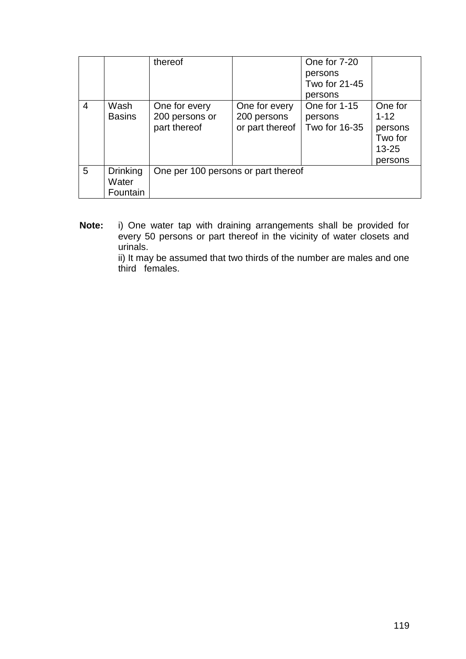|   |                                      | thereof                                         |                                                 | One for 7-20<br>persons<br>Two for 21-45<br>persons |                                                                   |
|---|--------------------------------------|-------------------------------------------------|-------------------------------------------------|-----------------------------------------------------|-------------------------------------------------------------------|
| 4 | Wash<br><b>Basins</b>                | One for every<br>200 persons or<br>part thereof | One for every<br>200 persons<br>or part thereof | One for 1-15<br>persons<br>Two for 16-35            | One for<br>$1 - 12$<br>persons<br>Two for<br>$13 - 25$<br>persons |
| 5 | <b>Drinking</b><br>Water<br>Fountain | One per 100 persons or part thereof             |                                                 |                                                     |                                                                   |

**Note:** i) One water tap with draining arrangements shall be provided for every 50 persons or part thereof in the vicinity of water closets and urinals.

 ii) It may be assumed that two thirds of the number are males and one third females.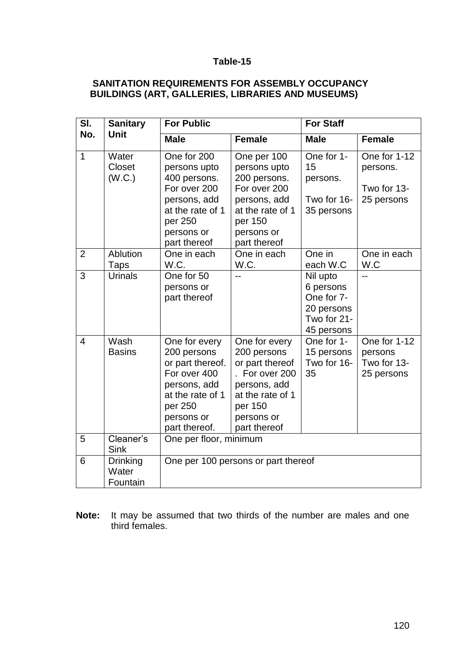# **SANITATION REQUIREMENTS FOR ASSEMBLY OCCUPANCY BUILDINGS (ART, GALLERIES, LIBRARIES AND MUSEUMS)**

| SI.            | <b>Sanitary</b>                      | <b>For Public</b>                                                                                                                              |                                                                                                                                                | <b>For Staff</b>                                                               |                                                       |  |
|----------------|--------------------------------------|------------------------------------------------------------------------------------------------------------------------------------------------|------------------------------------------------------------------------------------------------------------------------------------------------|--------------------------------------------------------------------------------|-------------------------------------------------------|--|
| No.            | <b>Unit</b>                          | <b>Male</b>                                                                                                                                    | <b>Female</b>                                                                                                                                  | <b>Male</b>                                                                    | <b>Female</b>                                         |  |
| $\overline{1}$ | Water<br>Closet<br>(W.C.)            | One for 200<br>persons upto<br>400 persons.<br>For over 200<br>persons, add<br>at the rate of 1<br>per 250<br>persons or<br>part thereof       | One per 100<br>persons upto<br>200 persons.<br>For over 200<br>persons, add<br>at the rate of 1<br>per 150<br>persons or<br>part thereof       | One for 1-<br>15<br>persons.<br>Two for 16-<br>35 persons                      | One for 1-12<br>persons.<br>Two for 13-<br>25 persons |  |
| $\overline{2}$ | Ablution<br>Taps                     | One in each<br>W.C.                                                                                                                            | One in each<br>W.C.                                                                                                                            | One in<br>each W.C                                                             | One in each<br>W.C                                    |  |
| 3              | <b>Urinals</b>                       | One for 50<br>persons or<br>part thereof                                                                                                       |                                                                                                                                                | Nil upto<br>6 persons<br>One for 7-<br>20 persons<br>Two for 21-<br>45 persons |                                                       |  |
| $\overline{4}$ | Wash<br><b>Basins</b>                | One for every<br>200 persons<br>or part thereof.<br>For over 400<br>persons, add<br>at the rate of 1<br>per 250<br>persons or<br>part thereof. | One for every<br>200 persons<br>or part thereof<br>. For over 200<br>persons, add<br>at the rate of 1<br>per 150<br>persons or<br>part thereof | One for 1-<br>15 persons<br>Two for 16-<br>35                                  | One for 1-12<br>persons<br>Two for 13-<br>25 persons  |  |
| 5              | Cleaner's<br>Sink                    | One per floor, minimum                                                                                                                         |                                                                                                                                                |                                                                                |                                                       |  |
| 6              | <b>Drinking</b><br>Water<br>Fountain |                                                                                                                                                | One per 100 persons or part thereof                                                                                                            |                                                                                |                                                       |  |

**Note:** It may be assumed that two thirds of the number are males and one third females.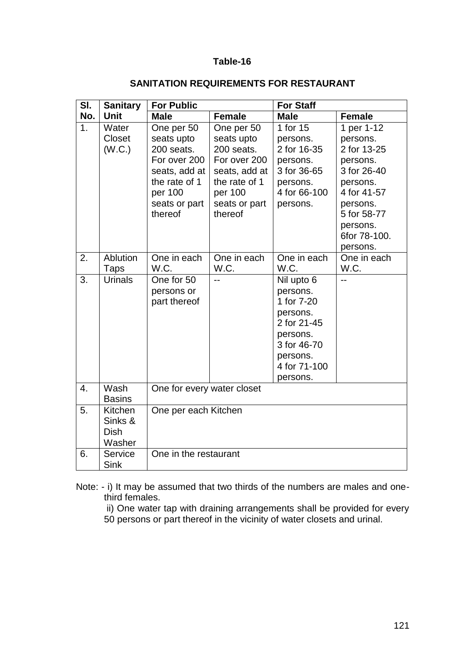| SI.              | <b>Sanitary</b>                             | <b>For Public</b>                                                                                                               |                                                                                                                                 | <b>For Staff</b>                                                                                                                   |                                                                                                                                                                |
|------------------|---------------------------------------------|---------------------------------------------------------------------------------------------------------------------------------|---------------------------------------------------------------------------------------------------------------------------------|------------------------------------------------------------------------------------------------------------------------------------|----------------------------------------------------------------------------------------------------------------------------------------------------------------|
| No.              | Unit                                        | <b>Male</b>                                                                                                                     | <b>Female</b>                                                                                                                   | <b>Male</b>                                                                                                                        | <b>Female</b>                                                                                                                                                  |
| 1 <sub>1</sub>   | Water<br><b>Closet</b><br>(W.C.)            | One per 50<br>seats upto<br>200 seats.<br>For over 200<br>seats, add at<br>the rate of 1<br>per 100<br>seats or part<br>thereof | One per 50<br>seats upto<br>200 seats.<br>For over 200<br>seats, add at<br>the rate of 1<br>per 100<br>seats or part<br>thereof | 1 for 15<br>persons.<br>2 for 16-35<br>persons.<br>3 for 36-65<br>persons.<br>4 for 66-100<br>persons.                             | 1 per 1-12<br>persons.<br>2 for 13-25<br>persons.<br>3 for 26-40<br>persons.<br>4 for 41-57<br>persons.<br>5 for 58-77<br>persons.<br>6for 78-100.<br>persons. |
| 2.               | Ablution<br>Taps                            | One in each<br>W.C.                                                                                                             | One in each<br>W.C.                                                                                                             | One in each<br>W.C.                                                                                                                | One in each<br>W.C.                                                                                                                                            |
| 3.               | <b>Urinals</b>                              | One for 50<br>persons or<br>part thereof                                                                                        | $-$                                                                                                                             | Nil upto 6<br>persons.<br>1 for 7-20<br>persons.<br>2 for 21-45<br>persons.<br>3 for 46-70<br>persons.<br>4 for 71-100<br>persons. | $-$                                                                                                                                                            |
| $\overline{4}$ . | Wash<br><b>Basins</b>                       | One for every water closet                                                                                                      |                                                                                                                                 |                                                                                                                                    |                                                                                                                                                                |
| 5.               | Kitchen<br>Sinks &<br><b>Dish</b><br>Washer | One per each Kitchen                                                                                                            |                                                                                                                                 |                                                                                                                                    |                                                                                                                                                                |
| 6.               | <b>Service</b><br><b>Sink</b>               | One in the restaurant                                                                                                           |                                                                                                                                 |                                                                                                                                    |                                                                                                                                                                |

# **SANITATION REQUIREMENTS FOR RESTAURANT**

Note: - i) It may be assumed that two thirds of the numbers are males and onethird females.

ii) One water tap with draining arrangements shall be provided for every

50 persons or part thereof in the vicinity of water closets and urinal.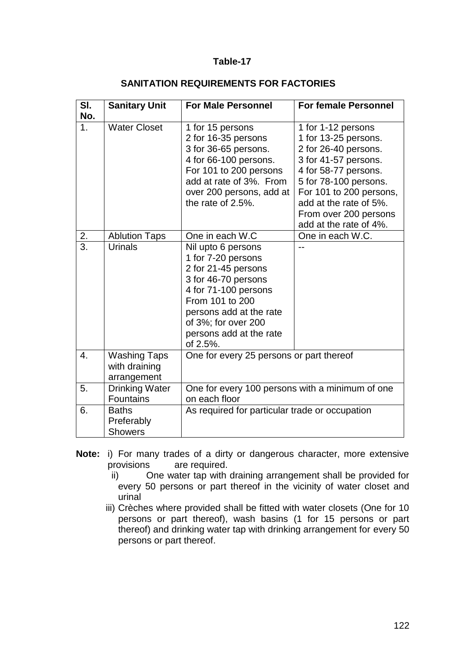| SI.              | <b>Sanitary Unit</b>                                | <b>For Male Personnel</b>                                                                                                                                                                                                  | <b>For female Personnel</b>                                                                                                                                                                                                                         |  |
|------------------|-----------------------------------------------------|----------------------------------------------------------------------------------------------------------------------------------------------------------------------------------------------------------------------------|-----------------------------------------------------------------------------------------------------------------------------------------------------------------------------------------------------------------------------------------------------|--|
| No.              |                                                     |                                                                                                                                                                                                                            |                                                                                                                                                                                                                                                     |  |
| 1 <sub>1</sub>   | <b>Water Closet</b>                                 | 1 for 15 persons<br>2 for 16-35 persons<br>3 for 36-65 persons.<br>4 for 66-100 persons.<br>For 101 to 200 persons<br>add at rate of 3%. From<br>over 200 persons, add at<br>the rate of 2.5%.                             | 1 for 1-12 persons<br>1 for 13-25 persons.<br>2 for 26-40 persons.<br>3 for 41-57 persons.<br>4 for 58-77 persons.<br>5 for 78-100 persons.<br>For 101 to 200 persons,<br>add at the rate of 5%.<br>From over 200 persons<br>add at the rate of 4%. |  |
| 2.               | <b>Ablution Taps</b>                                | One in each W.C                                                                                                                                                                                                            | One in each W.C.                                                                                                                                                                                                                                    |  |
| 3.               | <b>Urinals</b>                                      | Nil upto 6 persons<br>1 for 7-20 persons<br>2 for 21-45 persons<br>3 for 46-70 persons<br>4 for 71-100 persons<br>From 101 to 200<br>persons add at the rate<br>of 3%; for over 200<br>persons add at the rate<br>of 2.5%. |                                                                                                                                                                                                                                                     |  |
| $\overline{4}$ . | <b>Washing Taps</b><br>with draining<br>arrangement | One for every 25 persons or part thereof                                                                                                                                                                                   |                                                                                                                                                                                                                                                     |  |
| 5.               | <b>Drinking Water</b><br><b>Fountains</b>           | One for every 100 persons with a minimum of one<br>on each floor                                                                                                                                                           |                                                                                                                                                                                                                                                     |  |
| 6.               | <b>Baths</b><br>Preferably<br><b>Showers</b>        | As required for particular trade or occupation                                                                                                                                                                             |                                                                                                                                                                                                                                                     |  |

#### **SANITATION REQUIREMENTS FOR FACTORIES**

- **Note:** i) For many trades of a dirty or dangerous character, more extensive provisions are required.
	- ii) One water tap with draining arrangement shall be provided for every 50 persons or part thereof in the vicinity of water closet and urinal
	- iii) Crèches where provided shall be fitted with water closets (One for 10 persons or part thereof), wash basins (1 for 15 persons or part thereof) and drinking water tap with drinking arrangement for every 50 persons or part thereof.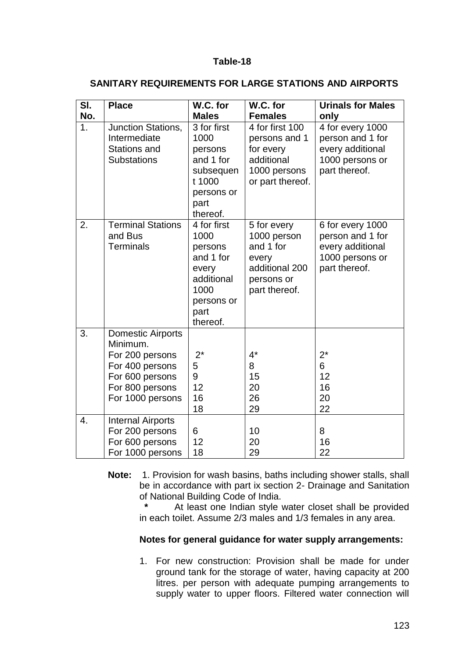| SI.<br>No.       | <b>Place</b>                                                                                                                         | W.C. for<br><b>Males</b>                                                                                     | W.C. for<br><b>Females</b>                                                                        | <b>Urinals for Males</b><br>only                                                             |
|------------------|--------------------------------------------------------------------------------------------------------------------------------------|--------------------------------------------------------------------------------------------------------------|---------------------------------------------------------------------------------------------------|----------------------------------------------------------------------------------------------|
| 1.               | Junction Stations,<br>Intermediate<br><b>Stations and</b><br><b>Substations</b>                                                      | 3 for first<br>1000<br>persons<br>and 1 for<br>subsequen<br>t 1000<br>persons or<br>part<br>thereof.         | 4 for first 100<br>persons and 1<br>for every<br>additional<br>1000 persons<br>or part thereof.   | 4 for every 1000<br>person and 1 for<br>every additional<br>1000 persons or<br>part thereof. |
| 2.               | <b>Terminal Stations</b><br>and Bus<br><b>Terminals</b>                                                                              | 4 for first<br>1000<br>persons<br>and 1 for<br>every<br>additional<br>1000<br>persons or<br>part<br>thereof. | 5 for every<br>1000 person<br>and 1 for<br>every<br>additional 200<br>persons or<br>part thereof. | 6 for every 1000<br>person and 1 for<br>every additional<br>1000 persons or<br>part thereof. |
| 3.               | <b>Domestic Airports</b><br>Minimum.<br>For 200 persons<br>For 400 persons<br>For 600 persons<br>For 800 persons<br>For 1000 persons | $2^*$<br>5<br>9<br>12<br>16<br>18                                                                            | $4^*$<br>8<br>15<br>20<br>26<br>29                                                                | $2^*$<br>6<br>12<br>16<br>20<br>22                                                           |
| $\overline{4}$ . | <b>Internal Airports</b><br>For 200 persons<br>For 600 persons<br>For 1000 persons                                                   | 6<br>12<br>18                                                                                                | 10<br>20<br>29                                                                                    | 8<br>16<br>22                                                                                |

### **SANITARY REQUIREMENTS FOR LARGE STATIONS AND AIRPORTS**

**Note:** 1. Provision for wash basins, baths including shower stalls, shall be in accordance with part ix section 2- Drainage and Sanitation of National Building Code of India.

> At least one Indian style water closet shall be provided in each toilet. Assume 2/3 males and 1/3 females in any area.

#### **Notes for general guidance for water supply arrangements:**

1. For new construction: Provision shall be made for under ground tank for the storage of water, having capacity at 200 litres. per person with adequate pumping arrangements to supply water to upper floors. Filtered water connection will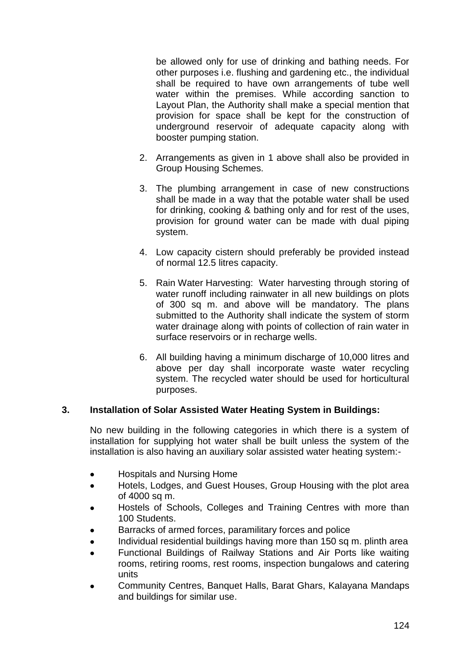be allowed only for use of drinking and bathing needs. For other purposes i.e. flushing and gardening etc., the individual shall be required to have own arrangements of tube well water within the premises. While according sanction to Layout Plan, the Authority shall make a special mention that provision for space shall be kept for the construction of underground reservoir of adequate capacity along with booster pumping station.

- 2. Arrangements as given in 1 above shall also be provided in Group Housing Schemes.
- 3. The plumbing arrangement in case of new constructions shall be made in a way that the potable water shall be used for drinking, cooking & bathing only and for rest of the uses, provision for ground water can be made with dual piping system.
- 4. Low capacity cistern should preferably be provided instead of normal 12.5 litres capacity.
- 5. Rain Water Harvesting: Water harvesting through storing of water runoff including rainwater in all new buildings on plots of 300 sq m. and above will be mandatory. The plans submitted to the Authority shall indicate the system of storm water drainage along with points of collection of rain water in surface reservoirs or in recharge wells.
- 6. All building having a minimum discharge of 10,000 litres and above per day shall incorporate waste water recycling system. The recycled water should be used for horticultural purposes.

#### **3. Installation of Solar Assisted Water Heating System in Buildings:**

No new building in the following categories in which there is a system of installation for supplying hot water shall be built unless the system of the installation is also having an auxiliary solar assisted water heating system:-

- Hospitals and Nursing Home
- Hotels, Lodges, and Guest Houses, Group Housing with the plot area of 4000 sq m.
- Hostels of Schools, Colleges and Training Centres with more than 100 Students.
- Barracks of armed forces, paramilitary forces and police
- Individual residential buildings having more than 150 sq m. plinth area
- Functional Buildings of Railway Stations and Air Ports like waiting rooms, retiring rooms, rest rooms, inspection bungalows and catering units
- Community Centres, Banquet Halls, Barat Ghars, Kalayana Mandaps and buildings for similar use.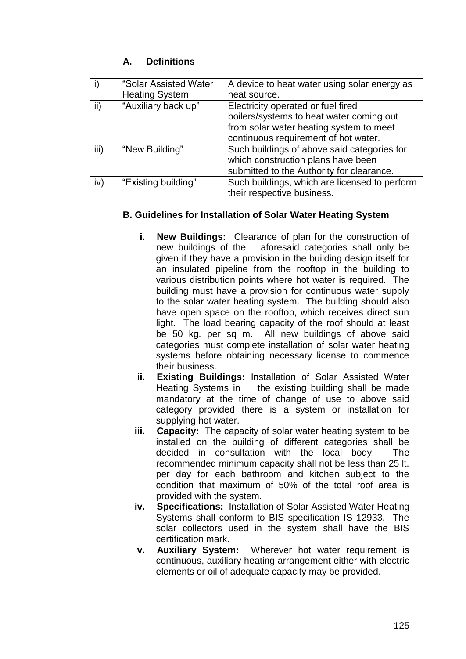# **A. Definitions**

|      | "Solar Assisted Water | A device to heat water using solar energy as  |  |
|------|-----------------------|-----------------------------------------------|--|
|      | <b>Heating System</b> | heat source.                                  |  |
| ii)  | "Auxiliary back up"   | Electricity operated or fuel fired            |  |
|      |                       | boilers/systems to heat water coming out      |  |
|      |                       | from solar water heating system to meet       |  |
|      |                       | continuous requirement of hot water.          |  |
| iii) | "New Building"        | Such buildings of above said categories for   |  |
|      |                       | which construction plans have been            |  |
|      |                       | submitted to the Authority for clearance.     |  |
| iv)  | "Existing building"   | Such buildings, which are licensed to perform |  |
|      |                       | their respective business.                    |  |

### **B. Guidelines for Installation of Solar Water Heating System**

- **i. New Buildings:** Clearance of plan for the construction of new buildings of the aforesaid categories shall only be given if they have a provision in the building design itself for an insulated pipeline from the rooftop in the building to various distribution points where hot water is required. The building must have a provision for continuous water supply to the solar water heating system. The building should also have open space on the rooftop, which receives direct sun light. The load bearing capacity of the roof should at least be 50 kg. per sq m. All new buildings of above said categories must complete installation of solar water heating systems before obtaining necessary license to commence their business.
- **ii. Existing Buildings:** Installation of Solar Assisted Water Heating Systems in the existing building shall be made mandatory at the time of change of use to above said category provided there is a system or installation for supplying hot water.
- **iii. Capacity:** The capacity of solar water heating system to be installed on the building of different categories shall be decided in consultation with the local body. The recommended minimum capacity shall not be less than 25 lt. per day for each bathroom and kitchen subject to the condition that maximum of 50% of the total roof area is provided with the system.
- **iv. Specifications:** Installation of Solar Assisted Water Heating Systems shall conform to BIS specification IS 12933. The solar collectors used in the system shall have the BIS certification mark.
- **v. Auxiliary System:** Wherever hot water requirement is continuous, auxiliary heating arrangement either with electric elements or oil of adequate capacity may be provided.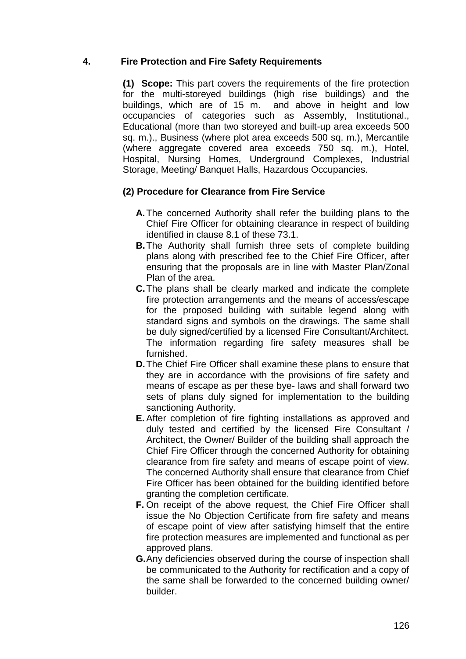### **4. Fire Protection and Fire Safety Requirements**

**(1) Scope:** This part covers the requirements of the fire protection for the multi-storeyed buildings (high rise buildings) and the buildings, which are of 15 m. and above in height and low occupancies of categories such as Assembly, Institutional., Educational (more than two storeyed and built-up area exceeds 500 sq. m.)., Business (where plot area exceeds 500 sq. m.), Mercantile (where aggregate covered area exceeds 750 sq. m.), Hotel, Hospital, Nursing Homes, Underground Complexes, Industrial Storage, Meeting/ Banquet Halls, Hazardous Occupancies.

### **(2) Procedure for Clearance from Fire Service**

- **A.**The concerned Authority shall refer the building plans to the Chief Fire Officer for obtaining clearance in respect of building identified in clause 8.1 of these 73.1.
- **B.**The Authority shall furnish three sets of complete building plans along with prescribed fee to the Chief Fire Officer, after ensuring that the proposals are in line with Master Plan/Zonal Plan of the area.
- **C.**The plans shall be clearly marked and indicate the complete fire protection arrangements and the means of access/escape for the proposed building with suitable legend along with standard signs and symbols on the drawings. The same shall be duly signed/certified by a licensed Fire Consultant/Architect. The information regarding fire safety measures shall be furnished.
- **D.**The Chief Fire Officer shall examine these plans to ensure that they are in accordance with the provisions of fire safety and means of escape as per these bye- laws and shall forward two sets of plans duly signed for implementation to the building sanctioning Authority.
- **E.** After completion of fire fighting installations as approved and duly tested and certified by the licensed Fire Consultant / Architect, the Owner/ Builder of the building shall approach the Chief Fire Officer through the concerned Authority for obtaining clearance from fire safety and means of escape point of view. The concerned Authority shall ensure that clearance from Chief Fire Officer has been obtained for the building identified before granting the completion certificate.
- **F.** On receipt of the above request, the Chief Fire Officer shall issue the No Objection Certificate from fire safety and means of escape point of view after satisfying himself that the entire fire protection measures are implemented and functional as per approved plans.
- **G.**Any deficiencies observed during the course of inspection shall be communicated to the Authority for rectification and a copy of the same shall be forwarded to the concerned building owner/ builder.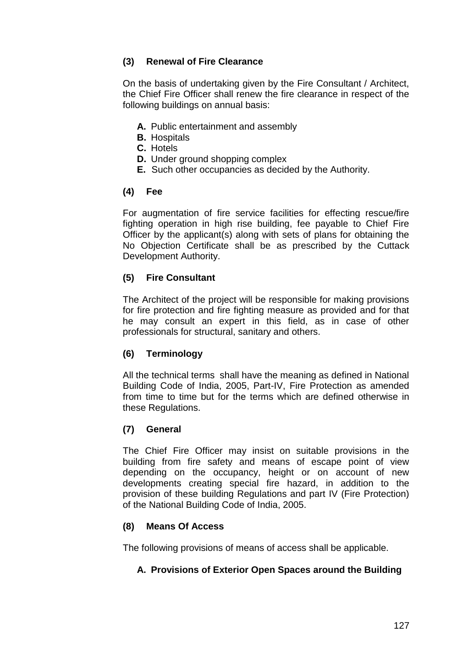# **(3) Renewal of Fire Clearance**

On the basis of undertaking given by the Fire Consultant / Architect, the Chief Fire Officer shall renew the fire clearance in respect of the following buildings on annual basis:

- **A.** Public entertainment and assembly
- **B.** Hospitals
- **C.** Hotels
- **D.** Under ground shopping complex
- **E.** Such other occupancies as decided by the Authority.

### **(4) Fee**

For augmentation of fire service facilities for effecting rescue/fire fighting operation in high rise building, fee payable to Chief Fire Officer by the applicant(s) along with sets of plans for obtaining the No Objection Certificate shall be as prescribed by the Cuttack Development Authority.

# **(5) Fire Consultant**

The Architect of the project will be responsible for making provisions for fire protection and fire fighting measure as provided and for that he may consult an expert in this field, as in case of other professionals for structural, sanitary and others.

### **(6) Terminology**

All the technical terms shall have the meaning as defined in National Building Code of India, 2005, Part-IV, Fire Protection as amended from time to time but for the terms which are defined otherwise in these Regulations.

### **(7) General**

The Chief Fire Officer may insist on suitable provisions in the building from fire safety and means of escape point of view depending on the occupancy, height or on account of new developments creating special fire hazard, in addition to the provision of these building Regulations and part IV (Fire Protection) of the National Building Code of India, 2005.

### **(8) Means Of Access**

The following provisions of means of access shall be applicable.

### **A. Provisions of Exterior Open Spaces around the Building**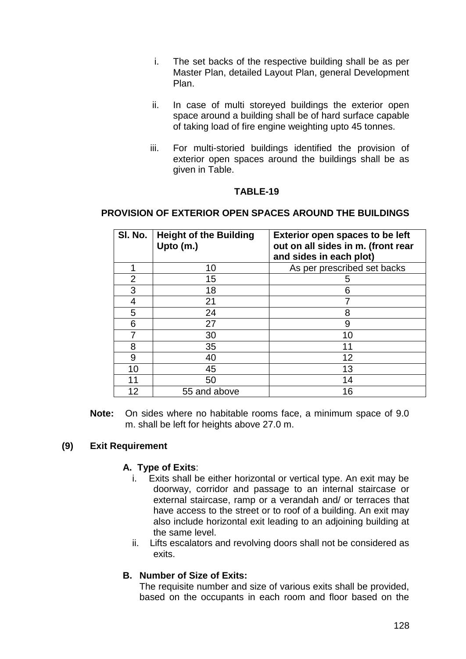- i. The set backs of the respective building shall be as per Master Plan, detailed Layout Plan, general Development Plan.
- ii. In case of multi storeyed buildings the exterior open space around a building shall be of hard surface capable of taking load of fire engine weighting upto 45 tonnes.
- iii. For multi-storied buildings identified the provision of exterior open spaces around the buildings shall be as given in Table.

#### **TABLE-19**

### **PROVISION OF EXTERIOR OPEN SPACES AROUND THE BUILDINGS**

| SI. No. | <b>Height of the Building</b><br>Upto (m.) | <b>Exterior open spaces to be left</b><br>out on all sides in m. (front rear<br>and sides in each plot) |
|---------|--------------------------------------------|---------------------------------------------------------------------------------------------------------|
|         | 10                                         | As per prescribed set backs                                                                             |
| 2       | 15                                         | 5                                                                                                       |
| 3       | 18                                         | 6                                                                                                       |
| 4       | 21                                         |                                                                                                         |
| 5       | 24                                         | 8                                                                                                       |
| 6       | 27                                         | 9                                                                                                       |
|         | 30                                         | 10                                                                                                      |
| 8       | 35                                         | 11                                                                                                      |
| 9       | 40                                         | 12                                                                                                      |
| 10      | 45                                         | 13                                                                                                      |
| 11      | 50                                         | 14                                                                                                      |
| 12      | 55 and above                               | 16                                                                                                      |

**Note:** On sides where no habitable rooms face, a minimum space of 9.0 m. shall be left for heights above 27.0 m.

### **(9) Exit Requirement**

#### **A. Type of Exits**:

- i. Exits shall be either horizontal or vertical type. An exit may be doorway, corridor and passage to an internal staircase or external staircase, ramp or a verandah and/ or terraces that have access to the street or to roof of a building. An exit may also include horizontal exit leading to an adjoining building at the same level.
- ii. Lifts escalators and revolving doors shall not be considered as exits.

#### **B. Number of Size of Exits:**

The requisite number and size of various exits shall be provided, based on the occupants in each room and floor based on the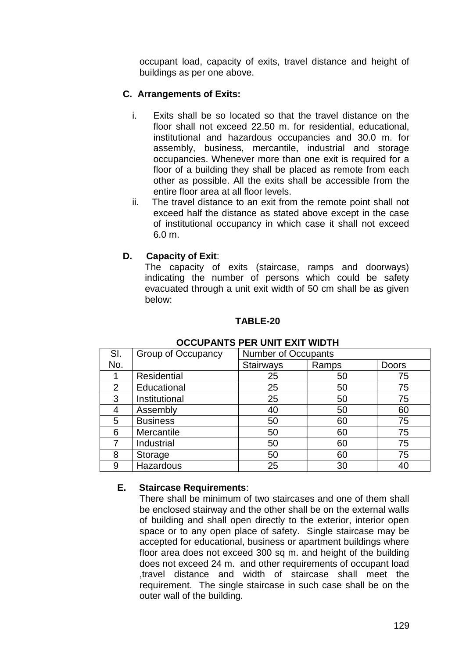occupant load, capacity of exits, travel distance and height of buildings as per one above.

## **C. Arrangements of Exits:**

- i. Exits shall be so located so that the travel distance on the floor shall not exceed 22.50 m. for residential, educational, institutional and hazardous occupancies and 30.0 m. for assembly, business, mercantile, industrial and storage occupancies. Whenever more than one exit is required for a floor of a building they shall be placed as remote from each other as possible. All the exits shall be accessible from the entire floor area at all floor levels.
- ii. The travel distance to an exit from the remote point shall not exceed half the distance as stated above except in the case of institutional occupancy in which case it shall not exceed 6.0 m.

### **D. Capacity of Exit**:

The capacity of exits (staircase, ramps and doorways) indicating the number of persons which could be safety evacuated through a unit exit width of 50 cm shall be as given below:

### **TABLE-20**

| SI. | Group of Occupancy | <b>Number of Occupants</b> |       |       |
|-----|--------------------|----------------------------|-------|-------|
| No. |                    | <b>Stairways</b>           | Ramps | Doors |
|     | Residential        | 25                         | 50    | 75    |
| 2   | Educational        | 25                         | 50    | 75    |
| 3   | Institutional      | 25                         | 50    | 75    |
| 4   | Assembly           | 40                         | 50    | 60    |
| 5   | <b>Business</b>    | 50                         | 60    | 75    |
| 6   | Mercantile         | 50                         | 60    | 75    |
|     | Industrial         | 50                         | 60    | 75    |
| 8   | Storage            | 50                         | 60    | 75    |
| 9   | <b>Hazardous</b>   | 25                         | 30    | 40    |

#### **OCCUPANTS PER UNIT EXIT WIDTH**

### **E. Staircase Requirements**:

There shall be minimum of two staircases and one of them shall be enclosed stairway and the other shall be on the external walls of building and shall open directly to the exterior, interior open space or to any open place of safety. Single staircase may be accepted for educational, business or apartment buildings where floor area does not exceed 300 sq m. and height of the building does not exceed 24 m. and other requirements of occupant load ,travel distance and width of staircase shall meet the requirement. The single staircase in such case shall be on the outer wall of the building.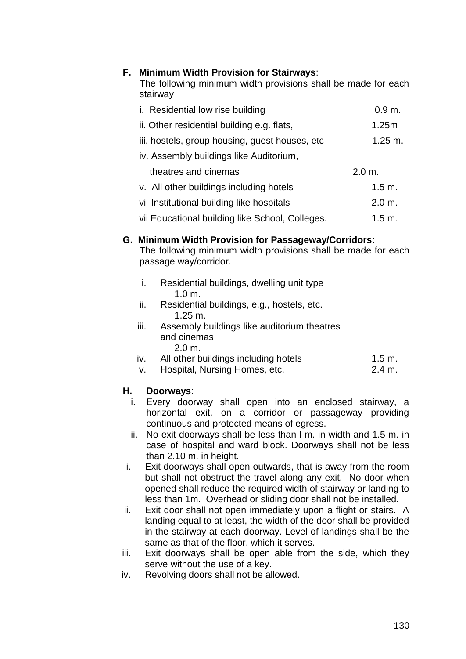### **F. Minimum Width Provision for Stairways**:

The following minimum width provisions shall be made for each stairway

| i. Residential low rise building                | 0.9 m.             |
|-------------------------------------------------|--------------------|
| ii. Other residential building e.g. flats,      | 1.25m              |
| iii. hostels, group housing, guest houses, etc. | $1.25 \text{ m}$ . |
| iv. Assembly buildings like Auditorium,         |                    |
| theatres and cinemas                            | 2.0 m.             |
| v. All other buildings including hotels         | 1.5 m.             |
| vi Institutional building like hospitals        | 2.0 m.             |
| vii Educational building like School, Colleges. | $1.5 \text{ m}$ .  |

#### **G. Minimum Width Provision for Passageway/Corridors**:

The following minimum width provisions shall be made for each passage way/corridor.

- i. Residential buildings, dwelling unit type 1.0 m.
- ii. Residential buildings, e.g., hostels, etc. 1.25 m.
- iii. Assembly buildings like auditorium theatres and cinemas 2.0 m.
- iv. All other buildings including hotels 1.5 m.
- v. Hospital, Nursing Homes, etc. 2.4 m.

#### **H. Doorways**:

- i. Every doorway shall open into an enclosed stairway, a horizontal exit, on a corridor or passageway providing continuous and protected means of egress.
- ii. No exit doorways shall be less than l m. in width and 1.5 m. in case of hospital and ward block. Doorways shall not be less than 2.10 m. in height.
- i. Exit doorways shall open outwards, that is away from the room but shall not obstruct the travel along any exit. No door when opened shall reduce the required width of stairway or landing to less than 1m. Overhead or sliding door shall not be installed.
- ii. Exit door shall not open immediately upon a flight or stairs. A landing equal to at least, the width of the door shall be provided in the stairway at each doorway. Level of landings shall be the same as that of the floor, which it serves.
- iii. Exit doorways shall be open able from the side, which they serve without the use of a key.
- iv. Revolving doors shall not be allowed.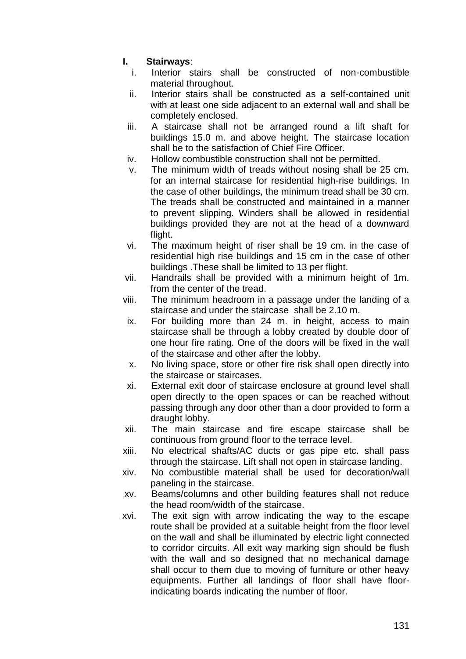# **I. Stairways**:

- i. Interior stairs shall be constructed of non-combustible material throughout.
- ii. Interior stairs shall be constructed as a self-contained unit with at least one side adjacent to an external wall and shall be completely enclosed.
- iii. A staircase shall not be arranged round a lift shaft for buildings 15.0 m. and above height. The staircase location shall be to the satisfaction of Chief Fire Officer.
- iv. Hollow combustible construction shall not be permitted.
- v. The minimum width of treads without nosing shall be 25 cm. for an internal staircase for residential high-rise buildings. In the case of other buildings, the minimum tread shall be 30 cm. The treads shall be constructed and maintained in a manner to prevent slipping. Winders shall be allowed in residential buildings provided they are not at the head of a downward flight.
- vi. The maximum height of riser shall be 19 cm. in the case of residential high rise buildings and 15 cm in the case of other buildings .These shall be limited to 13 per flight.
- vii. Handrails shall be provided with a minimum height of 1m. from the center of the tread.
- viii. The minimum headroom in a passage under the landing of a staircase and under the staircase shall be 2.10 m.
- ix. For building more than 24 m. in height, access to main staircase shall be through a lobby created by double door of one hour fire rating. One of the doors will be fixed in the wall of the staircase and other after the lobby.
- x. No living space, store or other fire risk shall open directly into the staircase or staircases.
- xi. External exit door of staircase enclosure at ground level shall open directly to the open spaces or can be reached without passing through any door other than a door provided to form a draught lobby.
- xii. The main staircase and fire escape staircase shall be continuous from ground floor to the terrace level.
- xiii. No electrical shafts/AC ducts or gas pipe etc. shall pass through the staircase. Lift shall not open in staircase landing.
- xiv. No combustible material shall be used for decoration/wall paneling in the staircase.
- xv. Beams/columns and other building features shall not reduce the head room/width of the staircase.
- xvi. The exit sign with arrow indicating the way to the escape route shall be provided at a suitable height from the floor level on the wall and shall be illuminated by electric light connected to corridor circuits. All exit way marking sign should be flush with the wall and so designed that no mechanical damage shall occur to them due to moving of furniture or other heavy equipments. Further all landings of floor shall have floorindicating boards indicating the number of floor.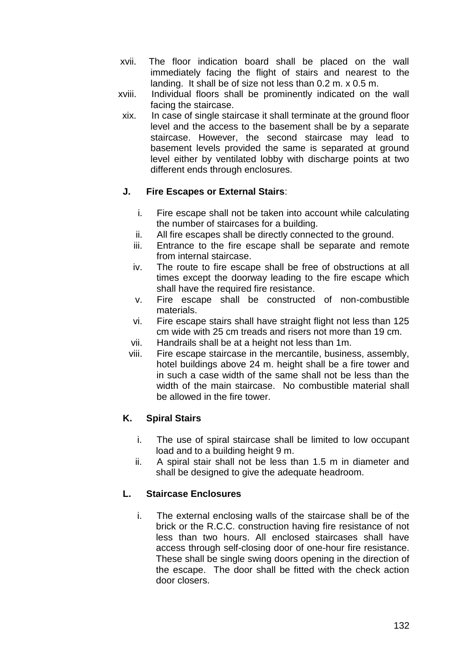- xvii. The floor indication board shall be placed on the wall immediately facing the flight of stairs and nearest to the landing. It shall be of size not less than 0.2 m. x 0.5 m.
- xviii. Individual floors shall be prominently indicated on the wall facing the staircase.
	- xix. In case of single staircase it shall terminate at the ground floor level and the access to the basement shall be by a separate staircase. However, the second staircase may lead to basement levels provided the same is separated at ground level either by ventilated lobby with discharge points at two different ends through enclosures.

# **J. Fire Escapes or External Stairs**:

- i. Fire escape shall not be taken into account while calculating the number of staircases for a building.
- ii. All fire escapes shall be directly connected to the ground.
- iii. Entrance to the fire escape shall be separate and remote from internal staircase.
- iv. The route to fire escape shall be free of obstructions at all times except the doorway leading to the fire escape which shall have the required fire resistance.
- v. Fire escape shall be constructed of non-combustible materials.
- vi. Fire escape stairs shall have straight flight not less than 125 cm wide with 25 cm treads and risers not more than 19 cm.
- vii. Handrails shall be at a height not less than 1m.
- viii. Fire escape staircase in the mercantile, business, assembly, hotel buildings above 24 m. height shall be a fire tower and in such a case width of the same shall not be less than the width of the main staircase. No combustible material shall be allowed in the fire tower.

### **K. Spiral Stairs**

- i. The use of spiral staircase shall be limited to low occupant load and to a building height 9 m.
- ii. A spiral stair shall not be less than 1.5 m in diameter and shall be designed to give the adequate headroom.

### **L. Staircase Enclosures**

i. The external enclosing walls of the staircase shall be of the brick or the R.C.C. construction having fire resistance of not less than two hours. All enclosed staircases shall have access through self-closing door of one-hour fire resistance. These shall be single swing doors opening in the direction of the escape. The door shall be fitted with the check action door closers.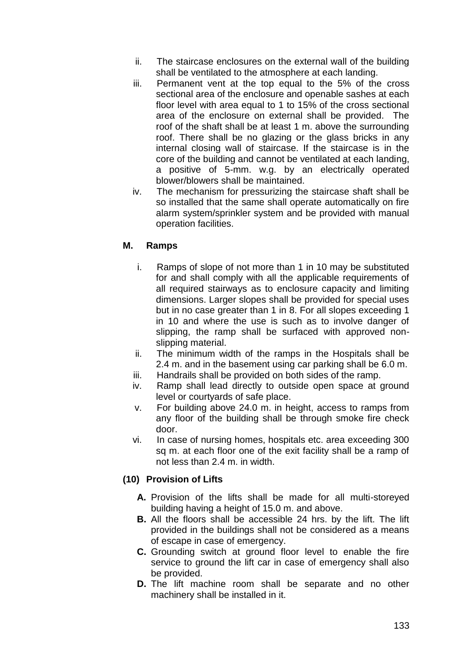- ii. The staircase enclosures on the external wall of the building shall be ventilated to the atmosphere at each landing.
- iii. Permanent vent at the top equal to the 5% of the cross sectional area of the enclosure and openable sashes at each floor level with area equal to 1 to 15% of the cross sectional area of the enclosure on external shall be provided. The roof of the shaft shall be at least 1 m. above the surrounding roof. There shall be no glazing or the glass bricks in any internal closing wall of staircase. If the staircase is in the core of the building and cannot be ventilated at each landing, a positive of 5-mm. w.g. by an electrically operated blower/blowers shall be maintained.
- iv. The mechanism for pressurizing the staircase shaft shall be so installed that the same shall operate automatically on fire alarm system/sprinkler system and be provided with manual operation facilities.

### **M. Ramps**

- i. Ramps of slope of not more than 1 in 10 may be substituted for and shall comply with all the applicable requirements of all required stairways as to enclosure capacity and limiting dimensions. Larger slopes shall be provided for special uses but in no case greater than 1 in 8. For all slopes exceeding 1 in 10 and where the use is such as to involve danger of slipping, the ramp shall be surfaced with approved nonslipping material.
- ii. The minimum width of the ramps in the Hospitals shall be 2.4 m. and in the basement using car parking shall be 6.0 m.
- iii. Handrails shall be provided on both sides of the ramp.
- iv. Ramp shall lead directly to outside open space at ground level or courtyards of safe place.
- v. For building above 24.0 m. in height, access to ramps from any floor of the building shall be through smoke fire check door.
- vi. In case of nursing homes, hospitals etc. area exceeding 300 sq m. at each floor one of the exit facility shall be a ramp of not less than 2.4 m. in width.

# **(10) Provision of Lifts**

- **A.** Provision of the lifts shall be made for all multi-storeyed building having a height of 15.0 m. and above.
- **B.** All the floors shall be accessible 24 hrs. by the lift. The lift provided in the buildings shall not be considered as a means of escape in case of emergency.
- **C.** Grounding switch at ground floor level to enable the fire service to ground the lift car in case of emergency shall also be provided.
- **D.** The lift machine room shall be separate and no other machinery shall be installed in it.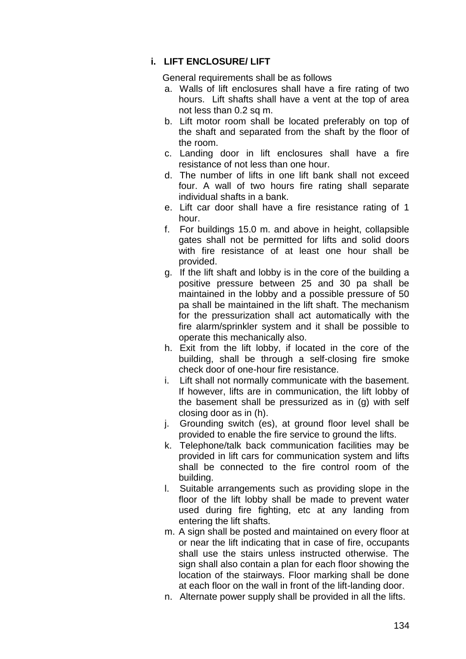### **i. LIFT ENCLOSURE/ LIFT**

General requirements shall be as follows

- a. Walls of lift enclosures shall have a fire rating of two hours. Lift shafts shall have a vent at the top of area not less than 0.2 sq m.
- b. Lift motor room shall be located preferably on top of the shaft and separated from the shaft by the floor of the room.
- c. Landing door in lift enclosures shall have a fire resistance of not less than one hour.
- d. The number of lifts in one lift bank shall not exceed four. A wall of two hours fire rating shall separate individual shafts in a bank.
- e. Lift car door shall have a fire resistance rating of 1 hour.
- f. For buildings 15.0 m. and above in height, collapsible gates shall not be permitted for lifts and solid doors with fire resistance of at least one hour shall be provided.
- g. If the lift shaft and lobby is in the core of the building a positive pressure between 25 and 30 pa shall be maintained in the lobby and a possible pressure of 50 pa shall be maintained in the lift shaft. The mechanism for the pressurization shall act automatically with the fire alarm/sprinkler system and it shall be possible to operate this mechanically also.
- h. Exit from the lift lobby, if located in the core of the building, shall be through a self-closing fire smoke check door of one-hour fire resistance.
- i. Lift shall not normally communicate with the basement. If however, lifts are in communication, the lift lobby of the basement shall be pressurized as in (g) with self closing door as in (h).
- j. Grounding switch (es), at ground floor level shall be provided to enable the fire service to ground the lifts.
- k. Telephone/talk back communication facilities may be provided in lift cars for communication system and lifts shall be connected to the fire control room of the building.
- l. Suitable arrangements such as providing slope in the floor of the lift lobby shall be made to prevent water used during fire fighting, etc at any landing from entering the lift shafts.
- m. A sign shall be posted and maintained on every floor at or near the lift indicating that in case of fire, occupants shall use the stairs unless instructed otherwise. The sign shall also contain a plan for each floor showing the location of the stairways. Floor marking shall be done at each floor on the wall in front of the lift-landing door.
- n. Alternate power supply shall be provided in all the lifts.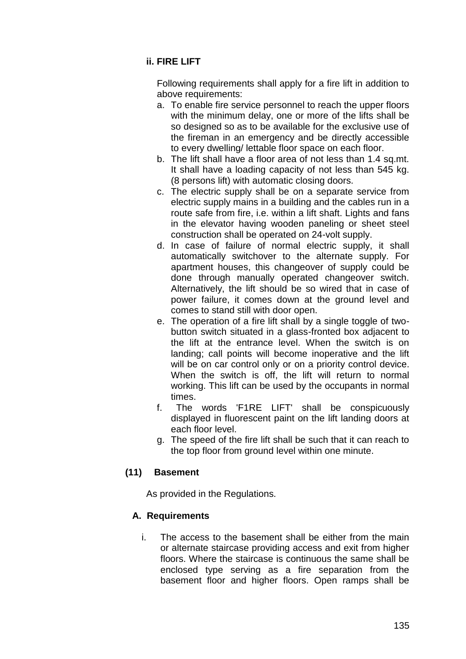# **ii. FIRE LIFT**

Following requirements shall apply for a fire lift in addition to above requirements:

- a. To enable fire service personnel to reach the upper floors with the minimum delay, one or more of the lifts shall be so designed so as to be available for the exclusive use of the fireman in an emergency and be directly accessible to every dwelling/ lettable floor space on each floor.
- b. The lift shall have a floor area of not less than 1.4 sq.mt. It shall have a loading capacity of not less than 545 kg. (8 persons lift) with automatic closing doors.
- c. The electric supply shall be on a separate service from electric supply mains in a building and the cables run in a route safe from fire, i.e. within a lift shaft. Lights and fans in the elevator having wooden paneling or sheet steel construction shall be operated on 24-volt supply.
- d. In case of failure of normal electric supply, it shall automatically switchover to the alternate supply. For apartment houses, this changeover of supply could be done through manually operated changeover switch. Alternatively, the lift should be so wired that in case of power failure, it comes down at the ground level and comes to stand still with door open.
- e. The operation of a fire lift shall by a single toggle of twobutton switch situated in a glass-fronted box adjacent to the lift at the entrance level. When the switch is on landing; call points will become inoperative and the lift will be on car control only or on a priority control device. When the switch is off, the lift will return to normal working. This lift can be used by the occupants in normal times.
- f. The words 'F1RE LIFT' shall be conspicuously displayed in fluorescent paint on the lift landing doors at each floor level.
- g. The speed of the fire lift shall be such that it can reach to the top floor from ground level within one minute.

# **(11) Basement**

As provided in the Regulations.

### **A. Requirements**

i. The access to the basement shall be either from the main or alternate staircase providing access and exit from higher floors. Where the staircase is continuous the same shall be enclosed type serving as a fire separation from the basement floor and higher floors. Open ramps shall be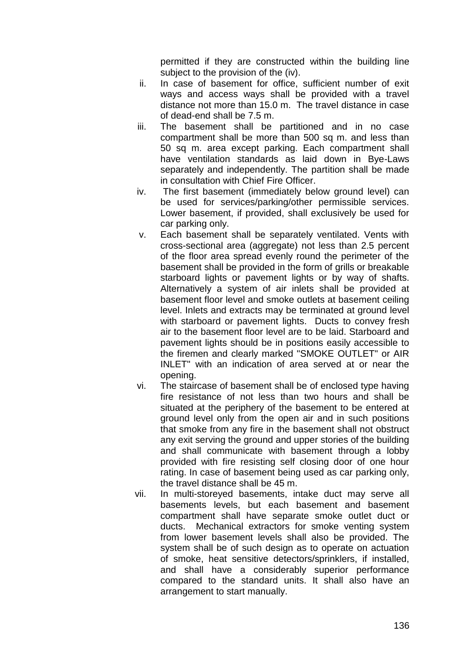permitted if they are constructed within the building line subject to the provision of the (iv).

- ii. In case of basement for office, sufficient number of exit ways and access ways shall be provided with a travel distance not more than 15.0 m. The travel distance in case of dead-end shall be 7.5 m.
- iii. The basement shall be partitioned and in no case compartment shall be more than 500 sq m. and less than 50 sq m. area except parking. Each compartment shall have ventilation standards as laid down in Bye-Laws separately and independently. The partition shall be made in consultation with Chief Fire Officer.
- iv. The first basement (immediately below ground level) can be used for services/parking/other permissible services. Lower basement, if provided, shall exclusively be used for car parking only.
- v. Each basement shall be separately ventilated. Vents with cross-sectional area (aggregate) not less than 2.5 percent of the floor area spread evenly round the perimeter of the basement shall be provided in the form of grills or breakable starboard lights or pavement lights or by way of shafts. Alternatively a system of air inlets shall be provided at basement floor level and smoke outlets at basement ceiling level. Inlets and extracts may be terminated at ground level with starboard or pavement lights. Ducts to convey fresh air to the basement floor level are to be laid. Starboard and pavement lights should be in positions easily accessible to the firemen and clearly marked "SMOKE OUTLET" or AIR INLET" with an indication of area served at or near the opening.
- vi. The staircase of basement shall be of enclosed type having fire resistance of not less than two hours and shall be situated at the periphery of the basement to be entered at ground level only from the open air and in such positions that smoke from any fire in the basement shall not obstruct any exit serving the ground and upper stories of the building and shall communicate with basement through a lobby provided with fire resisting self closing door of one hour rating. In case of basement being used as car parking only, the travel distance shall be 45 m.
- vii. In multi-storeyed basements, intake duct may serve all basements levels, but each basement and basement compartment shall have separate smoke outlet duct or ducts. Mechanical extractors for smoke venting system from lower basement levels shall also be provided. The system shall be of such design as to operate on actuation of smoke, heat sensitive detectors/sprinklers, if installed, and shall have a considerably superior performance compared to the standard units. It shall also have an arrangement to start manually.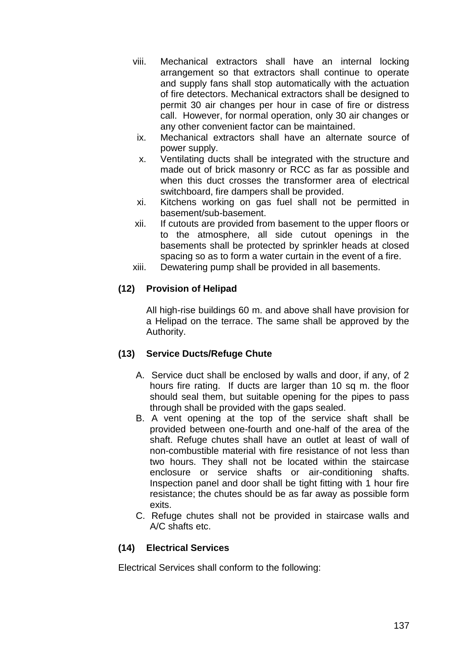- viii. Mechanical extractors shall have an internal locking arrangement so that extractors shall continue to operate and supply fans shall stop automatically with the actuation of fire detectors. Mechanical extractors shall be designed to permit 30 air changes per hour in case of fire or distress call. However, for normal operation, only 30 air changes or any other convenient factor can be maintained.
- ix. Mechanical extractors shall have an alternate source of power supply.
- x. Ventilating ducts shall be integrated with the structure and made out of brick masonry or RCC as far as possible and when this duct crosses the transformer area of electrical switchboard, fire dampers shall be provided.
- xi. Kitchens working on gas fuel shall not be permitted in basement/sub-basement.
- xii. If cutouts are provided from basement to the upper floors or to the atmosphere, all side cutout openings in the basements shall be protected by sprinkler heads at closed spacing so as to form a water curtain in the event of a fire.
- xiii. Dewatering pump shall be provided in all basements.

### **(12) Provision of Helipad**

All high-rise buildings 60 m. and above shall have provision for a Helipad on the terrace. The same shall be approved by the Authority.

### **(13) Service Ducts/Refuge Chute**

- A. Service duct shall be enclosed by walls and door, if any, of 2 hours fire rating. If ducts are larger than 10 sq m. the floor should seal them, but suitable opening for the pipes to pass through shall be provided with the gaps sealed.
- B. A vent opening at the top of the service shaft shall be provided between one-fourth and one-half of the area of the shaft. Refuge chutes shall have an outlet at least of wall of non-combustible material with fire resistance of not less than two hours. They shall not be located within the staircase enclosure or service shafts or air-conditioning shafts. Inspection panel and door shall be tight fitting with 1 hour fire resistance; the chutes should be as far away as possible form exits.
- C. Refuge chutes shall not be provided in staircase walls and A/C shafts etc.

### **(14) Electrical Services**

Electrical Services shall conform to the following: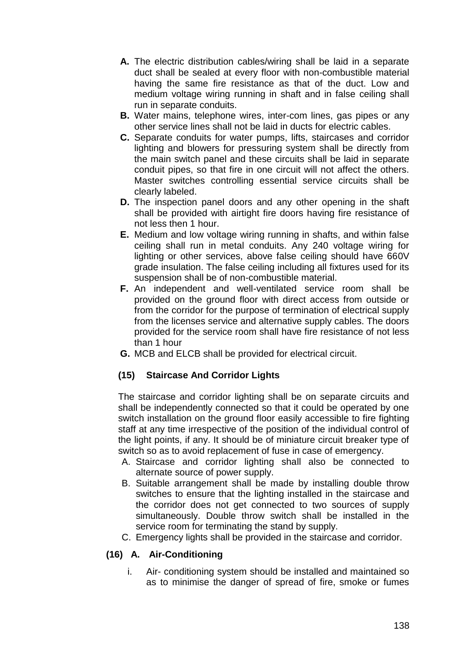- **A.** The electric distribution cables/wiring shall be laid in a separate duct shall be sealed at every floor with non-combustible material having the same fire resistance as that of the duct. Low and medium voltage wiring running in shaft and in false ceiling shall run in separate conduits.
- **B.** Water mains, telephone wires, inter-com lines, gas pipes or any other service lines shall not be laid in ducts for electric cables.
- **C.** Separate conduits for water pumps, lifts, staircases and corridor lighting and blowers for pressuring system shall be directly from the main switch panel and these circuits shall be laid in separate conduit pipes, so that fire in one circuit will not affect the others. Master switches controlling essential service circuits shall be clearly labeled.
- **D.** The inspection panel doors and any other opening in the shaft shall be provided with airtight fire doors having fire resistance of not less then 1 hour.
- **E.** Medium and low voltage wiring running in shafts, and within false ceiling shall run in metal conduits. Any 240 voltage wiring for lighting or other services, above false ceiling should have 660V grade insulation. The false ceiling including all fixtures used for its suspension shall be of non-combustible material.
- **F.** An independent and well-ventilated service room shall be provided on the ground floor with direct access from outside or from the corridor for the purpose of termination of electrical supply from the licenses service and alternative supply cables. The doors provided for the service room shall have fire resistance of not less than 1 hour
- **G.** MCB and ELCB shall be provided for electrical circuit.

### **(15) Staircase And Corridor Lights**

The staircase and corridor lighting shall be on separate circuits and shall be independently connected so that it could be operated by one switch installation on the ground floor easily accessible to fire fighting staff at any time irrespective of the position of the individual control of the light points, if any. It should be of miniature circuit breaker type of switch so as to avoid replacement of fuse in case of emergency.

- A. Staircase and corridor lighting shall also be connected to alternate source of power supply.
- B. Suitable arrangement shall be made by installing double throw switches to ensure that the lighting installed in the staircase and the corridor does not get connected to two sources of supply simultaneously. Double throw switch shall be installed in the service room for terminating the stand by supply.
- C. Emergency lights shall be provided in the staircase and corridor.

### **(16) A. Air-Conditioning**

i. Air- conditioning system should be installed and maintained so as to minimise the danger of spread of fire, smoke or fumes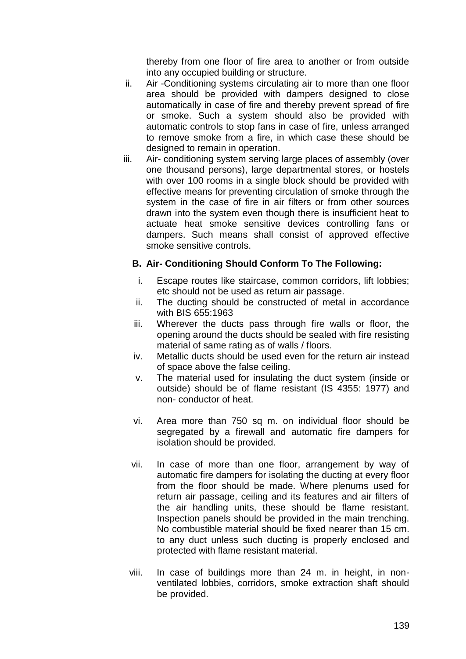thereby from one floor of fire area to another or from outside into any occupied building or structure.

- ii. Air -Conditioning systems circulating air to more than one floor area should be provided with dampers designed to close automatically in case of fire and thereby prevent spread of fire or smoke. Such a system should also be provided with automatic controls to stop fans in case of fire, unless arranged to remove smoke from a fire, in which case these should be designed to remain in operation.
- iii. Air- conditioning system serving large places of assembly (over one thousand persons), large departmental stores, or hostels with over 100 rooms in a single block should be provided with effective means for preventing circulation of smoke through the system in the case of fire in air filters or from other sources drawn into the system even though there is insufficient heat to actuate heat smoke sensitive devices controlling fans or dampers. Such means shall consist of approved effective smoke sensitive controls.

### **B. Air- Conditioning Should Conform To The Following:**

- i. Escape routes like staircase, common corridors, lift lobbies; etc should not be used as return air passage.
- ii. The ducting should be constructed of metal in accordance with BIS 655:1963
- iii. Wherever the ducts pass through fire walls or floor, the opening around the ducts should be sealed with fire resisting material of same rating as of walls / floors.
- iv. Metallic ducts should be used even for the return air instead of space above the false ceiling.
- v. The material used for insulating the duct system (inside or outside) should be of flame resistant (IS 4355: 1977) and non- conductor of heat.
- vi. Area more than 750 sq m. on individual floor should be segregated by a firewall and automatic fire dampers for isolation should be provided.
- vii. In case of more than one floor, arrangement by way of automatic fire dampers for isolating the ducting at every floor from the floor should be made. Where plenums used for return air passage, ceiling and its features and air filters of the air handling units, these should be flame resistant. Inspection panels should be provided in the main trenching. No combustible material should be fixed nearer than 15 cm. to any duct unless such ducting is properly enclosed and protected with flame resistant material.
- viii. In case of buildings more than 24 m. in height, in nonventilated lobbies, corridors, smoke extraction shaft should be provided.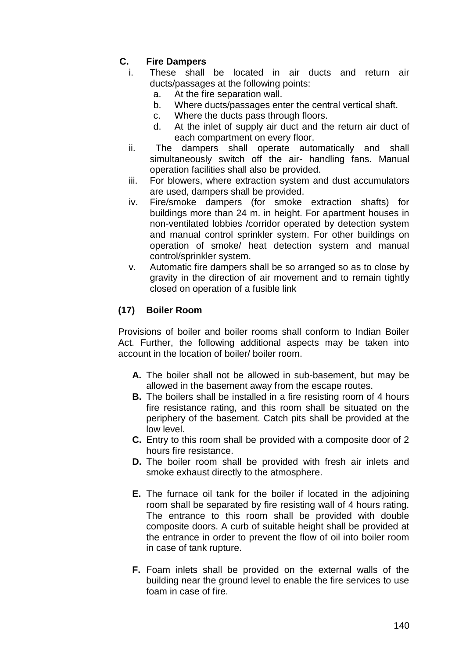# **C. Fire Dampers**

- i. These shall be located in air ducts and return air ducts/passages at the following points:
	- a. At the fire separation wall.
	- b. Where ducts/passages enter the central vertical shaft.
	- c. Where the ducts pass through floors.
	- d. At the inlet of supply air duct and the return air duct of each compartment on every floor.
- ii. The dampers shall operate automatically and shall simultaneously switch off the air- handling fans. Manual operation facilities shall also be provided.
- iii. For blowers, where extraction system and dust accumulators are used, dampers shall be provided.
- iv. Fire/smoke dampers (for smoke extraction shafts) for buildings more than 24 m. in height. For apartment houses in non-ventilated lobbies /corridor operated by detection system and manual control sprinkler system. For other buildings on operation of smoke/ heat detection system and manual control/sprinkler system.
- v. Automatic fire dampers shall be so arranged so as to close by gravity in the direction of air movement and to remain tightly closed on operation of a fusible link

# **(17) Boiler Room**

Provisions of boiler and boiler rooms shall conform to Indian Boiler Act. Further, the following additional aspects may be taken into account in the location of boiler/ boiler room.

- **A.** The boiler shall not be allowed in sub-basement, but may be allowed in the basement away from the escape routes.
- **B.** The boilers shall be installed in a fire resisting room of 4 hours fire resistance rating, and this room shall be situated on the periphery of the basement. Catch pits shall be provided at the low level.
- **C.** Entry to this room shall be provided with a composite door of 2 hours fire resistance.
- **D.** The boiler room shall be provided with fresh air inlets and smoke exhaust directly to the atmosphere.
- **E.** The furnace oil tank for the boiler if located in the adjoining room shall be separated by fire resisting wall of 4 hours rating. The entrance to this room shall be provided with double composite doors. A curb of suitable height shall be provided at the entrance in order to prevent the flow of oil into boiler room in case of tank rupture.
- **F.** Foam inlets shall be provided on the external walls of the building near the ground level to enable the fire services to use foam in case of fire.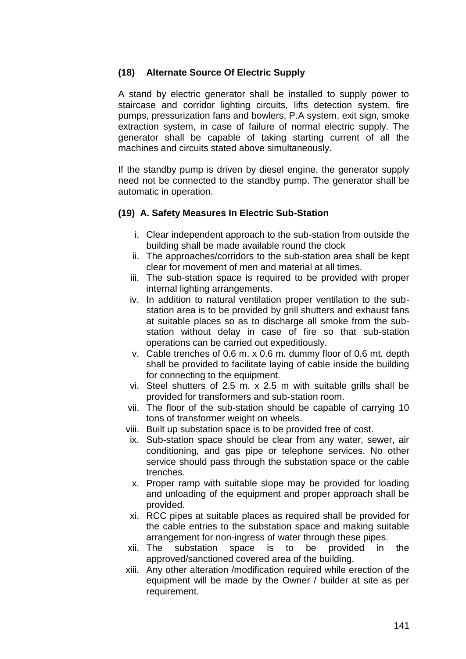### **(18) Alternate Source Of Electric Supply**

A stand by electric generator shall be installed to supply power to staircase and corridor lighting circuits, lifts detection system, fire pumps, pressurization fans and bowlers, P.A system, exit sign, smoke extraction system, in case of failure of normal electric supply. The generator shall be capable of taking starting current of all the machines and circuits stated above simultaneously.

If the standby pump is driven by diesel engine, the generator supply need not be connected to the standby pump. The generator shall be automatic in operation.

### **(19) A. Safety Measures In Electric Sub-Station**

- i. Clear independent approach to the sub-station from outside the building shall be made available round the clock
- ii. The approaches/corridors to the sub-station area shall be kept clear for movement of men and material at all times.
- iii. The sub-station space is required to be provided with proper internal lighting arrangements.
- iv. In addition to natural ventilation proper ventilation to the substation area is to be provided by grill shutters and exhaust fans at suitable places so as to discharge all smoke from the substation without delay in case of fire so that sub-station operations can be carried out expeditiously.
- v. Cable trenches of 0.6 m. x 0.6 m. dummy floor of 0.6 mt. depth shall be provided to facilitate laying of cable inside the building for connecting to the equipment.
- vi. Steel shutters of 2.5 m. x 2.5 m with suitable grills shall be provided for transformers and sub-station room.
- vii. The floor of the sub-station should be capable of carrying 10 tons of transformer weight on wheels.
- viii. Built up substation space is to be provided free of cost.
- ix. Sub-station space should be clear from any water, sewer, air conditioning, and gas pipe or telephone services. No other service should pass through the substation space or the cable trenches.
- x. Proper ramp with suitable slope may be provided for loading and unloading of the equipment and proper approach shall be provided.
- xi. RCC pipes at suitable places as required shall be provided for the cable entries to the substation space and making suitable arrangement for non-ingress of water through these pipes.
- xii. The substation space is to be provided in the approved/sanctioned covered area of the building.
- xiii. Any other alteration /modification required while erection of the equipment will be made by the Owner / builder at site as per requirement.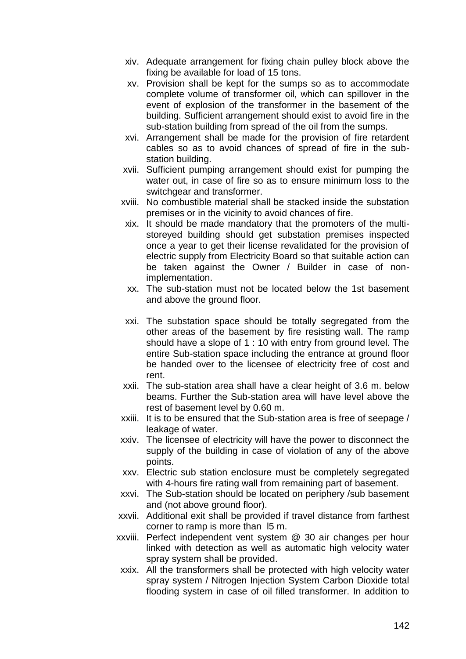- xiv. Adequate arrangement for fixing chain pulley block above the fixing be available for load of 15 tons.
- xv. Provision shall be kept for the sumps so as to accommodate complete volume of transformer oil, which can spillover in the event of explosion of the transformer in the basement of the building. Sufficient arrangement should exist to avoid fire in the sub-station building from spread of the oil from the sumps.
- xvi. Arrangement shall be made for the provision of fire retardent cables so as to avoid chances of spread of fire in the substation building.
- xvii. Sufficient pumping arrangement should exist for pumping the water out, in case of fire so as to ensure minimum loss to the switchgear and transformer.
- xviii. No combustible material shall be stacked inside the substation premises or in the vicinity to avoid chances of fire.
	- xix. It should be made mandatory that the promoters of the multistoreyed building should get substation premises inspected once a year to get their license revalidated for the provision of electric supply from Electricity Board so that suitable action can be taken against the Owner / Builder in case of nonimplementation.
	- xx. The sub-station must not be located below the 1st basement and above the ground floor.
- xxi. The substation space should be totally segregated from the other areas of the basement by fire resisting wall. The ramp should have a slope of 1 : 10 with entry from ground level. The entire Sub-station space including the entrance at ground floor be handed over to the licensee of electricity free of cost and rent.
- xxii. The sub-station area shall have a clear height of 3.6 m. below beams. Further the Sub-station area will have level above the rest of basement level by 0.60 m.
- xxiii. It is to be ensured that the Sub-station area is free of seepage / leakage of water.
- xxiv. The licensee of electricity will have the power to disconnect the supply of the building in case of violation of any of the above points.
- xxv. Electric sub station enclosure must be completely segregated with 4-hours fire rating wall from remaining part of basement.
- xxvi. The Sub-station should be located on periphery /sub basement and (not above ground floor).
- xxvii. Additional exit shall be provided if travel distance from farthest corner to ramp is more than l5 m.
- xxviii. Perfect independent vent system @ 30 air changes per hour linked with detection as well as automatic high velocity water spray system shall be provided.
- xxix. All the transformers shall be protected with high velocity water spray system / Nitrogen Injection System Carbon Dioxide total flooding system in case of oil filled transformer. In addition to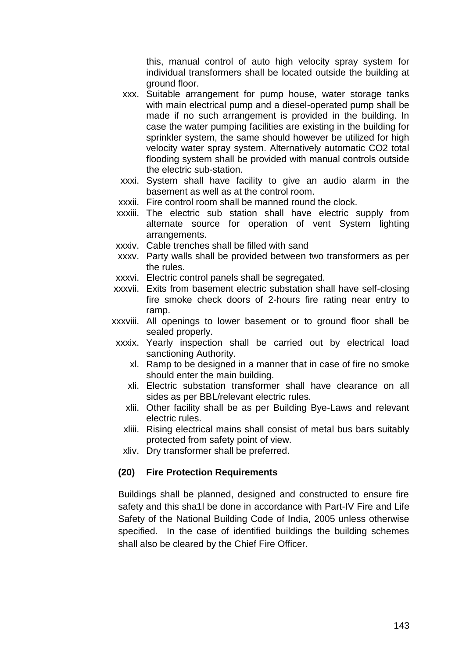this, manual control of auto high velocity spray system for individual transformers shall be located outside the building at ground floor.

- xxx. Suitable arrangement for pump house, water storage tanks with main electrical pump and a diesel-operated pump shall be made if no such arrangement is provided in the building. In case the water pumping facilities are existing in the building for sprinkler system, the same should however be utilized for high velocity water spray system. Alternatively automatic CO2 total flooding system shall be provided with manual controls outside the electric sub-station.
- xxxi. System shall have facility to give an audio alarm in the basement as well as at the control room.
- xxxii. Fire control room shall be manned round the clock.
- xxxiii. The electric sub station shall have electric supply from alternate source for operation of vent System lighting arrangements.
- xxxiv. Cable trenches shall be filled with sand
- xxxv. Party walls shall be provided between two transformers as per the rules.
- xxxvi. Electric control panels shall be segregated.
- xxxvii. Exits from basement electric substation shall have self-closing fire smoke check doors of 2-hours fire rating near entry to ramp.
- xxxviii. All openings to lower basement or to ground floor shall be sealed properly.
- xxxix. Yearly inspection shall be carried out by electrical load sanctioning Authority.
	- xl. Ramp to be designed in a manner that in case of fire no smoke should enter the main building.
	- xli. Electric substation transformer shall have clearance on all sides as per BBL/relevant electric rules.
	- xlii. Other facility shall be as per Building Bye-Laws and relevant electric rules.
	- xliii. Rising electrical mains shall consist of metal bus bars suitably protected from safety point of view.
	- xliv. Dry transformer shall be preferred.

#### **(20) Fire Protection Requirements**

Buildings shall be planned, designed and constructed to ensure fire safety and this sha1l be done in accordance with Part-IV Fire and Life Safety of the National Building Code of India, 2005 unless otherwise specified. In the case of identified buildings the building schemes shall also be cleared by the Chief Fire Officer.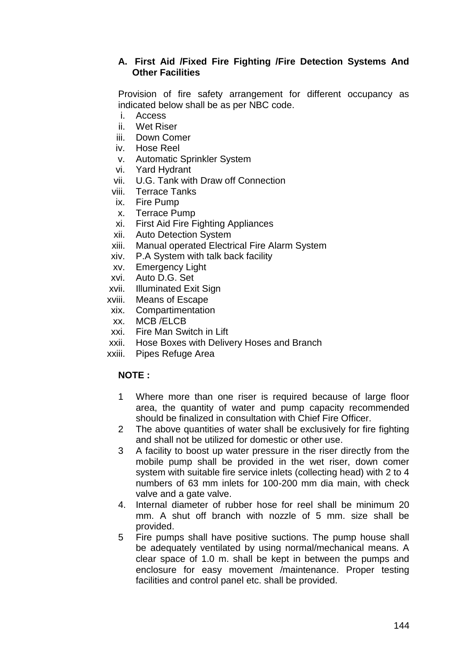## **A. First Aid /Fixed Fire Fighting /Fire Detection Systems And Other Facilities**

Provision of fire safety arrangement for different occupancy as indicated below shall be as per NBC code.

- i. Access
- ii. Wet Riser
- iii. Down Comer
- iv. Hose Reel
- v. Automatic Sprinkler System
- vi. Yard Hydrant
- vii. U.G. Tank with Draw off Connection
- viii. Terrace Tanks
- ix. Fire Pump
- x. Terrace Pump
- xi. First Aid Fire Fighting Appliances
- xii. Auto Detection System
- xiii. Manual operated Electrical Fire Alarm System
- xiv. P.A System with talk back facility
- xv. Emergency Light
- xvi. Auto D.G. Set
- xvii. Illuminated Exit Sign
- xviii. Means of Escape
- xix. Compartimentation
- xx. MCB /ELCB
- xxi. Fire Man Switch in Lift
- xxii. Hose Boxes with Delivery Hoses and Branch
- xxiii. Pipes Refuge Area

## **NOTE :**

- 1 Where more than one riser is required because of large floor area, the quantity of water and pump capacity recommended should be finalized in consultation with Chief Fire Officer.
- 2 The above quantities of water shall be exclusively for fire fighting and shall not be utilized for domestic or other use.
- 3 A facility to boost up water pressure in the riser directly from the mobile pump shall be provided in the wet riser, down comer system with suitable fire service inlets (collecting head) with 2 to 4 numbers of 63 mm inlets for 100-200 mm dia main, with check valve and a gate valve.
- 4. Internal diameter of rubber hose for reel shall be minimum 20 mm. A shut off branch with nozzle of 5 mm. size shall be provided.
- 5 Fire pumps shall have positive suctions. The pump house shall be adequately ventilated by using normal/mechanical means. A clear space of 1.0 m. shall be kept in between the pumps and enclosure for easy movement /maintenance. Proper testing facilities and control panel etc. shall be provided.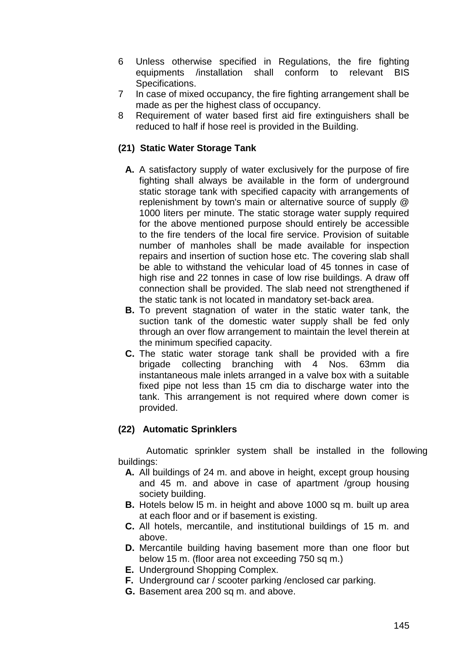- 6 Unless otherwise specified in Regulations, the fire fighting equipments /installation shall conform to relevant BIS Specifications.
- 7 In case of mixed occupancy, the fire fighting arrangement shall be made as per the highest class of occupancy.
- 8 Requirement of water based first aid fire extinguishers shall be reduced to half if hose reel is provided in the Building.

## **(21) Static Water Storage Tank**

- **A.** A satisfactory supply of water exclusively for the purpose of fire fighting shall always be available in the form of underground static storage tank with specified capacity with arrangements of replenishment by town's main or alternative source of supply @ 1000 liters per minute. The static storage water supply required for the above mentioned purpose should entirely be accessible to the fire tenders of the local fire service. Provision of suitable number of manholes shall be made available for inspection repairs and insertion of suction hose etc. The covering slab shall be able to withstand the vehicular load of 45 tonnes in case of high rise and 22 tonnes in case of low rise buildings. A draw off connection shall be provided. The slab need not strengthened if the static tank is not located in mandatory set-back area.
- **B.** To prevent stagnation of water in the static water tank, the suction tank of the domestic water supply shall be fed only through an over flow arrangement to maintain the level therein at the minimum specified capacity.
- **C.** The static water storage tank shall be provided with a fire brigade collecting branching with 4 Nos. 63mm dia instantaneous male inlets arranged in a valve box with a suitable fixed pipe not less than 15 cm dia to discharge water into the tank. This arrangement is not required where down comer is provided.

## **(22) Automatic Sprinklers**

Automatic sprinkler system shall be installed in the following buildings:

- **A.** All buildings of 24 m. and above in height, except group housing and 45 m. and above in case of apartment /group housing society building.
- **B.** Hotels below l5 m. in height and above 1000 sq m. built up area at each floor and or if basement is existing.
- **C.** All hotels, mercantile, and institutional buildings of 15 m. and above.
- **D.** Mercantile building having basement more than one floor but below 15 m. (floor area not exceeding 750 sq m.)
- **E.** Underground Shopping Complex.
- **F.** Underground car / scooter parking /enclosed car parking.
- **G.** Basement area 200 sq m. and above.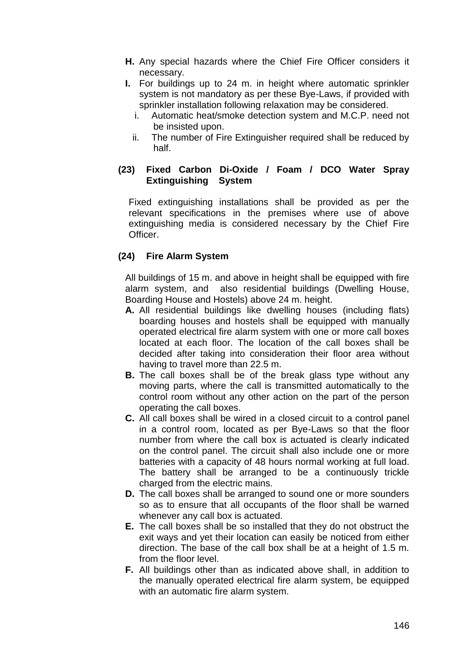- **H.** Any special hazards where the Chief Fire Officer considers it necessary.
- **I.** For buildings up to 24 m. in height where automatic sprinkler system is not mandatory as per these Bye-Laws, if provided with sprinkler installation following relaxation may be considered.
	- i. Automatic heat/smoke detection system and M.C.P. need not be insisted upon.
	- ii. The number of Fire Extinguisher required shall be reduced by half.

## **(23) Fixed Carbon Di-Oxide / Foam / DCO Water Spray Extinguishing System**

Fixed extinguishing installations shall be provided as per the relevant specifications in the premises where use of above extinguishing media is considered necessary by the Chief Fire Officer.

## **(24) Fire Alarm System**

All buildings of 15 m. and above in height shall be equipped with fire alarm system, and also residential buildings (Dwelling House, Boarding House and Hostels) above 24 m. height.

- **A.** All residential buildings like dwelling houses (including flats) boarding houses and hostels shall be equipped with manually operated electrical fire alarm system with one or more call boxes located at each floor. The location of the call boxes shall be decided after taking into consideration their floor area without having to travel more than 22.5 m.
- **B.** The call boxes shall be of the break glass type without any moving parts, where the call is transmitted automatically to the control room without any other action on the part of the person operating the call boxes.
- **C.** All call boxes shall be wired in a closed circuit to a control panel in a control room, located as per Bye-Laws so that the floor number from where the call box is actuated is clearly indicated on the control panel. The circuit shall also include one or more batteries with a capacity of 48 hours normal working at full load. The battery shall be arranged to be a continuously trickle charged from the electric mains.
- **D.** The call boxes shall be arranged to sound one or more sounders so as to ensure that all occupants of the floor shall be warned whenever any call box is actuated.
- **E.** The call boxes shall be so installed that they do not obstruct the exit ways and yet their location can easily be noticed from either direction. The base of the call box shall be at a height of 1.5 m. from the floor level.
- **F.** All buildings other than as indicated above shall, in addition to the manually operated electrical fire alarm system, be equipped with an automatic fire alarm system.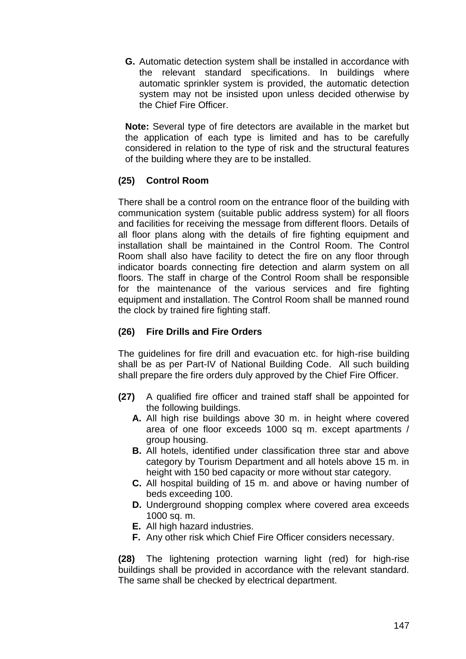**G.** Automatic detection system shall be installed in accordance with the relevant standard specifications. In buildings where automatic sprinkler system is provided, the automatic detection system may not be insisted upon unless decided otherwise by the Chief Fire Officer.

**Note:** Several type of fire detectors are available in the market but the application of each type is limited and has to be carefully considered in relation to the type of risk and the structural features of the building where they are to be installed.

## **(25) Control Room**

There shall be a control room on the entrance floor of the building with communication system (suitable public address system) for all floors and facilities for receiving the message from different floors. Details of all floor plans along with the details of fire fighting equipment and installation shall be maintained in the Control Room. The Control Room shall also have facility to detect the fire on any floor through indicator boards connecting fire detection and alarm system on all floors. The staff in charge of the Control Room shall be responsible for the maintenance of the various services and fire fighting equipment and installation. The Control Room shall be manned round the clock by trained fire fighting staff.

#### **(26) Fire Drills and Fire Orders**

The guidelines for fire drill and evacuation etc. for high-rise building shall be as per Part-IV of National Building Code. All such building shall prepare the fire orders duly approved by the Chief Fire Officer.

- **(27)** A qualified fire officer and trained staff shall be appointed for the following buildings.
	- **A.** All high rise buildings above 30 m. in height where covered area of one floor exceeds 1000 sq m. except apartments / group housing.
	- **B.** All hotels, identified under classification three star and above category by Tourism Department and all hotels above 15 m. in height with 150 bed capacity or more without star category.
	- **C.** All hospital building of 15 m. and above or having number of beds exceeding 100.
	- **D.** Underground shopping complex where covered area exceeds 1000 sq. m.
	- **E.** All high hazard industries.
	- **F.** Any other risk which Chief Fire Officer considers necessary.

**(28)** The lightening protection warning light (red) for high-rise buildings shall be provided in accordance with the relevant standard. The same shall be checked by electrical department.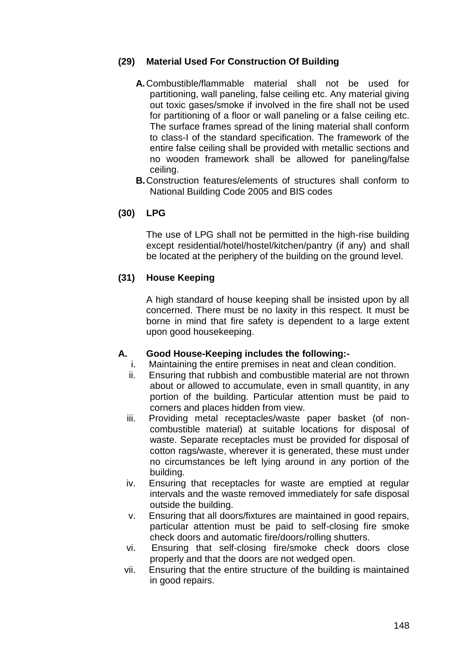## **(29) Material Used For Construction Of Building**

- **A.**Combustible/flammable material shall not be used for partitioning, wall paneling, false ceiling etc. Any material giving out toxic gases/smoke if involved in the fire shall not be used for partitioning of a floor or wall paneling or a false ceiling etc. The surface frames spread of the lining material shall conform to class-I of the standard specification. The framework of the entire false ceiling shall be provided with metallic sections and no wooden framework shall be allowed for paneling/false ceiling.
- **B.**Construction features/elements of structures shall conform to National Building Code 2005 and BIS codes

## **(30) LPG**

The use of LPG shall not be permitted in the high-rise building except residential/hotel/hostel/kitchen/pantry (if any) and shall be located at the periphery of the building on the ground level.

## **(31) House Keeping**

A high standard of house keeping shall be insisted upon by all concerned. There must be no laxity in this respect. It must be borne in mind that fire safety is dependent to a large extent upon good housekeeping.

# **A. Good House-Keeping includes the following:-**

- Maintaining the entire premises in neat and clean condition.
- ii. Ensuring that rubbish and combustible material are not thrown about or allowed to accumulate, even in small quantity, in any portion of the building. Particular attention must be paid to corners and places hidden from view.
- iii. Providing metal receptacles/waste paper basket (of noncombustible material) at suitable locations for disposal of waste. Separate receptacles must be provided for disposal of cotton rags/waste, wherever it is generated, these must under no circumstances be left lying around in any portion of the building.
- iv. Ensuring that receptacles for waste are emptied at regular intervals and the waste removed immediately for safe disposal outside the building.
- v. Ensuring that all doors/fixtures are maintained in good repairs, particular attention must be paid to self-closing fire smoke check doors and automatic fire/doors/rolling shutters.
- vi. Ensuring that self-closing fire/smoke check doors close properly and that the doors are not wedged open.
- vii. Ensuring that the entire structure of the building is maintained in good repairs.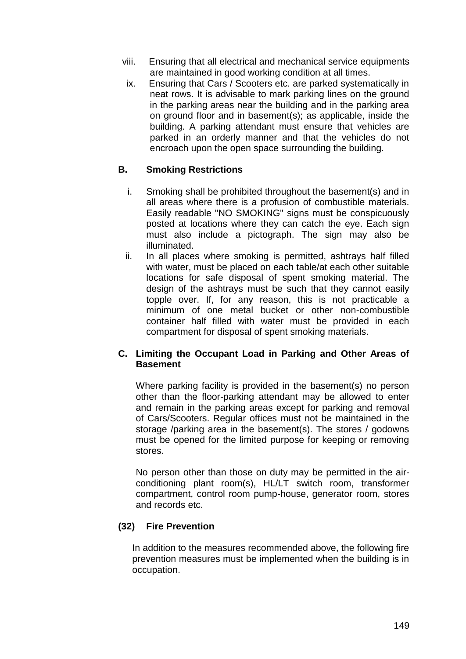- viii. Ensuring that all electrical and mechanical service equipments are maintained in good working condition at all times.
	- ix. Ensuring that Cars / Scooters etc. are parked systematically in neat rows. It is advisable to mark parking lines on the ground in the parking areas near the building and in the parking area on ground floor and in basement(s); as applicable, inside the building. A parking attendant must ensure that vehicles are parked in an orderly manner and that the vehicles do not encroach upon the open space surrounding the building.

## **B. Smoking Restrictions**

- i. Smoking shall be prohibited throughout the basement(s) and in all areas where there is a profusion of combustible materials. Easily readable "NO SMOKING" signs must be conspicuously posted at locations where they can catch the eye. Each sign must also include a pictograph. The sign may also be illuminated.
- ii. In all places where smoking is permitted, ashtrays half filled with water, must be placed on each table/at each other suitable locations for safe disposal of spent smoking material. The design of the ashtrays must be such that they cannot easily topple over. If, for any reason, this is not practicable a minimum of one metal bucket or other non-combustible container half filled with water must be provided in each compartment for disposal of spent smoking materials.

## **C. Limiting the Occupant Load in Parking and Other Areas of Basement**

Where parking facility is provided in the basement(s) no person other than the floor-parking attendant may be allowed to enter and remain in the parking areas except for parking and removal of Cars/Scooters. Regular offices must not be maintained in the storage /parking area in the basement(s). The stores / godowns must be opened for the limited purpose for keeping or removing stores.

No person other than those on duty may be permitted in the airconditioning plant room(s), HL/LT switch room, transformer compartment, control room pump-house, generator room, stores and records etc.

## **(32) Fire Prevention**

In addition to the measures recommended above, the following fire prevention measures must be implemented when the building is in occupation.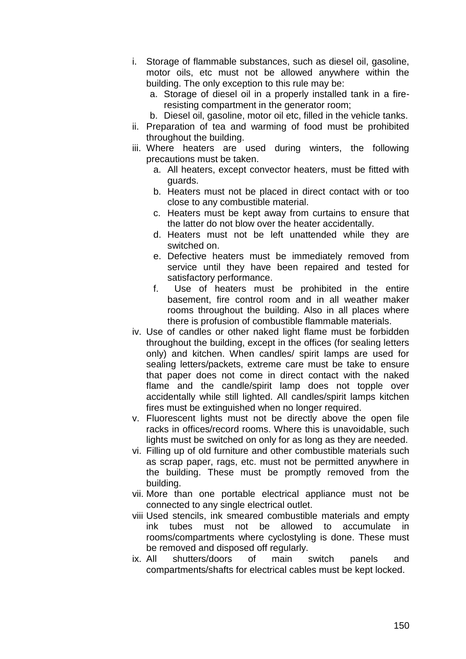- i. Storage of flammable substances, such as diesel oil, gasoline, motor oils, etc must not be allowed anywhere within the building. The only exception to this rule may be:
	- a. Storage of diesel oil in a properly installed tank in a fireresisting compartment in the generator room;
	- b. Diesel oil, gasoline, motor oil etc, filled in the vehicle tanks.
- ii. Preparation of tea and warming of food must be prohibited throughout the building.
- iii. Where heaters are used during winters, the following precautions must be taken.
	- a. All heaters, except convector heaters, must be fitted with guards.
	- b. Heaters must not be placed in direct contact with or too close to any combustible material.
	- c. Heaters must be kept away from curtains to ensure that the latter do not blow over the heater accidentally.
	- d. Heaters must not be left unattended while they are switched on.
	- e. Defective heaters must be immediately removed from service until they have been repaired and tested for satisfactory performance.
	- f. Use of heaters must be prohibited in the entire basement, fire control room and in all weather maker rooms throughout the building. Also in all places where there is profusion of combustible flammable materials.
- iv. Use of candles or other naked light flame must be forbidden throughout the building, except in the offices (for sealing letters only) and kitchen. When candles/ spirit lamps are used for sealing letters/packets, extreme care must be take to ensure that paper does not come in direct contact with the naked flame and the candle/spirit lamp does not topple over accidentally while still lighted. All candles/spirit lamps kitchen fires must be extinguished when no longer required.
- v. Fluorescent lights must not be directly above the open file racks in offices/record rooms. Where this is unavoidable, such lights must be switched on only for as long as they are needed.
- vi. Filling up of old furniture and other combustible materials such as scrap paper, rags, etc. must not be permitted anywhere in the building. These must be promptly removed from the building.
- vii. More than one portable electrical appliance must not be connected to any single electrical outlet.
- viii Used stencils, ink smeared combustible materials and empty ink tubes must not be allowed to accumulate in rooms/compartments where cyclostyling is done. These must be removed and disposed off regularly.
- ix. All shutters/doors of main switch panels and compartments/shafts for electrical cables must be kept locked.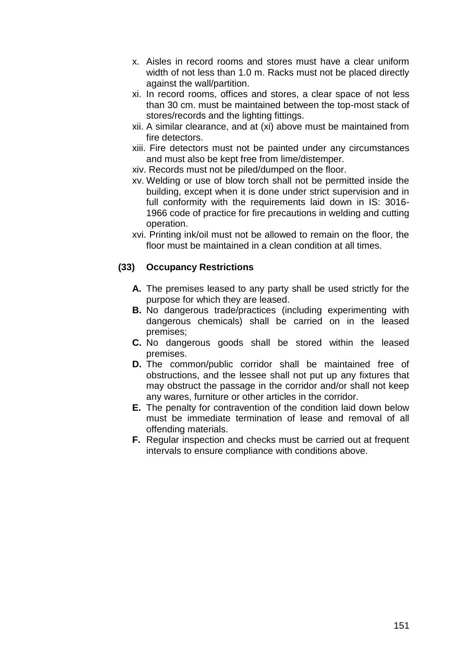- x. Aisles in record rooms and stores must have a clear uniform width of not less than 1.0 m. Racks must not be placed directly against the wall/partition.
- xi. In record rooms, offices and stores, a clear space of not less than 30 cm. must be maintained between the top-most stack of stores/records and the lighting fittings.
- xii. A similar clearance, and at (xi) above must be maintained from fire detectors.
- xiii. Fire detectors must not be painted under any circumstances and must also be kept free from lime/distemper.
- xiv. Records must not be piled/dumped on the floor.
- xv. Welding or use of blow torch shall not be permitted inside the building, except when it is done under strict supervision and in full conformity with the requirements laid down in IS: 3016- 1966 code of practice for fire precautions in welding and cutting operation.
- xvi. Printing ink/oil must not be allowed to remain on the floor, the floor must be maintained in a clean condition at all times.

## **(33) Occupancy Restrictions**

- **A.** The premises leased to any party shall be used strictly for the purpose for which they are leased.
- **B.** No dangerous trade/practices (including experimenting with dangerous chemicals) shall be carried on in the leased premises;
- **C.** No dangerous goods shall be stored within the leased premises.
- **D.** The common/public corridor shall be maintained free of obstructions, and the lessee shall not put up any fixtures that may obstruct the passage in the corridor and/or shall not keep any wares, furniture or other articles in the corridor.
- **E.** The penalty for contravention of the condition laid down below must be immediate termination of lease and removal of all offending materials.
- **F.** Regular inspection and checks must be carried out at frequent intervals to ensure compliance with conditions above.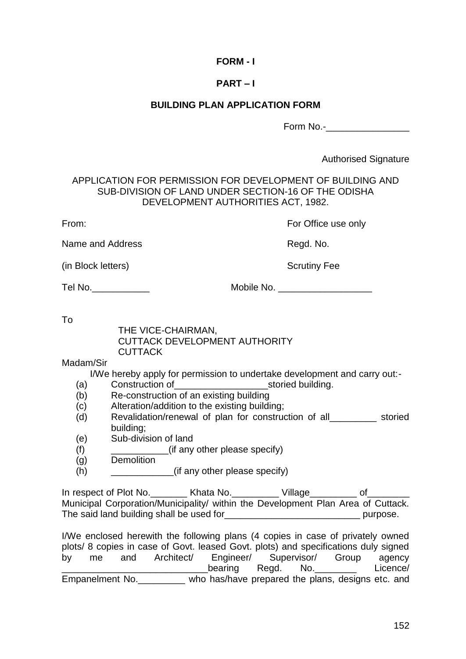## **FORM - I**

## **PART – I**

#### **BUILDING PLAN APPLICATION FORM**

Form No.-

Authorised Signature

APPLICATION FOR PERMISSION FOR DEVELOPMENT OF BUILDING AND SUB-DIVISION OF LAND UNDER SECTION-16 OF THE ODISHA DEVELOPMENT AUTHORITIES ACT, 1982.

From: From: For Office use only

Name and Address and Address Regular Mo.

(in Block letters) Scrutiny Fee

Tel No. 2008 and the Mobile No. 2008 and Mobile No. 2008 and 2008 and 2008 and 2008 and 2008 and 200

To

THE VICE-CHAIRMAN, CUTTACK DEVELOPMENT AUTHORITY CUTTACK

Madam/Sir

I/We hereby apply for permission to undertake development and carry out:-

- (a) Construction of example as in the storied building.
- (b) Re-construction of an existing building
- (c) Alteration/addition to the existing building;
- (d) Revalidation/renewal of plan for construction of all\_\_\_\_\_\_\_\_\_ storied building;
- (e) Sub-division of land
- (f) \_\_\_\_\_\_\_\_\_\_\_(if any other please specify)
- (g) Demolition
- (h)  $(if \text{ any other please specify})$

In respect of Plot No. Thata No. The Village Theory of Municipal Corporation/Municipality/ within the Development Plan Area of Cuttack. The said land building shall be used for\_\_\_\_\_\_\_\_\_\_\_\_\_\_\_\_\_\_\_\_\_\_\_\_\_\_ purpose.

I/We enclosed herewith the following plans (4 copies in case of privately owned plots/ 8 copies in case of Govt. leased Govt. plots) and specifications duly signed by me and Architect/ Engineer/ Supervisor/ Group agency \_\_\_\_\_\_\_\_\_\_\_\_\_\_\_\_\_\_\_\_\_\_\_\_\_\_\_\_\_\_\_\_\_\_\_\_bearing Regd. No.\_\_\_\_\_\_\_\_ Licence/ Empanelment No. **Who has/have prepared the plans, designs etc. and**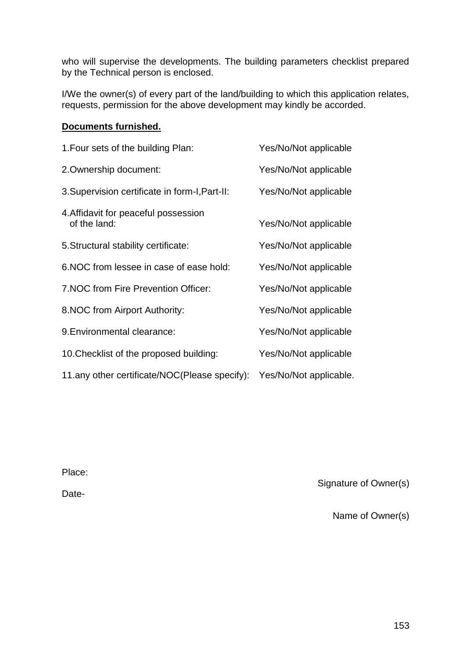who will supervise the developments. The building parameters checklist prepared by the Technical person is enclosed.

I/We the owner(s) of every part of the land/building to which this application relates, requests, permission for the above development may kindly be accorded.

## **Documents furnished.**

| 1. Four sets of the building Plan:                   | Yes/No/Not applicable  |
|------------------------------------------------------|------------------------|
| 2. Ownership document:                               | Yes/No/Not applicable  |
| 3. Supervision certificate in form-I, Part-II:       | Yes/No/Not applicable  |
| 4. Affidavit for peaceful possession<br>of the land: | Yes/No/Not applicable  |
| 5. Structural stability certificate:                 | Yes/No/Not applicable  |
| 6. NOC from lessee in case of ease hold:             | Yes/No/Not applicable  |
| 7. NOC from Fire Prevention Officer:                 | Yes/No/Not applicable  |
| 8. NOC from Airport Authority:                       | Yes/No/Not applicable  |
| 9. Environmental clearance:                          | Yes/No/Not applicable  |
| 10. Checklist of the proposed building:              | Yes/No/Not applicable  |
| 11.any other certificate/NOC(Please specify):        | Yes/No/Not applicable. |

Place:

Date-

Signature of Owner(s)

Name of Owner(s)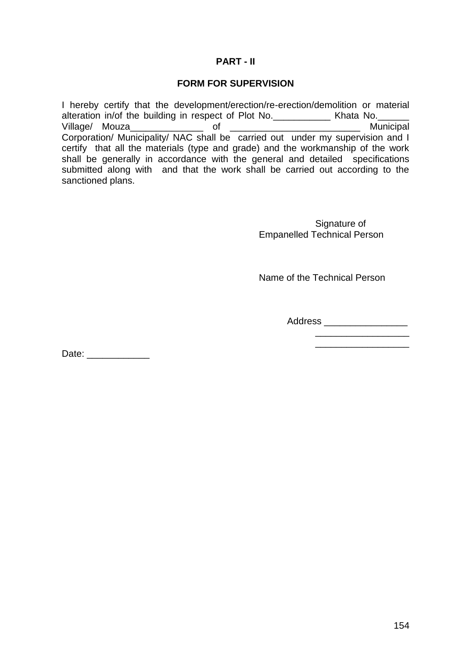#### **PART - II**

#### **FORM FOR SUPERVISION**

I hereby certify that the development/erection/re-erection/demolition or material alteration in/of the building in respect of Plot No.\_\_\_\_\_\_\_\_\_\_\_\_\_ Khata No.\_\_\_\_\_\_ Village/ Mouza\_\_\_\_\_\_\_\_\_\_\_\_\_\_ of \_\_\_\_\_\_\_\_\_\_\_\_\_\_\_\_\_\_\_\_\_\_\_\_\_ Municipal Corporation/ Municipality/ NAC shall be carried out under my supervision and I certify that all the materials (type and grade) and the workmanship of the work shall be generally in accordance with the general and detailed specifications submitted along with and that the work shall be carried out according to the sanctioned plans.

> Signature of Empanelled Technical Person

> Name of the Technical Person

Address \_\_\_\_\_\_\_\_\_\_\_\_\_\_\_\_

\_\_\_\_\_\_\_\_\_\_\_\_\_\_\_\_\_\_

Date: \_\_\_\_\_\_\_\_\_\_\_\_\_\_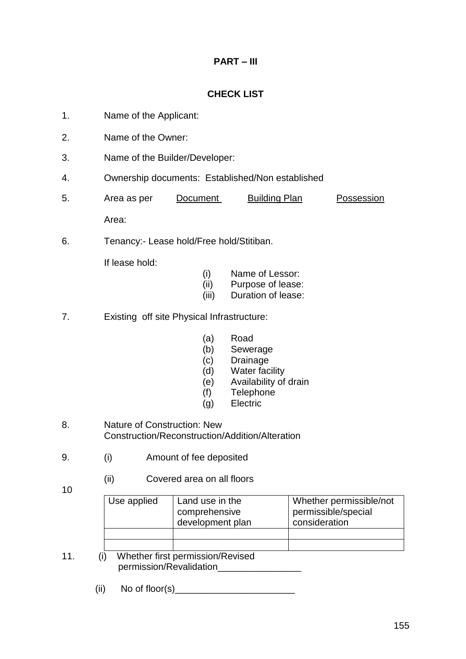# **PART – III**

# **CHECK LIST**

- 1. Name of the Applicant:
- 2. Name of the Owner:
- 3. Name of the Builder/Developer:
- 4. Ownership documents: Established/Non established
- 5. Area as per Document Building Plan Possession Area:
- 6. Tenancy:- Lease hold/Free hold/Stitiban.

If lease hold:

- (i) Name of Lessor:
- (ii) Purpose of lease:
- (iii) Duration of lease:
- 7. Existing off site Physical Infrastructure:
	- (a) Road
	- (b) Sewerage
	- (c) Drainage
	- (d) Water facility
	- (e) Availability of drain
	- (f) Telephone
	- (g) Electric
- 8. Nature of Construction: New Construction/Reconstruction/Addition/Alteration
- 9. (i) Amount of fee deposited
	- (ii) Covered area on all floors
- 10

| Use applied | Land use in the  | Whether permissible/not |
|-------------|------------------|-------------------------|
|             | comprehensive    | permissible/special     |
|             | development plan | consideration           |
|             |                  |                         |
|             |                  |                         |

- 11. (i) Whether first permission/Revised permission/Revalidation\_\_\_\_\_\_\_\_
	- $(ii)$  No of floor(s)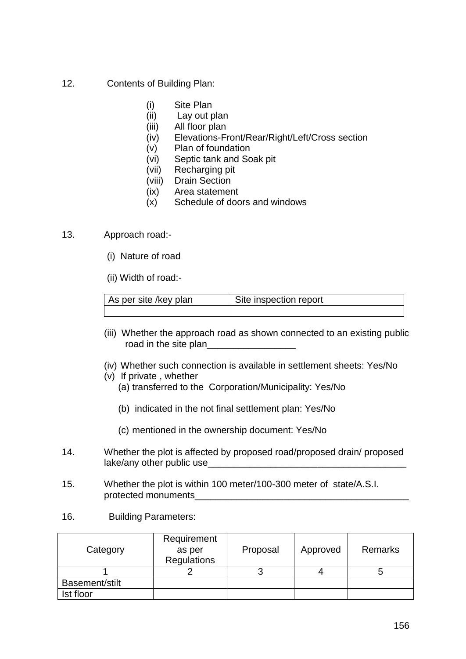- 12. Contents of Building Plan:
	- (i) Site Plan
	- (ii) Lay out plan
	- (iii) All floor plan
	- (iv) Elevations-Front/Rear/Right/Left/Cross section
	- (v) Plan of foundation
	- (vi) Septic tank and Soak pit
	- (vii) Recharging pit
	- (viii) Drain Section
	- (ix) Area statement
	- (x) Schedule of doors and windows
- 13. Approach road:-
	- (i) Nature of road

(ii) Width of road:-

| As per site /key plan | Site inspection report |
|-----------------------|------------------------|
|                       |                        |

- (iii) Whether the approach road as shown connected to an existing public road in the site plan
- (iv) Whether such connection is available in settlement sheets: Yes/No
- (v) If private , whether
	- (a) transferred to the Corporation/Municipality: Yes/No
	- (b) indicated in the not final settlement plan: Yes/No
	- (c) mentioned in the ownership document: Yes/No
- 14. Whether the plot is affected by proposed road/proposed drain/ proposed lake/any other public use\_\_\_\_\_\_
- 15. Whether the plot is within 100 meter/100-300 meter of state/A.S.I. protected monuments
- 16. Building Parameters:

| Category       | Requirement<br>as per<br><b>Regulations</b> | Proposal | Approved | Remarks |  |
|----------------|---------------------------------------------|----------|----------|---------|--|
|                |                                             |          |          |         |  |
| Basement/stilt |                                             |          |          |         |  |
| Ist floor      |                                             |          |          |         |  |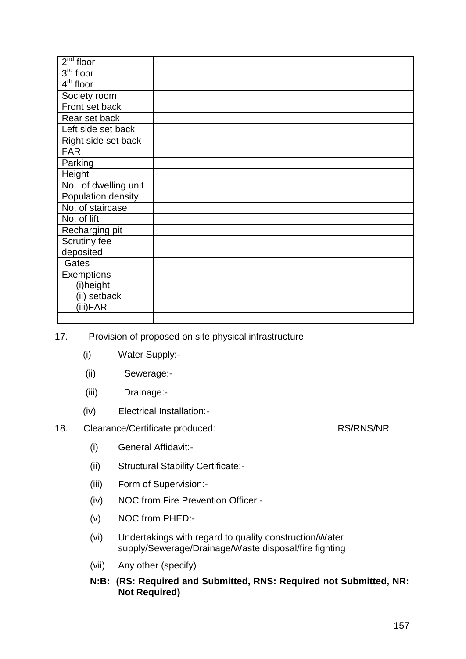| $2nd$ floor          |                                                                  |  |  |
|----------------------|------------------------------------------------------------------|--|--|
| $3rd$ floor          |                                                                  |  |  |
| $4th$ floor          |                                                                  |  |  |
| Society room         |                                                                  |  |  |
| Front set back       |                                                                  |  |  |
| Rear set back        |                                                                  |  |  |
| Left side set back   |                                                                  |  |  |
| Right side set back  |                                                                  |  |  |
| <b>FAR</b>           |                                                                  |  |  |
| Parking              |                                                                  |  |  |
| Height               |                                                                  |  |  |
| No. of dwelling unit |                                                                  |  |  |
| Population density   |                                                                  |  |  |
| No. of staircase     |                                                                  |  |  |
| No. of lift          |                                                                  |  |  |
| Recharging pit       |                                                                  |  |  |
| Scrutiny fee         |                                                                  |  |  |
| deposited            |                                                                  |  |  |
| Gates                |                                                                  |  |  |
| Exemptions           |                                                                  |  |  |
| (i)height            |                                                                  |  |  |
| (ii) setback         |                                                                  |  |  |
| (iii)FAR             |                                                                  |  |  |
|                      |                                                                  |  |  |
| ⇁                    | Duaislain of inspirational air alta information informationation |  |  |

17. Provision of proposed on site physical infrastructure

- (i) Water Supply:-
- (ii) Sewerage:-
- (iii) Drainage:-
- (iv) Electrical Installation:-
- 18. Clearance/Certificate produced: RS/RNS/NR
	- (i) General Affidavit:-
	- (ii) Structural Stability Certificate:-
	- (iii) Form of Supervision:-
	- (iv) NOC from Fire Prevention Officer:-
	- (v) NOC from PHED:-
	- (vi) Undertakings with regard to quality construction/Water supply/Sewerage/Drainage/Waste disposal/fire fighting
	- (vii) Any other (specify)
	- **N:B: (RS: Required and Submitted, RNS: Required not Submitted, NR: Not Required)**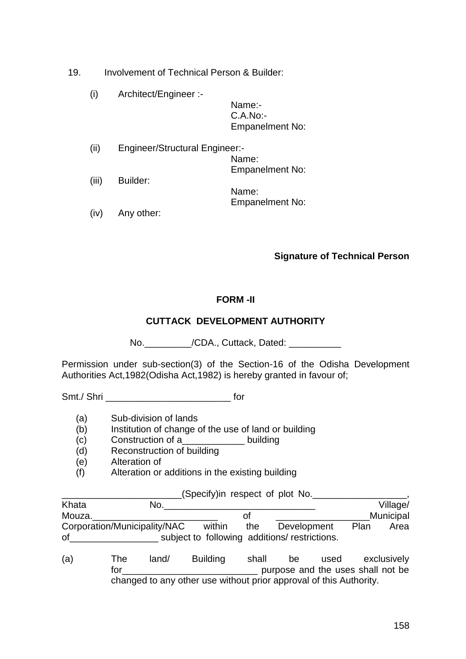19. Involvement of Technical Person & Builder:

(i) Architect/Engineer :-

Name:- C.A.No:- Empanelment No:

Empanelment No:

(ii) Engineer/Structural Engineer:- Name: Empanelment No: (iii) Builder: Name:

(iv) Any other:

## **Signature of Technical Person**

#### **FORM -II**

## **CUTTACK DEVELOPMENT AUTHORITY**

No.\_\_\_\_\_\_\_\_\_\_\_/CDA., Cuttack, Dated: \_\_\_\_\_\_\_\_\_\_\_

Permission under sub-section(3) of the Section-16 of the Odisha Development Authorities Act,1982(Odisha Act,1982) is hereby granted in favour of;

Smt./ Shri **contains the structure of the structure of the structure of the structure of the structure of the structure of the structure of the structure of the structure of the structure of the structure of the structure** 

- (a) Sub-division of lands
- (b) Institution of change of the use of land or building
- (c) Construction of a\_\_\_\_\_\_\_\_\_\_\_\_ building
- (d) Reconstruction of building
- (e) Alteration of
- (f) Alteration or additions in the existing building

(Specify)in respect of plot No. The state of  $\sim$ 

| Khata<br>No.                 |        |     |                                              |      | Village/  |
|------------------------------|--------|-----|----------------------------------------------|------|-----------|
| Mouza.                       |        | Οt  |                                              |      | Municipal |
| Corporation/Municipality/NAC | within | the | Development                                  | Plan | Area      |
| 0f                           |        |     | subject to following additions/restrictions. |      |           |

(a) The land/ Building shall be used exclusively for the purpose and the uses shall not be purpose and the uses shall not be changed to any other use without prior approval of this Authority.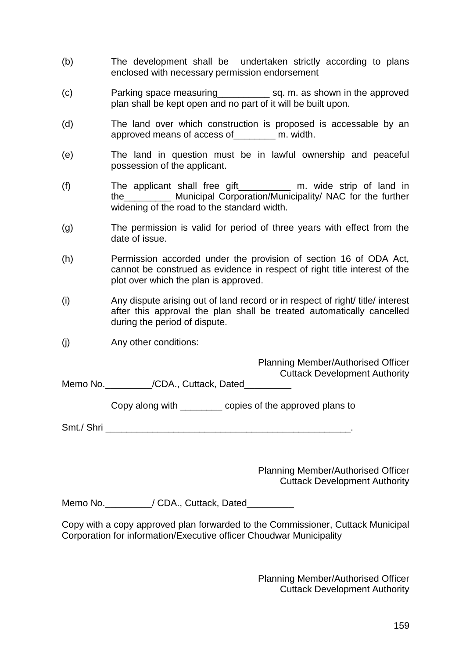- (b) The development shall be undertaken strictly according to plans enclosed with necessary permission endorsement
- (c) Parking space measuring\_\_\_\_\_\_\_\_\_\_ sq. m. as shown in the approved plan shall be kept open and no part of it will be built upon.
- (d) The land over which construction is proposed is accessable by an approved means of access of\_\_\_\_\_\_\_\_ m. width.
- (e) The land in question must be in lawful ownership and peaceful possession of the applicant.
- (f) The applicant shall free gift The strip of land in the Municipal Corporation/Municipality/ NAC for the further widening of the road to the standard width.
- (g) The permission is valid for period of three years with effect from the date of issue.
- (h) Permission accorded under the provision of section 16 of ODA Act, cannot be construed as evidence in respect of right title interest of the plot over which the plan is approved.
- (i) Any dispute arising out of land record or in respect of right/ title/ interest after this approval the plan shall be treated automatically cancelled during the period of dispute.
- (j) Any other conditions:

Planning Member/Authorised Officer Cuttack Development Authority

Memo No.  $/CDA$ ., Cuttack, Dated

Copy along with \_\_\_\_\_\_\_\_ copies of the approved plans to

Smt./ Shri

Planning Member/Authorised Officer Cuttack Development Authority

Memo No. \_\_\_\_\_\_\_\_\_\_/ CDA., Cuttack, Dated\_\_\_\_\_\_\_\_\_

Copy with a copy approved plan forwarded to the Commissioner, Cuttack Municipal Corporation for information/Executive officer Choudwar Municipality

> Planning Member/Authorised Officer Cuttack Development Authority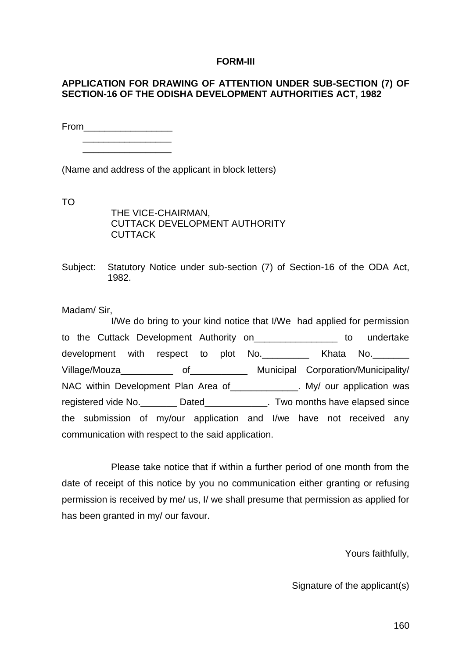#### **FORM-III**

#### **APPLICATION FOR DRAWING OF ATTENTION UNDER SUB-SECTION (7) OF SECTION-16 OF THE ODISHA DEVELOPMENT AUTHORITIES ACT, 1982**

From\_\_\_\_\_\_\_\_\_\_\_\_\_\_\_\_\_

 \_\_\_\_\_\_\_\_\_\_\_\_\_\_\_\_\_ \_\_\_\_\_\_\_\_\_\_\_\_\_\_\_\_\_

(Name and address of the applicant in block letters)

TO

THE VICE-CHAIRMAN, CUTTACK DEVELOPMENT AUTHORITY **CUTTACK** 

Subject: Statutory Notice under sub-section (7) of Section-16 of the ODA Act, 1982.

Madam/ Sir,

I/We do bring to your kind notice that I/We had applied for permission to the Cuttack Development Authority on\_\_\_\_\_\_\_\_\_\_\_\_\_\_\_\_ to undertake development with respect to plot No. \_\_\_\_\_\_\_\_ Khata No. \_\_\_\_\_\_\_ Village/Mouza\_\_\_\_\_\_\_\_\_\_ of\_\_\_\_\_\_\_\_\_\_\_ Municipal Corporation/Municipality/ NAC within Development Plan Area of \_\_\_\_\_\_\_\_\_\_\_\_. My/ our application was registered vide No. \_\_\_\_\_\_\_\_\_ Dated\_\_\_\_\_\_\_\_\_\_\_\_\_. Two months have elapsed since the submission of my/our application and I/we have not received any communication with respect to the said application.

Please take notice that if within a further period of one month from the date of receipt of this notice by you no communication either granting or refusing permission is received by me/ us, I/ we shall presume that permission as applied for has been granted in my/ our favour.

Yours faithfully,

Signature of the applicant(s)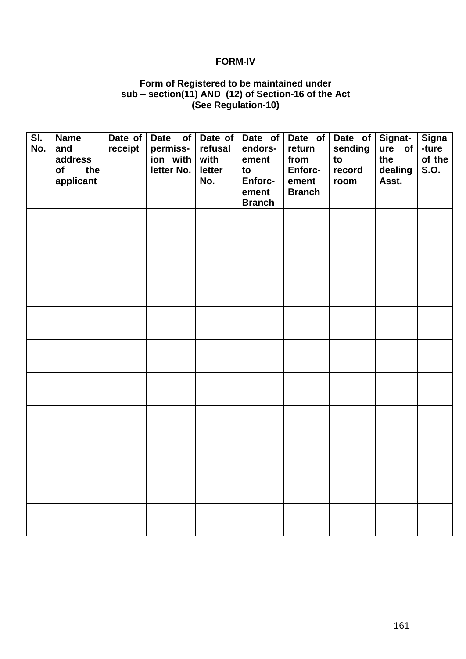#### **FORM-IV**

#### **Form of Registered to be maintained under sub – section(11) AND (12) of Section-16 of the Act (See Regulation-10)**

| $\overline{\mathsf{SI}.}$<br>No. | <b>Name</b><br>and<br>address<br>of<br>the<br>applicant | Date of $ $<br>receipt | Date of Date of<br>permiss-<br>ion with $ $<br>letter No. $ $ | refusal<br>with<br>letter<br>No. | Date of<br>endors-<br>ement<br>to<br>Enforc-<br>ement<br><b>Branch</b> | Date of<br>return<br>from<br>Enforc-<br>ement<br><b>Branch</b> | Date of<br>sending<br>to<br>record<br>room | Signat-<br>ure of<br>the<br>dealing<br>Asst. | <b>Signa</b><br>-ture<br>of the<br><b>S.O.</b> |
|----------------------------------|---------------------------------------------------------|------------------------|---------------------------------------------------------------|----------------------------------|------------------------------------------------------------------------|----------------------------------------------------------------|--------------------------------------------|----------------------------------------------|------------------------------------------------|
|                                  |                                                         |                        |                                                               |                                  |                                                                        |                                                                |                                            |                                              |                                                |
|                                  |                                                         |                        |                                                               |                                  |                                                                        |                                                                |                                            |                                              |                                                |
|                                  |                                                         |                        |                                                               |                                  |                                                                        |                                                                |                                            |                                              |                                                |
|                                  |                                                         |                        |                                                               |                                  |                                                                        |                                                                |                                            |                                              |                                                |
|                                  |                                                         |                        |                                                               |                                  |                                                                        |                                                                |                                            |                                              |                                                |
|                                  |                                                         |                        |                                                               |                                  |                                                                        |                                                                |                                            |                                              |                                                |
|                                  |                                                         |                        |                                                               |                                  |                                                                        |                                                                |                                            |                                              |                                                |
|                                  |                                                         |                        |                                                               |                                  |                                                                        |                                                                |                                            |                                              |                                                |
|                                  |                                                         |                        |                                                               |                                  |                                                                        |                                                                |                                            |                                              |                                                |
|                                  |                                                         |                        |                                                               |                                  |                                                                        |                                                                |                                            |                                              |                                                |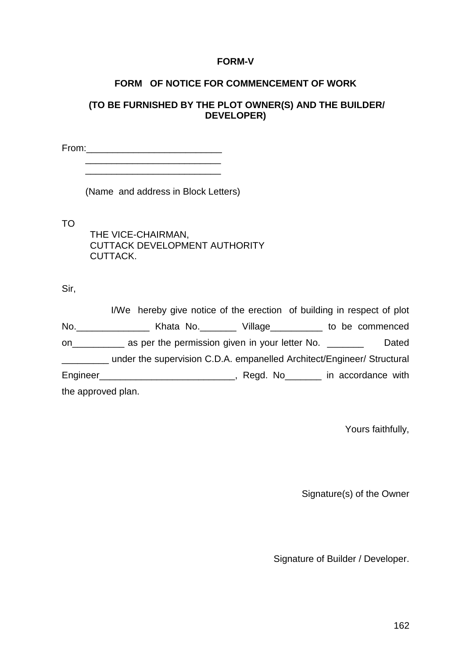#### **FORM-V**

#### **FORM OF NOTICE FOR COMMENCEMENT OF WORK**

## **(TO BE FURNISHED BY THE PLOT OWNER(S) AND THE BUILDER/ DEVELOPER)**

From:\_\_\_\_\_\_\_\_\_\_\_\_\_\_\_\_\_\_\_\_\_\_\_\_\_\_

(Name and address in Block Letters)

TO

THE VICE-CHAIRMAN, CUTTACK DEVELOPMENT AUTHORITY CUTTACK.

Sir,

|                    | I/We hereby give notice of the erection of building in respect of plot     |  |       |
|--------------------|----------------------------------------------------------------------------|--|-------|
|                    |                                                                            |  |       |
|                    | on ______________ as per the permission given in your letter No. _________ |  | Dated |
|                    | under the supervision C.D.A. empanelled Architect/Engineer/ Structural     |  |       |
|                    |                                                                            |  |       |
| the approved plan. |                                                                            |  |       |

Yours faithfully,

Signature(s) of the Owner

Signature of Builder / Developer.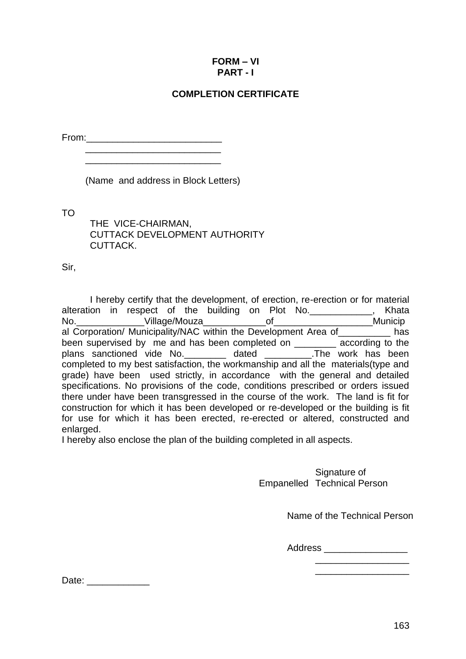## **FORM – VI PART - I**

## **COMPLETION CERTIFICATE**

 $From:$ 

\_\_\_\_\_\_\_\_\_\_\_\_\_\_\_\_\_\_\_\_\_\_\_\_\_\_

(Name and address in Block Letters)

TO

THE VICE-CHAIRMAN, CUTTACK DEVELOPMENT AUTHORITY CUTTACK.

Sir,

I hereby certify that the development, of erection, re-erection or for material alteration in respect of the building on Plot No. No.\_\_\_\_\_\_\_\_\_\_\_\_\_Village/Mouza\_\_\_\_\_\_\_\_\_\_\_\_of\_\_\_\_\_\_\_\_\_\_\_\_\_\_\_\_\_\_\_Municip al Corporation/ Municipality/NAC within the Development Area of has been supervised by me and has been completed on \_\_\_\_\_\_\_ according to the plans sanctioned vide No. \_\_\_\_\_\_\_\_ dated \_\_\_\_\_\_\_\_\_.The work has been completed to my best satisfaction, the workmanship and all the materials(type and grade) have been used strictly, in accordance with the general and detailed specifications. No provisions of the code, conditions prescribed or orders issued there under have been transgressed in the course of the work. The land is fit for construction for which it has been developed or re-developed or the building is fit for use for which it has been erected, re-erected or altered, constructed and enlarged.

I hereby also enclose the plan of the building completed in all aspects.

Signature of Empanelled Technical Person

Name of the Technical Person

Address \_\_\_\_\_\_\_\_\_\_\_\_\_\_\_\_\_\_\_\_\_\_

\_\_\_\_\_\_\_\_\_\_\_\_\_\_\_\_\_\_ \_\_\_\_\_\_\_\_\_\_\_\_\_\_\_\_\_\_

Date:  $\Box$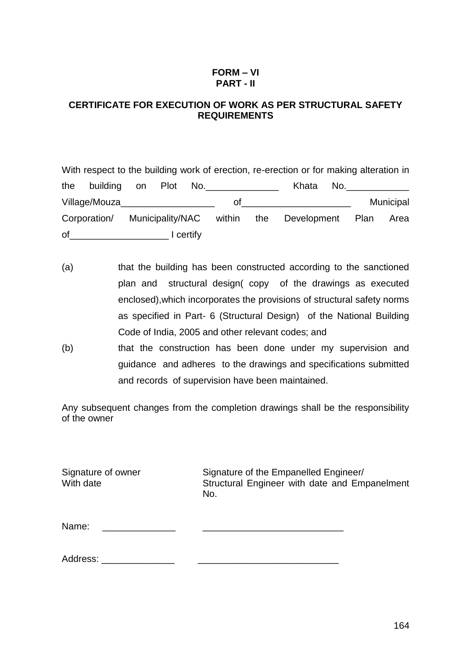#### **FORM – VI PART - II**

## **CERTIFICATE FOR EXECUTION OF WORK AS PER STRUCTURAL SAFETY REQUIREMENTS**

With respect to the building work of erection, re-erection or for making alteration in the building on Plot No.\_\_\_\_\_\_\_\_\_\_\_\_\_\_\_\_ Khata No.\_\_\_\_\_\_\_ Village/Mouza extending the of the contract of the contract of the Municipal Corporation/ Municipality/NAC within the Development Plan Area of\_\_\_\_\_\_\_\_\_\_\_\_\_\_\_\_\_\_\_ I certify

- (a) that the building has been constructed according to the sanctioned plan and structural design( copy of the drawings as executed enclosed),which incorporates the provisions of structural safety norms as specified in Part- 6 (Structural Design) of the National Building Code of India, 2005 and other relevant codes; and
- (b) that the construction has been done under my supervision and guidance and adheres to the drawings and specifications submitted and records of supervision have been maintained.

Any subsequent changes from the completion drawings shall be the responsibility of the owner

Signature of owner Signature of the Empanelled Engineer/ With date **Structural Engineer with date and Empanelment** No. Name:  $\Box$ 

Address: \_\_\_\_\_\_\_\_\_\_\_\_\_\_ \_\_\_\_\_\_\_\_\_\_\_\_\_\_\_\_\_\_\_\_\_\_\_\_\_\_\_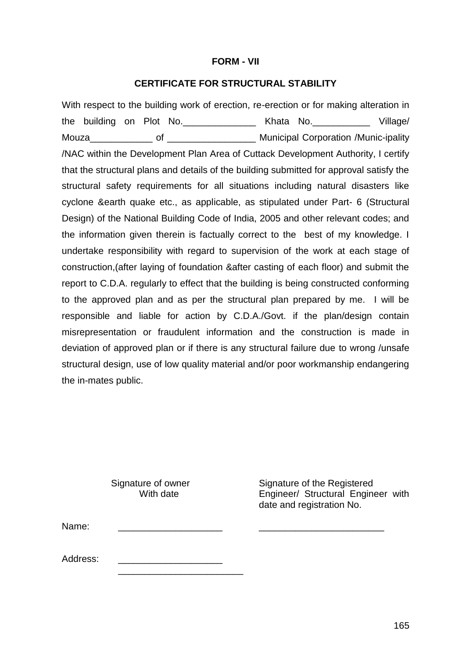#### **FORM - VII**

#### **CERTIFICATE FOR STRUCTURAL STABILITY**

With respect to the building work of erection, re-erection or for making alteration in the building on Plot No.\_\_\_\_\_\_\_\_\_\_\_\_\_\_ Khata No.\_\_\_\_\_\_\_\_\_\_\_ Village/ Mouza **Municipal Corporation /Munic-ipality** Municipal Corporation /Munic-ipality /NAC within the Development Plan Area of Cuttack Development Authority, I certify that the structural plans and details of the building submitted for approval satisfy the structural safety requirements for all situations including natural disasters like cyclone &earth quake etc., as applicable, as stipulated under Part- 6 (Structural Design) of the National Building Code of India, 2005 and other relevant codes; and the information given therein is factually correct to the best of my knowledge. I undertake responsibility with regard to supervision of the work at each stage of construction,(after laying of foundation &after casting of each floor) and submit the report to C.D.A. regularly to effect that the building is being constructed conforming to the approved plan and as per the structural plan prepared by me. I will be responsible and liable for action by C.D.A./Govt. if the plan/design contain misrepresentation or fraudulent information and the construction is made in deviation of approved plan or if there is any structural failure due to wrong /unsafe structural design, use of low quality material and/or poor workmanship endangering the in-mates public.

\_\_\_\_\_\_\_\_\_\_\_\_\_\_\_\_\_\_\_\_\_\_\_\_

Signature of owner Signature of the Registered<br>With date **Secure Container** Engineer/ Structural Engine Engineer/ Structural Engineer with date and registration No.

Name: \_\_\_\_\_\_\_\_\_\_\_\_\_\_\_\_\_\_\_\_ \_\_\_\_\_\_\_\_\_\_\_\_\_\_\_\_\_\_\_\_\_\_\_\_

Address: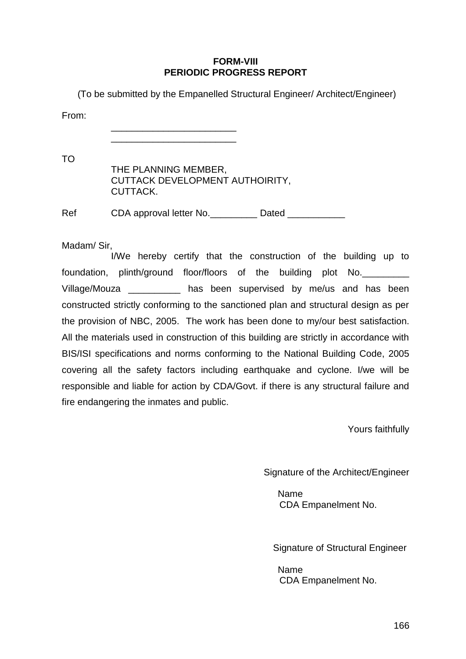#### **FORM-VIII PERIODIC PROGRESS REPORT**

(To be submitted by the Empanelled Structural Engineer/ Architect/Engineer)

From:

\_\_\_\_\_\_\_\_\_\_\_\_\_\_\_\_\_\_\_\_\_\_\_\_ \_\_\_\_\_\_\_\_\_\_\_\_\_\_\_\_\_\_\_\_\_\_\_\_

TO

| THE PLANNING MEMBER,            |
|---------------------------------|
| CUTTACK DEVELOPMENT AUTHOIRITY, |
| CUTTACK.                        |

Ref CDA approval letter No. COME Dated CDA approval letter No.

Madam/ Sir,

I/We hereby certify that the construction of the building up to foundation, plinth/ground floor/floors of the building plot No. Village/Mouza **been** supervised by me/us and has been constructed strictly conforming to the sanctioned plan and structural design as per the provision of NBC, 2005. The work has been done to my/our best satisfaction. All the materials used in construction of this building are strictly in accordance with BIS/ISI specifications and norms conforming to the National Building Code, 2005 covering all the safety factors including earthquake and cyclone. I/we will be responsible and liable for action by CDA/Govt. if there is any structural failure and fire endangering the inmates and public.

Yours faithfully

Signature of the Architect/Engineer

Name CDA Empanelment No.

Signature of Structural Engineer

Name CDA Empanelment No.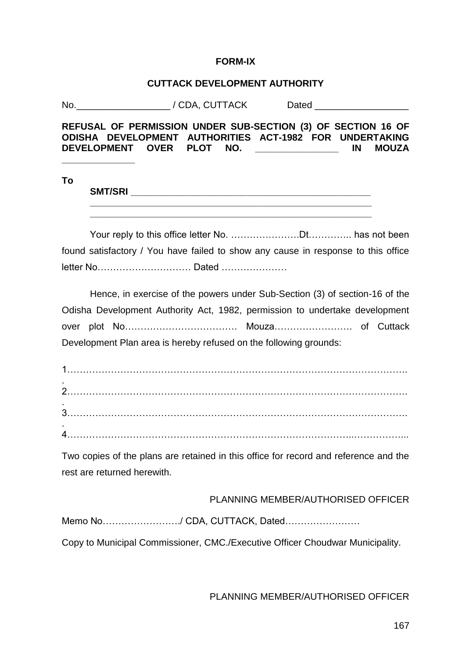#### **FORM-IX**

#### **CUTTACK DEVELOPMENT AUTHORITY**

No. The contract of  $\sim$  / CDA, CUTTACK dependence of Dated  $\sim$ 

**REFUSAL OF PERMISSION UNDER SUB-SECTION (3) OF SECTION 16 OF ODISHA DEVELOPMENT AUTHORITIES ACT-1982 FOR UNDERTAKING DEVELOPMENT OVER PLOT NO. \_\_\_\_\_\_\_\_\_\_\_\_\_\_\_\_ IN MOUZA** 

#### **To**

**\_\_\_\_\_\_\_\_\_\_\_\_\_\_**

**SMT/SRI**  $\blacksquare$ 

 **\_\_\_\_\_\_\_\_\_\_\_\_\_\_\_\_\_\_\_\_\_\_\_\_\_\_\_\_\_\_\_\_\_\_\_\_\_\_\_\_\_\_\_\_\_\_\_\_\_\_\_\_\_\_**

Your reply to this office letter No. ………………….Dt………….. has not been found satisfactory / You have failed to show any cause in response to this office letter No………………………… Dated …………………

Hence, in exercise of the powers under Sub-Section (3) of section-16 of the Odisha Development Authority Act, 1982, permission to undertake development over plot No……………………………… Mouza……………………. of Cuttack Development Plan area is hereby refused on the following grounds:

Two copies of the plans are retained in this office for record and reference and the rest are returned herewith.

PLANNING MEMBER/AUTHORISED OFFICER

Memo No……………………./ CDA, CUTTACK, Dated……………………

Copy to Municipal Commissioner, CMC./Executive Officer Choudwar Municipality.

PLANNING MEMBER/AUTHORISED OFFICER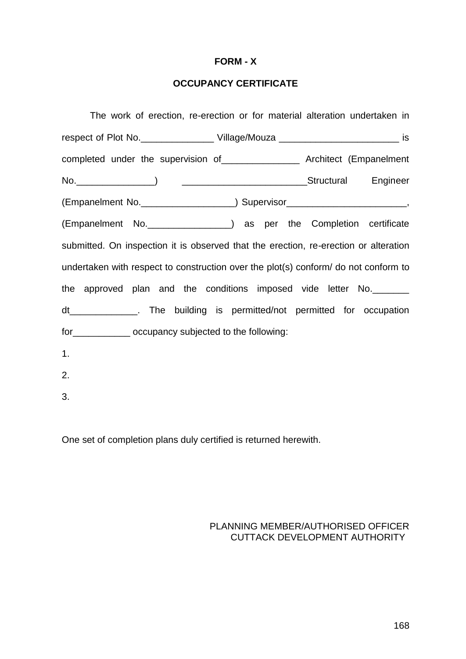#### **FORM - X**

# **OCCUPANCY CERTIFICATE**

| The work of erection, re-erection or for material alteration undertaken in                                                                                                                                                     |
|--------------------------------------------------------------------------------------------------------------------------------------------------------------------------------------------------------------------------------|
|                                                                                                                                                                                                                                |
| completed under the supervision of _______________________ Architect (Empanelment                                                                                                                                              |
| No. Research Contract Contract Contract Contract Contract Contract Contract Contract Contract Contract Contract Contract Contract Contract Contract Contract Contract Contract Contract Contract Contract Contract Contract Co |
| (Empanelment No. _____________________) Supervisor______________________________,                                                                                                                                              |
| (Empanelment No. ________________) as per the Completion certificate                                                                                                                                                           |
| submitted. On inspection it is observed that the erection, re-erection or alteration                                                                                                                                           |
| undertaken with respect to construction over the plot(s) conform/ do not conform to                                                                                                                                            |
| the approved plan and the conditions imposed vide letter No.                                                                                                                                                                   |
| dt________________. The building is permitted/not permitted for occupation                                                                                                                                                     |
| for ______________ occupancy subjected to the following:                                                                                                                                                                       |
| 1.                                                                                                                                                                                                                             |
| 2.                                                                                                                                                                                                                             |
| 3.                                                                                                                                                                                                                             |

One set of completion plans duly certified is returned herewith.

## PLANNING MEMBER/AUTHORISED OFFICER CUTTACK DEVELOPMENT AUTHORITY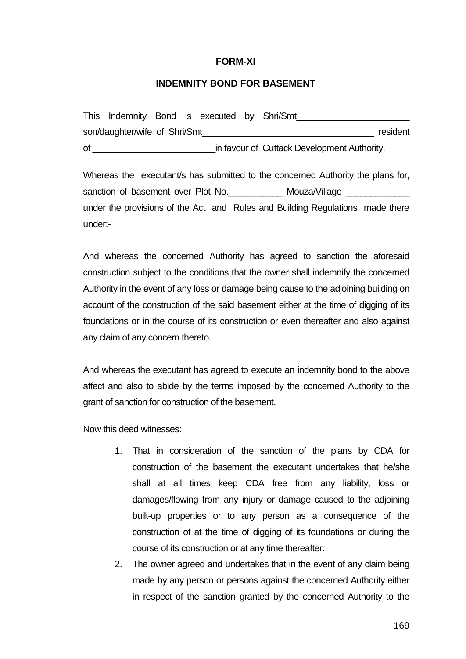#### **FORM-XI**

#### **INDEMNITY BOND FOR BASEMENT**

|    | This Indemnity Bond is executed by Shri/Smt |  |  |                                             |          |
|----|---------------------------------------------|--|--|---------------------------------------------|----------|
|    | son/daughter/wife of Shri/Smt               |  |  |                                             | resident |
| οf |                                             |  |  | in favour of Cuttack Development Authority. |          |

Whereas the executant/s has submitted to the concerned Authority the plans for, sanction of basement over Plot No. The Mouza/Village under the provisions of the Act and Rules and Building Regulations made there under:-

And whereas the concerned Authority has agreed to sanction the aforesaid construction subject to the conditions that the owner shall indemnify the concerned Authority in the event of any loss or damage being cause to the adjoining building on account of the construction of the said basement either at the time of digging of its foundations or in the course of its construction or even thereafter and also against any claim of any concern thereto.

And whereas the executant has agreed to execute an indemnity bond to the above affect and also to abide by the terms imposed by the concerned Authority to the grant of sanction for construction of the basement.

Now this deed witnesses:

- 1. That in consideration of the sanction of the plans by CDA for construction of the basement the executant undertakes that he/she shall at all times keep CDA free from any liability, loss or damages/flowing from any injury or damage caused to the adjoining built-up properties or to any person as a consequence of the construction of at the time of digging of its foundations or during the course of its construction or at any time thereafter.
- 2. The owner agreed and undertakes that in the event of any claim being made by any person or persons against the concerned Authority either in respect of the sanction granted by the concerned Authority to the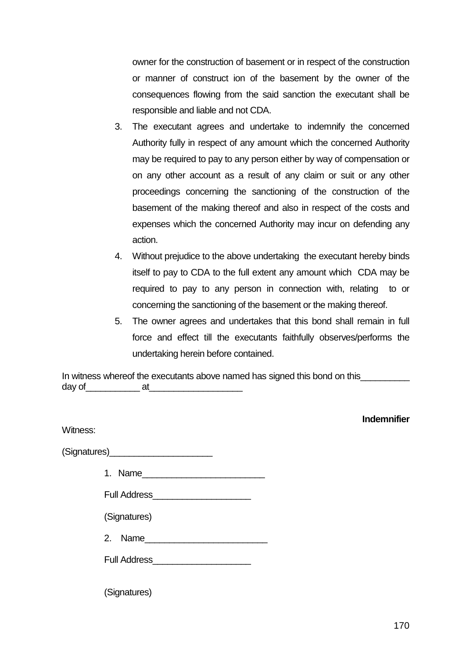owner for the construction of basement or in respect of the construction or manner of construct ion of the basement by the owner of the consequences flowing from the said sanction the executant shall be responsible and liable and not CDA.

- 3. The executant agrees and undertake to indemnify the concerned Authority fully in respect of any amount which the concerned Authority may be required to pay to any person either by way of compensation or on any other account as a result of any claim or suit or any other proceedings concerning the sanctioning of the construction of the basement of the making thereof and also in respect of the costs and expenses which the concerned Authority may incur on defending any action.
- 4. Without prejudice to the above undertaking the executant hereby binds itself to pay to CDA to the full extent any amount which CDA may be required to pay to any person in connection with, relating to or concerning the sanctioning of the basement or the making thereof.
- 5. The owner agrees and undertakes that this bond shall remain in full force and effect till the executants faithfully observes/performs the undertaking herein before contained.

In witness whereof the executants above named has signed this bond on this day of at

| Witness:                                         |  | <b>Indemnifier</b> |
|--------------------------------------------------|--|--------------------|
| (Signatures)___________________________          |  |                    |
| 1. Name                                          |  |                    |
|                                                  |  |                    |
| (Signatures)                                     |  |                    |
| 2. Name                                          |  |                    |
| Full Address <b>Management Contract Property</b> |  |                    |
| (Signatures)                                     |  |                    |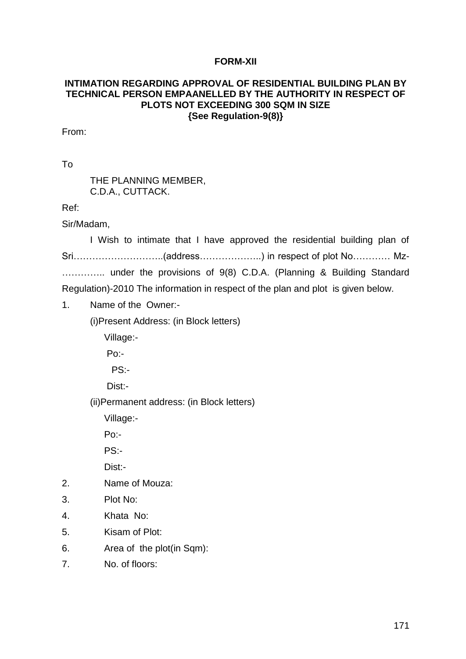#### **FORM-XII**

#### **INTIMATION REGARDING APPROVAL OF RESIDENTIAL BUILDING PLAN BY TECHNICAL PERSON EMPAANELLED BY THE AUTHORITY IN RESPECT OF PLOTS NOT EXCEEDING 300 SQM IN SIZE {See Regulation-9(8)}**

From:

To

THE PLANNING MEMBER, C.D.A., CUTTACK.

Ref:

Sir/Madam,

I Wish to intimate that I have approved the residential building plan of Sri………………………..(address………………..) in respect of plot No………… Mz- ………….. under the provisions of 9(8) C.D.A. (Planning & Building Standard Regulation)-2010 The information in respect of the plan and plot is given below.

1. Name of the Owner:-

(i)Present Address: (in Block letters)

Village:-

Po:-

PS:-

Dist:-

(ii)Permanent address: (in Block letters)

Village:-

Po:-

PS:-

Dist:-

- 2. Name of Mouza:
- 3. Plot No:
- 4. Khata No:
- 5. Kisam of Plot:
- 6. Area of the plot(in Sqm):
- 7. No. of floors: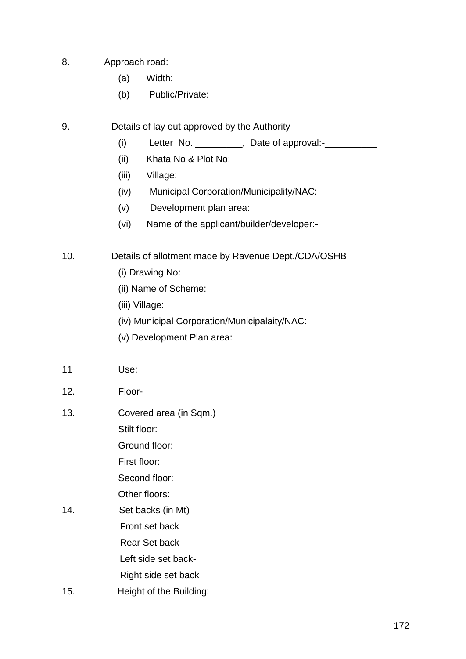- 8. Approach road:
	- (a) Width:
	- (b) Public/Private:
- 9. Details of lay out approved by the Authority
	- (i) Letter No.  $\frac{1}{2}$ , Date of approval:- $\frac{1}{2}$
	- (ii) Khata No & Plot No:
	- (iii) Village:
	- (iv) Municipal Corporation/Municipality/NAC:
	- (v) Development plan area:
	- (vi) Name of the applicant/builder/developer:-
- 10. Details of allotment made by Ravenue Dept./CDA/OSHB
	- (i) Drawing No:
	- (ii) Name of Scheme:
	- (iii) Village:
	- (iv) Municipal Corporation/Municipalaity/NAC:
	- (v) Development Plan area:
- 11 Use:
- 12. Floor-
- 13. Covered area (in Sqm.) Stilt floor: Ground floor:

First floor:

Second floor:

Other floors:

- 14. Set backs (in Mt) Front set back Rear Set back Left side set back- Right side set back
- 15. Height of the Building: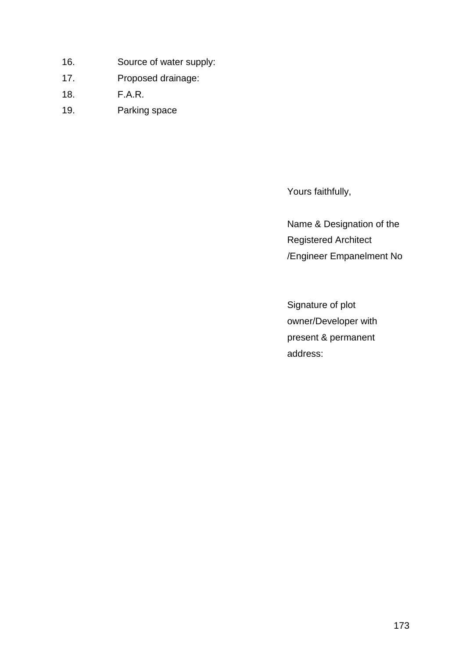- 16. Source of water supply:
- 17. Proposed drainage:
- 18. F.A.R.
- 19. Parking space

Yours faithfully,

Name & Designation of the Registered Architect /Engineer Empanelment No

Signature of plot owner/Developer with present & permanent address: